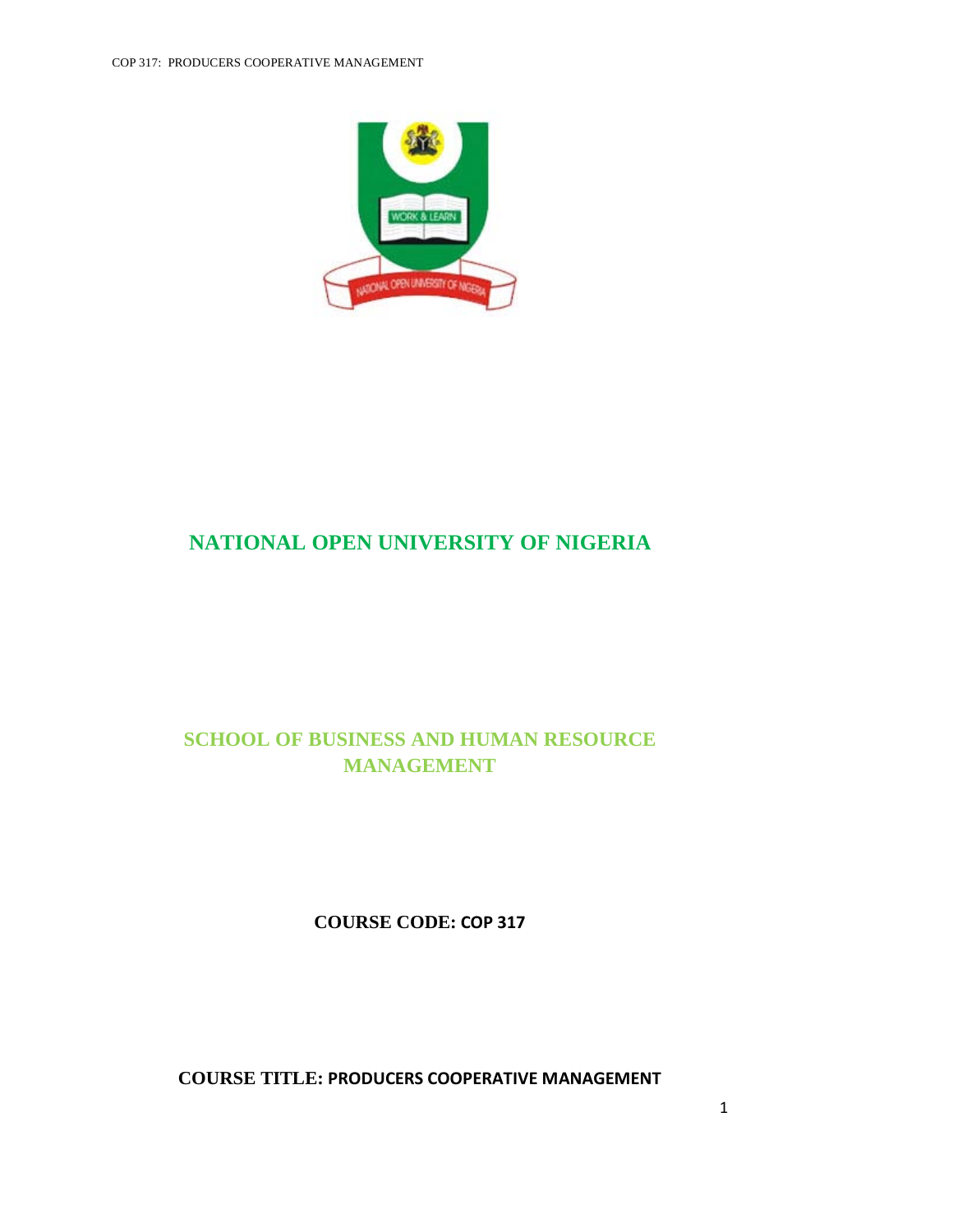

# **NATIONAL OPEN UNIVERSITY OF NIGERIA**

# **SCHOOL OF BUSINESS AND HUMAN RESOURCE MANAGEMENT**

**COURSE CODE: COP 317**

**COURSE TITLE: PRODUCERS COOPERATIVE MANAGEMENT**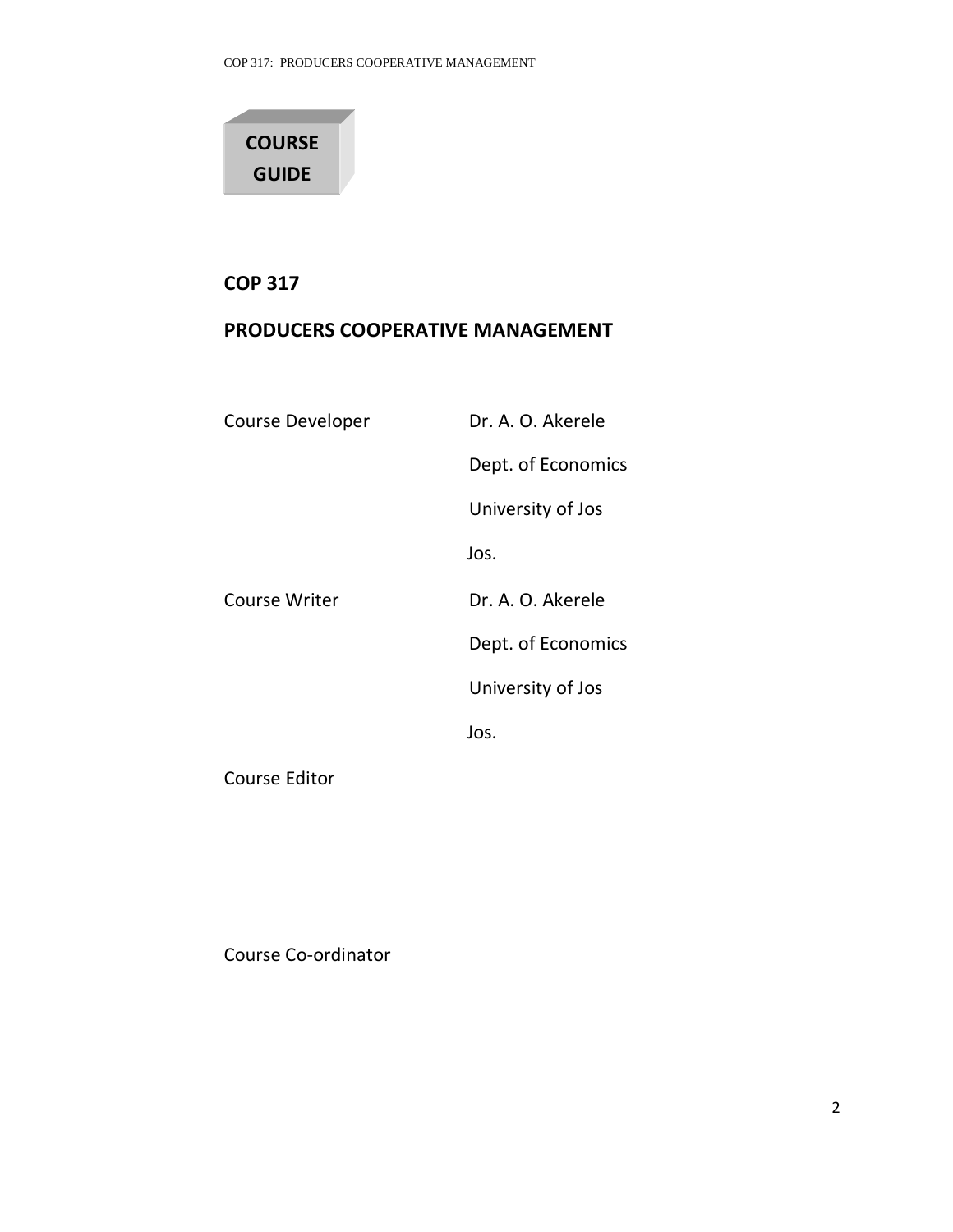

# **COP 317**

### **PRODUCERS COOPERATIVE MANAGEMENT**

Course Developer Dr. A. O. Akerele Dept. of Economics University of Jos Jos. Course Writer **Dr. A. O. Akerele** Dept. of Economics University of Jos

Jos.

Course Editor

Course Co-ordinator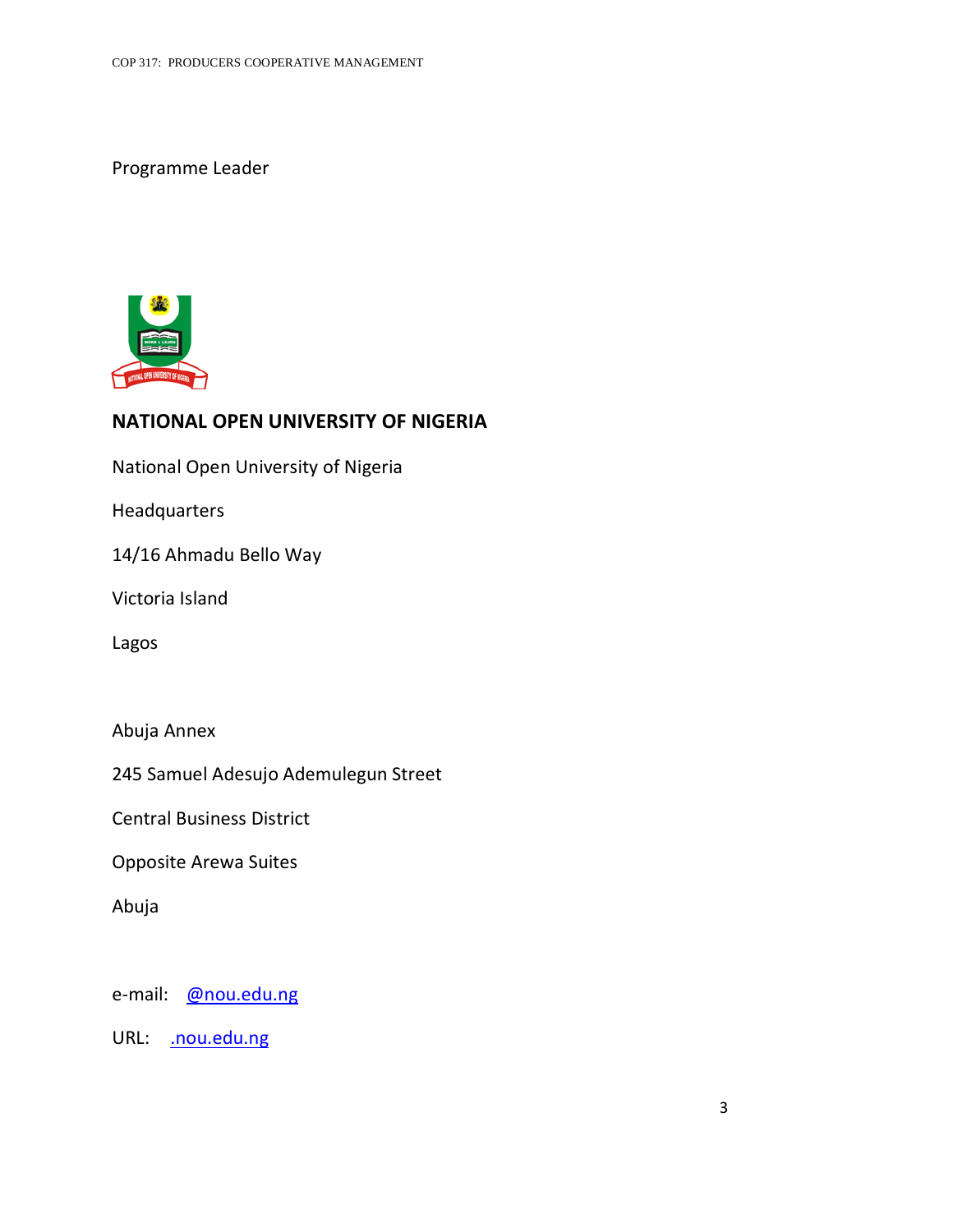Programme Leader



# **NATIONAL OPEN UNIVERSITY OF NIGERIA**

National Open University of Nigeria

Headquarters

14/16 Ahmadu Bello Way

Victoria Island

Lagos

Abuja Annex

245 Samuel Adesujo Ademulegun Street

Central Business District

Opposite Arewa Suites

Abuja

e-mail: [@nou.edu.ng](mailto:centralinfo@nou.edu.ng)

URL: . nou.edu.ng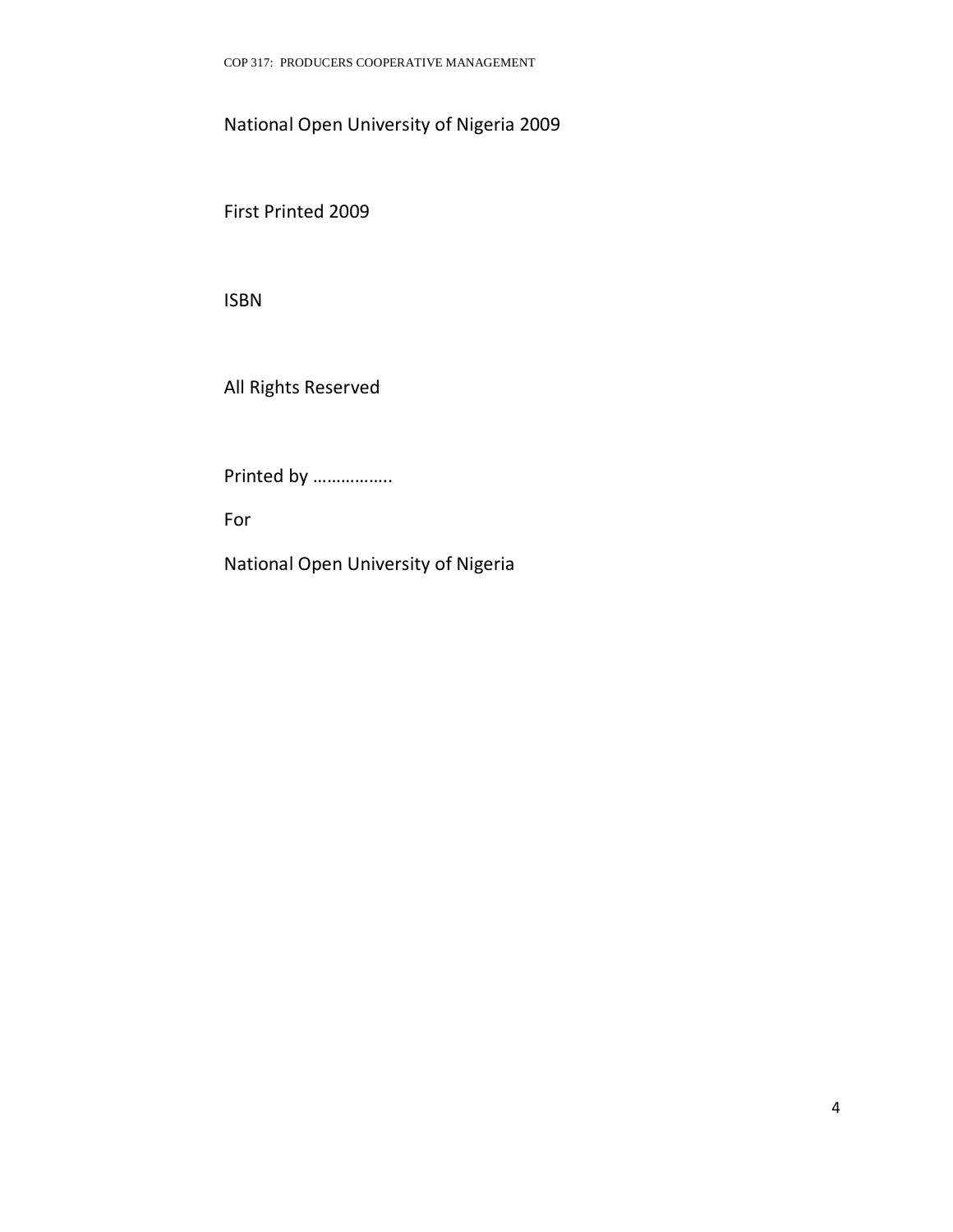# National Open University of Nigeria 2009

First Printed 2009

ISBN

All Rights Reserved

Printed by ……………..

For

National Open University of Nigeria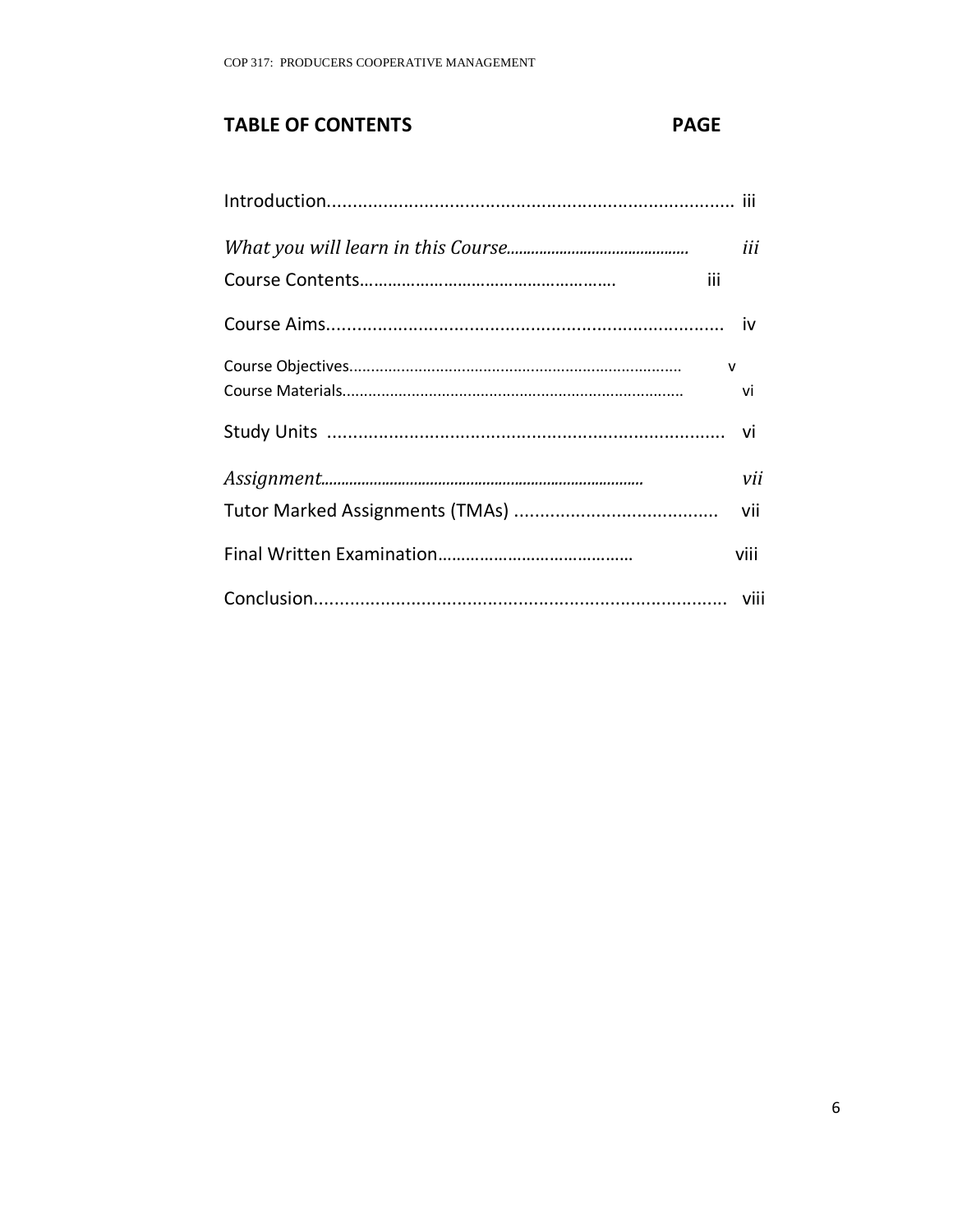# **TABLE OF CONTENTS**

### **PAGE**

| iii |       |
|-----|-------|
|     |       |
|     |       |
|     | vi    |
|     |       |
|     | vii   |
|     |       |
|     | viii. |
|     |       |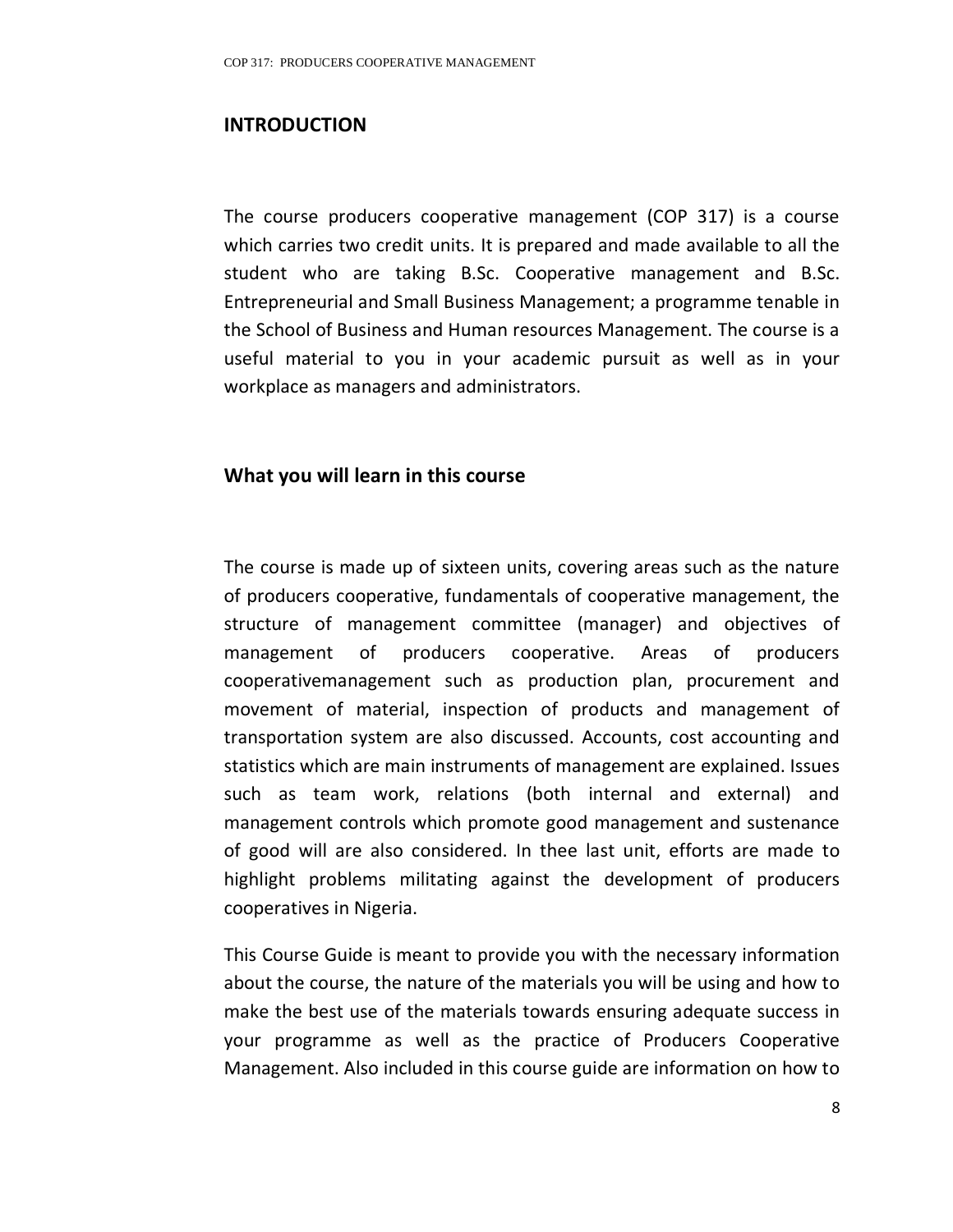### **INTRODUCTION**

The course producers cooperative management (COP 317) is a course which carries two credit units. It is prepared and made available to all the student who are taking B.Sc. Cooperative management and B.Sc. Entrepreneurial and Small Business Management; a programme tenable in the School of Business and Human resources Management. The course is a useful material to you in your academic pursuit as well as in your workplace as managers and administrators.

### **What you will learn in this course**

The course is made up of sixteen units, covering areas such as the nature of producers cooperative, fundamentals of cooperative management, the structure of management committee (manager) and objectives of management of producers cooperative. Areas of producers cooperativemanagement such as production plan, procurement and movement of material, inspection of products and management of transportation system are also discussed. Accounts, cost accounting and statistics which are main instruments of management are explained. Issues such as team work, relations (both internal and external) and management controls which promote good management and sustenance of good will are also considered. In thee last unit, efforts are made to highlight problems militating against the development of producers cooperatives in Nigeria.

This Course Guide is meant to provide you with the necessary information about the course, the nature of the materials you will be using and how to make the best use of the materials towards ensuring adequate success in your programme as well as the practice of Producers Cooperative Management. Also included in this course guide are information on how to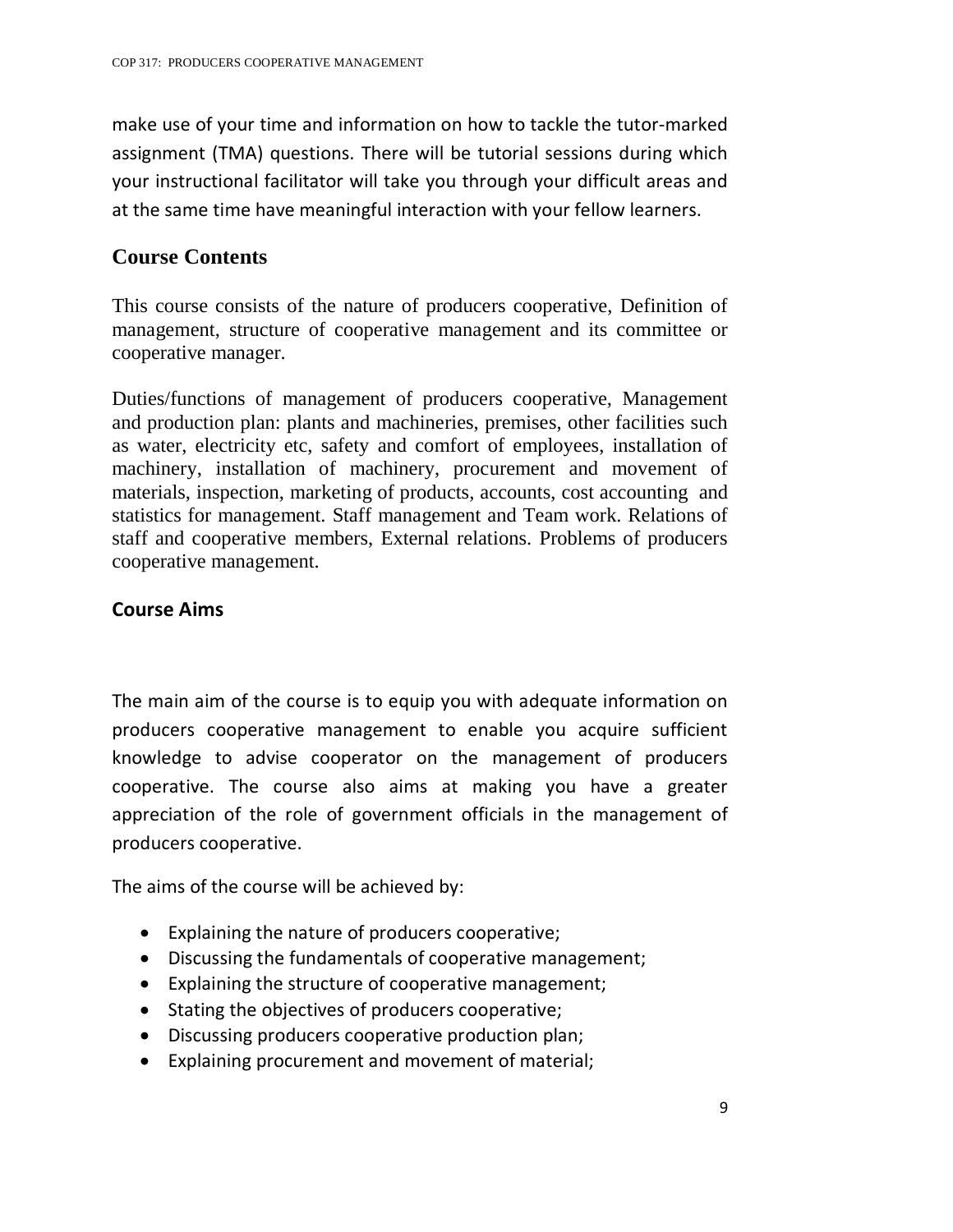make use of your time and information on how to tackle the tutor-marked assignment (TMA) questions. There will be tutorial sessions during which your instructional facilitator will take you through your difficult areas and at the same time have meaningful interaction with your fellow learners.

# **Course Contents**

This course consists of the nature of producers cooperative, Definition of management, structure of cooperative management and its committee or cooperative manager.

Duties/functions of management of producers cooperative, Management and production plan: plants and machineries, premises, other facilities such as water, electricity etc, safety and comfort of employees, installation of machinery, installation of machinery, procurement and movement of materials, inspection, marketing of products, accounts, cost accounting and statistics for management. Staff management and Team work. Relations of staff and cooperative members, External relations. Problems of producers cooperative management.

### **Course Aims**

The main aim of the course is to equip you with adequate information on producers cooperative management to enable you acquire sufficient knowledge to advise cooperator on the management of producers cooperative. The course also aims at making you have a greater appreciation of the role of government officials in the management of producers cooperative.

The aims of the course will be achieved by:

- Explaining the nature of producers cooperative;
- Discussing the fundamentals of cooperative management;
- Explaining the structure of cooperative management;
- Stating the objectives of producers cooperative;
- Discussing producers cooperative production plan;
- Explaining procurement and movement of material;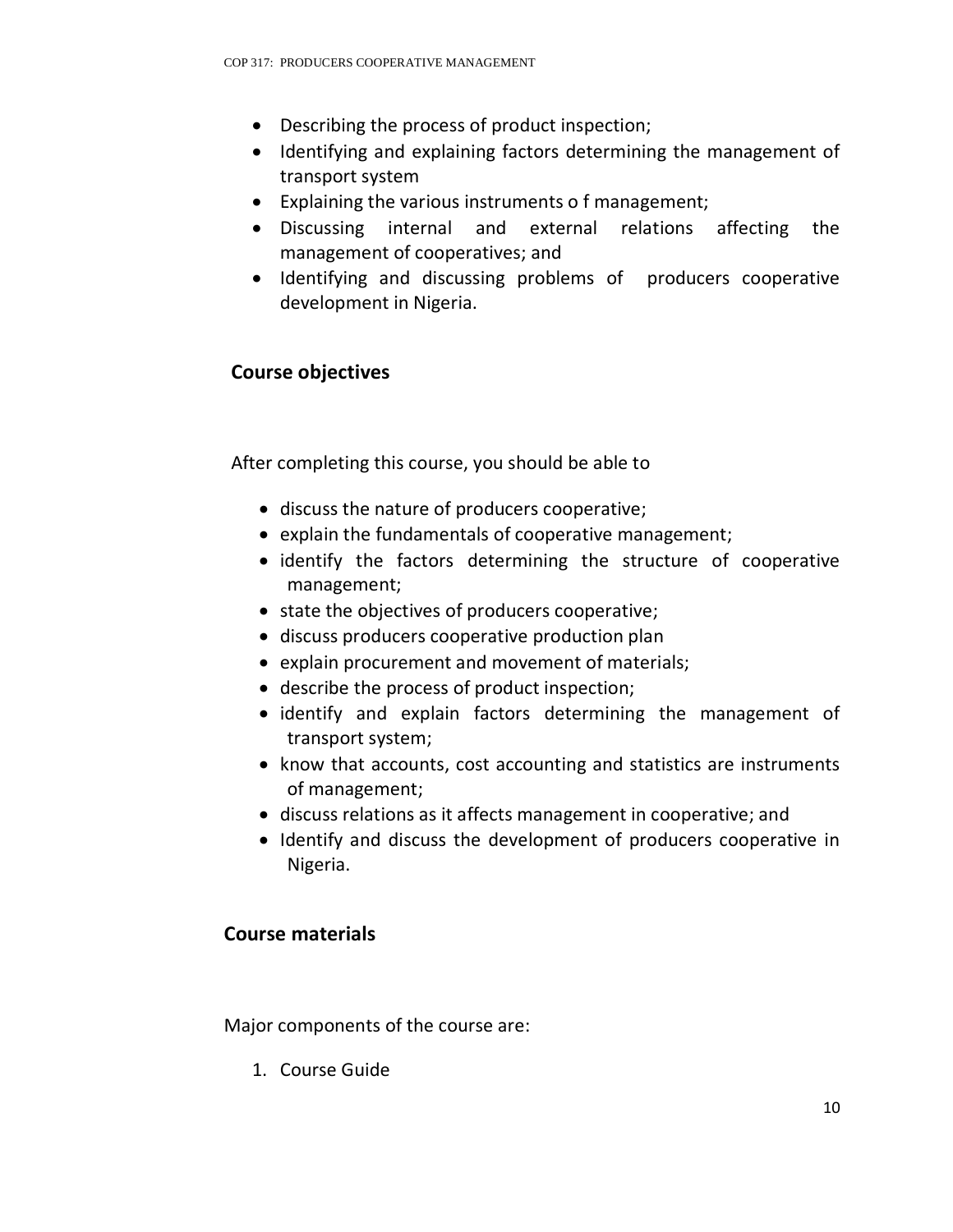- Describing the process of product inspection;
- Identifying and explaining factors determining the management of transport system
- Explaining the various instruments o f management;
- Discussing internal and external relations affecting the management of cooperatives; and
- Identifying and discussing problems of producers cooperative development in Nigeria.

# **Course objectives**

After completing this course, you should be able to

- discuss the nature of producers cooperative;
- explain the fundamentals of cooperative management;
- identify the factors determining the structure of cooperative management;
- state the objectives of producers cooperative;
- discuss producers cooperative production plan
- explain procurement and movement of materials;
- describe the process of product inspection;
- identify and explain factors determining the management of transport system;
- know that accounts, cost accounting and statistics are instruments of management;
- discuss relations as it affects management in cooperative; and
- Identify and discuss the development of producers cooperative in Nigeria.

### **Course materials**

Major components of the course are:

1. Course Guide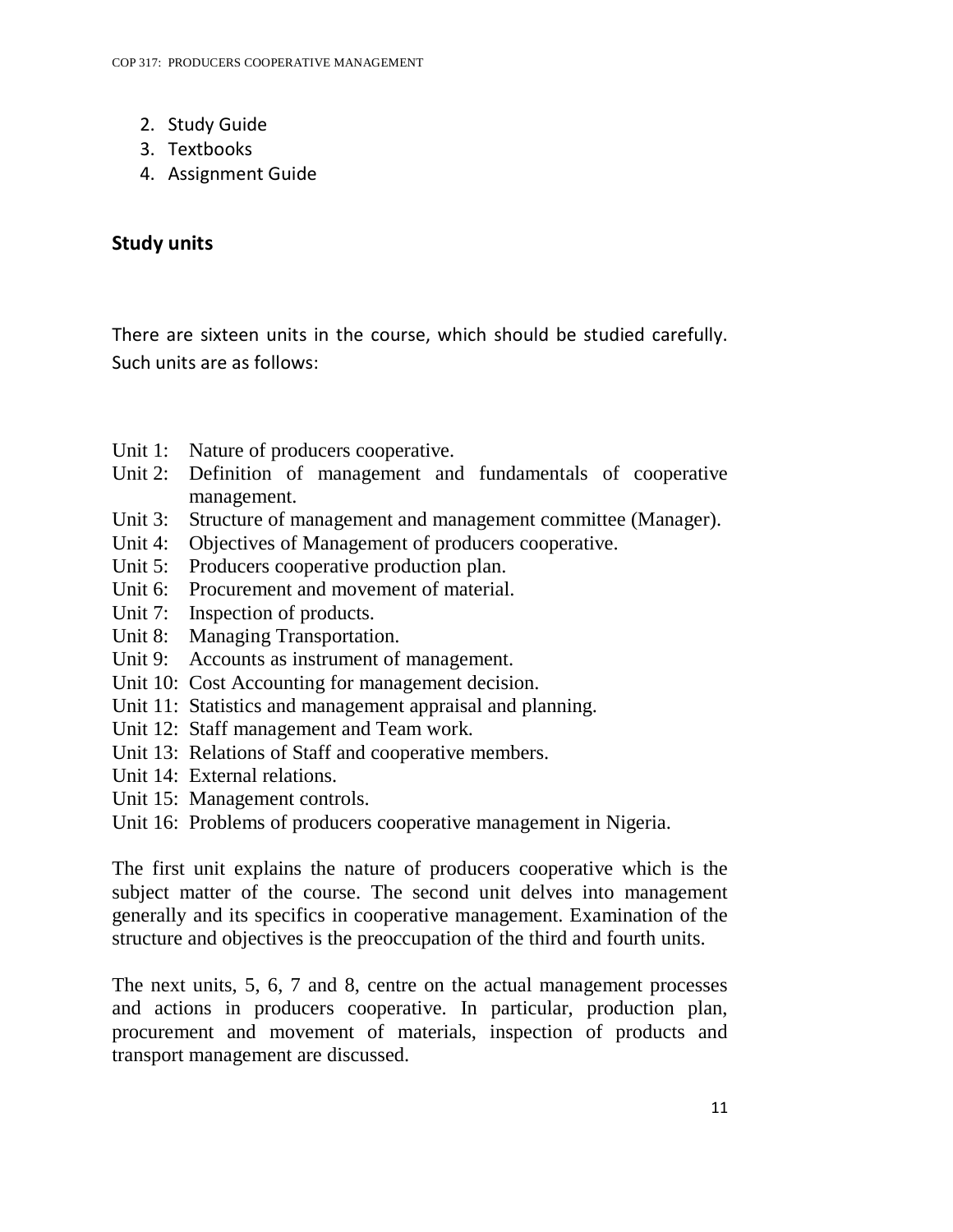- 2. Study Guide
- 3. Textbooks
- 4. Assignment Guide

# **Study units**

There are sixteen units in the course, which should be studied carefully. Such units are as follows:

- Unit 1: Nature of producers cooperative.
- Unit 2: Definition of management and fundamentals of cooperative management.
- Unit 3: Structure of management and management committee (Manager).
- Unit 4: Objectives of Management of producers cooperative.
- Unit 5: Producers cooperative production plan.
- Unit 6: Procurement and movement of material.
- Unit 7: Inspection of products.
- Unit 8: Managing Transportation.
- Unit 9: Accounts as instrument of management.
- Unit 10: Cost Accounting for management decision.
- Unit 11: Statistics and management appraisal and planning.
- Unit 12: Staff management and Team work.
- Unit 13: Relations of Staff and cooperative members.
- Unit 14: External relations.
- Unit 15: Management controls.
- Unit 16: Problems of producers cooperative management in Nigeria.

The first unit explains the nature of producers cooperative which is the subject matter of the course. The second unit delves into management generally and its specifics in cooperative management. Examination of the structure and objectives is the preoccupation of the third and fourth units.

The next units, 5, 6, 7 and 8, centre on the actual management processes and actions in producers cooperative. In particular, production plan, procurement and movement of materials, inspection of products and transport management are discussed.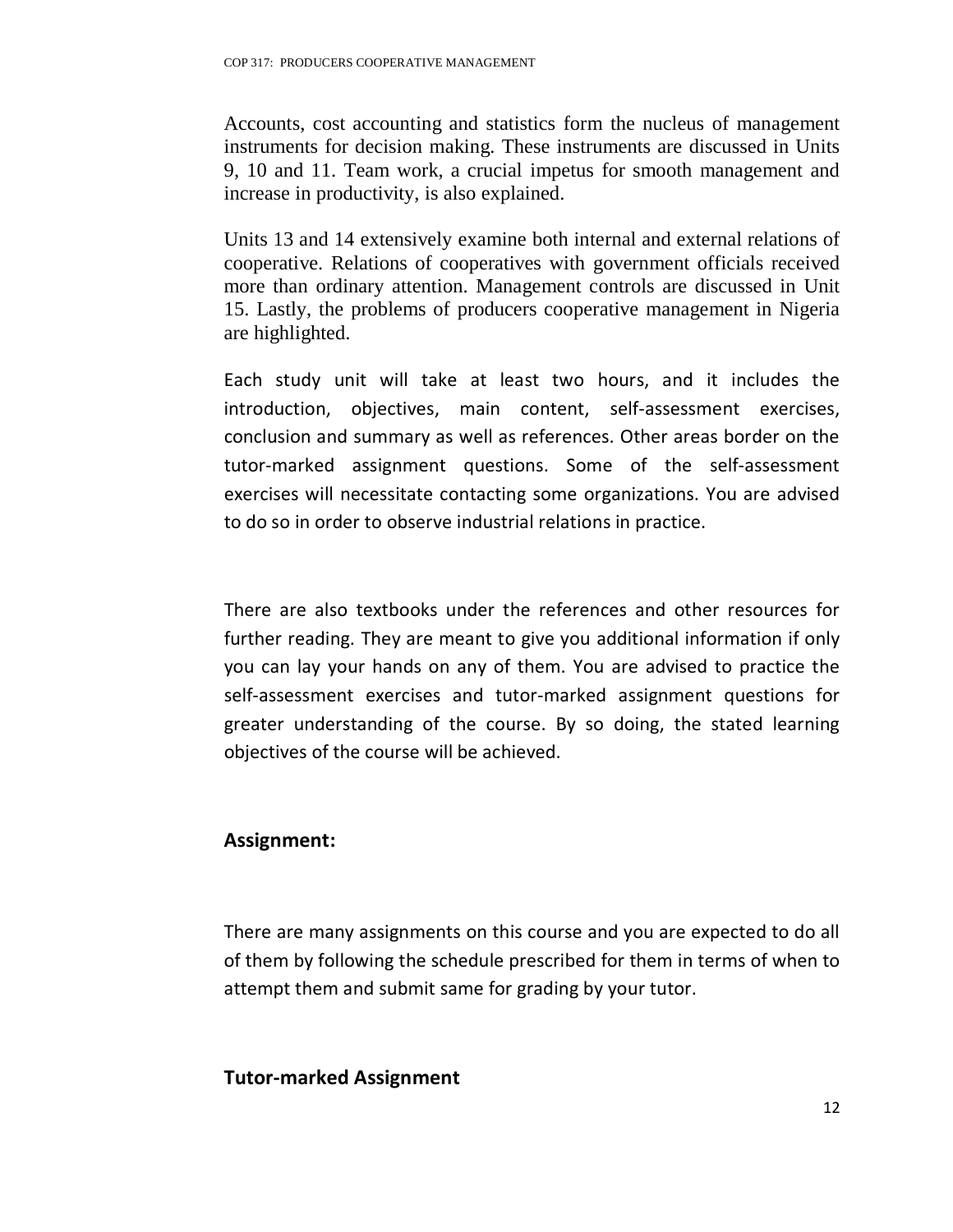Accounts, cost accounting and statistics form the nucleus of management instruments for decision making. These instruments are discussed in Units 9, 10 and 11. Team work, a crucial impetus for smooth management and increase in productivity, is also explained.

Units 13 and 14 extensively examine both internal and external relations of cooperative. Relations of cooperatives with government officials received more than ordinary attention. Management controls are discussed in Unit 15. Lastly, the problems of producers cooperative management in Nigeria are highlighted.

Each study unit will take at least two hours, and it includes the introduction, objectives, main content, self-assessment exercises, conclusion and summary as well as references. Other areas border on the tutor-marked assignment questions. Some of the self-assessment exercises will necessitate contacting some organizations. You are advised to do so in order to observe industrial relations in practice.

There are also textbooks under the references and other resources for further reading. They are meant to give you additional information if only you can lay your hands on any of them. You are advised to practice the self-assessment exercises and tutor-marked assignment questions for greater understanding of the course. By so doing, the stated learning objectives of the course will be achieved.

### **Assignment:**

There are many assignments on this course and you are expected to do all of them by following the schedule prescribed for them in terms of when to attempt them and submit same for grading by your tutor.

### **Tutor-marked Assignment**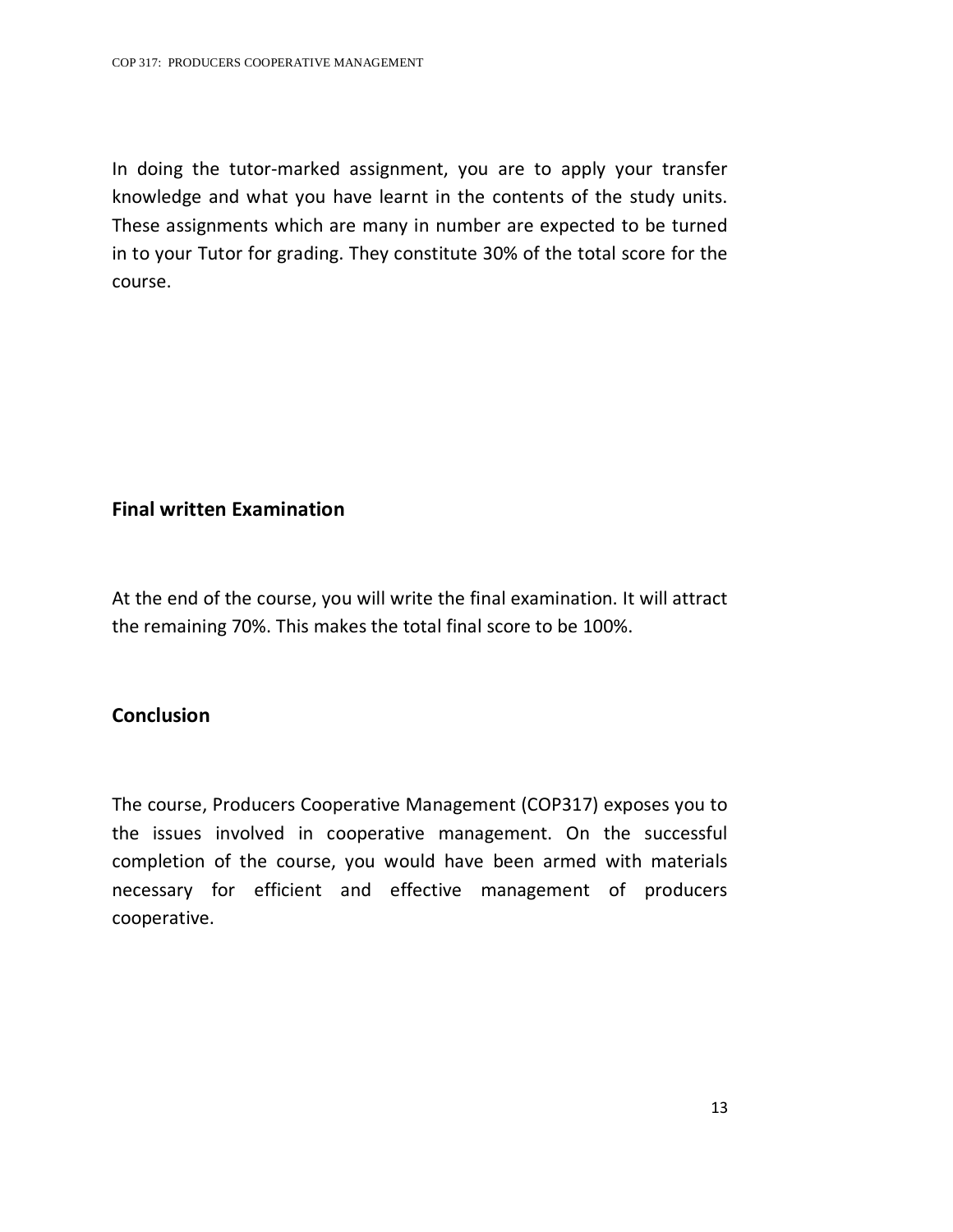In doing the tutor-marked assignment, you are to apply your transfer knowledge and what you have learnt in the contents of the study units. These assignments which are many in number are expected to be turned in to your Tutor for grading. They constitute 30% of the total score for the course.

### **Final written Examination**

At the end of the course, you will write the final examination. It will attract the remaining 70%. This makes the total final score to be 100%.

#### **Conclusion**

The course, Producers Cooperative Management (COP317) exposes you to the issues involved in cooperative management. On the successful completion of the course, you would have been armed with materials necessary for efficient and effective management of producers cooperative.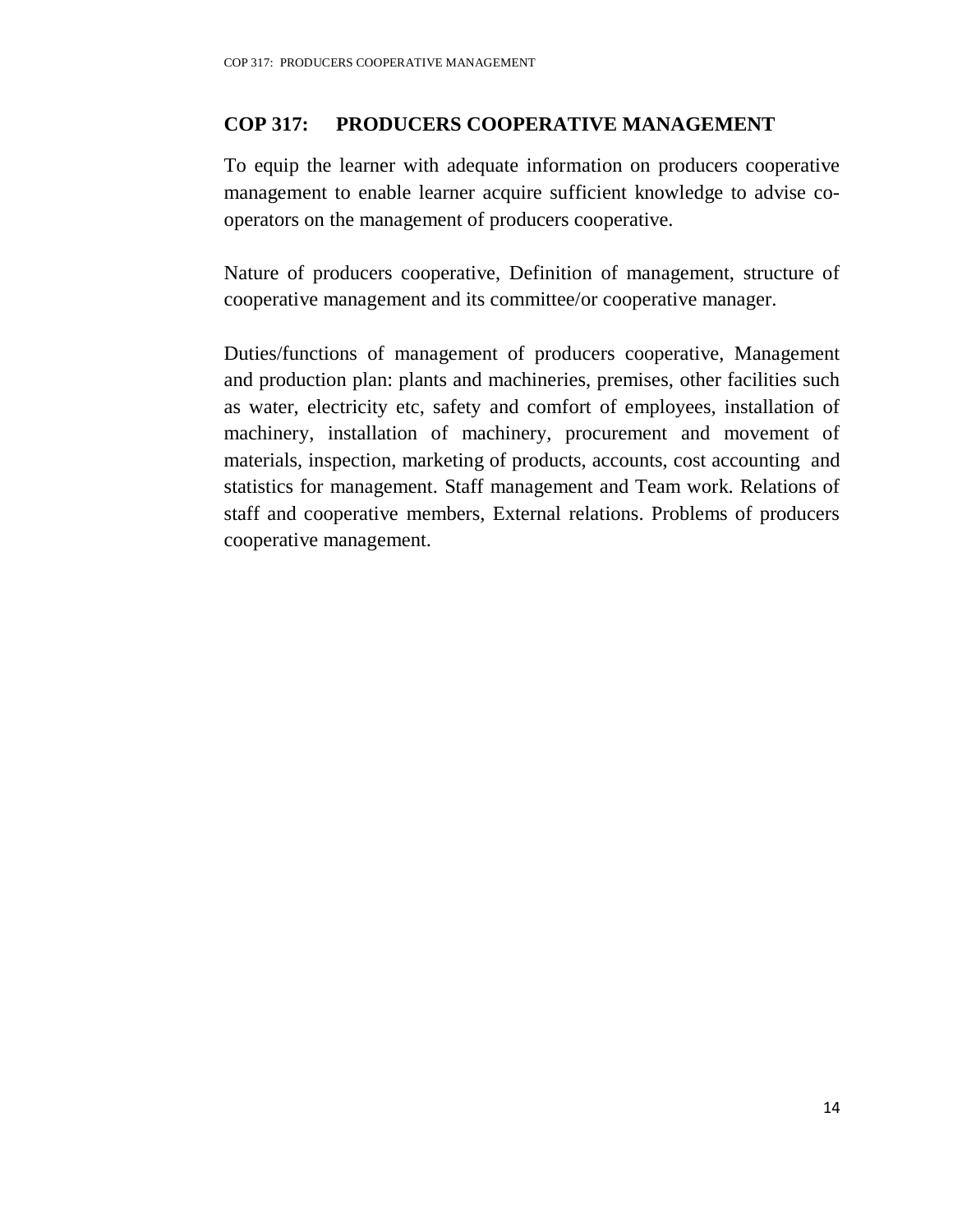#### **COP 317: PRODUCERS COOPERATIVE MANAGEMENT**

To equip the learner with adequate information on producers cooperative management to enable learner acquire sufficient knowledge to advise cooperators on the management of producers cooperative.

Nature of producers cooperative, Definition of management, structure of cooperative management and its committee/or cooperative manager.

Duties/functions of management of producers cooperative, Management and production plan: plants and machineries, premises, other facilities such as water, electricity etc, safety and comfort of employees, installation of machinery, installation of machinery, procurement and movement of materials, inspection, marketing of products, accounts, cost accounting and statistics for management. Staff management and Team work. Relations of staff and cooperative members, External relations. Problems of producers cooperative management.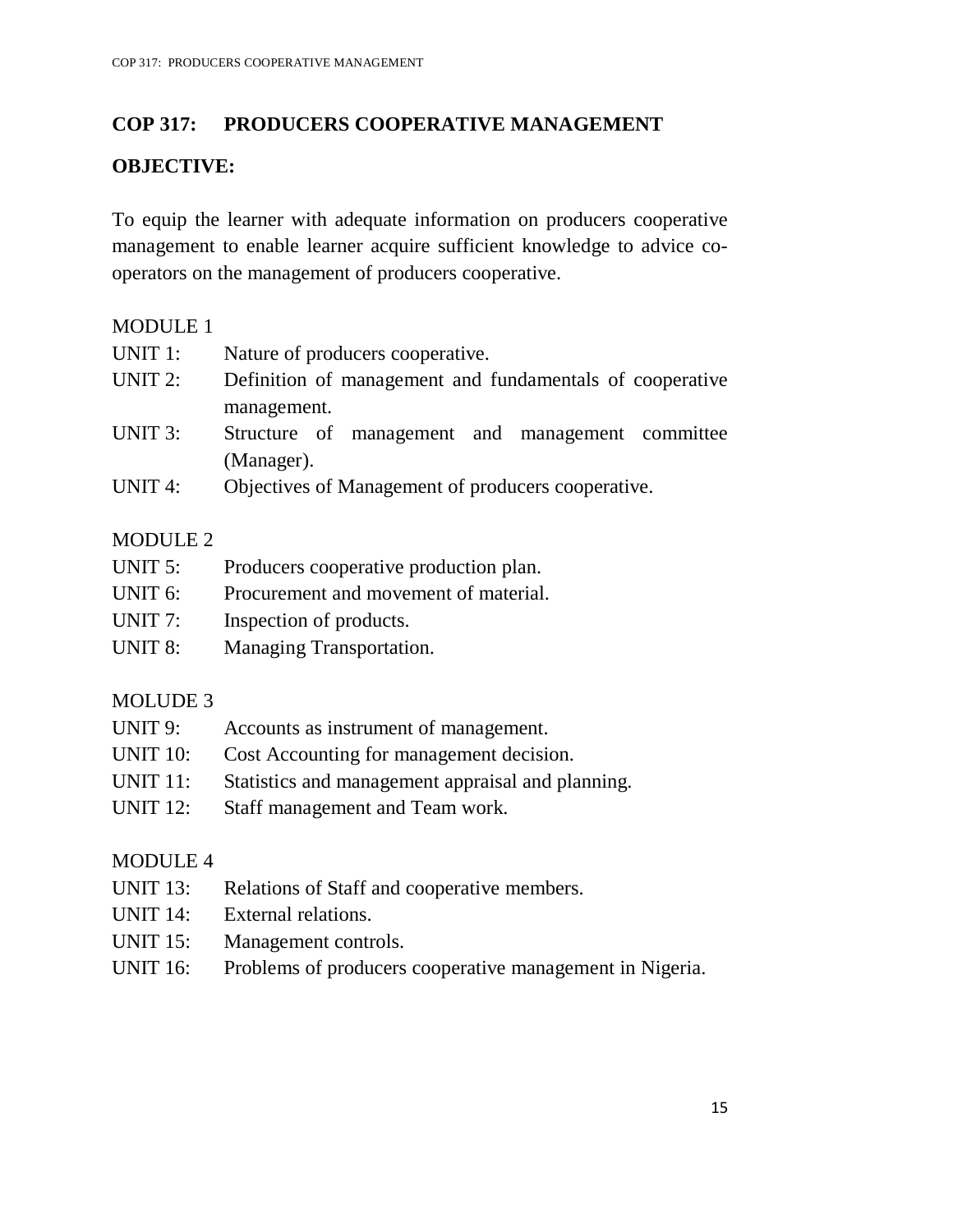# **COP 317: PRODUCERS COOPERATIVE MANAGEMENT**

## **OBJECTIVE:**

To equip the learner with adequate information on producers cooperative management to enable learner acquire sufficient knowledge to advice cooperators on the management of producers cooperative.

### MODULE 1

| UNIT 1: | Nature of producers cooperative.                         |
|---------|----------------------------------------------------------|
| UNIT 2: | Definition of management and fundamentals of cooperative |
|         | management.                                              |
| UNIT 3: | Structure of management and management committee         |
|         | (Manager).                                               |

UNIT 4: Objectives of Management of producers cooperative.

### MODULE 2

| UNIT $5$ :         | Producers cooperative production plan. |
|--------------------|----------------------------------------|
| UNIT <sub>6:</sub> | Procurement and movement of material.  |
| UNIT $7:$          | Inspection of products.                |
| <b>UNIT 8:</b>     | Managing Transportation.               |

### MOLUDE 3

- UNIT 9: Accounts as instrument of management.
- UNIT 10: Cost Accounting for management decision.
- UNIT 11: Statistics and management appraisal and planning.
- UNIT 12: Staff management and Team work.

### MODULE 4

- UNIT 13: Relations of Staff and cooperative members.
- UNIT 14: External relations.
- UNIT 15: Management controls.
- UNIT 16: Problems of producers cooperative management in Nigeria.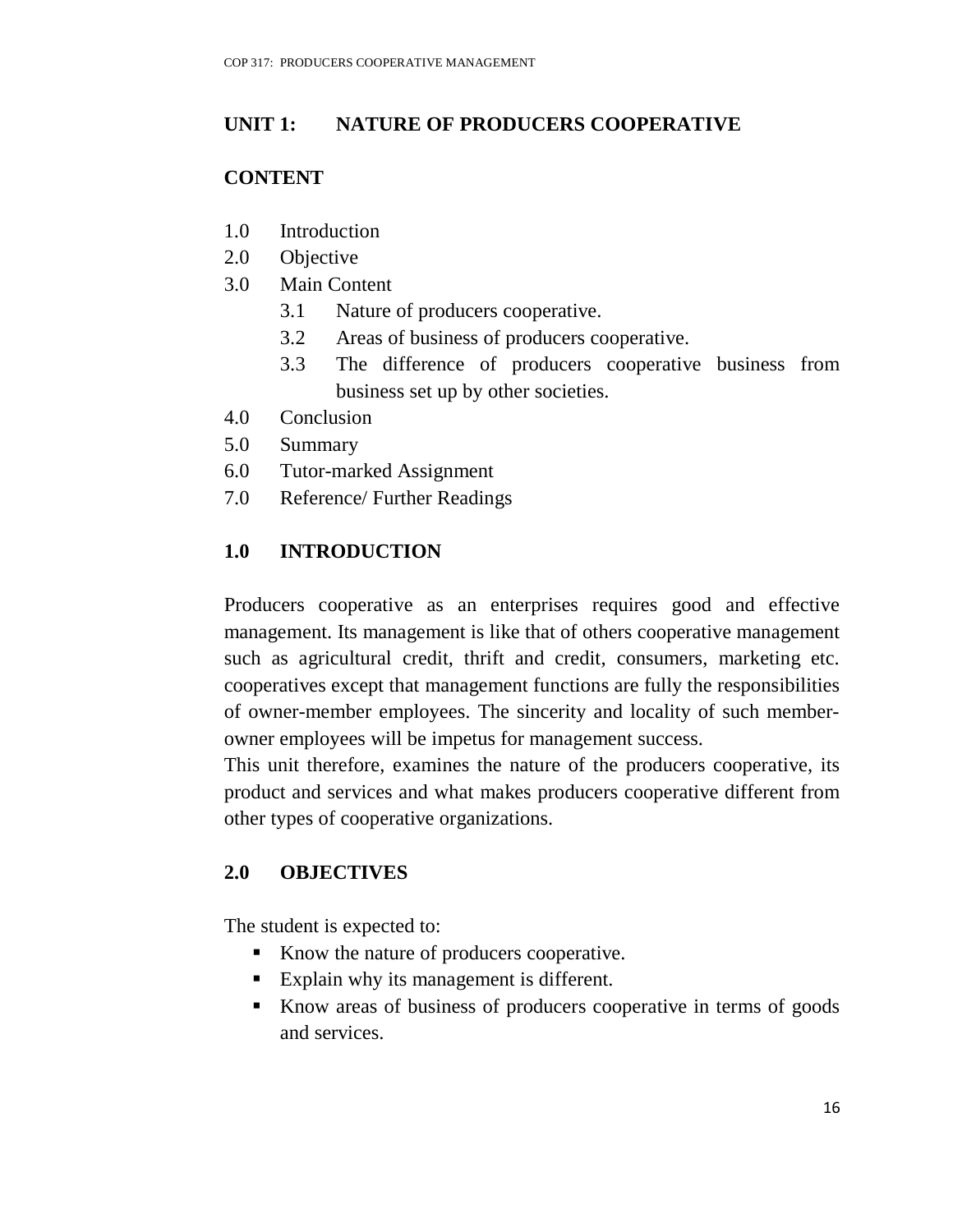# **UNIT 1: NATURE OF PRODUCERS COOPERATIVE**

# **CONTENT**

- 1.0 Introduction
- 2.0 Objective
- 3.0 Main Content
	- 3.1 Nature of producers cooperative.
	- 3.2 Areas of business of producers cooperative.
	- 3.3 The difference of producers cooperative business from business set up by other societies.
- 4.0 Conclusion
- 5.0 Summary
- 6.0 Tutor-marked Assignment
- 7.0 Reference/ Further Readings

# **1.0 INTRODUCTION**

Producers cooperative as an enterprises requires good and effective management. Its management is like that of others cooperative management such as agricultural credit, thrift and credit, consumers, marketing etc. cooperatives except that management functions are fully the responsibilities of owner-member employees. The sincerity and locality of such memberowner employees will be impetus for management success.

This unit therefore, examines the nature of the producers cooperative, its product and services and what makes producers cooperative different from other types of cooperative organizations.

# **2.0 OBJECTIVES**

The student is expected to:

- Know the nature of producers cooperative.
- Explain why its management is different.
- Know areas of business of producers cooperative in terms of goods and services.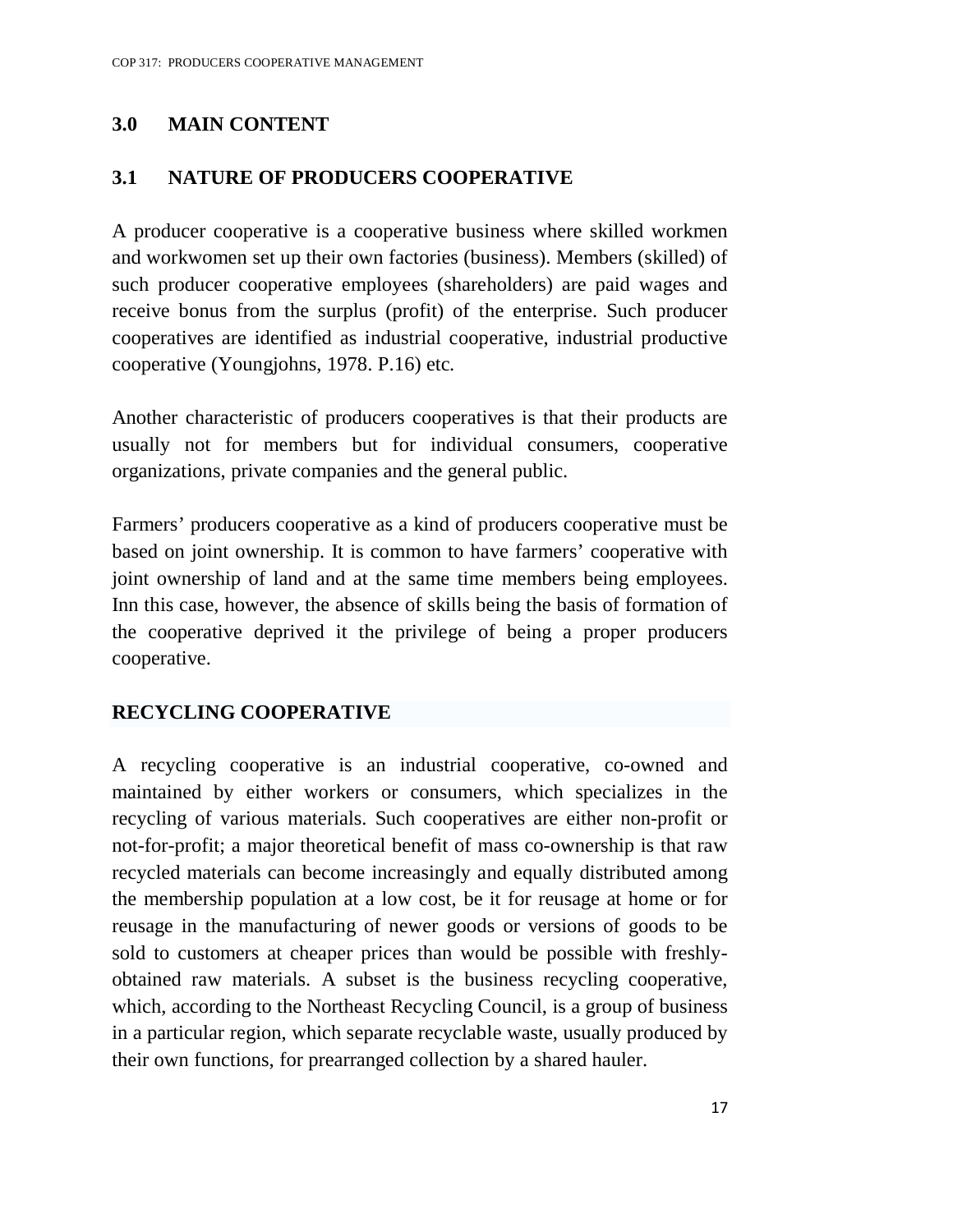### **3.0 MAIN CONTENT**

### **3.1 NATURE OF PRODUCERS COOPERATIVE**

A producer cooperative is a cooperative business where skilled workmen and workwomen set up their own factories (business). Members (skilled) of such producer cooperative employees (shareholders) are paid wages and receive bonus from the surplus (profit) of the enterprise. Such producer cooperatives are identified as industrial cooperative, industrial productive cooperative (Youngjohns, 1978. P.16) etc.

Another characteristic of producers cooperatives is that their products are usually not for members but for individual consumers, cooperative organizations, private companies and the general public.

Farmers' producers cooperative as a kind of producers cooperative must be based on joint ownership. It is common to have farmers' cooperative with joint ownership of land and at the same time members being employees. Inn this case, however, the absence of skills being the basis of formation of the cooperative deprived it the privilege of being a proper producers cooperative.

#### **RECYCLING COOPERATIVE**

A recycling cooperative is an industrial [cooperative,](http://en.wikipedia.org/wiki/Cooperative) co-owned and maintained by either workers or consumers, which specializes in the [recycling](http://en.wikipedia.org/wiki/Recycling) of various materials. Such cooperatives are either [non-profit](http://en.wikipedia.org/wiki/Non-profit) or [not-for-profit;](http://en.wikipedia.org/wiki/Not-for-profit) a major theoretical benefit of mass co-ownership is that raw recycled materials can become increasingly and equally distributed among the membership population at a low cost, be it for reusage at home or for reusage in the manufacturing of newer goods or versions of goods to be sold to customers at cheaper prices than would be possible with freshlyobtained raw materials. A subset is the business recycling cooperative, which, according to the [Northeast Recycling Council,](http://en.wikipedia.org/w/index.php?title=Northeast_Recycling_Council&action=edit&redlink=1) is a group of business in a particular region, which separate recyclable waste, usually produced by their own functions, for prearranged collection by a shared hauler.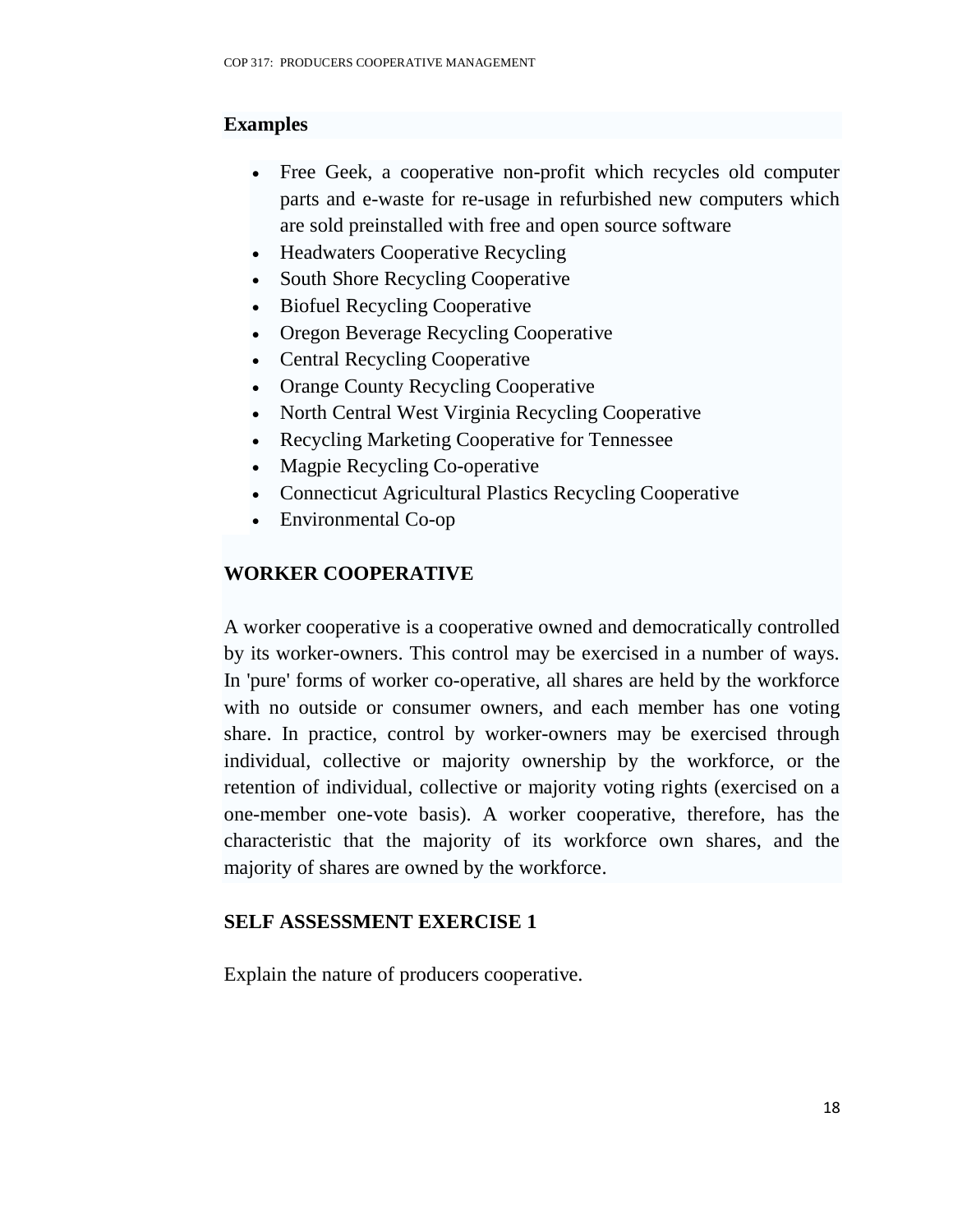### **Examples**

- [Free Geek,](http://en.wikipedia.org/wiki/Free_Geek) a cooperative non-profit which recycles old computer parts and [e-waste](http://en.wikipedia.org/wiki/E-waste) for re-usage in refurbished new computers which are sold preinstalled with [free and open source software](http://en.wikipedia.org/wiki/Free_and_open_source_software)
- [Headwaters Cooperative Recycling](http://en.wikipedia.org/w/index.php?title=Headwaters_Cooperative_Recycling&action=edit&redlink=1)
- [South Shore Recycling Cooperative](http://en.wikipedia.org/w/index.php?title=South_Shore_Recycling_Cooperative&action=edit&redlink=1)
- [Biofuel Recycling Cooperative](http://en.wikipedia.org/w/index.php?title=Biofuel_Recycling_Cooperative&action=edit&redlink=1)
- [Oregon Beverage Recycling Cooperative](http://en.wikipedia.org/w/index.php?title=Oregon_Beverage_Recycling_Cooperative&action=edit&redlink=1)
- [Central Recycling Cooperative](http://en.wikipedia.org/w/index.php?title=Central_Recycling_Cooperative&action=edit&redlink=1)
- [Orange County Recycling Cooperative](http://en.wikipedia.org/w/index.php?title=Orange_County_Recycling_Cooperative&action=edit&redlink=1)
- [North Central West Virginia Recycling Cooperative](http://en.wikipedia.org/w/index.php?title=North_Central_West_Virginia_Recycling_Cooperative&action=edit&redlink=1)
- [Recycling Marketing Cooperative for Tennessee](http://en.wikipedia.org/w/index.php?title=Recycling_Marketing_Cooperative_for_Tennessee&action=edit&redlink=1)
- [Magpie Recycling Co-operative](http://en.wikipedia.org/w/index.php?title=Magpie_Recycling_Co-operative&action=edit&redlink=1)
- [Connecticut Agricultural Plastics Recycling Cooperative](http://en.wikipedia.org/w/index.php?title=Connecticut_Agricultural_Plastics_Recycling_Cooperative&action=edit&redlink=1)
- [Environmental Co-op](http://en.wikipedia.org/w/index.php?title=Environmental_Co-op&action=edit&redlink=1)

### **WORKER COOPERATIVE**

A worker cooperative is a [cooperative](http://en.wikipedia.org/wiki/Cooperative) owned and democratically controlled by its worker-owners. This control may be exercised in a number of ways. In 'pure' forms of worker co-operative, all shares are held by the workforce with no outside or consumer owners, and each member has one voting share. In practice, control by worker-owners may be exercised through individual, collective or majority ownership by the workforce, or the retention of individual, collective or majority voting rights (exercised on a one-member one-vote basis). A worker cooperative, therefore, has the characteristic that the majority of its workforce own shares, and the majority of shares are owned by the workforce.

#### **SELF ASSESSMENT EXERCISE 1**

Explain the nature of producers cooperative.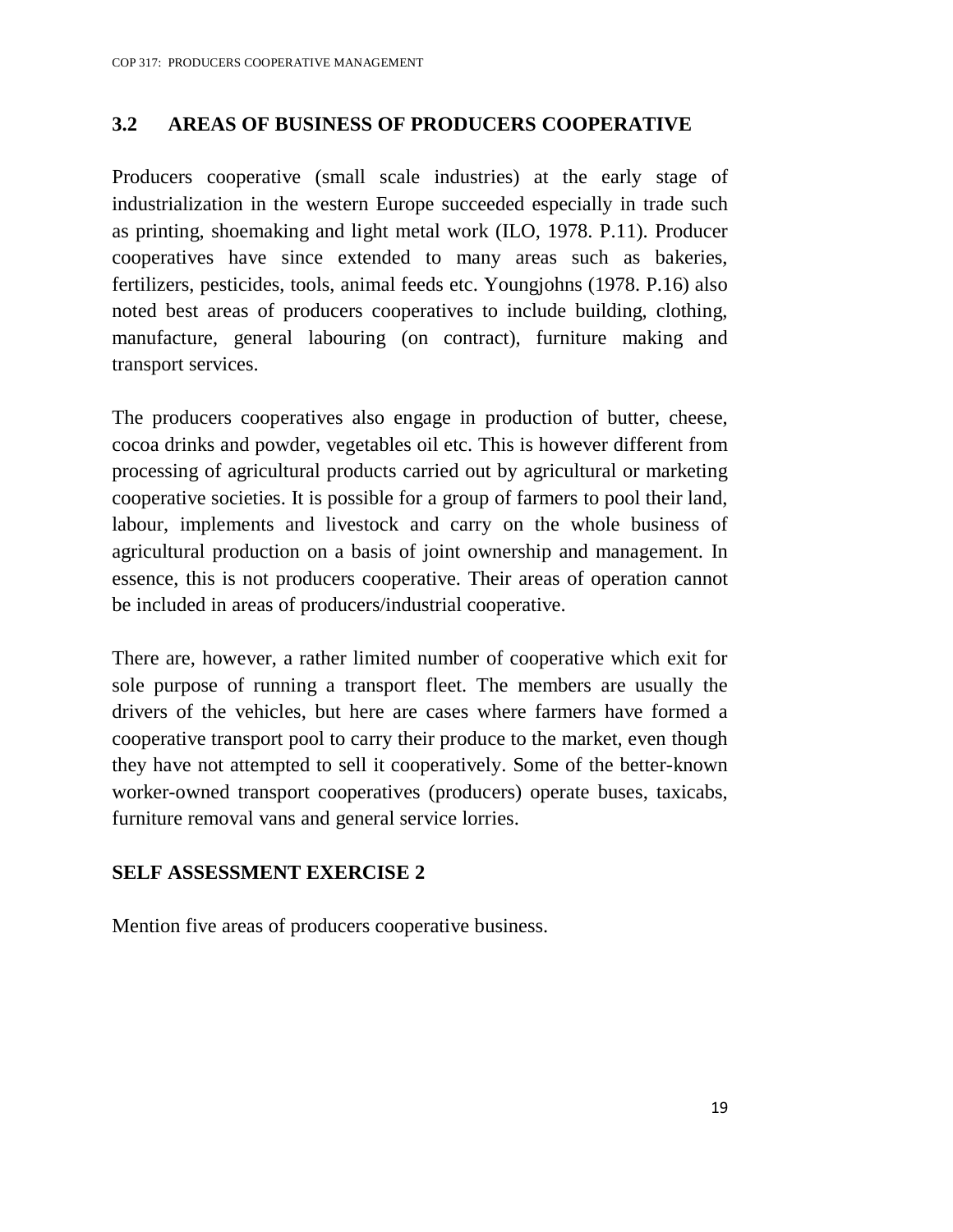### **3.2 AREAS OF BUSINESS OF PRODUCERS COOPERATIVE**

Producers cooperative (small scale industries) at the early stage of industrialization in the western Europe succeeded especially in trade such as printing, shoemaking and light metal work (ILO, 1978. P.11). Producer cooperatives have since extended to many areas such as bakeries, fertilizers, pesticides, tools, animal feeds etc. Youngjohns (1978. P.16) also noted best areas of producers cooperatives to include building, clothing, manufacture, general labouring (on contract), furniture making and transport services.

The producers cooperatives also engage in production of butter, cheese, cocoa drinks and powder, vegetables oil etc. This is however different from processing of agricultural products carried out by agricultural or marketing cooperative societies. It is possible for a group of farmers to pool their land, labour, implements and livestock and carry on the whole business of agricultural production on a basis of joint ownership and management. In essence, this is not producers cooperative. Their areas of operation cannot be included in areas of producers/industrial cooperative.

There are, however, a rather limited number of cooperative which exit for sole purpose of running a transport fleet. The members are usually the drivers of the vehicles, but here are cases where farmers have formed a cooperative transport pool to carry their produce to the market, even though they have not attempted to sell it cooperatively. Some of the better-known worker-owned transport cooperatives (producers) operate buses, taxicabs, furniture removal vans and general service lorries.

### **SELF ASSESSMENT EXERCISE 2**

Mention five areas of producers cooperative business.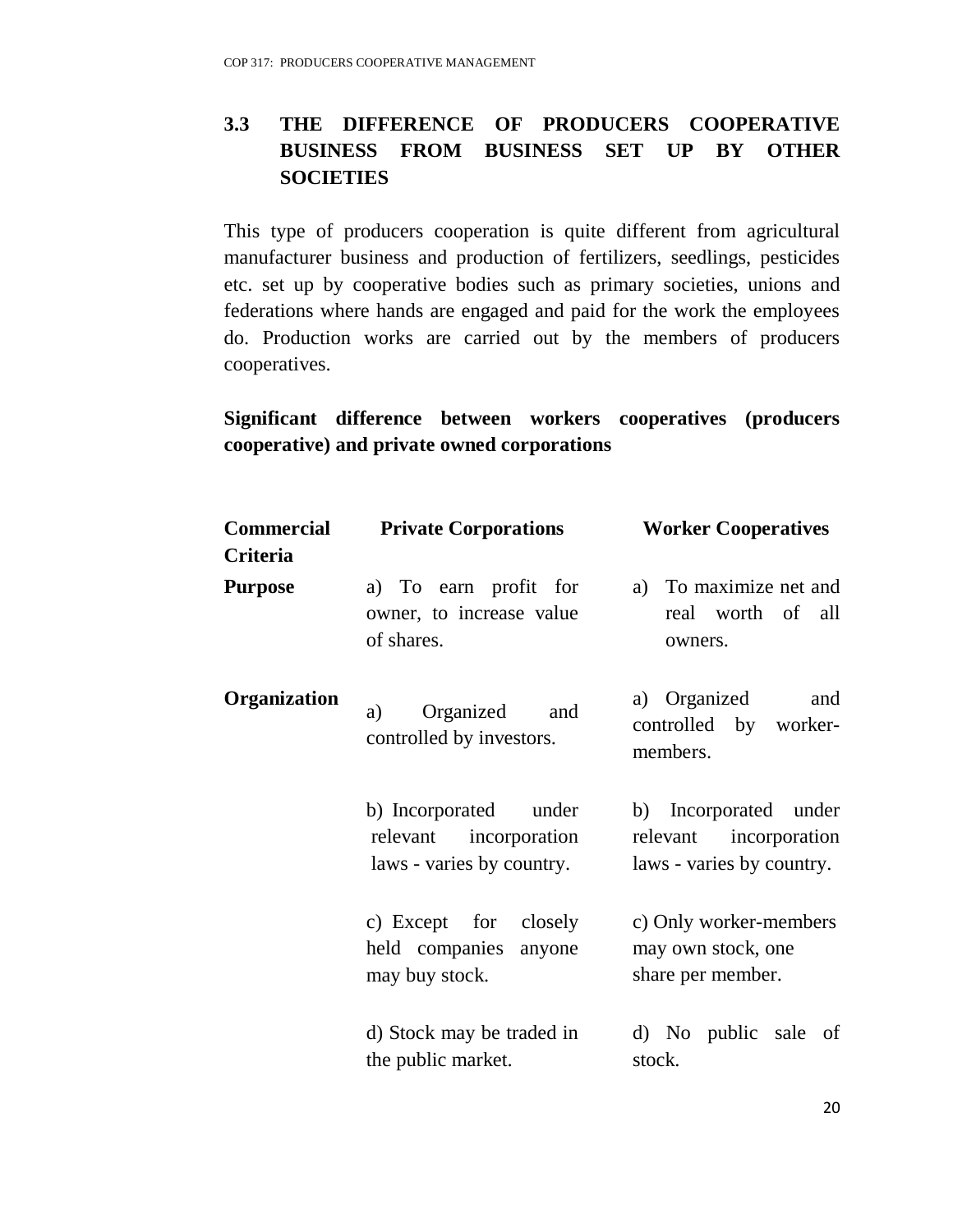# **3.3 THE DIFFERENCE OF PRODUCERS COOPERATIVE BUSINESS FROM BUSINESS SET UP BY OTHER SOCIETIES**

This type of producers cooperation is quite different from agricultural manufacturer business and production of fertilizers, seedlings, pesticides etc. set up by cooperative bodies such as primary societies, unions and federations where hands are engaged and paid for the work the employees do. Production works are carried out by the members of producers cooperatives.

# **Significant difference between workers cooperatives (producers cooperative) and private owned corporations**

| <b>Commercial</b><br>Criteria | <b>Private Corporations</b>                                                     | <b>Worker Cooperatives</b>                                                      |
|-------------------------------|---------------------------------------------------------------------------------|---------------------------------------------------------------------------------|
| <b>Purpose</b>                | a) To earn profit for<br>owner, to increase value<br>of shares.                 | a) To maximize net and<br>real worth of all<br>owners.                          |
| Organization                  | Organized<br>a)<br>and<br>controlled by investors.                              | a) Organized<br>and<br>controlled by worker-<br>members.                        |
|                               | b) Incorporated<br>under<br>relevant incorporation<br>laws - varies by country. | b) Incorporated under<br>incorporation<br>relevant<br>laws - varies by country. |
|                               | c) Except for<br>closely<br>held companies<br>anyone<br>may buy stock.          | c) Only worker-members<br>may own stock, one<br>share per member.               |
|                               | d) Stock may be traded in<br>the public market.                                 | d) No public sale of<br>stock.                                                  |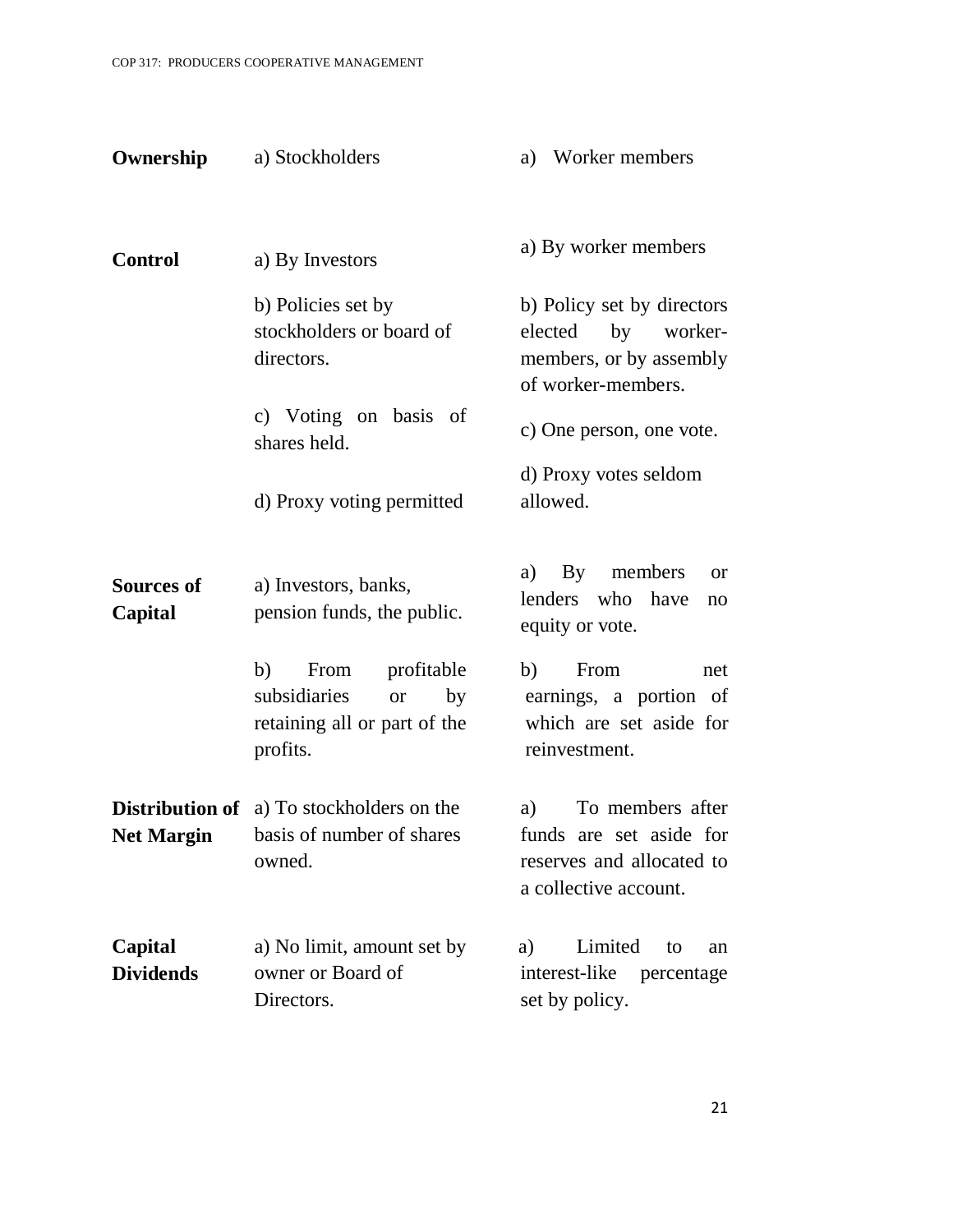| Ownership                    | a) Stockholders                                                                                         | a) Worker members                                                                                       |
|------------------------------|---------------------------------------------------------------------------------------------------------|---------------------------------------------------------------------------------------------------------|
| <b>Control</b>               | a) By Investors                                                                                         | a) By worker members                                                                                    |
|                              | b) Policies set by<br>stockholders or board of<br>directors.                                            | b) Policy set by directors<br>elected<br>worker-<br>by<br>members, or by assembly<br>of worker-members. |
|                              | c) Voting on basis of<br>shares held.                                                                   | c) One person, one vote.                                                                                |
|                              | d) Proxy voting permitted                                                                               | d) Proxy votes seldom<br>allowed.                                                                       |
| <b>Sources of</b><br>Capital | a) Investors, banks,<br>pension funds, the public.                                                      | By members<br>a)<br><b>or</b><br>lenders who have<br>no<br>equity or vote.                              |
|                              | profitable<br>b)<br>From<br>subsidiaries<br>by<br><b>or</b><br>retaining all or part of the<br>profits. | b)<br>From<br>net<br>earnings, a portion of<br>which are set aside for<br>reinvestment.                 |
| <b>Net Margin</b>            | <b>Distribution of</b> a) To stockholders on the<br>basis of number of shares<br>owned.                 | To members after<br>a)<br>funds are set aside for<br>reserves and allocated to<br>a collective account. |
| Capital<br><b>Dividends</b>  | a) No limit, amount set by<br>owner or Board of<br>Directors.                                           | Limited<br>a)<br>to<br>an<br>interest-like percentage<br>set by policy.                                 |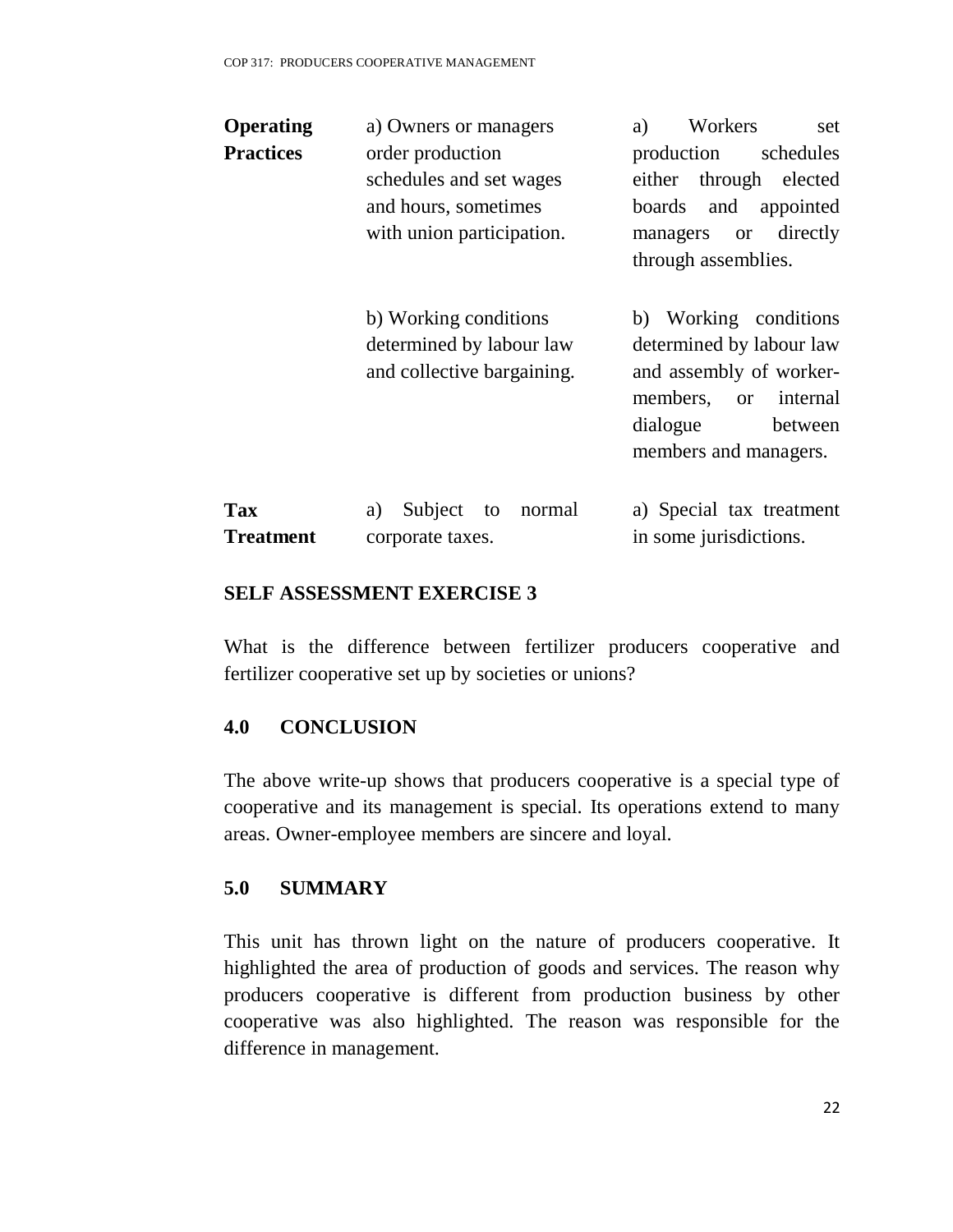| <b>Operating</b> | a) Owners or managers         | Workers<br>a)<br>set     |
|------------------|-------------------------------|--------------------------|
| <b>Practices</b> | order production              | production<br>schedules  |
|                  | schedules and set wages       | either through elected   |
|                  | and hours, sometimes          | boards<br>and appointed  |
|                  | with union participation.     | directly<br>managers or  |
|                  |                               | through assemblies.      |
|                  | b) Working conditions         | b) Working conditions    |
|                  | determined by labour law      | determined by labour law |
|                  | and collective bargaining.    | and assembly of worker-  |
|                  |                               | members,<br>or internal  |
|                  |                               | dialogue<br>between      |
|                  |                               | members and managers.    |
| <b>Tax</b>       | Subject<br>to<br>normal<br>a) | a) Special tax treatment |
| <b>Treatment</b> | corporate taxes.              | in some jurisdictions.   |

#### **SELF ASSESSMENT EXERCISE 3**

What is the difference between fertilizer producers cooperative and fertilizer cooperative set up by societies or unions?

#### **4.0 CONCLUSION**

The above write-up shows that producers cooperative is a special type of cooperative and its management is special. Its operations extend to many areas. Owner-employee members are sincere and loyal.

#### **5.0 SUMMARY**

This unit has thrown light on the nature of producers cooperative. It highlighted the area of production of goods and services. The reason why producers cooperative is different from production business by other cooperative was also highlighted. The reason was responsible for the difference in management.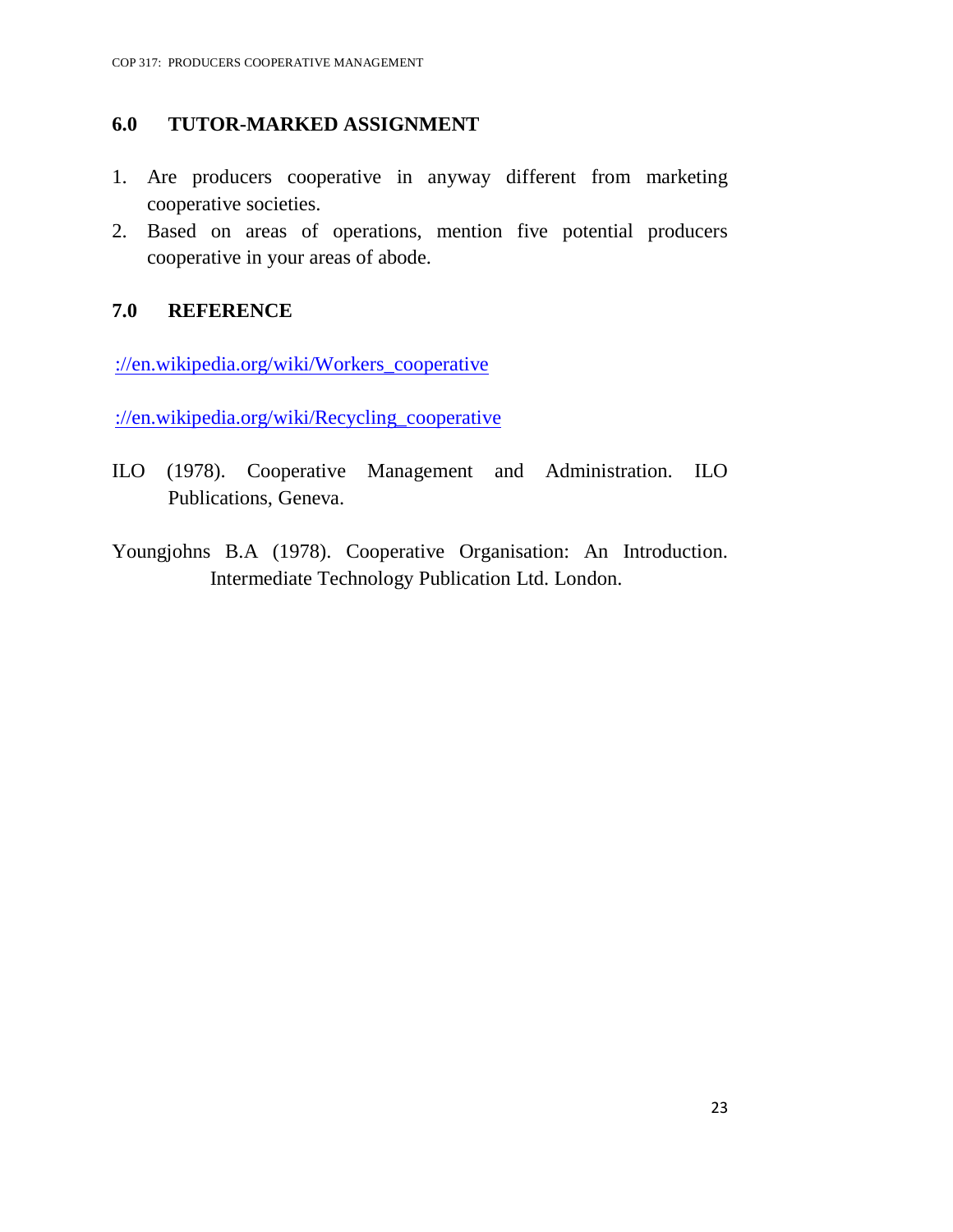# **6.0 TUTOR-MARKED ASSIGNMENT**

- 1. Are producers cooperative in anyway different from marketing cooperative societies.
- 2. Based on areas of operations, mention five potential producers cooperative in your areas of abode.

### **7.0 REFERENCE**

[://en.wikipedia.org/wiki/Workers\\_cooperative](http://en.wikipedia.org/wiki/Workers_cooperative)

[://en.wikipedia.org/wiki/Recycling\\_cooperative](http://en.wikipedia.org/wiki/Recycling_cooperative)

- ILO (1978). Cooperative Management and Administration. ILO Publications, Geneva.
- Youngjohns B.A (1978). Cooperative Organisation: An Introduction. Intermediate Technology Publication Ltd. London.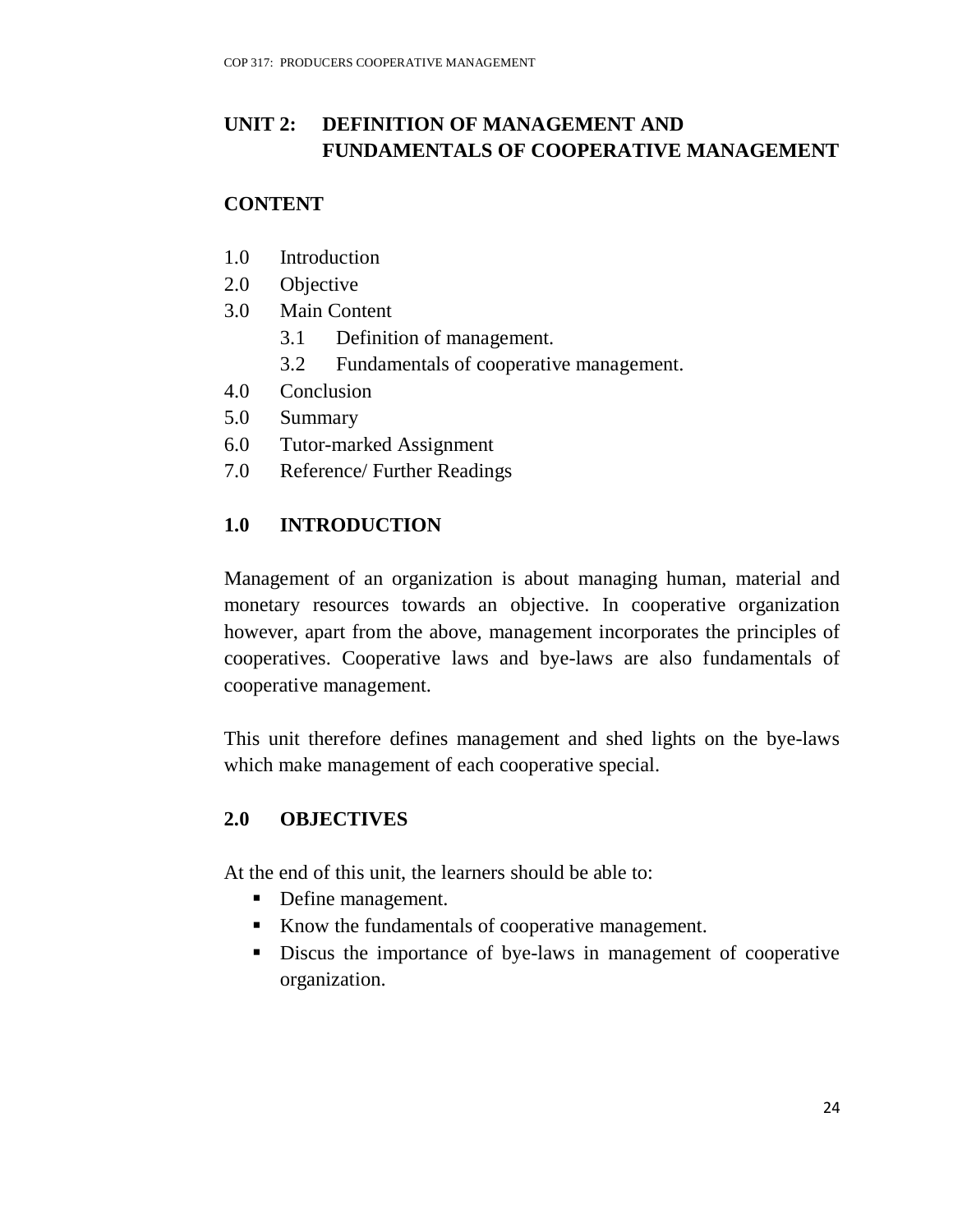# **UNIT 2: DEFINITION OF MANAGEMENT AND FUNDAMENTALS OF COOPERATIVE MANAGEMENT**

### **CONTENT**

- 1.0 Introduction
- 2.0 Objective
- 3.0 Main Content
	- 3.1 Definition of management.
	- 3.2 Fundamentals of cooperative management.
- 4.0 Conclusion
- 5.0 Summary
- 6.0 Tutor-marked Assignment
- 7.0 Reference/ Further Readings

# **1.0 INTRODUCTION**

Management of an organization is about managing human, material and monetary resources towards an objective. In cooperative organization however, apart from the above, management incorporates the principles of cooperatives. Cooperative laws and bye-laws are also fundamentals of cooperative management.

This unit therefore defines management and shed lights on the bye-laws which make management of each cooperative special.

# **2.0 OBJECTIVES**

At the end of this unit, the learners should be able to:

- Define management.
- Know the fundamentals of cooperative management.
- Discus the importance of bye-laws in management of cooperative organization.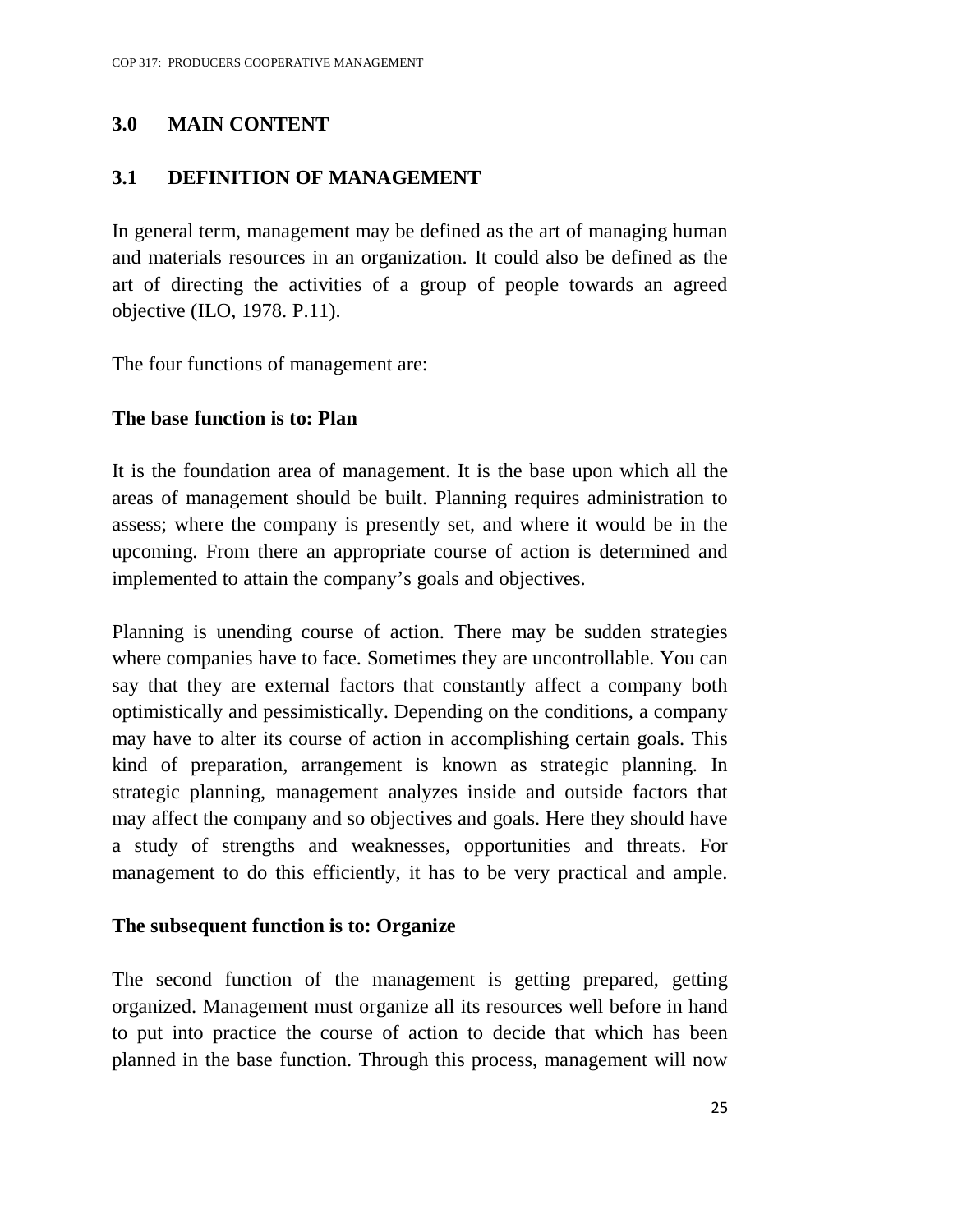### **3.0 MAIN CONTENT**

#### **3.1 DEFINITION OF MANAGEMENT**

In general term, management may be defined as the art of managing human and materials resources in an organization. It could also be defined as the art of directing the activities of a group of people towards an agreed objective (ILO, 1978. P.11).

The four functions of management are:

#### **The base function is to: Plan**

It is the foundation area of management. It is the base upon which all the areas of management should be built. Planning requires administration to assess; where the company is presently set, and where it would be in the upcoming. From there an appropriate course of action is determined and implemented to attain the company's goals and objectives.

Planning is unending course of action. There may be sudden strategies where companies have to face. Sometimes they are uncontrollable. You can say that they are external factors that constantly affect a company both optimistically and pessimistically. Depending on the conditions, a company may have to alter its course of action in accomplishing certain goals. This kind of preparation, arrangement is known as strategic planning. In strategic planning, management analyzes inside and outside factors that may affect the company and so objectives and goals. Here they should have a study of strengths and weaknesses, opportunities and threats. For management to do this efficiently, it has to be very practical and ample.

#### **The subsequent function is to: Organize**

The second function of the management is getting prepared, getting organized. Management must organize all its resources well before in hand to put into practice the course of action to decide that which has been planned in the base function. Through this process, management will now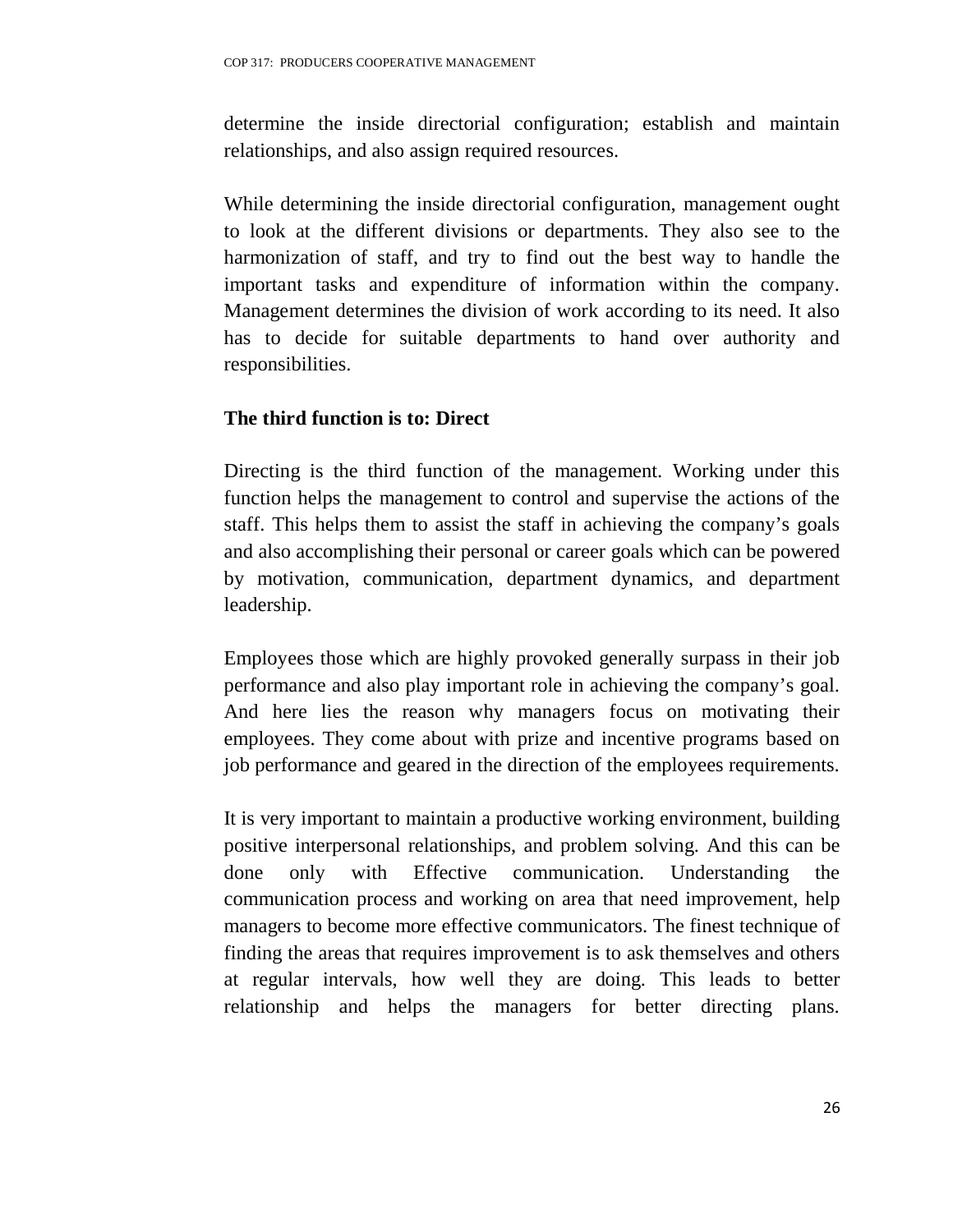determine the inside directorial configuration; establish and maintain relationships, and also assign required resources.

While determining the inside directorial configuration, management ought to look at the different divisions or departments. They also see to the harmonization of staff, and try to find out the best way to handle the important tasks and expenditure of information within the company. Management determines the division of work according to its need. It also has to decide for suitable departments to hand over authority and responsibilities.

#### **The third function is to: Direct**

Directing is the third function of the management. Working under this function helps the management to control and supervise the actions of the staff. This helps them to assist the staff in achieving the company's goals and also accomplishing their personal or career goals which can be powered by motivation, communication, department dynamics, and department leadership.

Employees those which are highly provoked generally surpass in their job performance and also play important role in achieving the company's goal. And here lies the reason why managers focus on motivating their employees. They come about with prize and incentive programs based on job performance and geared in the direction of the employees requirements.

It is very important to maintain a productive working environment, building positive interpersonal relationships, and problem solving. And this can be done only with Effective communication. Understanding the communication process and working on area that need improvement, help managers to become more effective communicators. The finest technique of finding the areas that requires improvement is to ask themselves and others at regular intervals, how well they are doing. This leads to better relationship and helps the managers for better directing plans.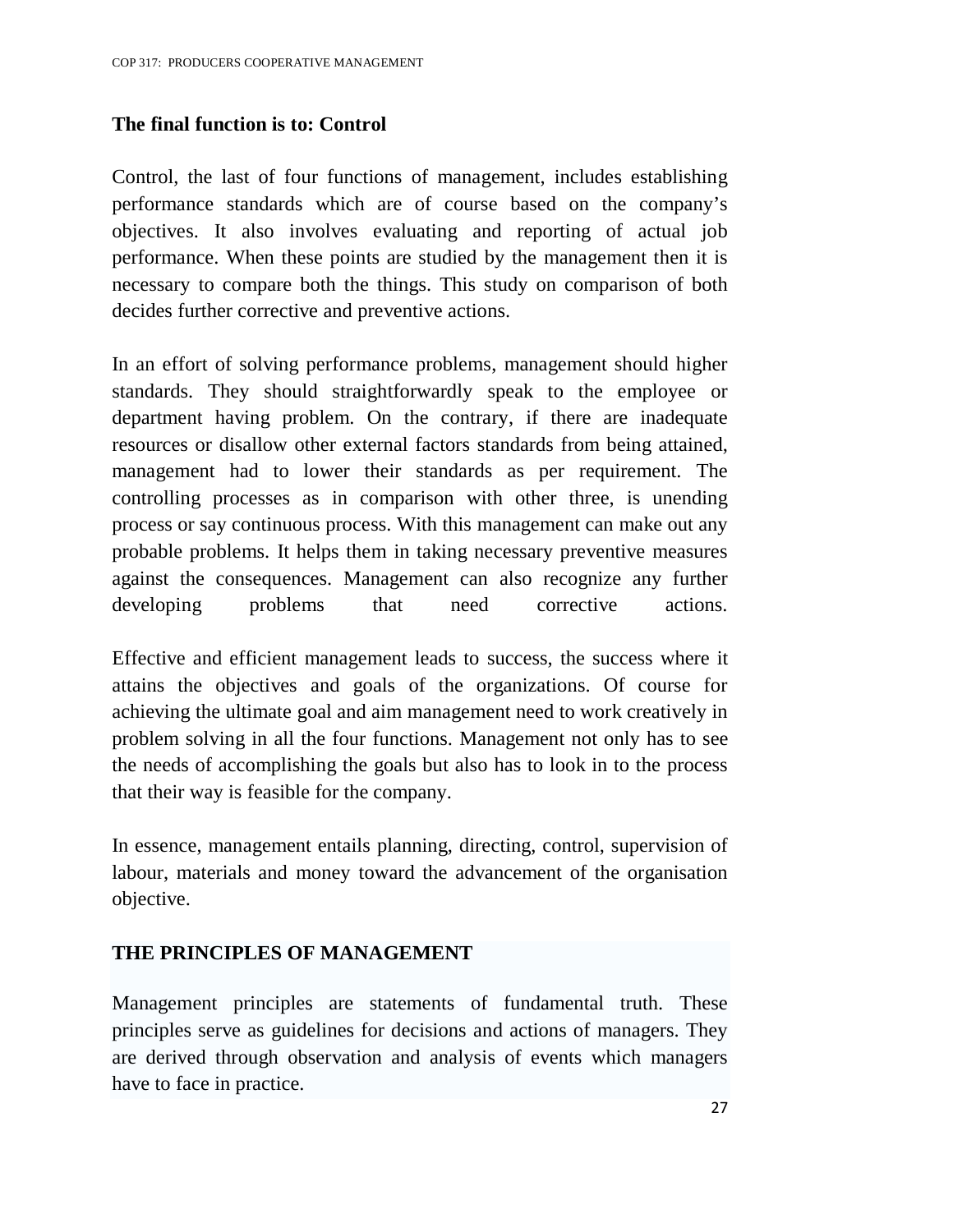#### **The final function is to: Control**

Control, the last of four functions of management, includes establishing performance standards which are of course based on the company's objectives. It also involves evaluating and reporting of actual job performance. When these points are studied by the management then it is necessary to compare both the things. This study on comparison of both decides further corrective and preventive actions.

In an effort of solving performance problems, management should higher standards. They should straightforwardly speak to the employee or department having problem. On the contrary, if there are inadequate resources or disallow other external factors standards from being attained, management had to lower their standards as per requirement. The controlling processes as in comparison with other three, is unending process or say continuous process. With this management can make out any probable problems. It helps them in taking necessary preventive measures against the consequences. Management can also recognize any further developing problems that need corrective actions.

Effective and efficient management leads to success, the success where it attains the objectives and goals of the organizations. Of course for achieving the ultimate goal and aim management need to work creatively in problem solving in all the four functions. Management not only has to see the needs of accomplishing the goals but also has to look in to the process that their way is feasible for the company.

In essence, management entails planning, directing, control, supervision of labour, materials and money toward the advancement of the organisation objective.

#### **THE PRINCIPLES OF MANAGEMENT**

Management principles are statements of fundamental truth. These principles serve as guidelines for decisions and actions of managers. They are derived through observation and analysis of events which managers have to face in practice.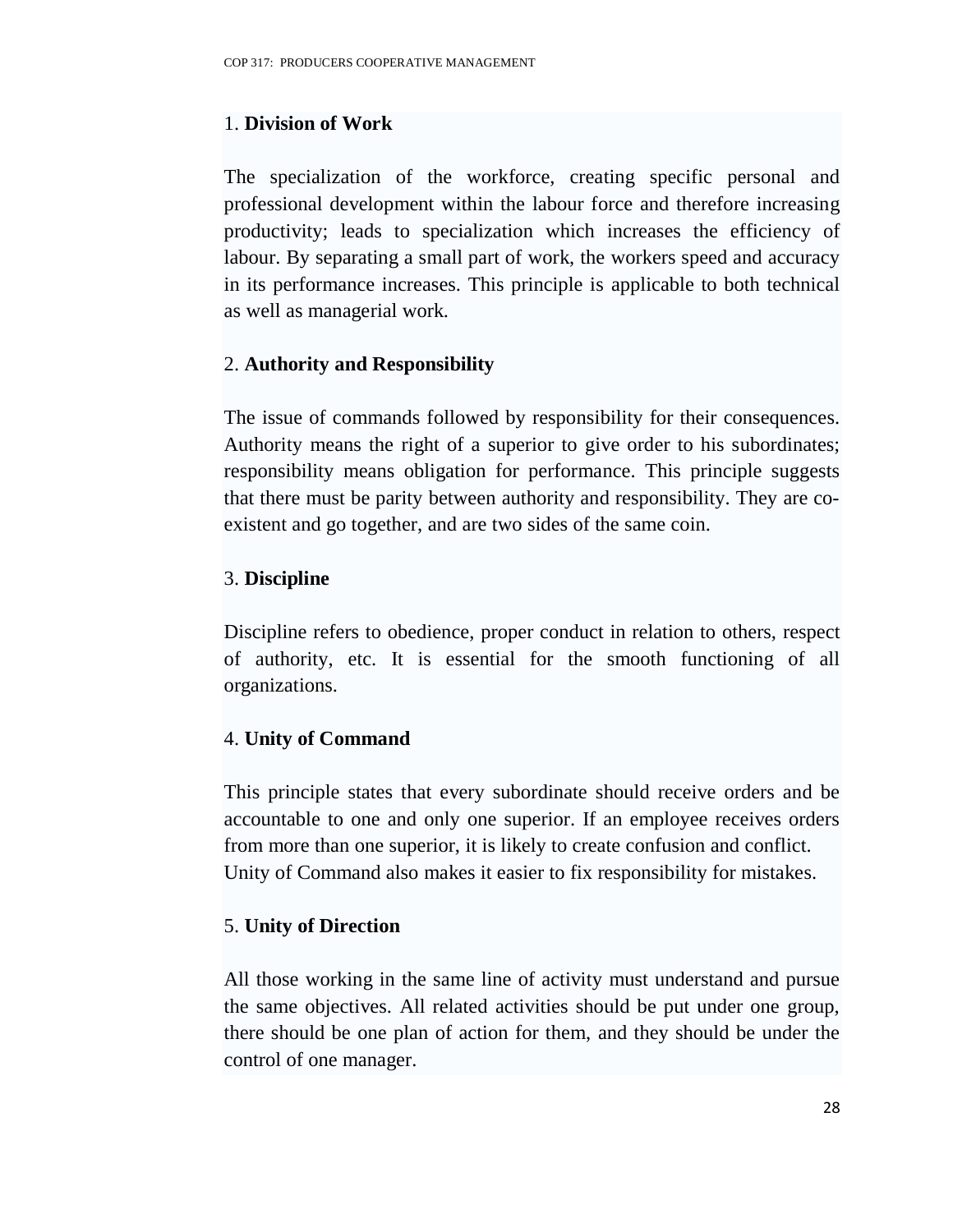### 1. **Division of Work**

The specialization of the workforce, creating specific personal and professional development within the labour force and therefore increasing productivity; leads to specialization which increases the efficiency of labour. By separating a small part of work, the workers speed and accuracy in its performance increases. This principle is applicable to both technical as well as managerial work.

### 2. **Authority and Responsibility**

The issue of commands followed by responsibility for their consequences. Authority means the right of a superior to give order to his subordinates; responsibility means obligation for performance. This principle suggests that there must be parity between authority and responsibility. They are coexistent and go together, and are two sides of the same coin.

### 3. **Discipline**

Discipline refers to obedience, proper conduct in relation to others, respect of authority, etc. It is essential for the smooth functioning of all organizations.

### 4. **Unity of Command**

This principle states that every subordinate should receive orders and be accountable to one and only one superior. If an employee receives orders from more than one superior, it is likely to create confusion and conflict. Unity of Command also makes it easier to fix responsibility for mistakes.

### 5. **Unity of Direction**

All those working in the same line of activity must understand and pursue the same objectives. All related activities should be put under one group, there should be one plan of action for them, and they should be under the control of one manager.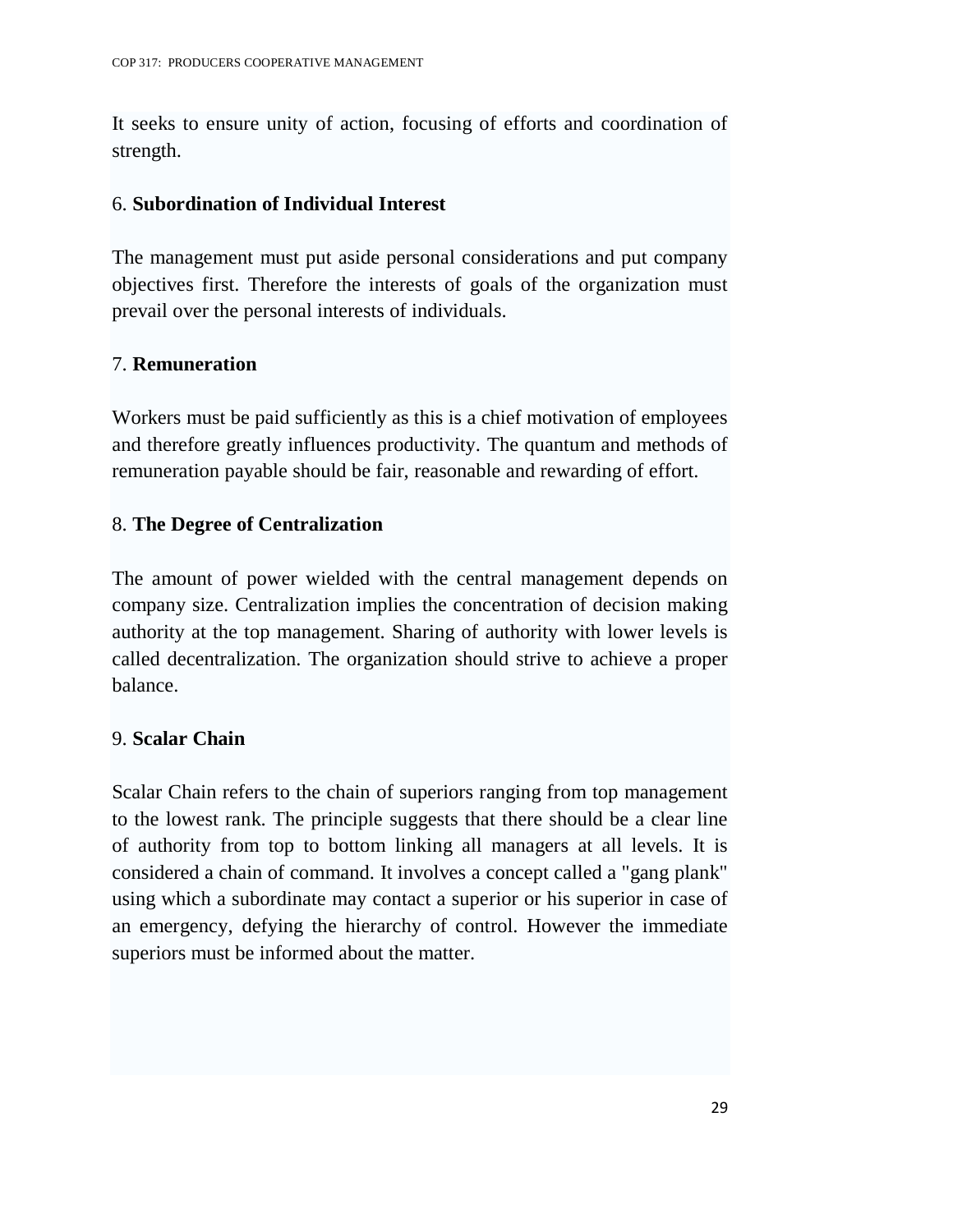It seeks to ensure unity of action, focusing of efforts and coordination of strength.

### 6. **Subordination of Individual Interest**

The management must put aside personal considerations and put company objectives first. Therefore the interests of goals of the organization must prevail over the personal interests of individuals.

### 7. **Remuneration**

Workers must be paid sufficiently as this is a chief motivation of employees and therefore greatly influences productivity. The quantum and methods of remuneration payable should be fair, reasonable and rewarding of effort.

# 8. **The Degree of Centralization**

The amount of power wielded with the central management depends on company size. Centralization implies the concentration of decision making authority at the top management. Sharing of authority with lower levels is called decentralization. The organization should strive to achieve a proper balance.

### 9. **Scalar Chain**

Scalar Chain refers to the chain of superiors ranging from top management to the lowest rank. The principle suggests that there should be a clear line of authority from top to bottom linking all managers at all levels. It is considered a chain of command. It involves a concept called a "gang plank" using which a subordinate may contact a superior or his superior in case of an emergency, defying the hierarchy of control. However the immediate superiors must be informed about the matter.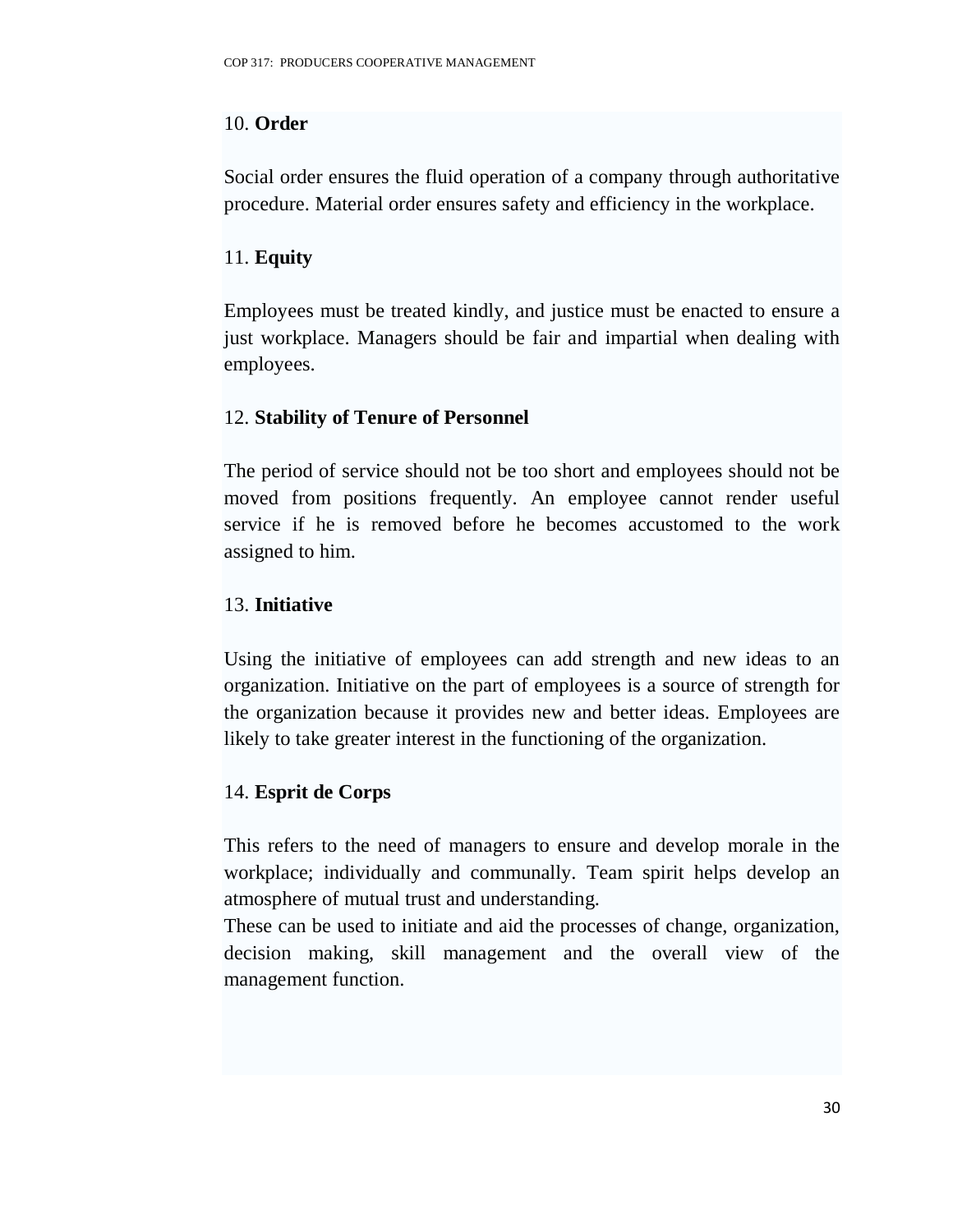### 10. **Order**

Social order ensures the fluid operation of a company through authoritative procedure. Material order ensures safety and efficiency in the workplace.

# 11. **Equity**

Employees must be treated kindly, and justice must be enacted to ensure a just workplace. Managers should be fair and impartial when dealing with employees.

# 12. **Stability of Tenure of Personnel**

The period of service should not be too short and employees should not be moved from positions frequently. An employee cannot render useful service if he is removed before he becomes accustomed to the work assigned to him.

# 13. **Initiative**

Using the initiative of employees can add strength and new ideas to an organization. Initiative on the part of employees is a source of strength for the organization because it provides new and better ideas. Employees are likely to take greater interest in the functioning of the organization.

# 14. **Esprit de Corps**

This refers to the need of managers to ensure and develop morale in the workplace; individually and communally. Team spirit helps develop an atmosphere of mutual trust and understanding.

These can be used to initiate and aid the processes of change, organization, decision making, skill management and the overall view of the management function.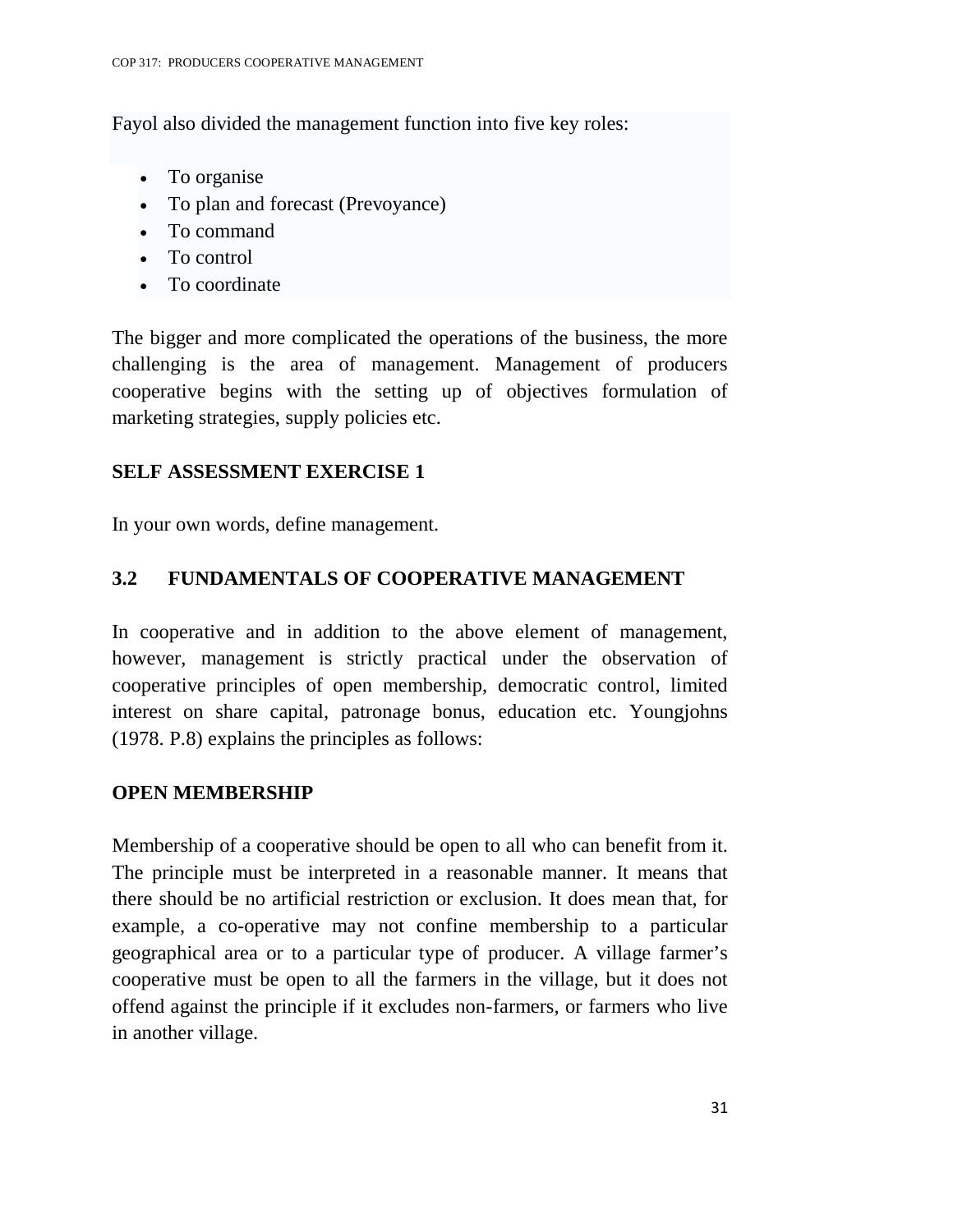Fayol also divided the management function into five key roles:

- To organise
- To plan and forecast (Prevoyance)
- To command
- To control
- To coordinate

The bigger and more complicated the operations of the business, the more challenging is the area of management. Management of producers cooperative begins with the setting up of objectives formulation of marketing strategies, supply policies etc.

# **SELF ASSESSMENT EXERCISE 1**

In your own words, define management.

# **3.2 FUNDAMENTALS OF COOPERATIVE MANAGEMENT**

In cooperative and in addition to the above element of management, however, management is strictly practical under the observation of cooperative principles of open membership, democratic control, limited interest on share capital, patronage bonus, education etc. Youngjohns (1978. P.8) explains the principles as follows:

### **OPEN MEMBERSHIP**

Membership of a cooperative should be open to all who can benefit from it. The principle must be interpreted in a reasonable manner. It means that there should be no artificial restriction or exclusion. It does mean that, for example, a co-operative may not confine membership to a particular geographical area or to a particular type of producer. A village farmer's cooperative must be open to all the farmers in the village, but it does not offend against the principle if it excludes non-farmers, or farmers who live in another village.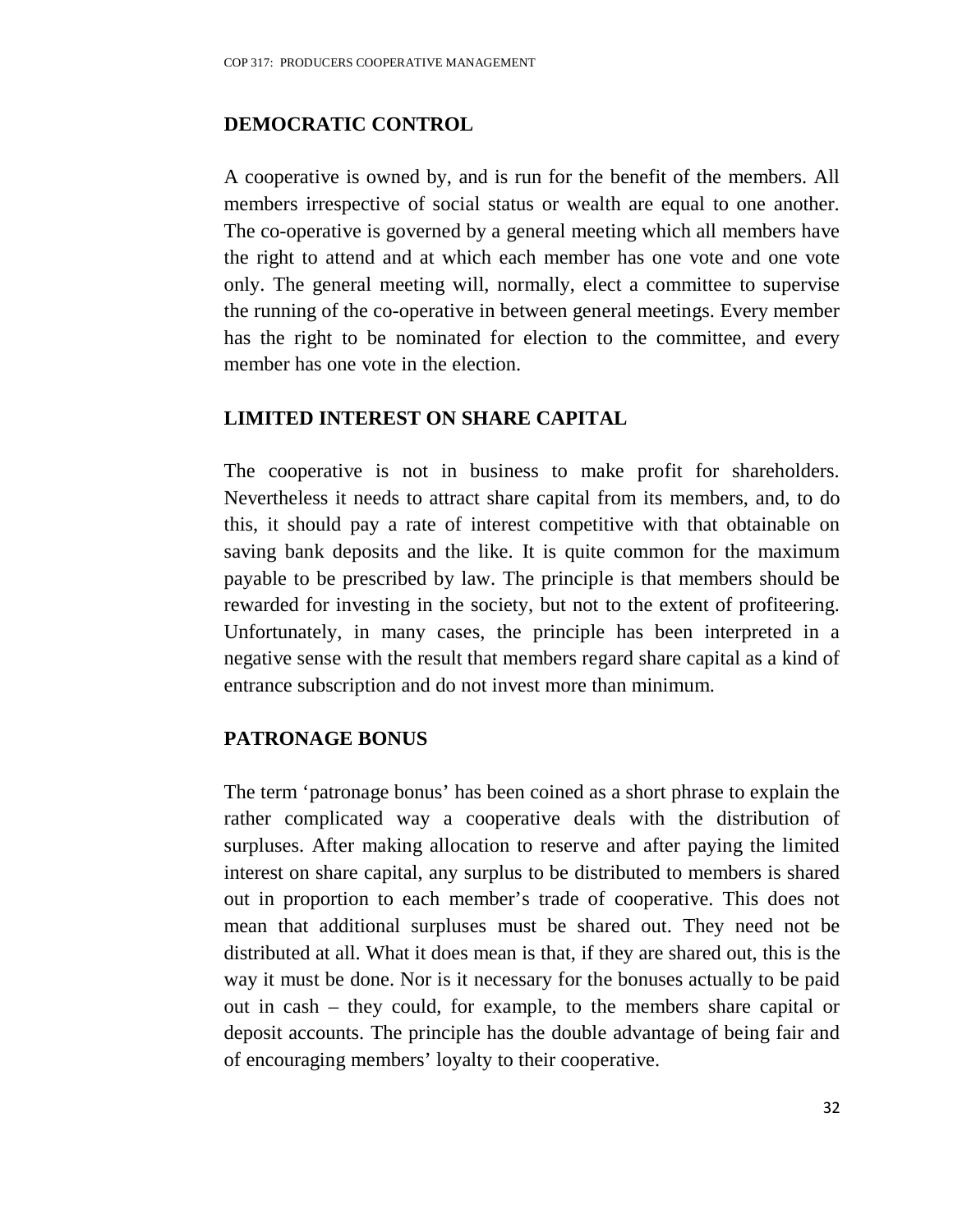### **DEMOCRATIC CONTROL**

A cooperative is owned by, and is run for the benefit of the members. All members irrespective of social status or wealth are equal to one another. The co-operative is governed by a general meeting which all members have the right to attend and at which each member has one vote and one vote only. The general meeting will, normally, elect a committee to supervise the running of the co-operative in between general meetings. Every member has the right to be nominated for election to the committee, and every member has one vote in the election.

### **LIMITED INTEREST ON SHARE CAPITAL**

The cooperative is not in business to make profit for shareholders. Nevertheless it needs to attract share capital from its members, and, to do this, it should pay a rate of interest competitive with that obtainable on saving bank deposits and the like. It is quite common for the maximum payable to be prescribed by law. The principle is that members should be rewarded for investing in the society, but not to the extent of profiteering. Unfortunately, in many cases, the principle has been interpreted in a negative sense with the result that members regard share capital as a kind of entrance subscription and do not invest more than minimum.

### **PATRONAGE BONUS**

The term 'patronage bonus' has been coined as a short phrase to explain the rather complicated way a cooperative deals with the distribution of surpluses. After making allocation to reserve and after paying the limited interest on share capital, any surplus to be distributed to members is shared out in proportion to each member's trade of cooperative. This does not mean that additional surpluses must be shared out. They need not be distributed at all. What it does mean is that, if they are shared out, this is the way it must be done. Nor is it necessary for the bonuses actually to be paid out in cash – they could, for example, to the members share capital or deposit accounts. The principle has the double advantage of being fair and of encouraging members' loyalty to their cooperative.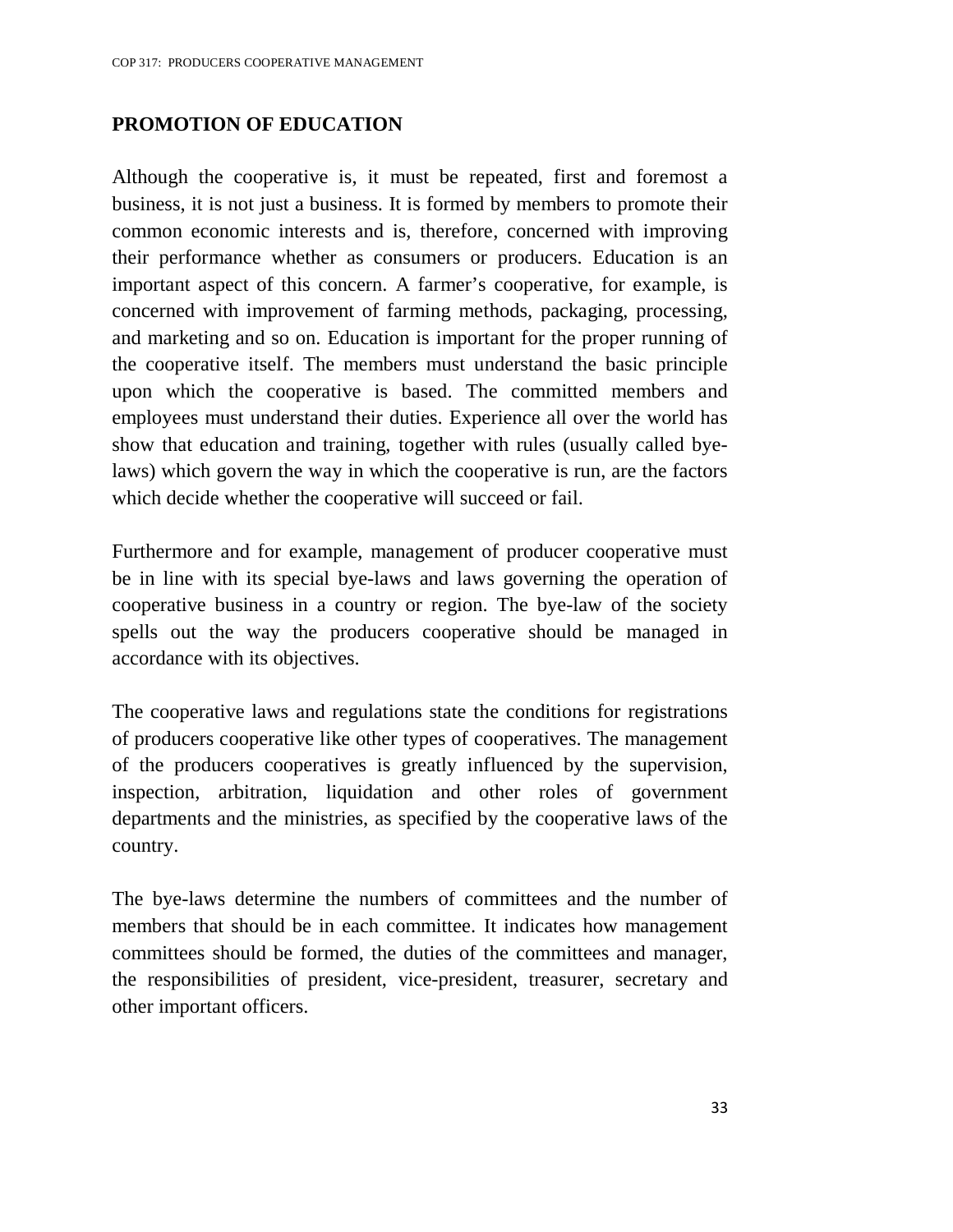### **PROMOTION OF EDUCATION**

Although the cooperative is, it must be repeated, first and foremost a business, it is not just a business. It is formed by members to promote their common economic interests and is, therefore, concerned with improving their performance whether as consumers or producers. Education is an important aspect of this concern. A farmer's cooperative, for example, is concerned with improvement of farming methods, packaging, processing, and marketing and so on. Education is important for the proper running of the cooperative itself. The members must understand the basic principle upon which the cooperative is based. The committed members and employees must understand their duties. Experience all over the world has show that education and training, together with rules (usually called byelaws) which govern the way in which the cooperative is run, are the factors which decide whether the cooperative will succeed or fail.

Furthermore and for example, management of producer cooperative must be in line with its special bye-laws and laws governing the operation of cooperative business in a country or region. The bye-law of the society spells out the way the producers cooperative should be managed in accordance with its objectives.

The cooperative laws and regulations state the conditions for registrations of producers cooperative like other types of cooperatives. The management of the producers cooperatives is greatly influenced by the supervision, inspection, arbitration, liquidation and other roles of government departments and the ministries, as specified by the cooperative laws of the country.

The bye-laws determine the numbers of committees and the number of members that should be in each committee. It indicates how management committees should be formed, the duties of the committees and manager, the responsibilities of president, vice-president, treasurer, secretary and other important officers.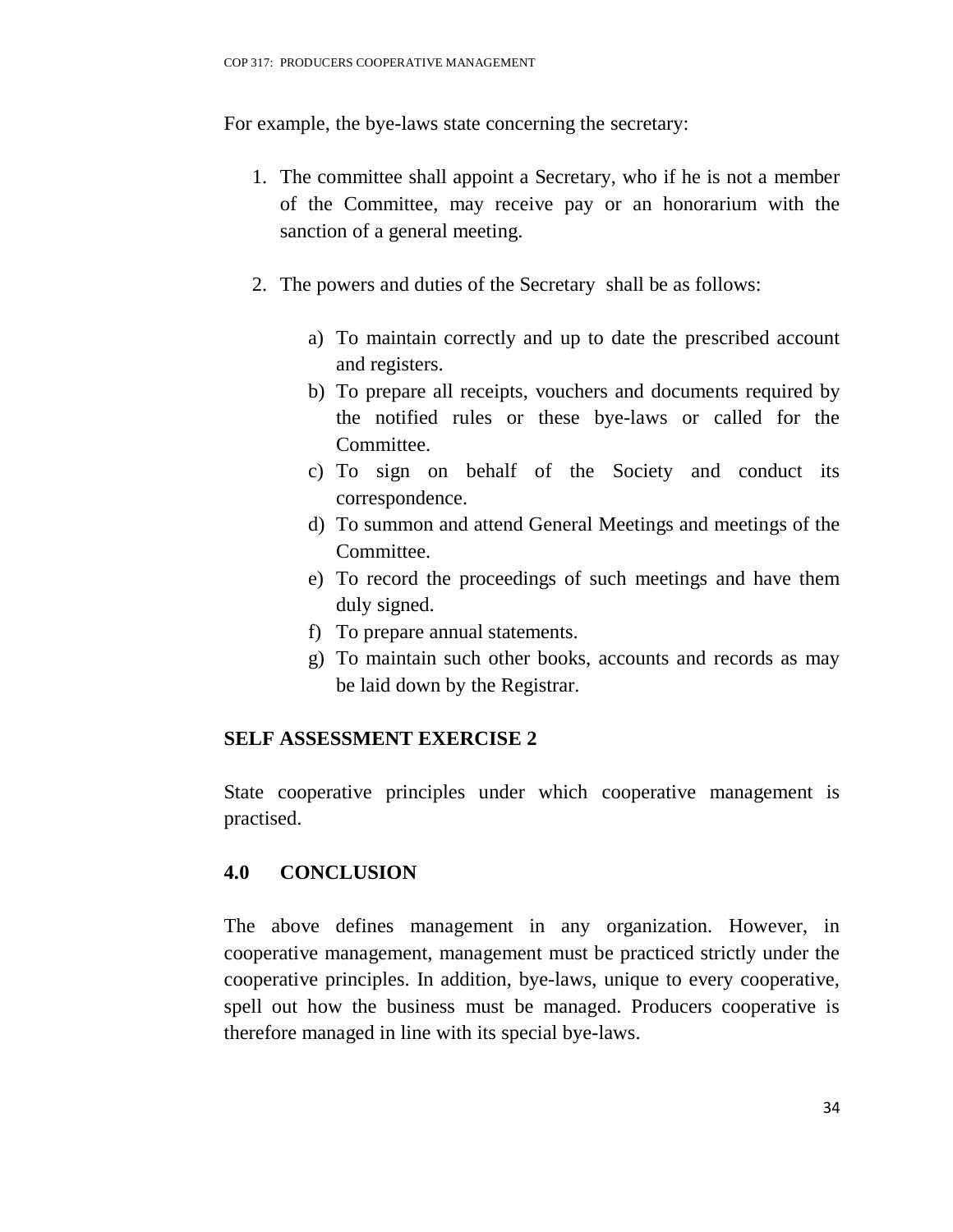For example, the bye-laws state concerning the secretary:

- 1. The committee shall appoint a Secretary, who if he is not a member of the Committee, may receive pay or an honorarium with the sanction of a general meeting.
- 2. The powers and duties of the Secretary shall be as follows:
	- a) To maintain correctly and up to date the prescribed account and registers.
	- b) To prepare all receipts, vouchers and documents required by the notified rules or these bye-laws or called for the Committee.
	- c) To sign on behalf of the Society and conduct its correspondence.
	- d) To summon and attend General Meetings and meetings of the Committee.
	- e) To record the proceedings of such meetings and have them duly signed.
	- f) To prepare annual statements.
	- g) To maintain such other books, accounts and records as may be laid down by the Registrar.

# **SELF ASSESSMENT EXERCISE 2**

State cooperative principles under which cooperative management is practised.

# **4.0 CONCLUSION**

The above defines management in any organization. However, in cooperative management, management must be practiced strictly under the cooperative principles. In addition, bye-laws, unique to every cooperative, spell out how the business must be managed. Producers cooperative is therefore managed in line with its special bye-laws.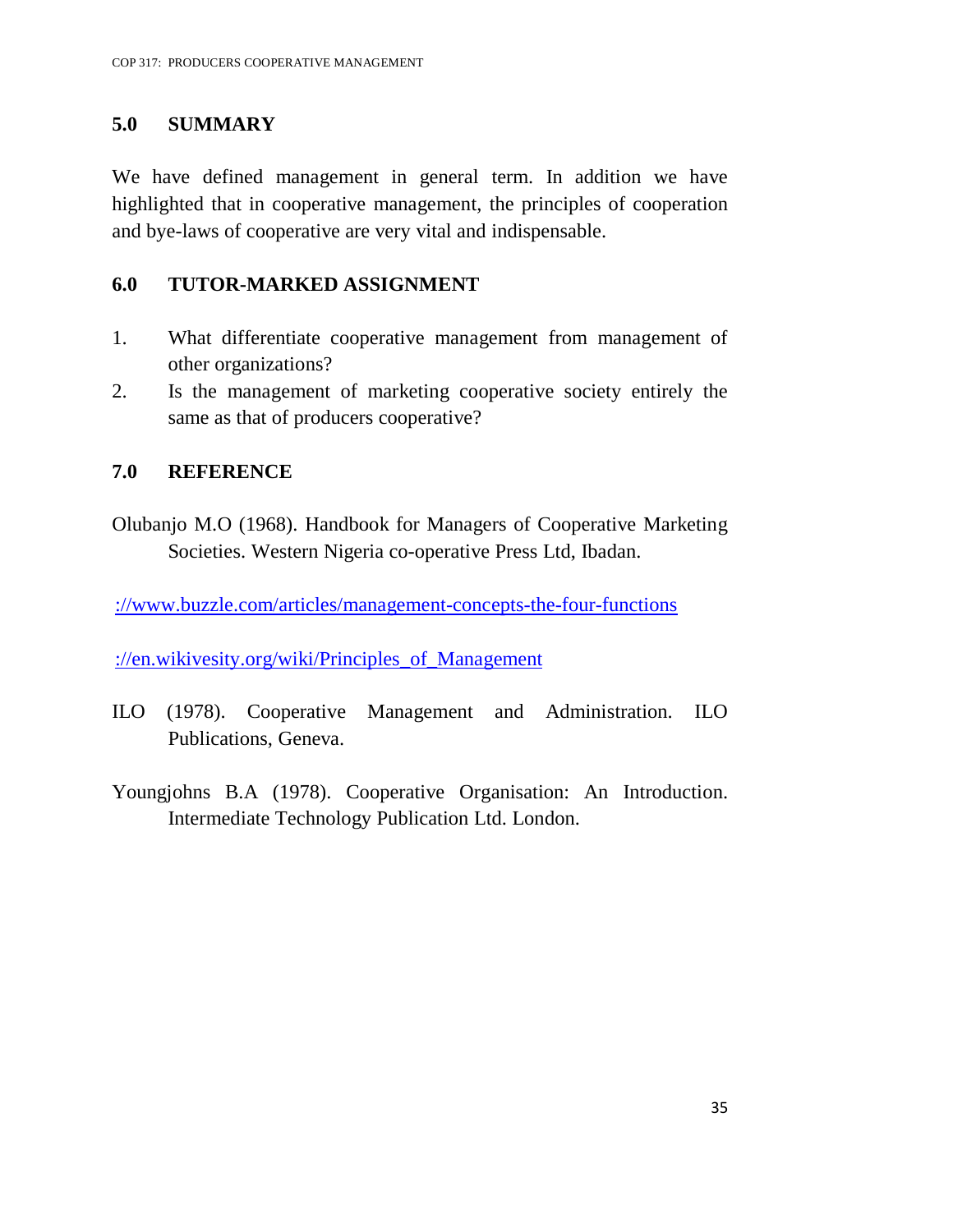### **5.0 SUMMARY**

We have defined management in general term. In addition we have highlighted that in cooperative management, the principles of cooperation and bye-laws of cooperative are very vital and indispensable.

### **6.0 TUTOR-MARKED ASSIGNMENT**

- 1. What differentiate cooperative management from management of other organizations?
- 2. Is the management of marketing cooperative society entirely the same as that of producers cooperative?

### **7.0 REFERENCE**

Olubanjo M.O (1968). Handbook for Managers of Cooperative Marketing Societies. Western Nigeria co-operative Press Ltd, Ibadan.

[://www.buzzle.com/articles/management-concepts-the-four-functions](http://www.buzzle.com/articles/management-concepts-the-four-functions)

[://en.wikivesity.org/wiki/Principles\\_of\\_Management](http://en.wikivesity.org/wiki/Principles_of_Management)

- ILO (1978). Cooperative Management and Administration. ILO Publications, Geneva.
- Youngjohns B.A (1978). Cooperative Organisation: An Introduction. Intermediate Technology Publication Ltd. London.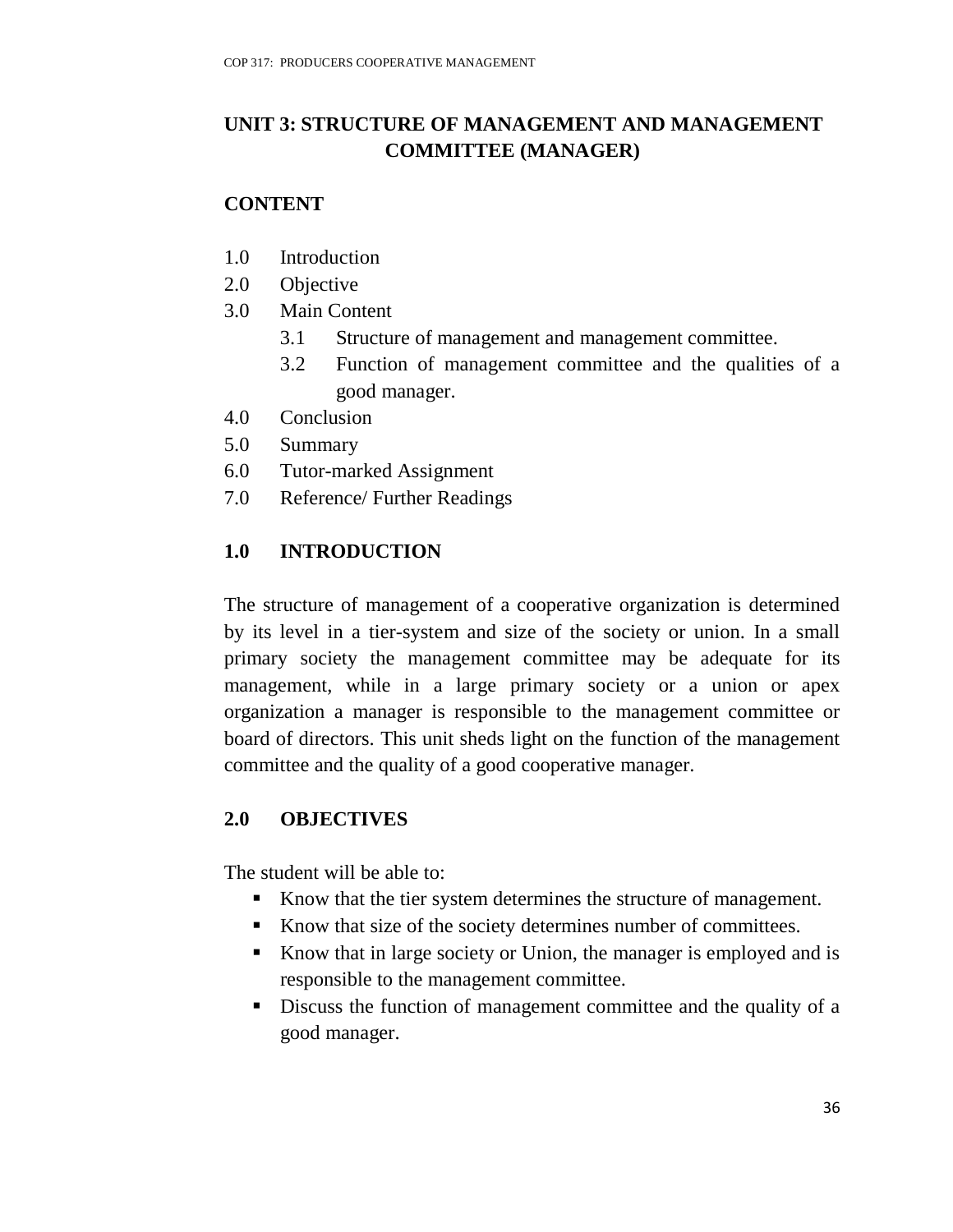# **UNIT 3: STRUCTURE OF MANAGEMENT AND MANAGEMENT COMMITTEE (MANAGER)**

### **CONTENT**

- 1.0 Introduction
- 2.0 Objective
- 3.0 Main Content
	- 3.1 Structure of management and management committee.
	- 3.2 Function of management committee and the qualities of a good manager.
- 4.0 Conclusion
- 5.0 Summary
- 6.0 Tutor-marked Assignment
- 7.0 Reference/ Further Readings

# **1.0 INTRODUCTION**

The structure of management of a cooperative organization is determined by its level in a tier-system and size of the society or union. In a small primary society the management committee may be adequate for its management, while in a large primary society or a union or apex organization a manager is responsible to the management committee or board of directors. This unit sheds light on the function of the management committee and the quality of a good cooperative manager.

# **2.0 OBJECTIVES**

The student will be able to:

- Know that the tier system determines the structure of management.
- Know that size of the society determines number of committees.
- Know that in large society or Union, the manager is employed and is responsible to the management committee.
- Discuss the function of management committee and the quality of a good manager.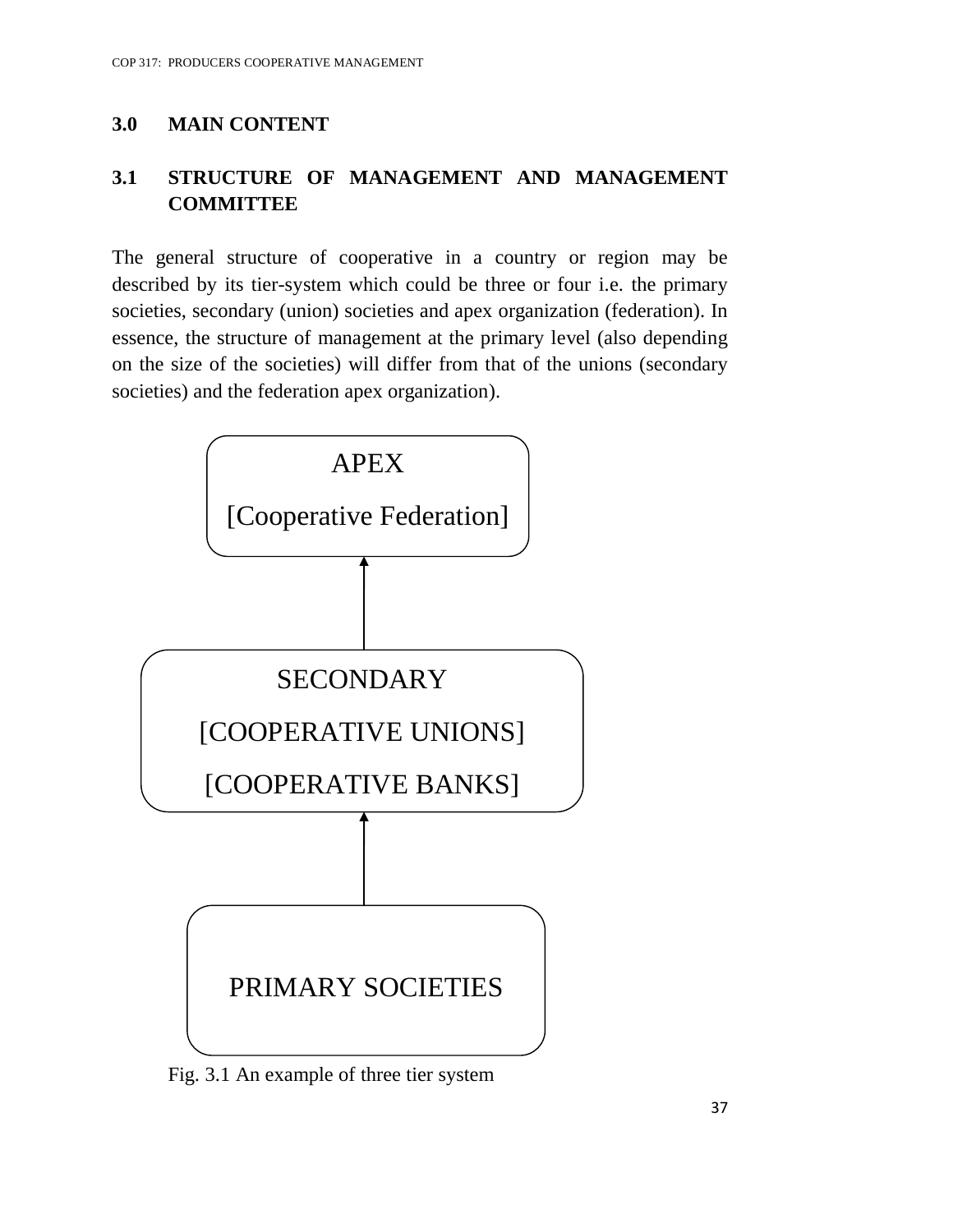# **3.0 MAIN CONTENT**

# **3.1 STRUCTURE OF MANAGEMENT AND MANAGEMENT COMMITTEE**

The general structure of cooperative in a country or region may be described by its tier-system which could be three or four i.e. the primary societies, secondary (union) societies and apex organization (federation). In essence, the structure of management at the primary level (also depending on the size of the societies) will differ from that of the unions (secondary societies) and the federation apex organization).



Fig. 3.1 An example of three tier system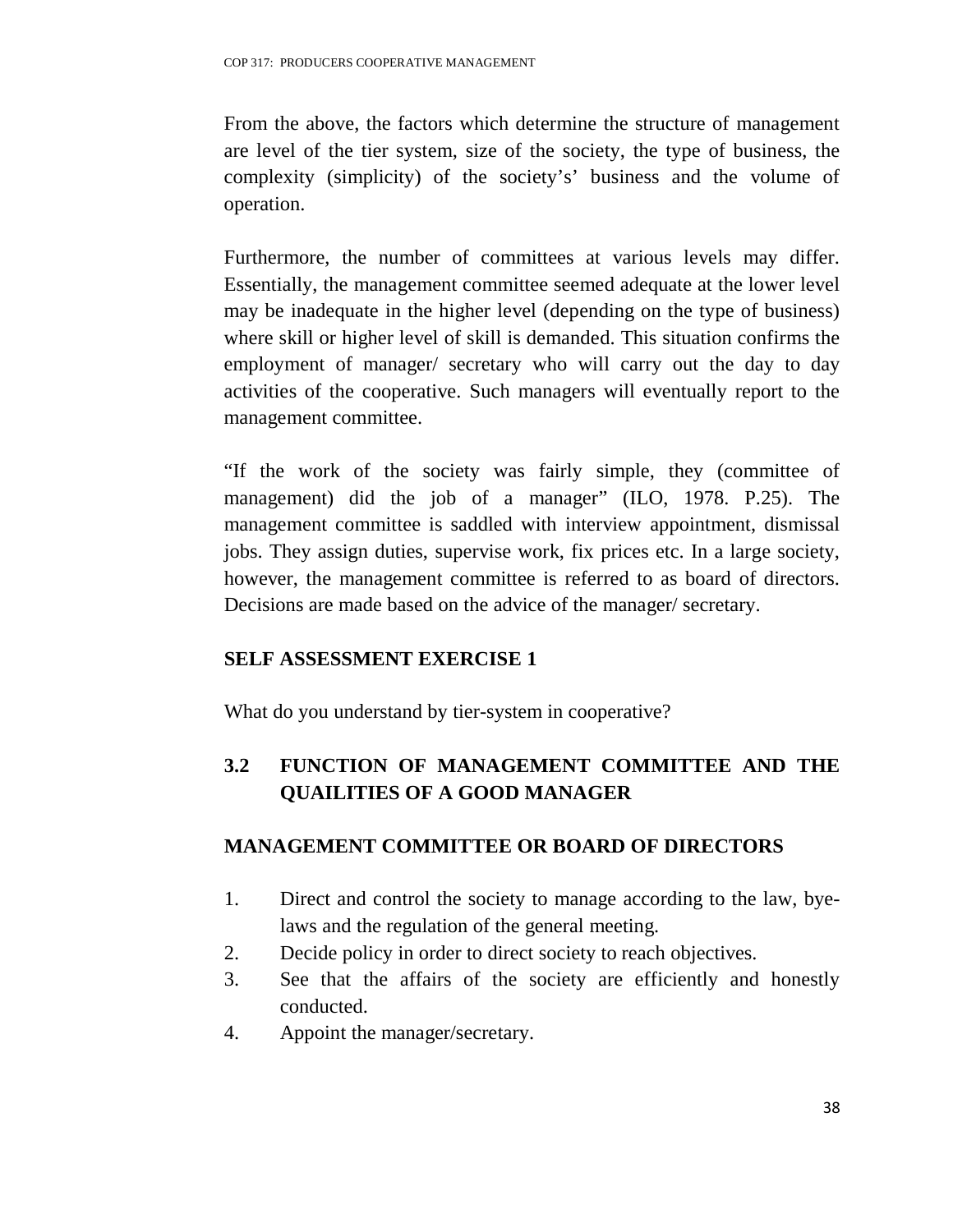From the above, the factors which determine the structure of management are level of the tier system, size of the society, the type of business, the complexity (simplicity) of the society's' business and the volume of operation.

Furthermore, the number of committees at various levels may differ. Essentially, the management committee seemed adequate at the lower level may be inadequate in the higher level (depending on the type of business) where skill or higher level of skill is demanded. This situation confirms the employment of manager/ secretary who will carry out the day to day activities of the cooperative. Such managers will eventually report to the management committee.

"If the work of the society was fairly simple, they (committee of management) did the job of a manager" (ILO, 1978. P.25). The management committee is saddled with interview appointment, dismissal jobs. They assign duties, supervise work, fix prices etc. In a large society, however, the management committee is referred to as board of directors. Decisions are made based on the advice of the manager/ secretary.

## **SELF ASSESSMENT EXERCISE 1**

What do you understand by tier-system in cooperative?

# **3.2 FUNCTION OF MANAGEMENT COMMITTEE AND THE QUAILITIES OF A GOOD MANAGER**

## **MANAGEMENT COMMITTEE OR BOARD OF DIRECTORS**

- 1. Direct and control the society to manage according to the law, byelaws and the regulation of the general meeting.
- 2. Decide policy in order to direct society to reach objectives.
- 3. See that the affairs of the society are efficiently and honestly conducted.
- 4. Appoint the manager/secretary.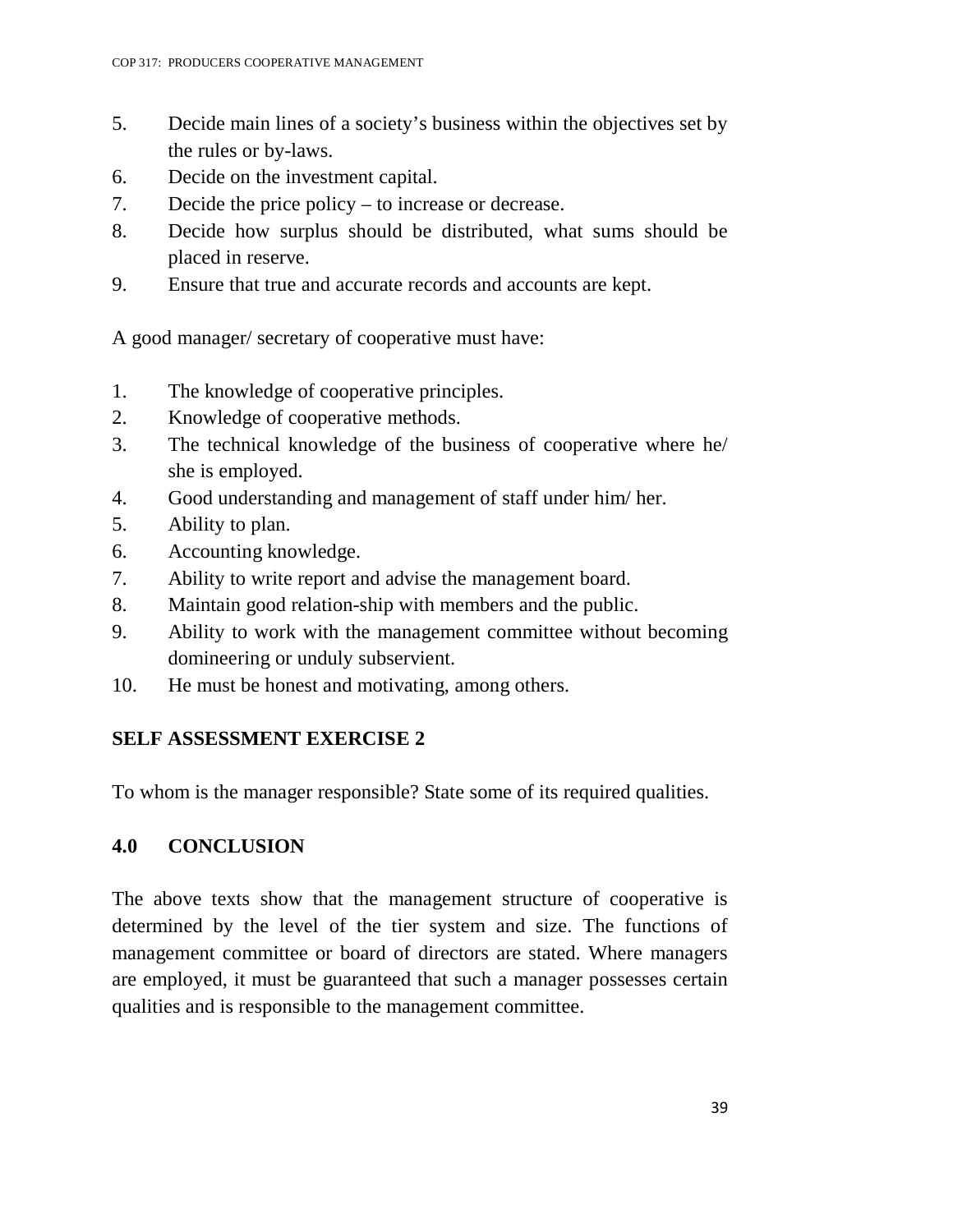- 5. Decide main lines of a society's business within the objectives set by the rules or by-laws.
- 6. Decide on the investment capital.
- 7. Decide the price policy to increase or decrease.
- 8. Decide how surplus should be distributed, what sums should be placed in reserve.
- 9. Ensure that true and accurate records and accounts are kept.

A good manager/ secretary of cooperative must have:

- 1. The knowledge of cooperative principles.
- 2. Knowledge of cooperative methods.
- 3. The technical knowledge of the business of cooperative where he/ she is employed.
- 4. Good understanding and management of staff under him/ her.
- 5. Ability to plan.
- 6. Accounting knowledge.
- 7. Ability to write report and advise the management board.
- 8. Maintain good relation-ship with members and the public.
- 9. Ability to work with the management committee without becoming domineering or unduly subservient.
- 10. He must be honest and motivating, among others.

## **SELF ASSESSMENT EXERCISE 2**

To whom is the manager responsible? State some of its required qualities.

## **4.0 CONCLUSION**

The above texts show that the management structure of cooperative is determined by the level of the tier system and size. The functions of management committee or board of directors are stated. Where managers are employed, it must be guaranteed that such a manager possesses certain qualities and is responsible to the management committee.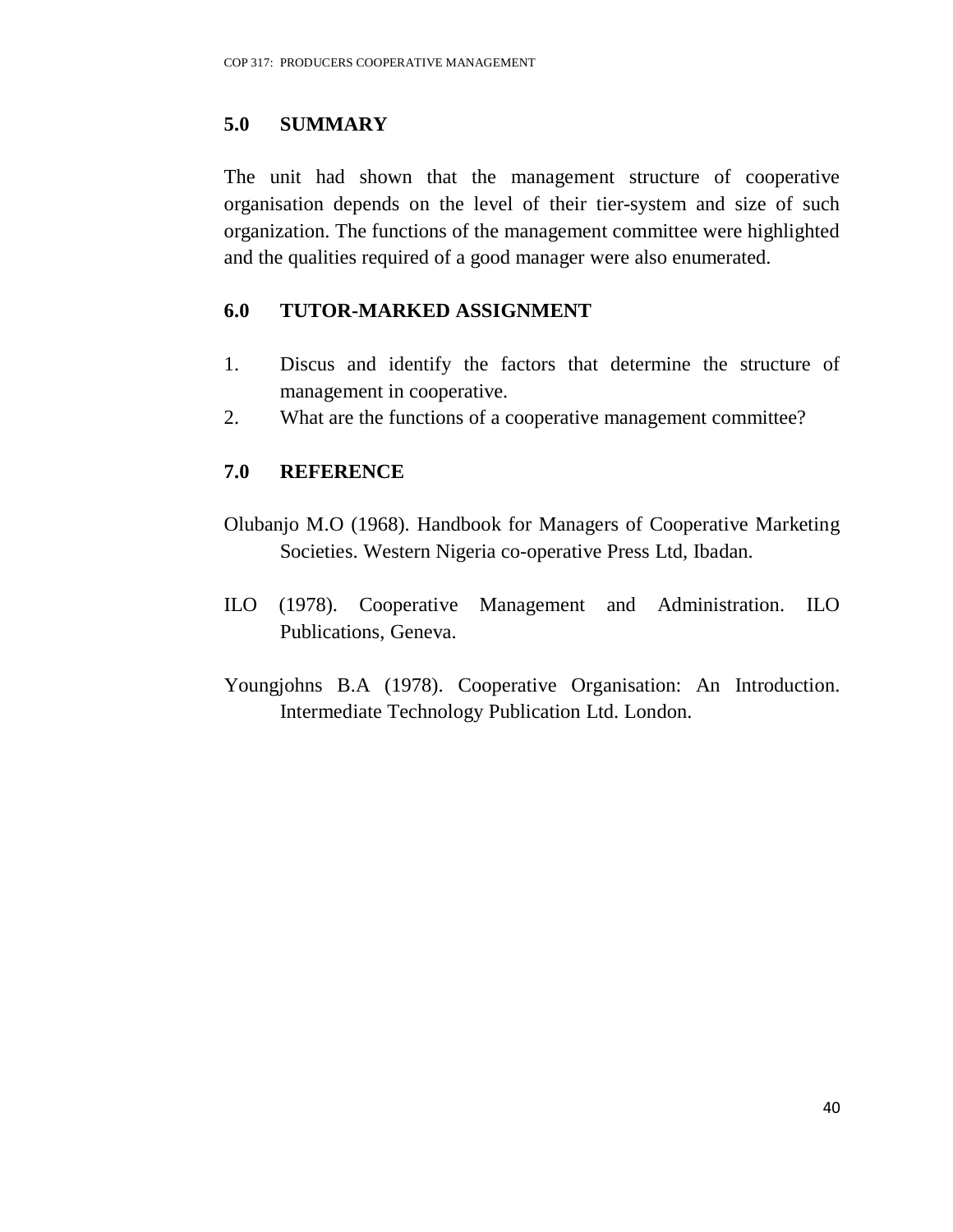#### **5.0 SUMMARY**

The unit had shown that the management structure of cooperative organisation depends on the level of their tier-system and size of such organization. The functions of the management committee were highlighted and the qualities required of a good manager were also enumerated.

#### **6.0 TUTOR-MARKED ASSIGNMENT**

- 1. Discus and identify the factors that determine the structure of management in cooperative.
- 2. What are the functions of a cooperative management committee?

#### **7.0 REFERENCE**

- Olubanjo M.O (1968). Handbook for Managers of Cooperative Marketing Societies. Western Nigeria co-operative Press Ltd, Ibadan.
- ILO (1978). Cooperative Management and Administration. ILO Publications, Geneva.
- Youngjohns B.A (1978). Cooperative Organisation: An Introduction. Intermediate Technology Publication Ltd. London.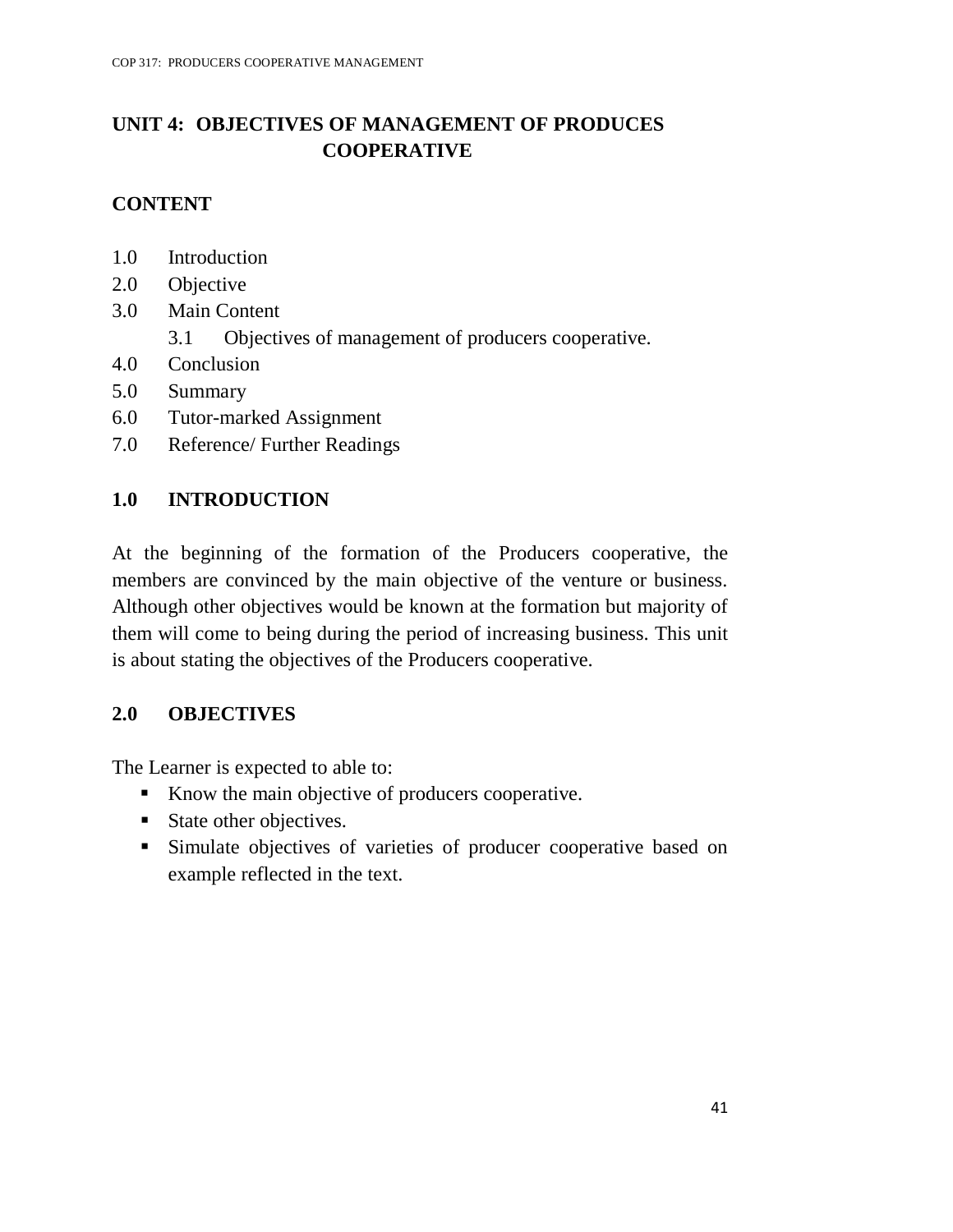# **UNIT 4: OBJECTIVES OF MANAGEMENT OF PRODUCES COOPERATIVE**

### **CONTENT**

- 1.0 Introduction
- 2.0 Objective
- 3.0 Main Content
	- 3.1 Objectives of management of producers cooperative.
- 4.0 Conclusion
- 5.0 Summary
- 6.0 Tutor-marked Assignment
- 7.0 Reference/ Further Readings

# **1.0 INTRODUCTION**

At the beginning of the formation of the Producers cooperative, the members are convinced by the main objective of the venture or business. Although other objectives would be known at the formation but majority of them will come to being during the period of increasing business. This unit is about stating the objectives of the Producers cooperative.

## **2.0 OBJECTIVES**

The Learner is expected to able to:

- Know the main objective of producers cooperative.
- State other objectives.
- Simulate objectives of varieties of producer cooperative based on example reflected in the text.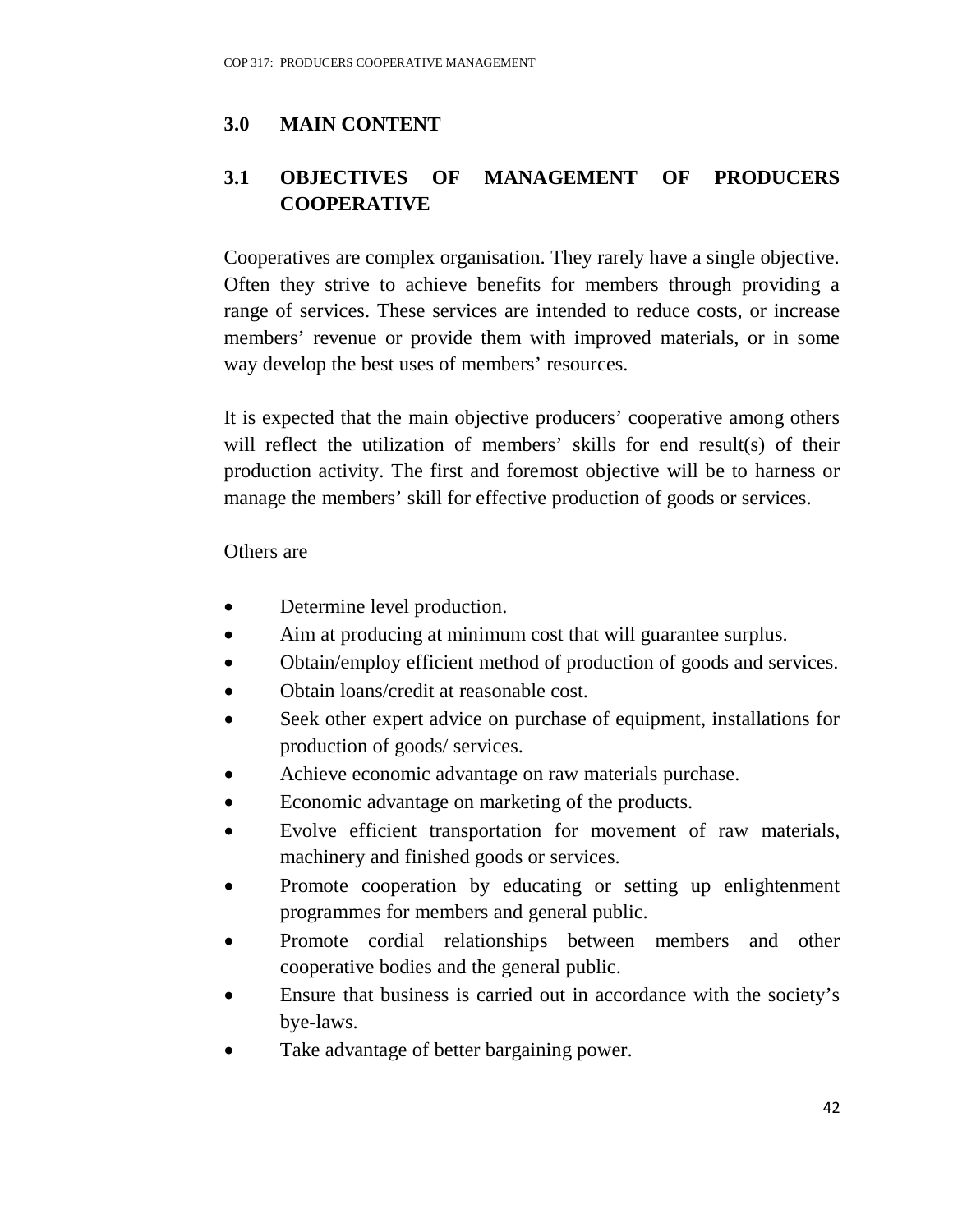# **3.0 MAIN CONTENT**

# **3.1 OBJECTIVES OF MANAGEMENT OF PRODUCERS COOPERATIVE**

Cooperatives are complex organisation. They rarely have a single objective. Often they strive to achieve benefits for members through providing a range of services. These services are intended to reduce costs, or increase members' revenue or provide them with improved materials, or in some way develop the best uses of members' resources.

It is expected that the main objective producers' cooperative among others will reflect the utilization of members' skills for end result(s) of their production activity. The first and foremost objective will be to harness or manage the members' skill for effective production of goods or services.

Others are

- Determine level production.
- Aim at producing at minimum cost that will guarantee surplus.
- Obtain/employ efficient method of production of goods and services.
- Obtain loans/credit at reasonable cost.
- Seek other expert advice on purchase of equipment, installations for production of goods/ services.
- Achieve economic advantage on raw materials purchase.
- Economic advantage on marketing of the products.
- Evolve efficient transportation for movement of raw materials, machinery and finished goods or services.
- Promote cooperation by educating or setting up enlightenment programmes for members and general public.
- Promote cordial relationships between members and other cooperative bodies and the general public.
- Ensure that business is carried out in accordance with the society's bye-laws.
- Take advantage of better bargaining power.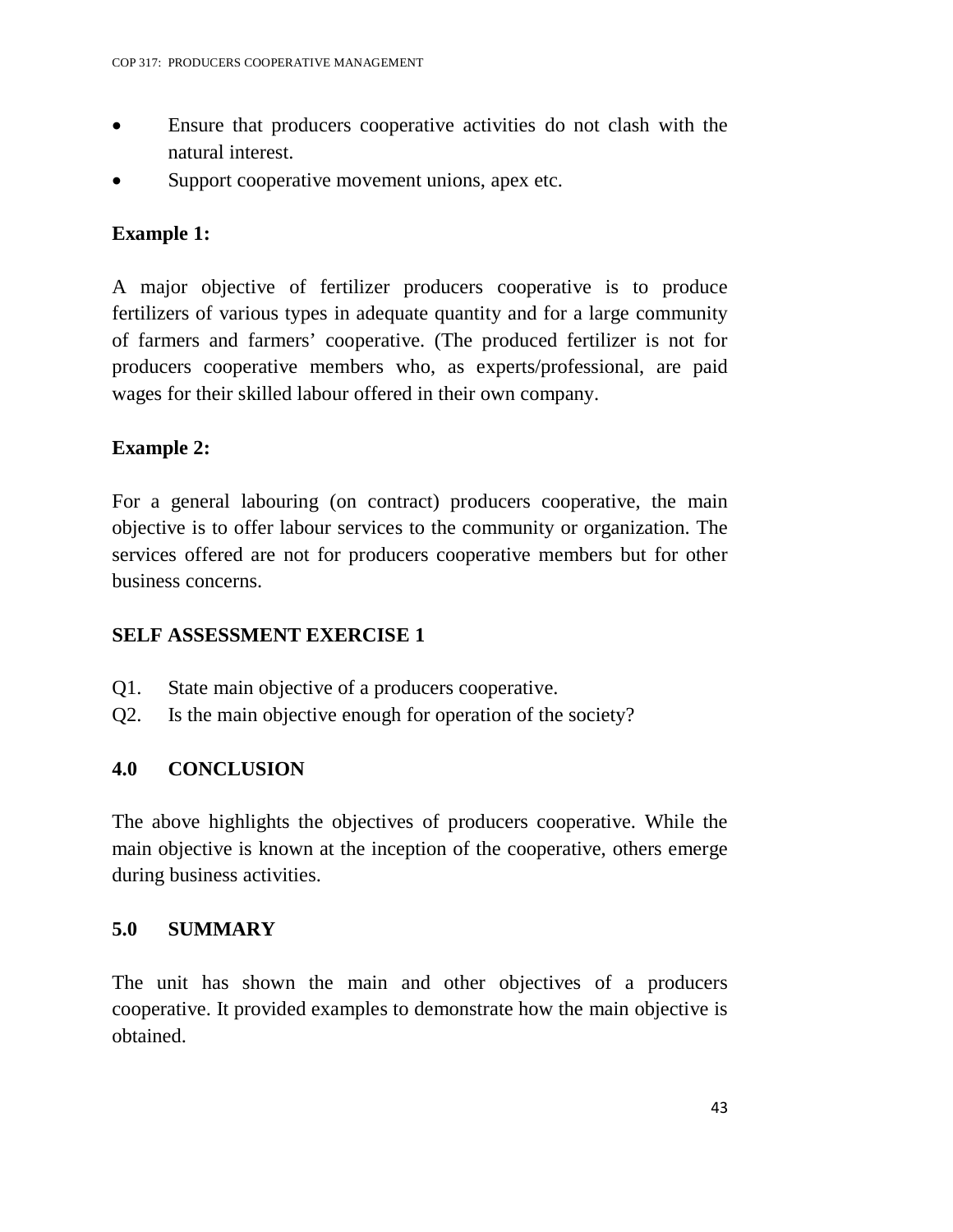- Ensure that producers cooperative activities do not clash with the natural interest.
- Support cooperative movement unions, apex etc.

### **Example 1:**

A major objective of fertilizer producers cooperative is to produce fertilizers of various types in adequate quantity and for a large community of farmers and farmers' cooperative. (The produced fertilizer is not for producers cooperative members who, as experts/professional, are paid wages for their skilled labour offered in their own company.

### **Example 2:**

For a general labouring (on contract) producers cooperative, the main objective is to offer labour services to the community or organization. The services offered are not for producers cooperative members but for other business concerns.

#### **SELF ASSESSMENT EXERCISE 1**

- Q1. State main objective of a producers cooperative.
- Q2. Is the main objective enough for operation of the society?

## **4.0 CONCLUSION**

The above highlights the objectives of producers cooperative. While the main objective is known at the inception of the cooperative, others emerge during business activities.

#### **5.0 SUMMARY**

The unit has shown the main and other objectives of a producers cooperative. It provided examples to demonstrate how the main objective is obtained.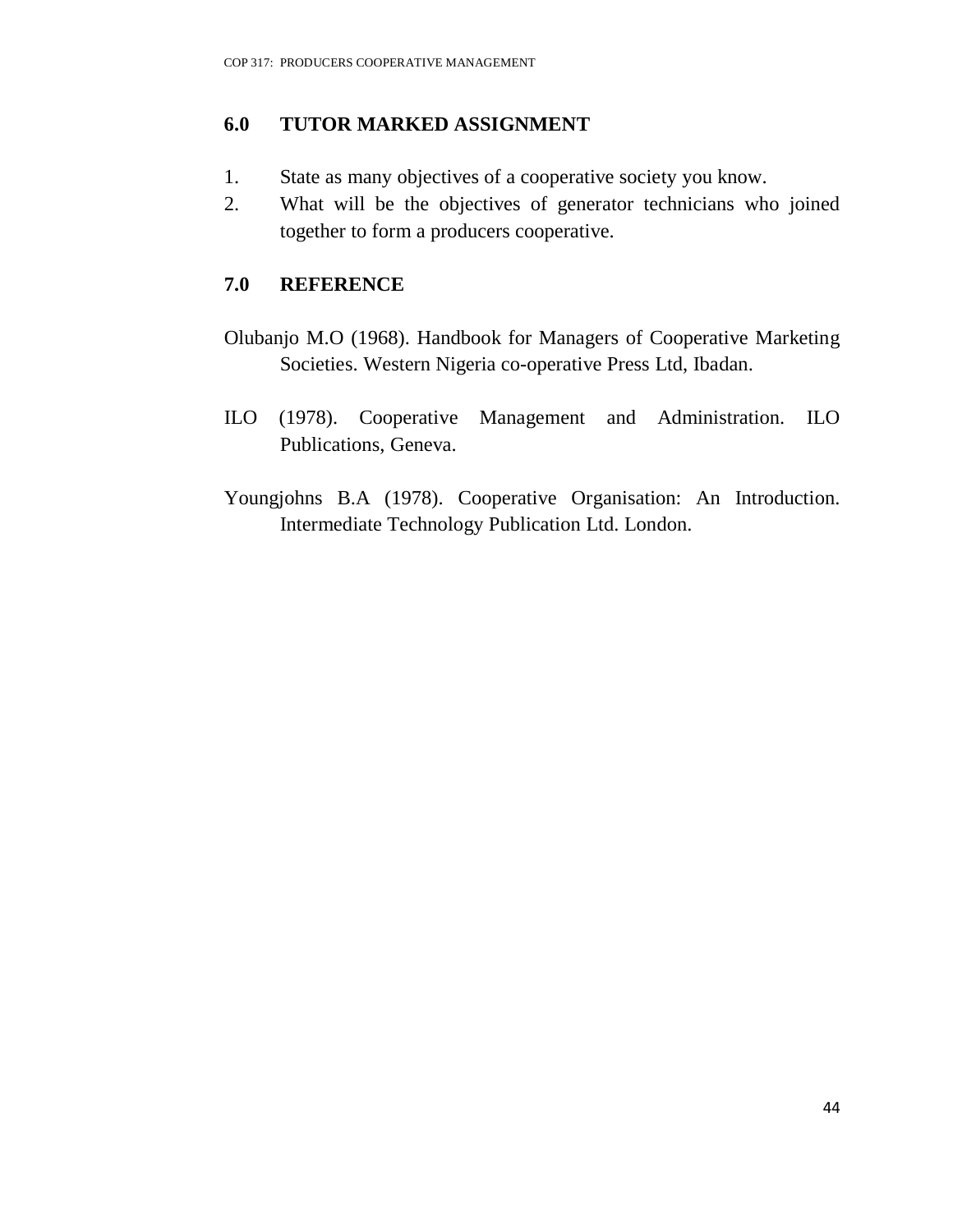#### **6.0 TUTOR MARKED ASSIGNMENT**

- 1. State as many objectives of a cooperative society you know.
- 2. What will be the objectives of generator technicians who joined together to form a producers cooperative.

#### **7.0 REFERENCE**

- Olubanjo M.O (1968). Handbook for Managers of Cooperative Marketing Societies. Western Nigeria co-operative Press Ltd, Ibadan.
- ILO (1978). Cooperative Management and Administration. ILO Publications, Geneva.
- Youngjohns B.A (1978). Cooperative Organisation: An Introduction. Intermediate Technology Publication Ltd. London.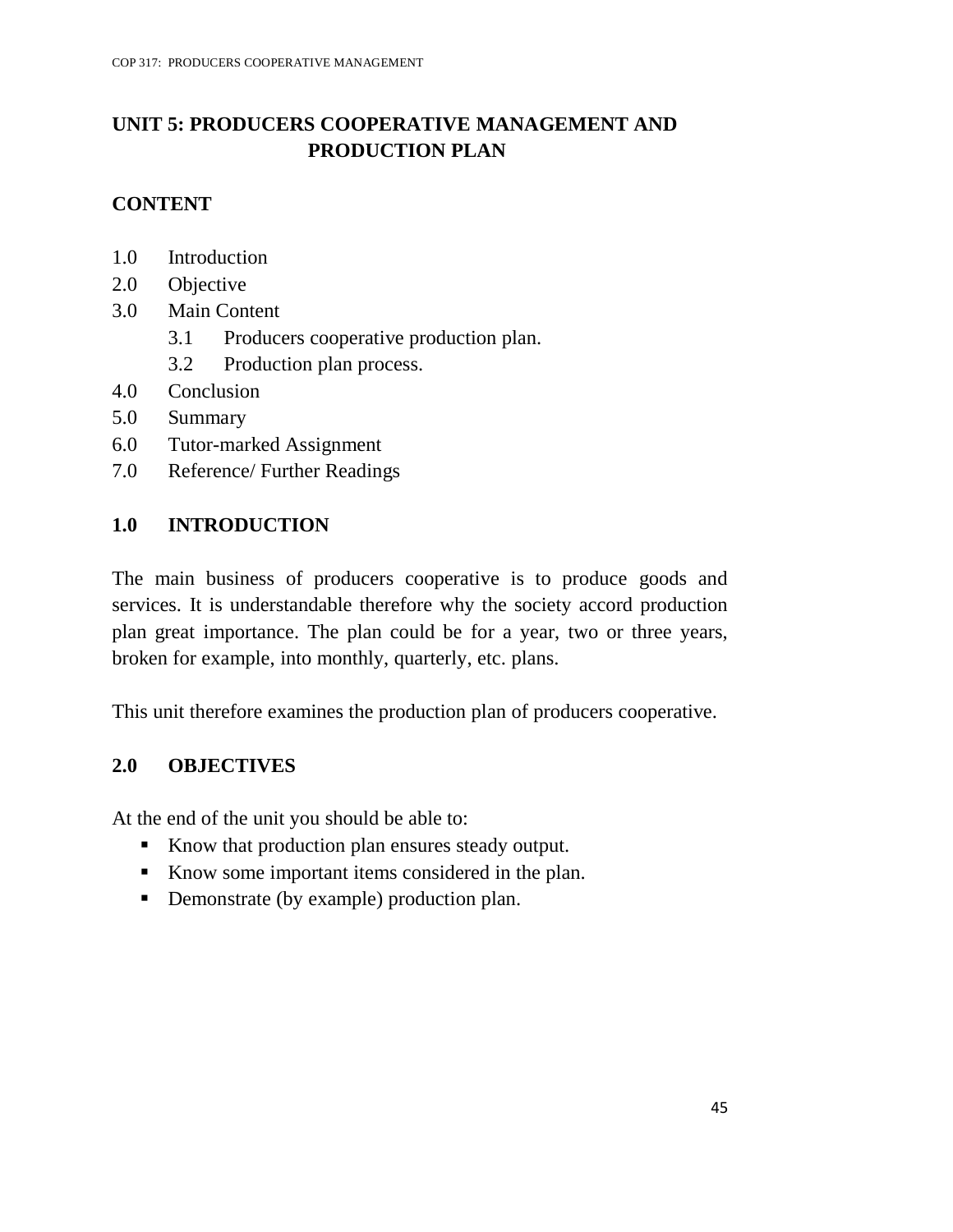# **UNIT 5: PRODUCERS COOPERATIVE MANAGEMENT AND PRODUCTION PLAN**

### **CONTENT**

- 1.0 Introduction
- 2.0 Objective
- 3.0 Main Content
	- 3.1 Producers cooperative production plan.
	- 3.2 Production plan process.
- 4.0 Conclusion
- 5.0 Summary
- 6.0 Tutor-marked Assignment
- 7.0 Reference/ Further Readings

### **1.0 INTRODUCTION**

The main business of producers cooperative is to produce goods and services. It is understandable therefore why the society accord production plan great importance. The plan could be for a year, two or three years, broken for example, into monthly, quarterly, etc. plans.

This unit therefore examines the production plan of producers cooperative.

## **2.0 OBJECTIVES**

At the end of the unit you should be able to:

- Know that production plan ensures steady output.
- Know some important items considered in the plan.
- Demonstrate (by example) production plan.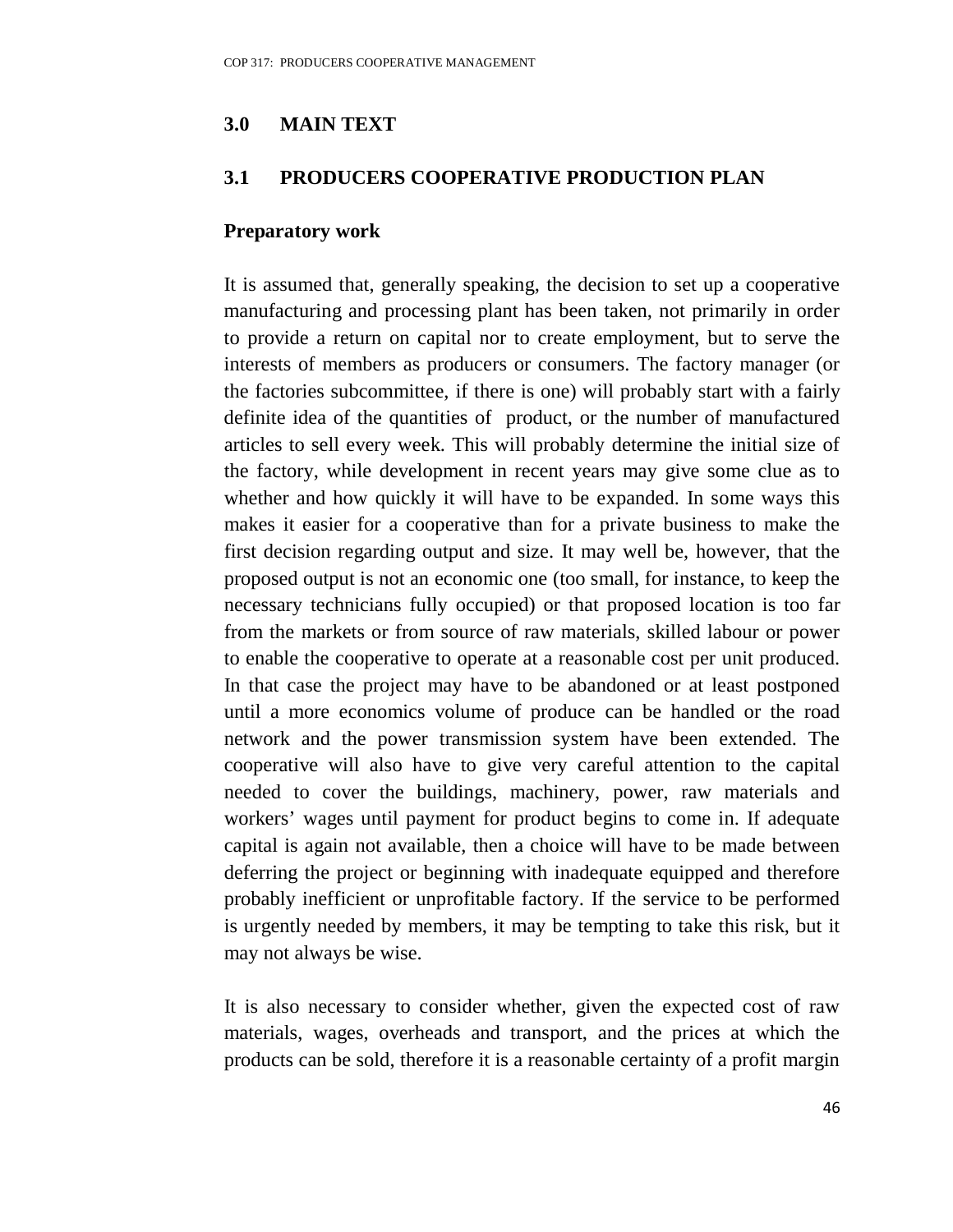#### **3.0 MAIN TEXT**

## **3.1 PRODUCERS COOPERATIVE PRODUCTION PLAN**

#### **Preparatory work**

It is assumed that, generally speaking, the decision to set up a cooperative manufacturing and processing plant has been taken, not primarily in order to provide a return on capital nor to create employment, but to serve the interests of members as producers or consumers. The factory manager (or the factories subcommittee, if there is one) will probably start with a fairly definite idea of the quantities of product, or the number of manufactured articles to sell every week. This will probably determine the initial size of the factory, while development in recent years may give some clue as to whether and how quickly it will have to be expanded. In some ways this makes it easier for a cooperative than for a private business to make the first decision regarding output and size. It may well be, however, that the proposed output is not an economic one (too small, for instance, to keep the necessary technicians fully occupied) or that proposed location is too far from the markets or from source of raw materials, skilled labour or power to enable the cooperative to operate at a reasonable cost per unit produced. In that case the project may have to be abandoned or at least postponed until a more economics volume of produce can be handled or the road network and the power transmission system have been extended. The cooperative will also have to give very careful attention to the capital needed to cover the buildings, machinery, power, raw materials and workers' wages until payment for product begins to come in. If adequate capital is again not available, then a choice will have to be made between deferring the project or beginning with inadequate equipped and therefore probably inefficient or unprofitable factory. If the service to be performed is urgently needed by members, it may be tempting to take this risk, but it may not always be wise.

It is also necessary to consider whether, given the expected cost of raw materials, wages, overheads and transport, and the prices at which the products can be sold, therefore it is a reasonable certainty of a profit margin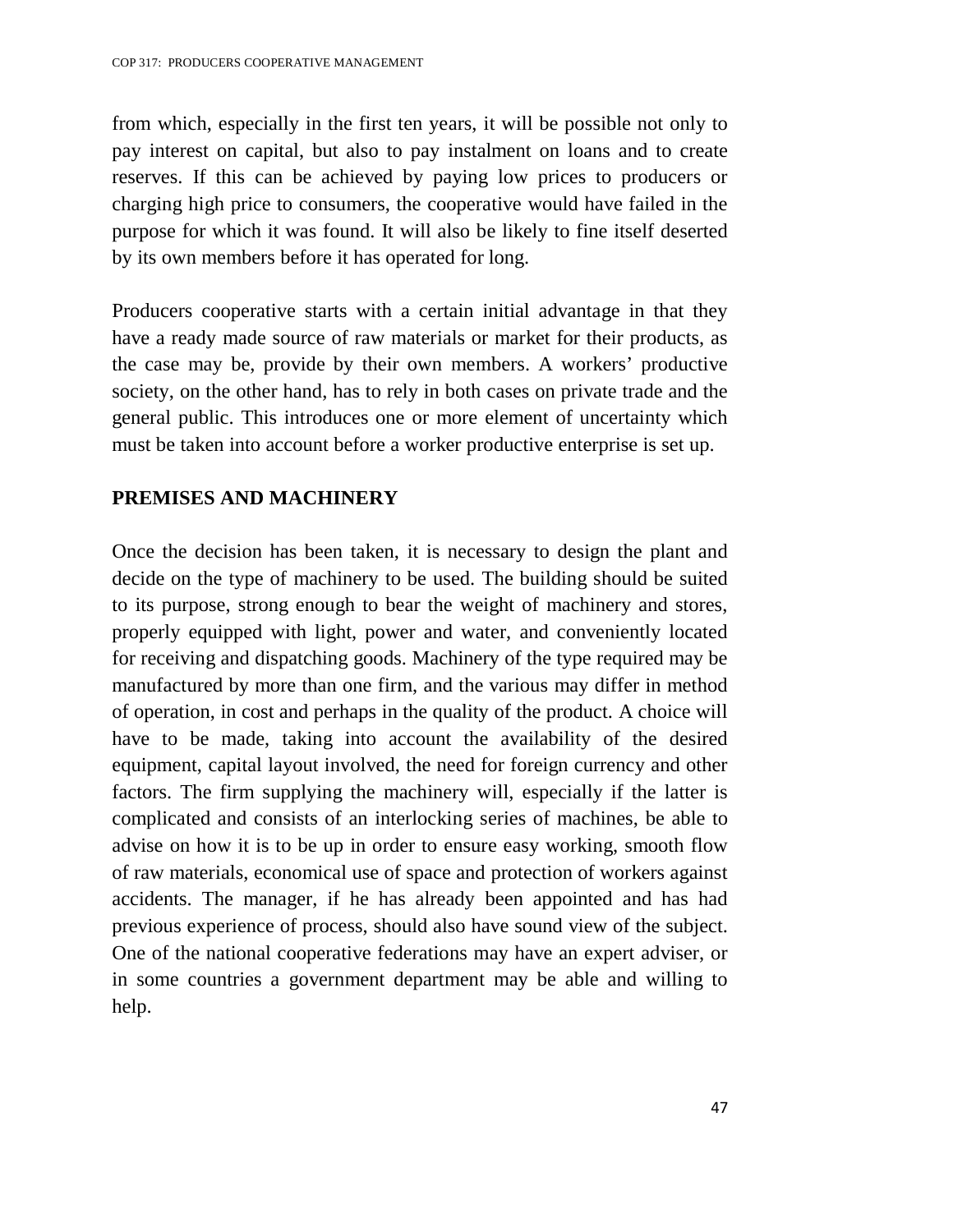from which, especially in the first ten years, it will be possible not only to pay interest on capital, but also to pay instalment on loans and to create reserves. If this can be achieved by paying low prices to producers or charging high price to consumers, the cooperative would have failed in the purpose for which it was found. It will also be likely to fine itself deserted by its own members before it has operated for long.

Producers cooperative starts with a certain initial advantage in that they have a ready made source of raw materials or market for their products, as the case may be, provide by their own members. A workers' productive society, on the other hand, has to rely in both cases on private trade and the general public. This introduces one or more element of uncertainty which must be taken into account before a worker productive enterprise is set up.

#### **PREMISES AND MACHINERY**

Once the decision has been taken, it is necessary to design the plant and decide on the type of machinery to be used. The building should be suited to its purpose, strong enough to bear the weight of machinery and stores, properly equipped with light, power and water, and conveniently located for receiving and dispatching goods. Machinery of the type required may be manufactured by more than one firm, and the various may differ in method of operation, in cost and perhaps in the quality of the product. A choice will have to be made, taking into account the availability of the desired equipment, capital layout involved, the need for foreign currency and other factors. The firm supplying the machinery will, especially if the latter is complicated and consists of an interlocking series of machines, be able to advise on how it is to be up in order to ensure easy working, smooth flow of raw materials, economical use of space and protection of workers against accidents. The manager, if he has already been appointed and has had previous experience of process, should also have sound view of the subject. One of the national cooperative federations may have an expert adviser, or in some countries a government department may be able and willing to help.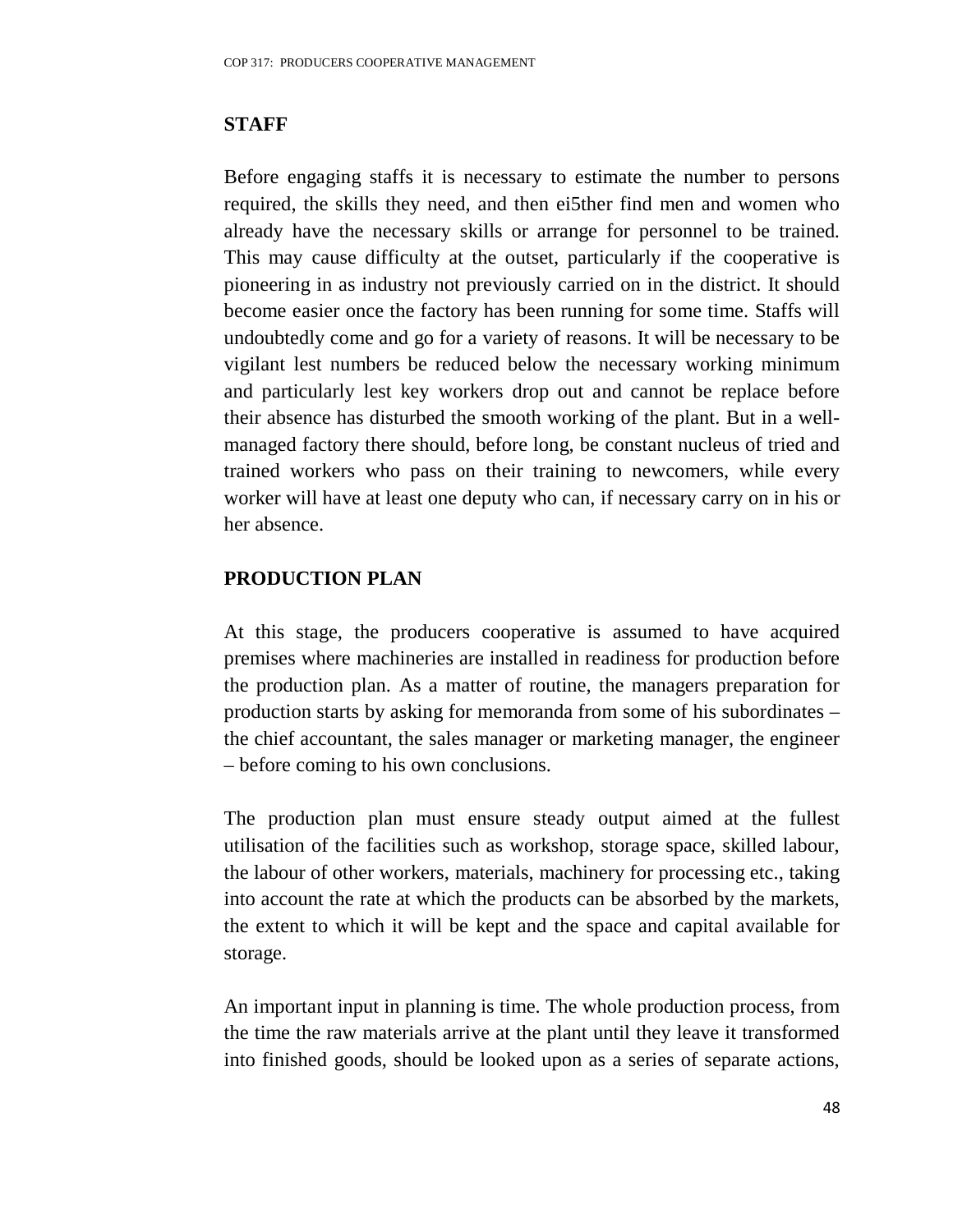### **STAFF**

Before engaging staffs it is necessary to estimate the number to persons required, the skills they need, and then ei5ther find men and women who already have the necessary skills or arrange for personnel to be trained. This may cause difficulty at the outset, particularly if the cooperative is pioneering in as industry not previously carried on in the district. It should become easier once the factory has been running for some time. Staffs will undoubtedly come and go for a variety of reasons. It will be necessary to be vigilant lest numbers be reduced below the necessary working minimum and particularly lest key workers drop out and cannot be replace before their absence has disturbed the smooth working of the plant. But in a wellmanaged factory there should, before long, be constant nucleus of tried and trained workers who pass on their training to newcomers, while every worker will have at least one deputy who can, if necessary carry on in his or her absence.

## **PRODUCTION PLAN**

At this stage, the producers cooperative is assumed to have acquired premises where machineries are installed in readiness for production before the production plan. As a matter of routine, the managers preparation for production starts by asking for memoranda from some of his subordinates – the chief accountant, the sales manager or marketing manager, the engineer – before coming to his own conclusions.

The production plan must ensure steady output aimed at the fullest utilisation of the facilities such as workshop, storage space, skilled labour, the labour of other workers, materials, machinery for processing etc., taking into account the rate at which the products can be absorbed by the markets, the extent to which it will be kept and the space and capital available for storage.

An important input in planning is time. The whole production process, from the time the raw materials arrive at the plant until they leave it transformed into finished goods, should be looked upon as a series of separate actions,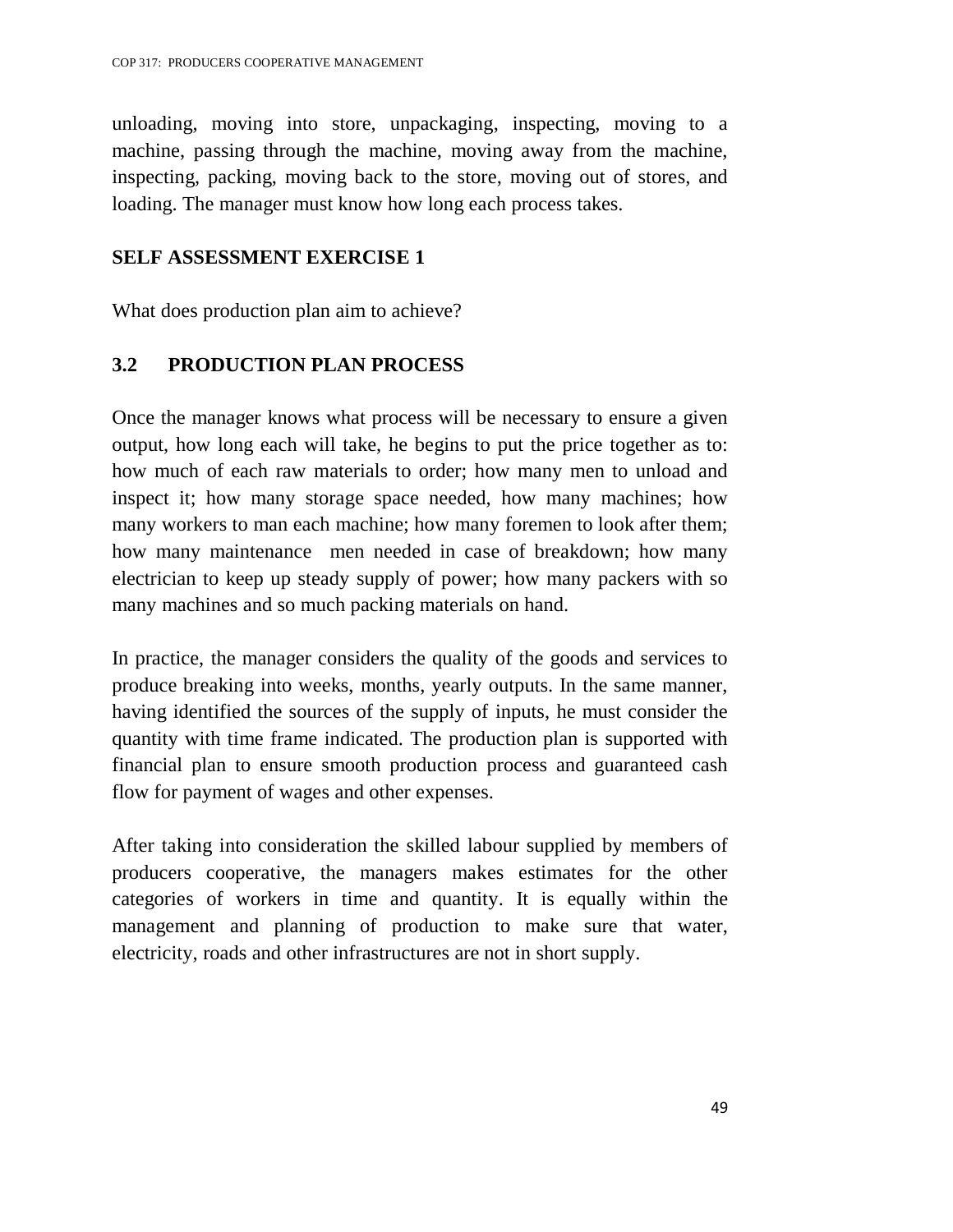unloading, moving into store, unpackaging, inspecting, moving to a machine, passing through the machine, moving away from the machine, inspecting, packing, moving back to the store, moving out of stores, and loading. The manager must know how long each process takes.

#### **SELF ASSESSMENT EXERCISE 1**

What does production plan aim to achieve?

#### **3.2 PRODUCTION PLAN PROCESS**

Once the manager knows what process will be necessary to ensure a given output, how long each will take, he begins to put the price together as to: how much of each raw materials to order; how many men to unload and inspect it; how many storage space needed, how many machines; how many workers to man each machine; how many foremen to look after them; how many maintenance men needed in case of breakdown; how many electrician to keep up steady supply of power; how many packers with so many machines and so much packing materials on hand.

In practice, the manager considers the quality of the goods and services to produce breaking into weeks, months, yearly outputs. In the same manner, having identified the sources of the supply of inputs, he must consider the quantity with time frame indicated. The production plan is supported with financial plan to ensure smooth production process and guaranteed cash flow for payment of wages and other expenses.

After taking into consideration the skilled labour supplied by members of producers cooperative, the managers makes estimates for the other categories of workers in time and quantity. It is equally within the management and planning of production to make sure that water, electricity, roads and other infrastructures are not in short supply.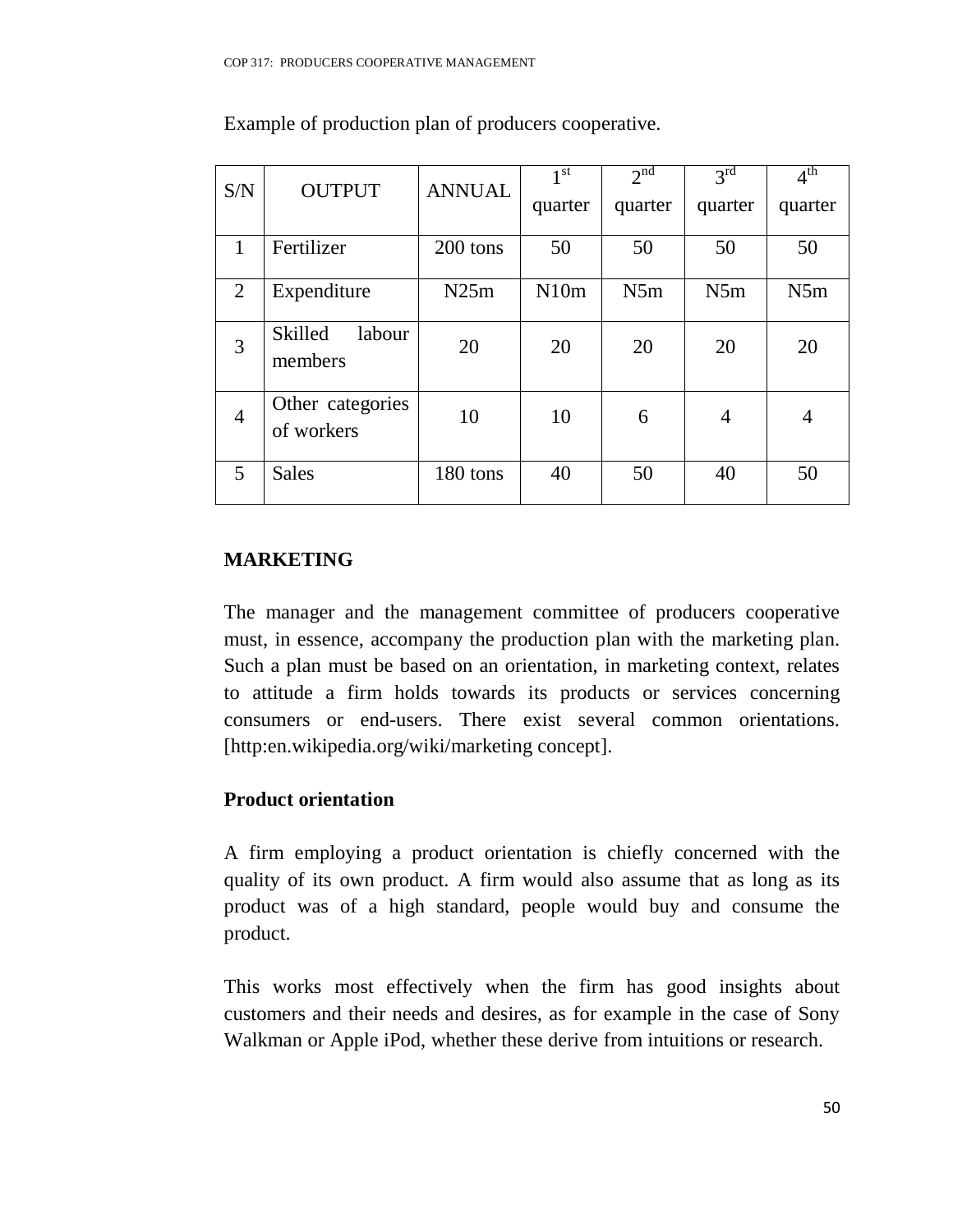| S/N            | <b>OUTPUT</b>                  | <b>ANNUAL</b> | 1 st<br>quarter | $2^{nd}$<br>quarter | $3^{rd}$<br>quarter | $4^{\rm th}$<br>quarter |
|----------------|--------------------------------|---------------|-----------------|---------------------|---------------------|-------------------------|
| $\mathbf{1}$   | Fertilizer                     | 200 tons      | 50              | 50                  | 50                  | 50                      |
| 2              | Expenditure                    | N25m          | N10m            | N5m                 | N5m                 | N5m                     |
| 3              | Skilled<br>labour<br>members   | 20            | 20              | 20                  | 20                  | 20                      |
| $\overline{4}$ | Other categories<br>of workers | 10            | 10              | 6                   | 4                   | 4                       |
| 5              | <b>Sales</b>                   | 180 tons      | 40              | 50                  | 40                  | 50                      |

Example of production plan of producers cooperative.

## **MARKETING**

The manager and the management committee of producers cooperative must, in essence, accompany the production plan with the marketing plan. Such a plan must be based on an orientation, in marketing context, relates to attitude a firm holds towards its products or services concerning consumers or end-users. There exist several common orientations. [http:en.wikipedia.org/wiki/marketing concept].

## **Product orientation**

A firm employing a product orientation is chiefly concerned with the quality of its own product. A firm would also assume that as long as its product was of a high standard, people would buy and consume the product.

This works most effectively when the firm has good insights about customers and their needs and desires, as for example in the case of Sony Walkman or Apple iPod, whether these derive from intuitions or research.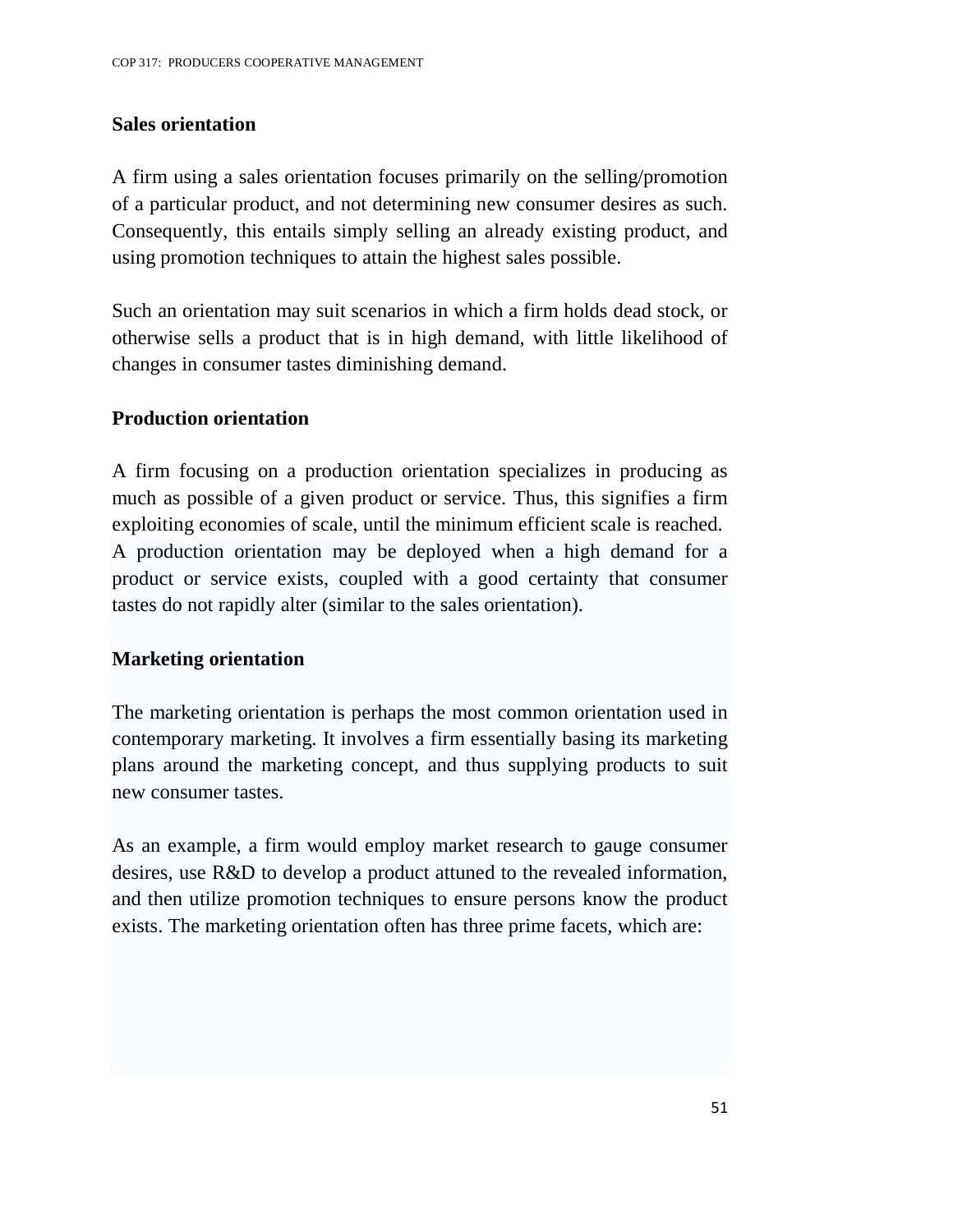#### **Sales orientation**

A firm using a sales orientation focuses primarily on the selling/promotion of a particular product, and not determining new consumer desires as such. Consequently, this entails simply selling an already existing product, and using promotion techniques to attain the highest sales possible.

Such an orientation may suit scenarios in which a firm holds dead stock, or otherwise sells a product that is in high demand, with little likelihood of changes in consumer tastes diminishing demand.

#### **Production orientation**

A firm focusing on a production orientation specializes in producing as much as possible of a given product or service. Thus, this signifies a firm exploiting [economies of scale,](http://en.wikipedia.org/wiki/Economies_of_scale) until the [minimum efficient scale](http://en.wikipedia.org/w/index.php?title=Minimum_efficient_scale&action=edit&redlink=1) is reached. A production orientation may be deployed when a high demand for a product or service exists, coupled with a good certainty that consumer tastes do not rapidly alter (similar to the sales orientation).

#### **Marketing orientation**

The marketing orientation is perhaps the most common orientation used in contemporary marketing. It involves a firm essentially basing its marketing plans around the marketing concept, and thus supplying products to suit new consumer tastes.

As an example, a firm would employ market research to gauge consumer desires, use R&D to develop a product attuned to the revealed information, and then utilize promotion techniques to ensure persons know the product exists. The marketing orientation often has three prime facets, which are: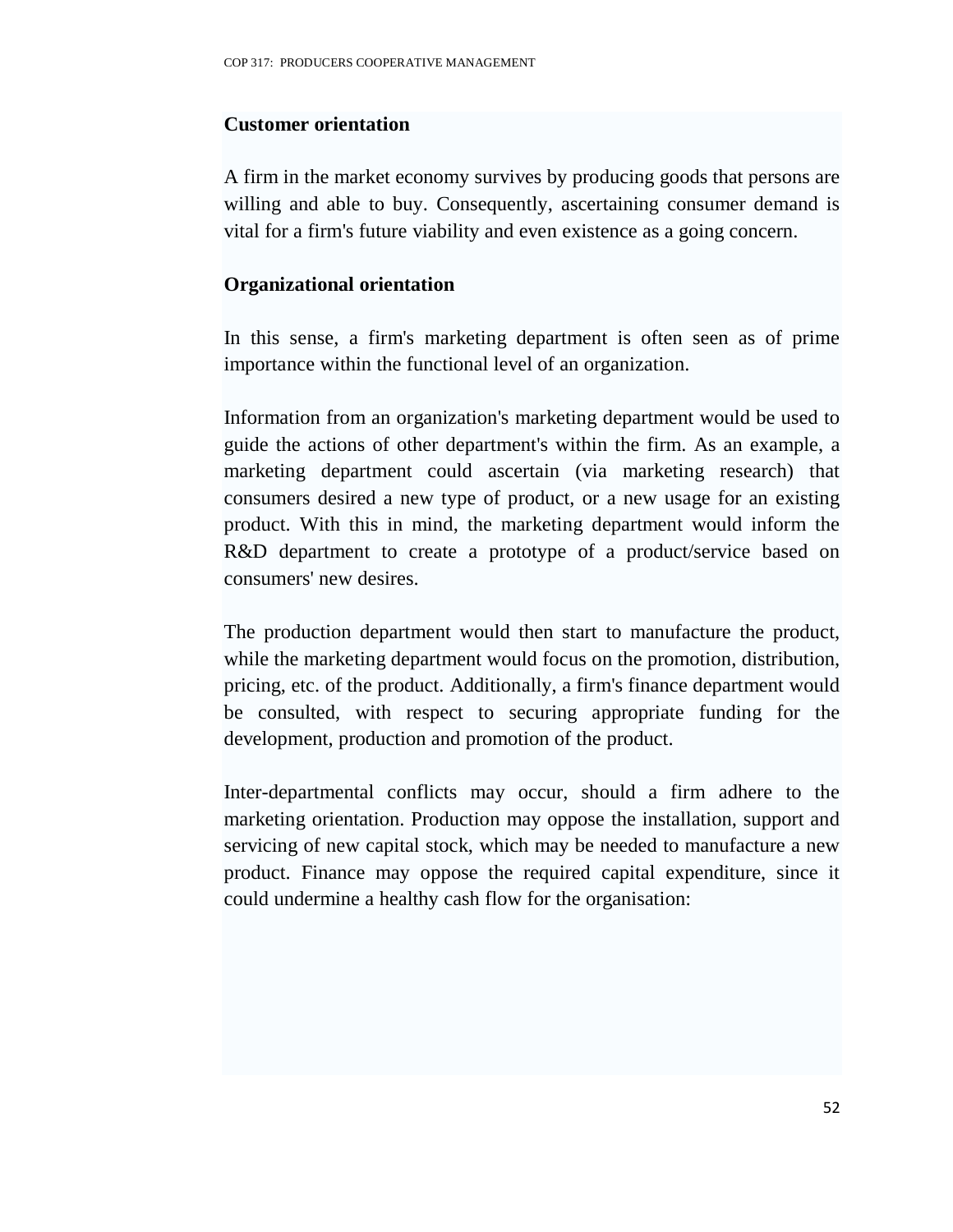#### **Customer orientation**

A firm in the [market economy](http://en.wikipedia.org/wiki/Market_economy) survives by producing [goods](http://en.wikipedia.org/wiki/Good) that persons are willing and able to buy. Consequently, ascertaining [consumer demand](http://en.wikipedia.org/wiki/Consumer_demand) is vital for a [firm'](http://en.wikipedia.org/wiki/Business_entity)s future viability and even existence as a [going concern.](http://en.wikipedia.org/wiki/Going_concern)

#### **Organizational orientation**

In this sense, a firm's marketing department is often seen as of prime importance within the functional level of an organization.

Information from an organization's marketing department would be used to guide the actions of other department's within the firm. As an example, a marketing department could ascertain (via marketing research) that consumers desired a new type of product, or a new usage for an existing product. With this in mind, the marketing department would inform the R&D department to create a prototype of a product/service based on consumers' new desires.

The production department would then start to manufacture the product, while the marketing department would focus on the promotion, distribution, pricing, etc. of the product. Additionally, a firm's finance department would be consulted, with respect to securing appropriate funding for the development, production and promotion of the product.

Inter-departmental conflicts may occur, should a firm adhere to the marketing orientation. Production may oppose the installation, support and servicing of new capital stock, which may be needed to manufacture a new product. Finance may oppose the required capital expenditure, since it could undermine a healthy cash flow for the organisation: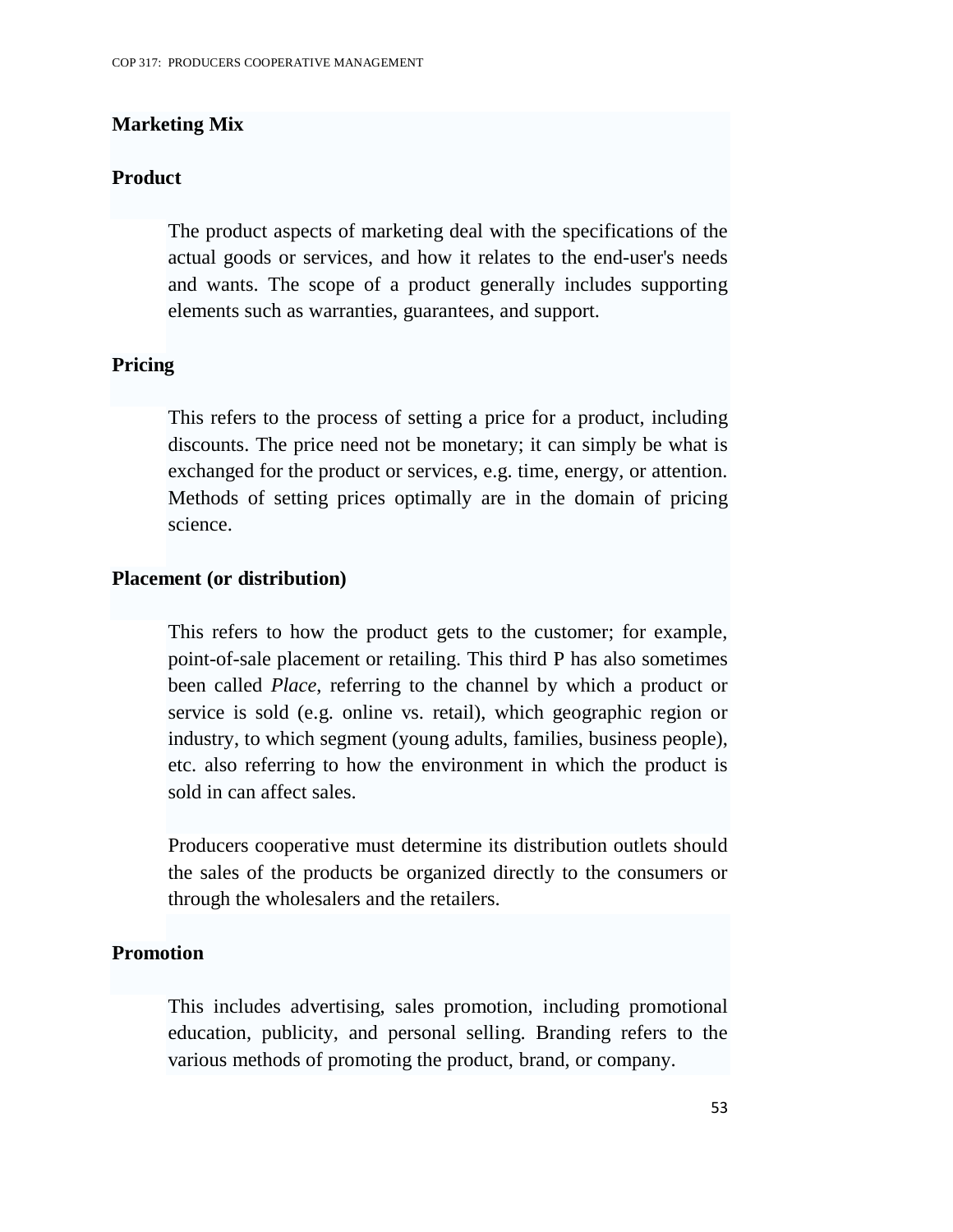#### **Marketing Mix**

#### **[Product](http://en.wikipedia.org/wiki/Product_%28business%29)**

The product aspects of marketing deal with the specifications of the actual goods or services, and how it relates to the [end-user's](http://en.wikipedia.org/wiki/End-user) needs and wants. The scope of a product generally includes supporting elements such as warranties, guarantees, and support.

#### **[Pricing](http://en.wikipedia.org/wiki/Pricing)**

This refers to the process of setting a [price](http://en.wikipedia.org/wiki/Price) for a product, including discounts. The price need not be monetary; it can simply be what is exchanged for the product or services, e.g. time, energy, or attention. Methods of setting prices optimally are in the domain of [pricing](http://en.wikipedia.org/wiki/Pricing_science)  [science.](http://en.wikipedia.org/wiki/Pricing_science)

#### **[Placement](http://en.wikipedia.org/wiki/Placement) (or [distribution\)](http://en.wikipedia.org/wiki/Distribution_%28business%29)**

This refers to how the product gets to the customer; for example, point-of-sale placement or [retailing.](http://en.wikipedia.org/wiki/Retailer) This third P has also sometimes been called *Place*, referring to the channel by which a product or service is sold (e.g. online vs. retail), which geographic region or industry, to which segment (young adults, families, business people), etc. also referring to how the environment in which the product is sold in can affect sales.

Producers cooperative must determine its distribution outlets should the sales of the products be organized directly to the consumers or through the wholesalers and the retailers.

#### **Promotion**

This includes [advertising,](http://en.wikipedia.org/wiki/Advertising) [sales promotion,](http://en.wikipedia.org/wiki/Sales_promotion) including [promotional](http://en.wikipedia.org/wiki/Promotional_education)  [education,](http://en.wikipedia.org/wiki/Promotional_education) [publicity,](http://en.wikipedia.org/wiki/Publicity) and [personal selling.](http://en.wikipedia.org/wiki/Sales) [Branding](http://en.wikipedia.org/wiki/Branding) refers to the various methods of promoting the product, [brand,](http://en.wikipedia.org/wiki/Brand) or company.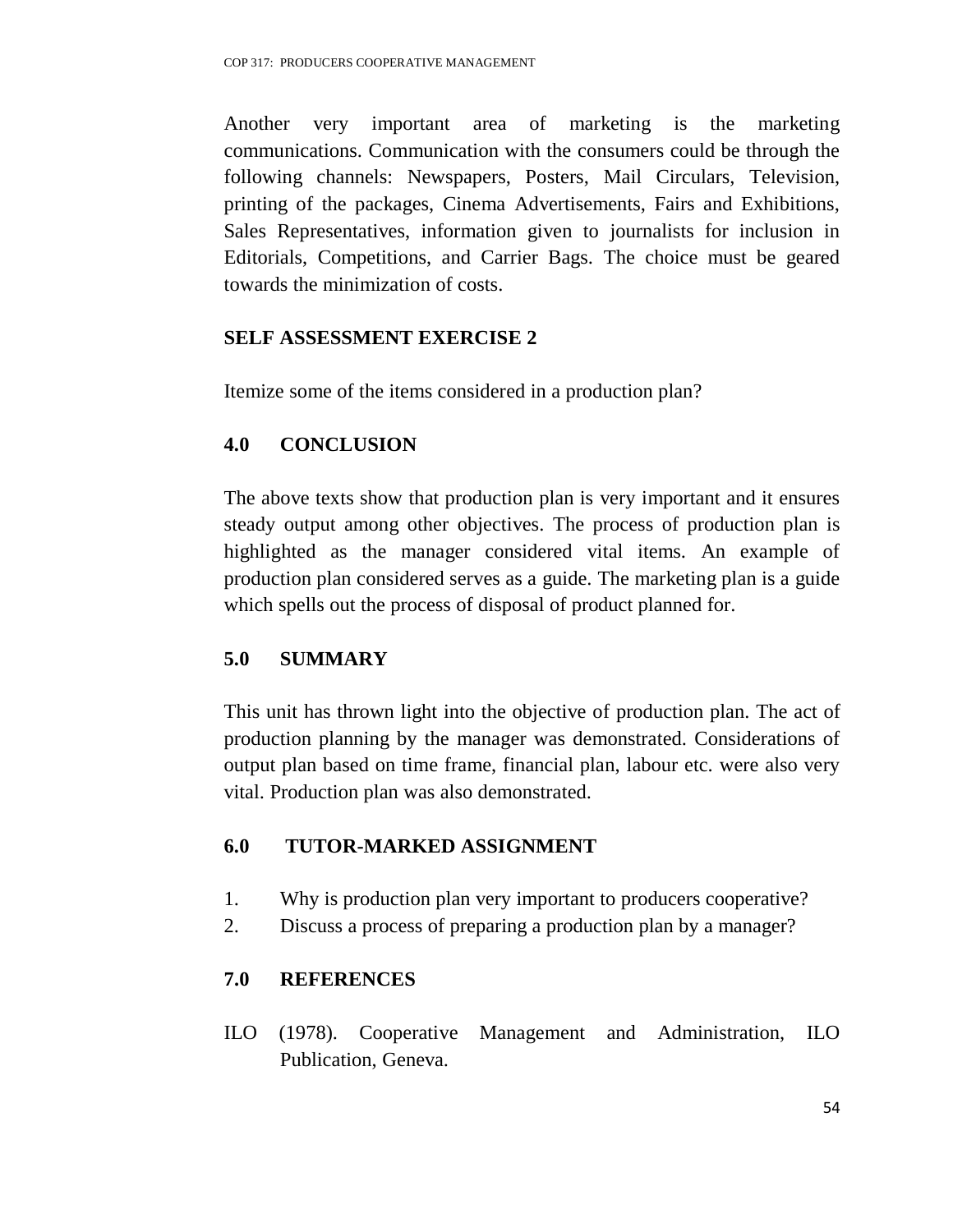Another very important area of marketing is the marketing communications. Communication with the consumers could be through the following channels: Newspapers, Posters, Mail Circulars, Television, printing of the packages, Cinema Advertisements, Fairs and Exhibitions, Sales Representatives, information given to journalists for inclusion in Editorials, Competitions, and Carrier Bags. The choice must be geared towards the minimization of costs.

#### **SELF ASSESSMENT EXERCISE 2**

Itemize some of the items considered in a production plan?

# **4.0 CONCLUSION**

The above texts show that production plan is very important and it ensures steady output among other objectives. The process of production plan is highlighted as the manager considered vital items. An example of production plan considered serves as a guide. The marketing plan is a guide which spells out the process of disposal of product planned for.

## **5.0 SUMMARY**

This unit has thrown light into the objective of production plan. The act of production planning by the manager was demonstrated. Considerations of output plan based on time frame, financial plan, labour etc. were also very vital. Production plan was also demonstrated.

## **6.0 TUTOR-MARKED ASSIGNMENT**

- 1. Why is production plan very important to producers cooperative?
- 2. Discuss a process of preparing a production plan by a manager?

## **7.0 REFERENCES**

ILO (1978). Cooperative Management and Administration, ILO Publication, Geneva.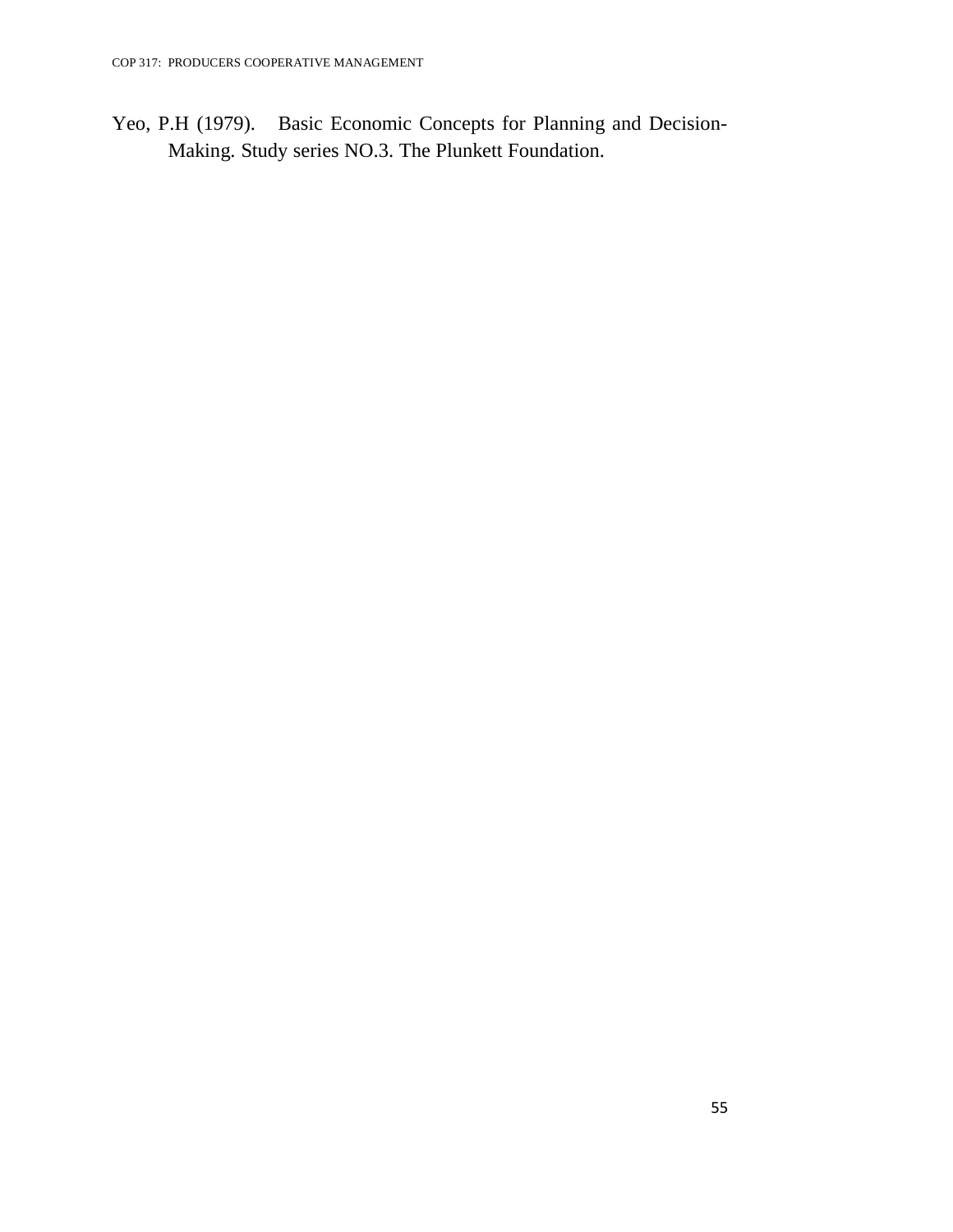Yeo, P.H (1979). Basic Economic Concepts for Planning and Decision-Making. Study series NO.3. The Plunkett Foundation.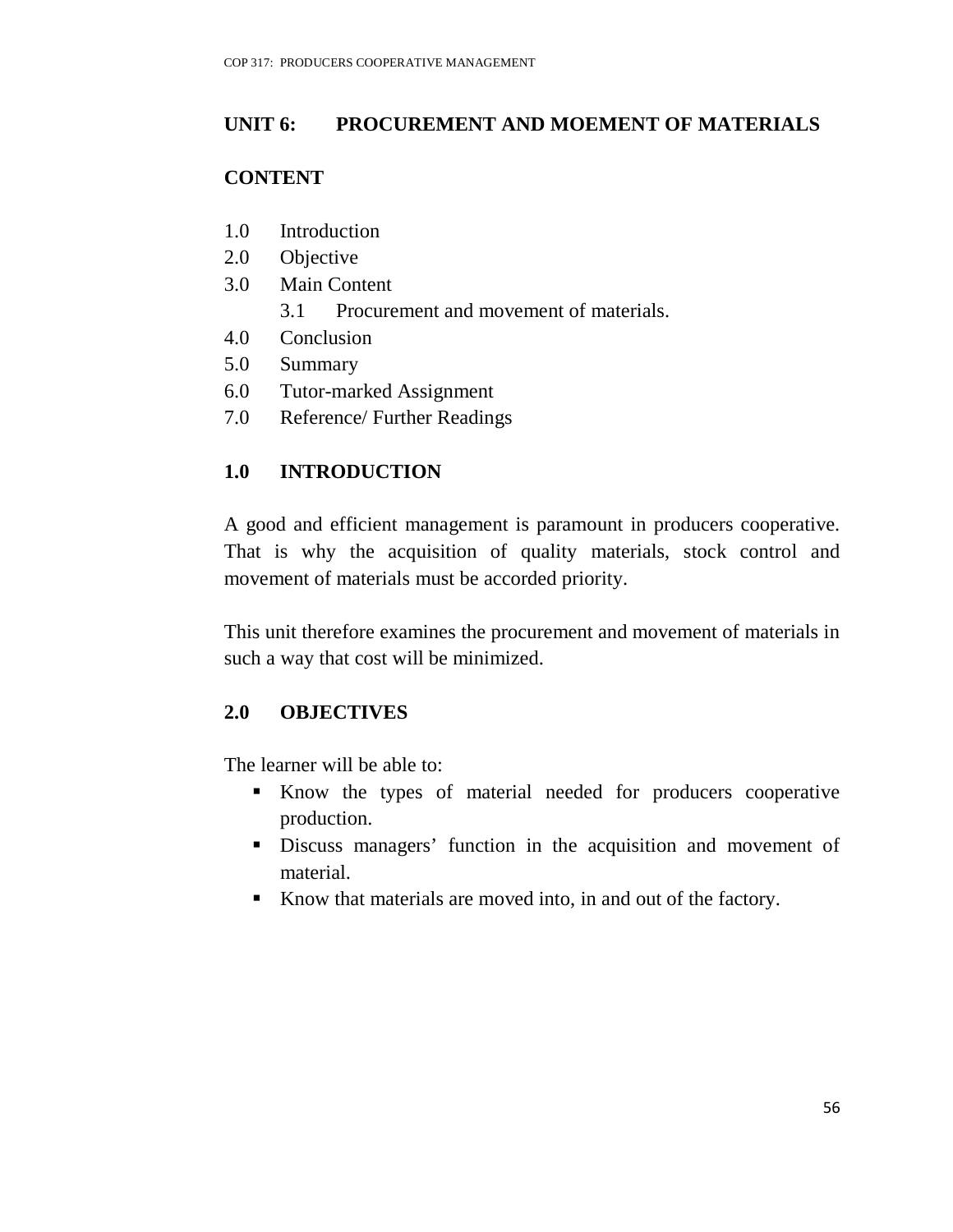## **UNIT 6: PROCUREMENT AND MOEMENT OF MATERIALS**

## **CONTENT**

- 1.0 Introduction
- 2.0 Objective
- 3.0 Main Content
	- 3.1 Procurement and movement of materials.
- 4.0 Conclusion
- 5.0 Summary
- 6.0 Tutor-marked Assignment
- 7.0 Reference/ Further Readings

# **1.0 INTRODUCTION**

A good and efficient management is paramount in producers cooperative. That is why the acquisition of quality materials, stock control and movement of materials must be accorded priority.

This unit therefore examines the procurement and movement of materials in such a way that cost will be minimized.

# **2.0 OBJECTIVES**

The learner will be able to:

- Know the types of material needed for producers cooperative production.
- Discuss managers' function in the acquisition and movement of material.
- Know that materials are moved into, in and out of the factory.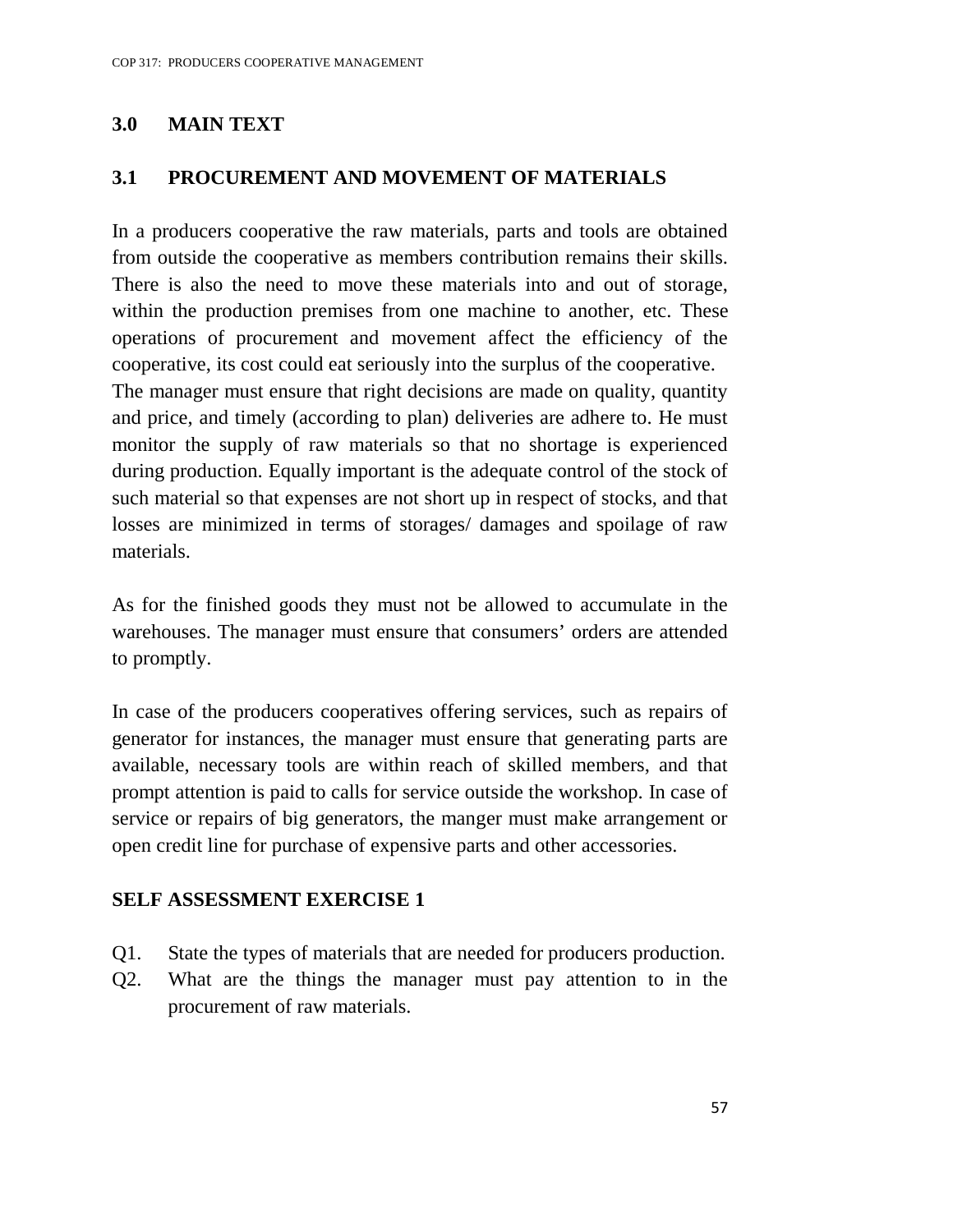### **3.0 MAIN TEXT**

#### **3.1 PROCUREMENT AND MOVEMENT OF MATERIALS**

In a producers cooperative the raw materials, parts and tools are obtained from outside the cooperative as members contribution remains their skills. There is also the need to move these materials into and out of storage, within the production premises from one machine to another, etc. These operations of procurement and movement affect the efficiency of the cooperative, its cost could eat seriously into the surplus of the cooperative.

The manager must ensure that right decisions are made on quality, quantity and price, and timely (according to plan) deliveries are adhere to. He must monitor the supply of raw materials so that no shortage is experienced during production. Equally important is the adequate control of the stock of such material so that expenses are not short up in respect of stocks, and that losses are minimized in terms of storages/ damages and spoilage of raw materials.

As for the finished goods they must not be allowed to accumulate in the warehouses. The manager must ensure that consumers' orders are attended to promptly.

In case of the producers cooperatives offering services, such as repairs of generator for instances, the manager must ensure that generating parts are available, necessary tools are within reach of skilled members, and that prompt attention is paid to calls for service outside the workshop. In case of service or repairs of big generators, the manger must make arrangement or open credit line for purchase of expensive parts and other accessories.

#### **SELF ASSESSMENT EXERCISE 1**

- Q1. State the types of materials that are needed for producers production.
- Q2. What are the things the manager must pay attention to in the procurement of raw materials.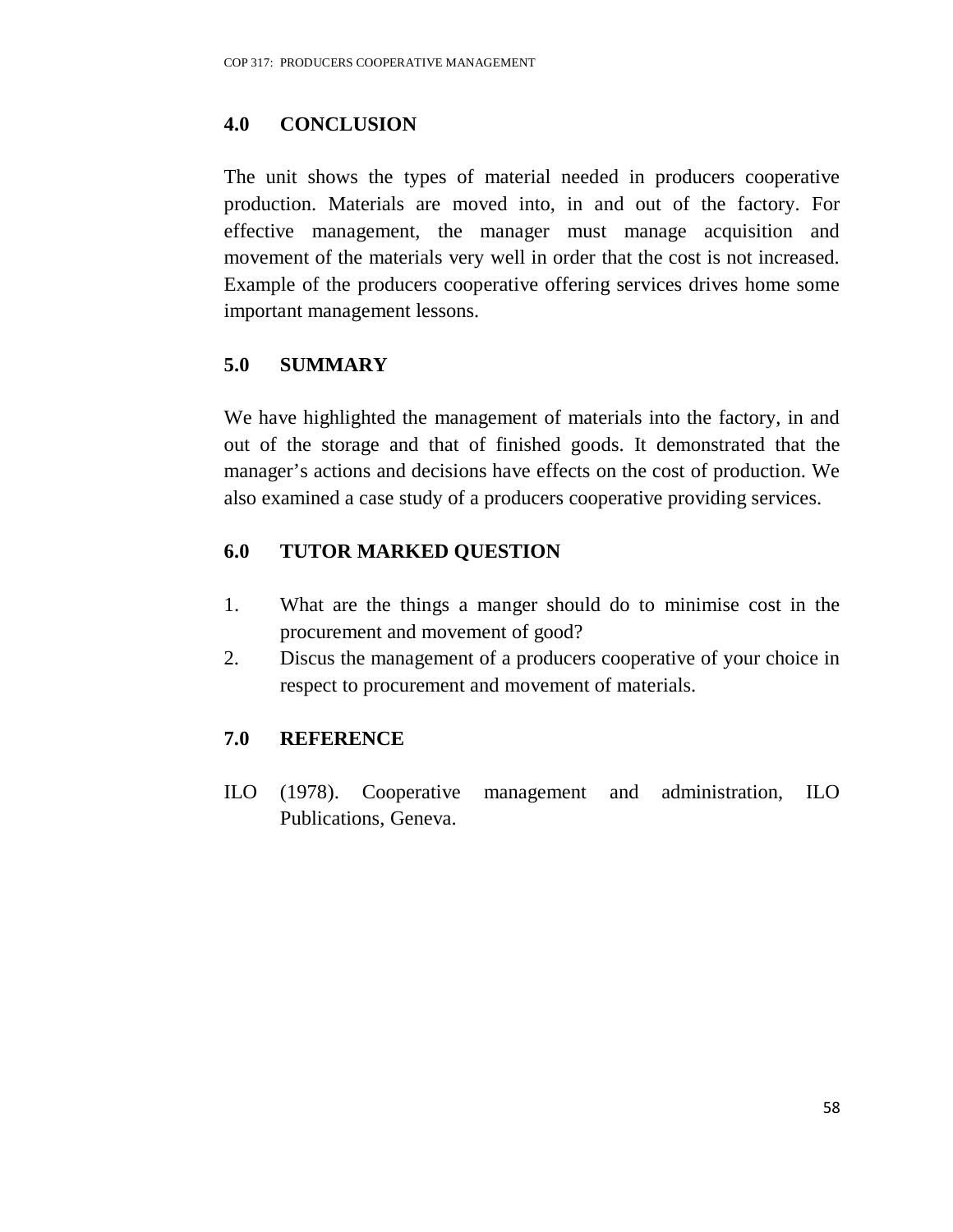## **4.0 CONCLUSION**

The unit shows the types of material needed in producers cooperative production. Materials are moved into, in and out of the factory. For effective management, the manager must manage acquisition and movement of the materials very well in order that the cost is not increased. Example of the producers cooperative offering services drives home some important management lessons.

## **5.0 SUMMARY**

We have highlighted the management of materials into the factory, in and out of the storage and that of finished goods. It demonstrated that the manager's actions and decisions have effects on the cost of production. We also examined a case study of a producers cooperative providing services.

## **6.0 TUTOR MARKED QUESTION**

- 1. What are the things a manger should do to minimise cost in the procurement and movement of good?
- 2. Discus the management of a producers cooperative of your choice in respect to procurement and movement of materials.

## **7.0 REFERENCE**

ILO (1978). Cooperative management and administration, ILO Publications, Geneva.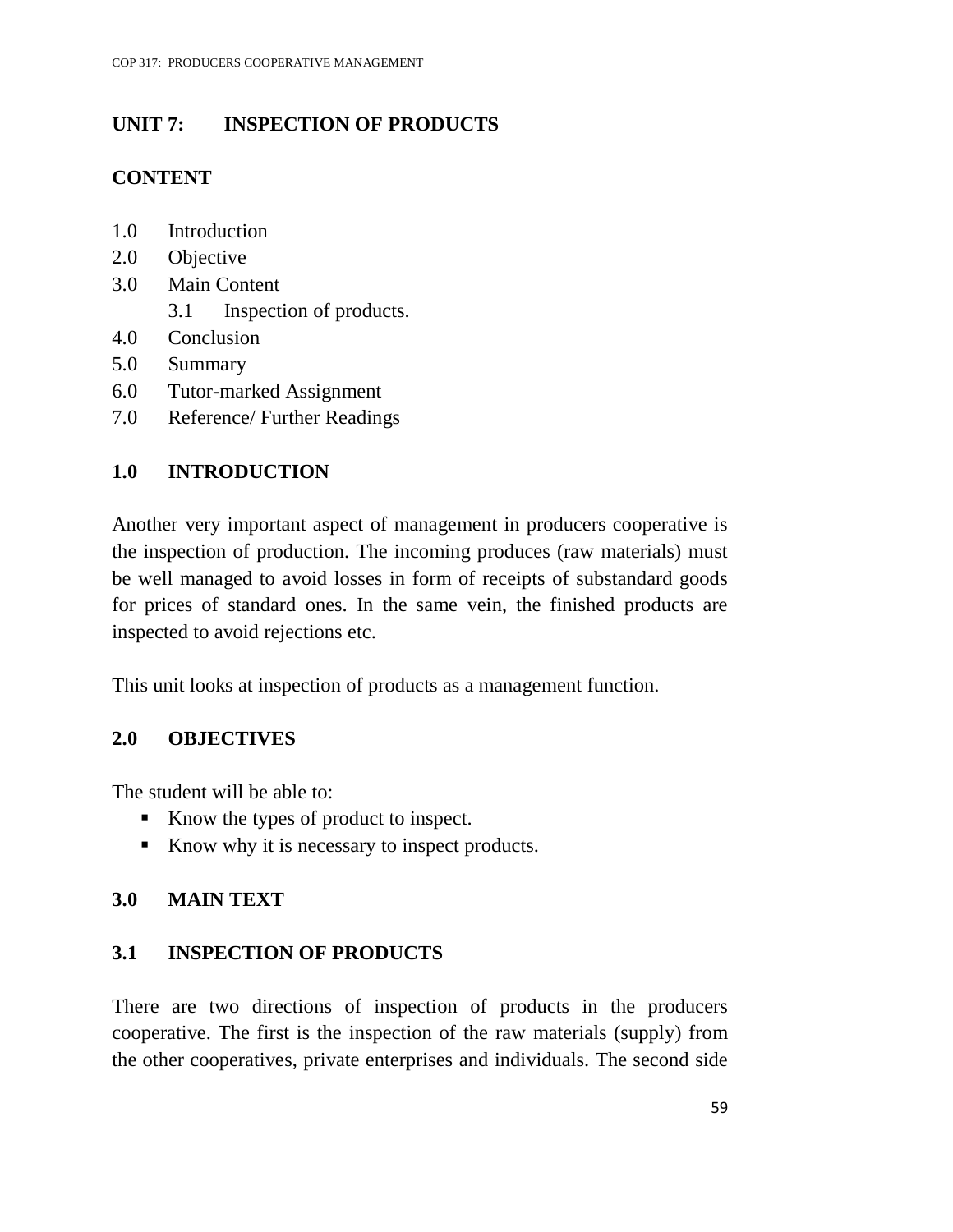# **UNIT 7: INSPECTION OF PRODUCTS**

# **CONTENT**

- 1.0 Introduction
- 2.0 Objective
- 3.0 Main Content
	- 3.1 Inspection of products.
- 4.0 Conclusion
- 5.0 Summary
- 6.0 Tutor-marked Assignment
- 7.0 Reference/ Further Readings

# **1.0 INTRODUCTION**

Another very important aspect of management in producers cooperative is the inspection of production. The incoming produces (raw materials) must be well managed to avoid losses in form of receipts of substandard goods for prices of standard ones. In the same vein, the finished products are inspected to avoid rejections etc.

This unit looks at inspection of products as a management function.

## **2.0 OBJECTIVES**

The student will be able to:

- Know the types of product to inspect.
- Know why it is necessary to inspect products.

## **3.0 MAIN TEXT**

## **3.1 INSPECTION OF PRODUCTS**

There are two directions of inspection of products in the producers cooperative. The first is the inspection of the raw materials (supply) from the other cooperatives, private enterprises and individuals. The second side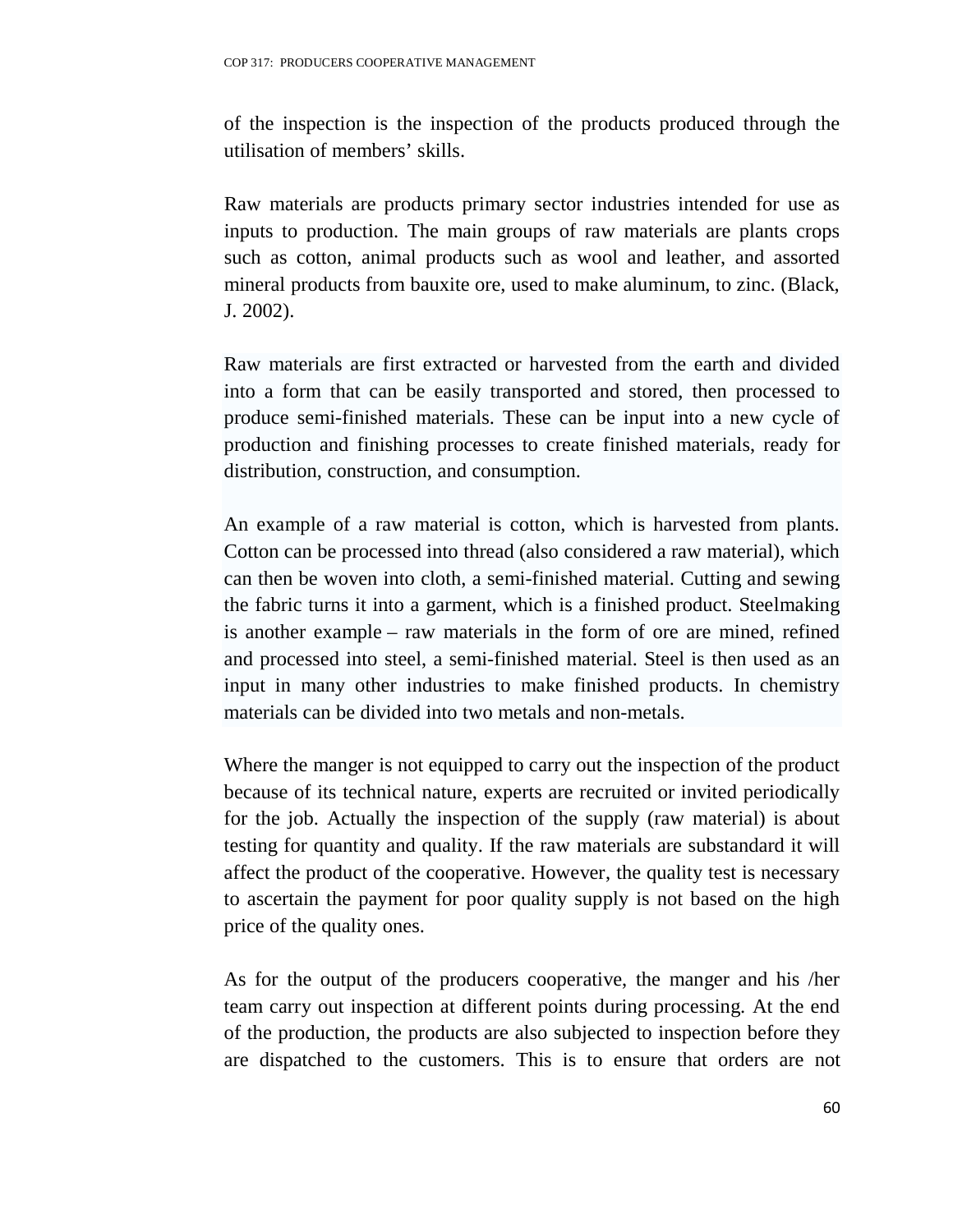of the inspection is the inspection of the products produced through the utilisation of members' skills.

Raw materials are products primary sector industries intended for use as inputs to production. The main groups of raw materials are plants crops such as cotton, animal products such as wool and leather, and assorted mineral products from bauxite ore, used to make aluminum, to zinc. (Black, J. 2002).

Raw materials are first extracted or harvested from the earth and divided into a form that can be easily transported and stored, then processed to produce semi-finished materials. These can be input into a new cycle of production and [finishing](http://en.wikipedia.org/wiki/Finishing_%28disambiguation%29) processes to create finished materials, ready for [distribution,](http://en.wikipedia.org/wiki/Distribution_%28business%29) [construction,](http://en.wikipedia.org/wiki/Construction) and [consumption.](http://en.wikipedia.org/wiki/Consumption_%28economics%29)

An example of a raw material is [cotton,](http://en.wikipedia.org/wiki/Cotton) which is harvested from plants. Cotton can be processed into thread (also considered a raw material), which can then be woven into [cloth,](http://en.wikipedia.org/wiki/Textile) a semi-finished material. Cutting and sewing the fabric turns it into a [garment,](http://en.wikipedia.org/wiki/Clothing) which is a finished product. [Steelmaking](http://en.wikipedia.org/wiki/Steelmaking) is another example – raw materials in the form of [ore](http://en.wikipedia.org/wiki/Ore) are mined, refined and processed into [steel,](http://en.wikipedia.org/wiki/Steel) a semi-finished material. Steel is then used as an input in many other industries to make finished products. In chemistry materials can be divided into two [metals](http://en.wikipedia.org/wiki/Metals) and [non-metals.](http://en.wikipedia.org/wiki/Non-metals)

Where the manger is not equipped to carry out the inspection of the product because of its technical nature, experts are recruited or invited periodically for the job. Actually the inspection of the supply (raw material) is about testing for quantity and quality. If the raw materials are substandard it will affect the product of the cooperative. However, the quality test is necessary to ascertain the payment for poor quality supply is not based on the high price of the quality ones.

As for the output of the producers cooperative, the manger and his /her team carry out inspection at different points during processing. At the end of the production, the products are also subjected to inspection before they are dispatched to the customers. This is to ensure that orders are not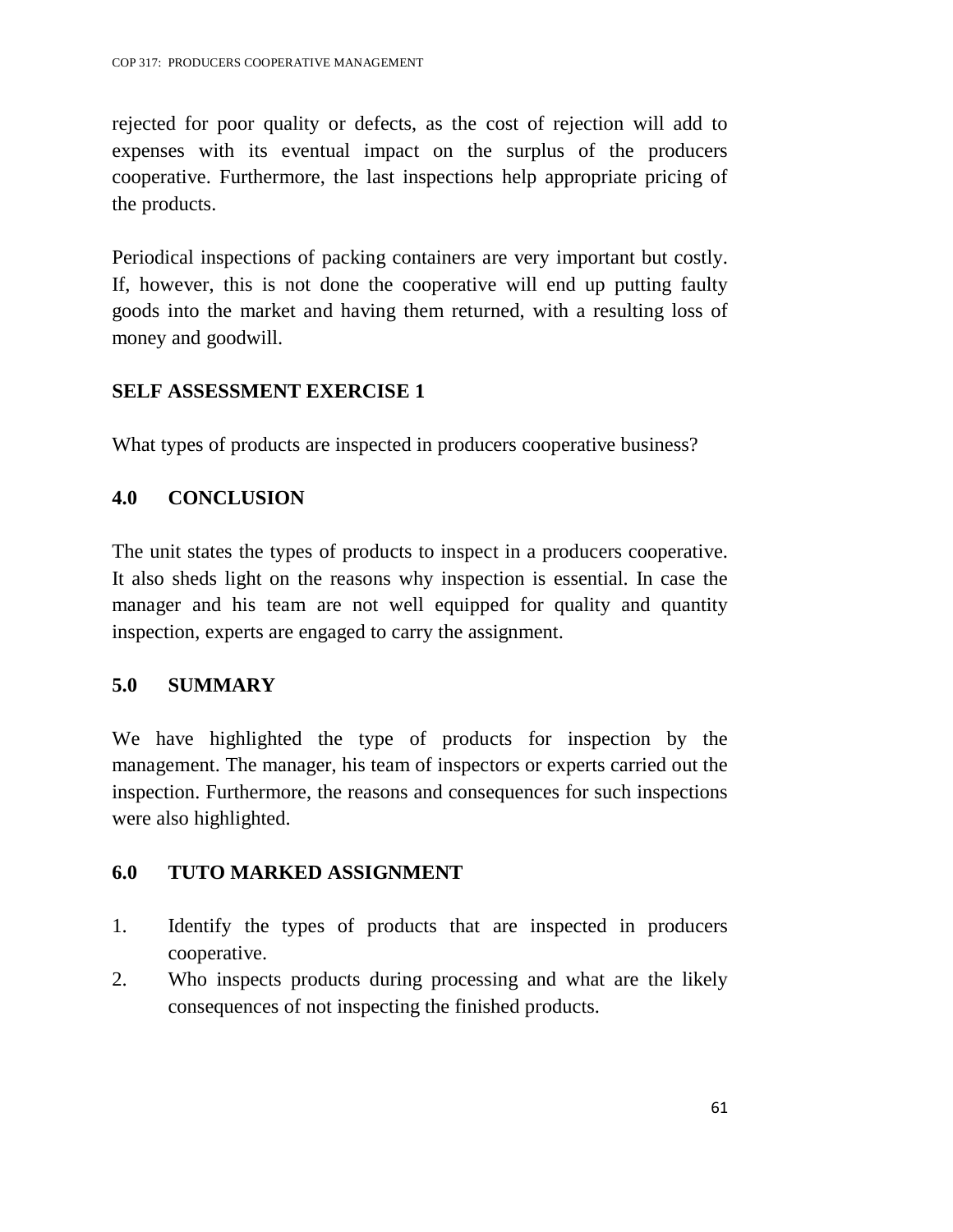rejected for poor quality or defects, as the cost of rejection will add to expenses with its eventual impact on the surplus of the producers cooperative. Furthermore, the last inspections help appropriate pricing of the products.

Periodical inspections of packing containers are very important but costly. If, however, this is not done the cooperative will end up putting faulty goods into the market and having them returned, with a resulting loss of money and goodwill.

#### **SELF ASSESSMENT EXERCISE 1**

What types of products are inspected in producers cooperative business?

#### **4.0 CONCLUSION**

The unit states the types of products to inspect in a producers cooperative. It also sheds light on the reasons why inspection is essential. In case the manager and his team are not well equipped for quality and quantity inspection, experts are engaged to carry the assignment.

#### **5.0 SUMMARY**

We have highlighted the type of products for inspection by the management. The manager, his team of inspectors or experts carried out the inspection. Furthermore, the reasons and consequences for such inspections were also highlighted.

#### **6.0 TUTO MARKED ASSIGNMENT**

- 1. Identify the types of products that are inspected in producers cooperative.
- 2. Who inspects products during processing and what are the likely consequences of not inspecting the finished products.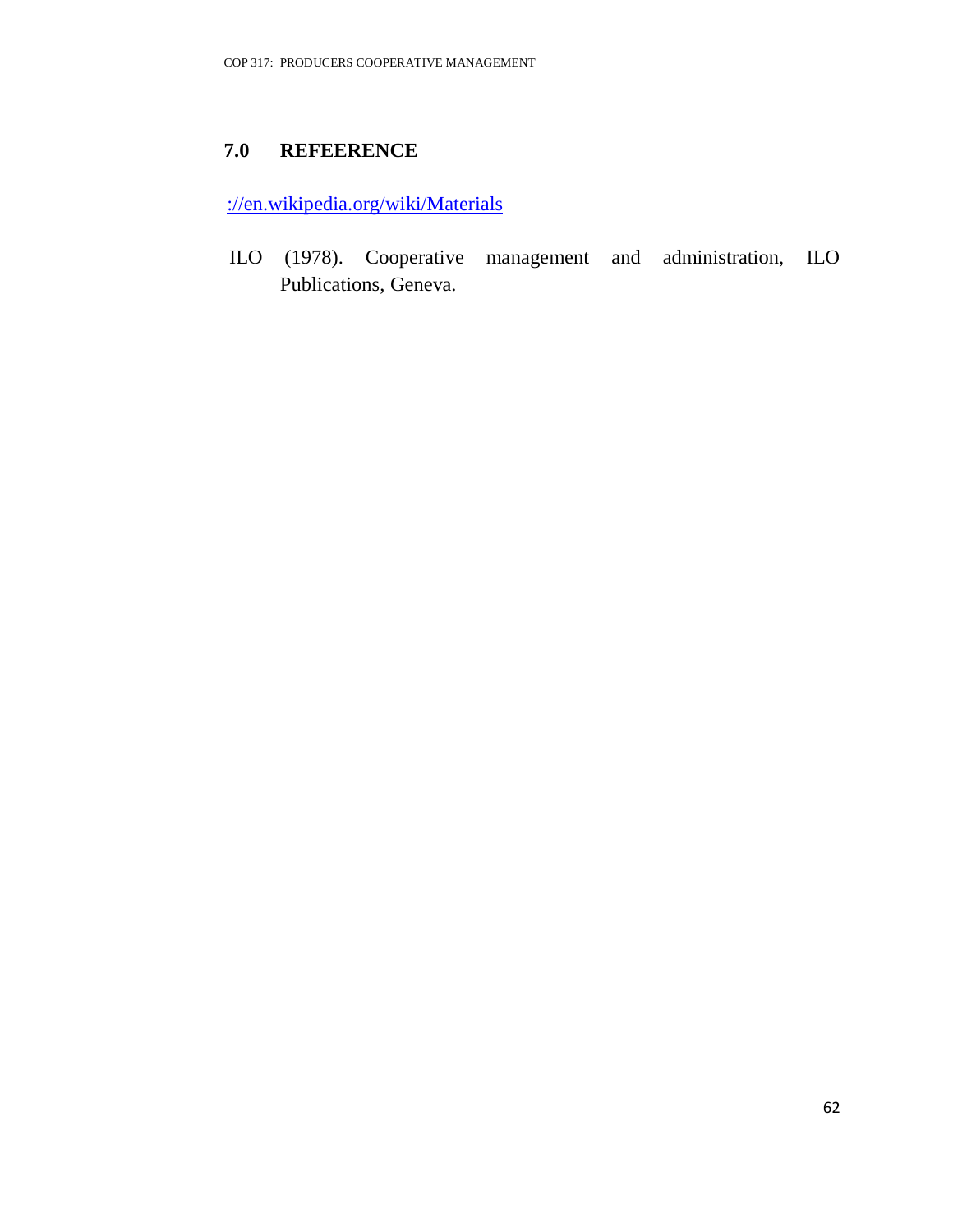### **7.0 REFEERENCE**

[://en.wikipedia.org/wiki/Materials](http://en.wikipedia.org/wiki/Materials)

ILO (1978). Cooperative management and administration, ILO Publications, Geneva.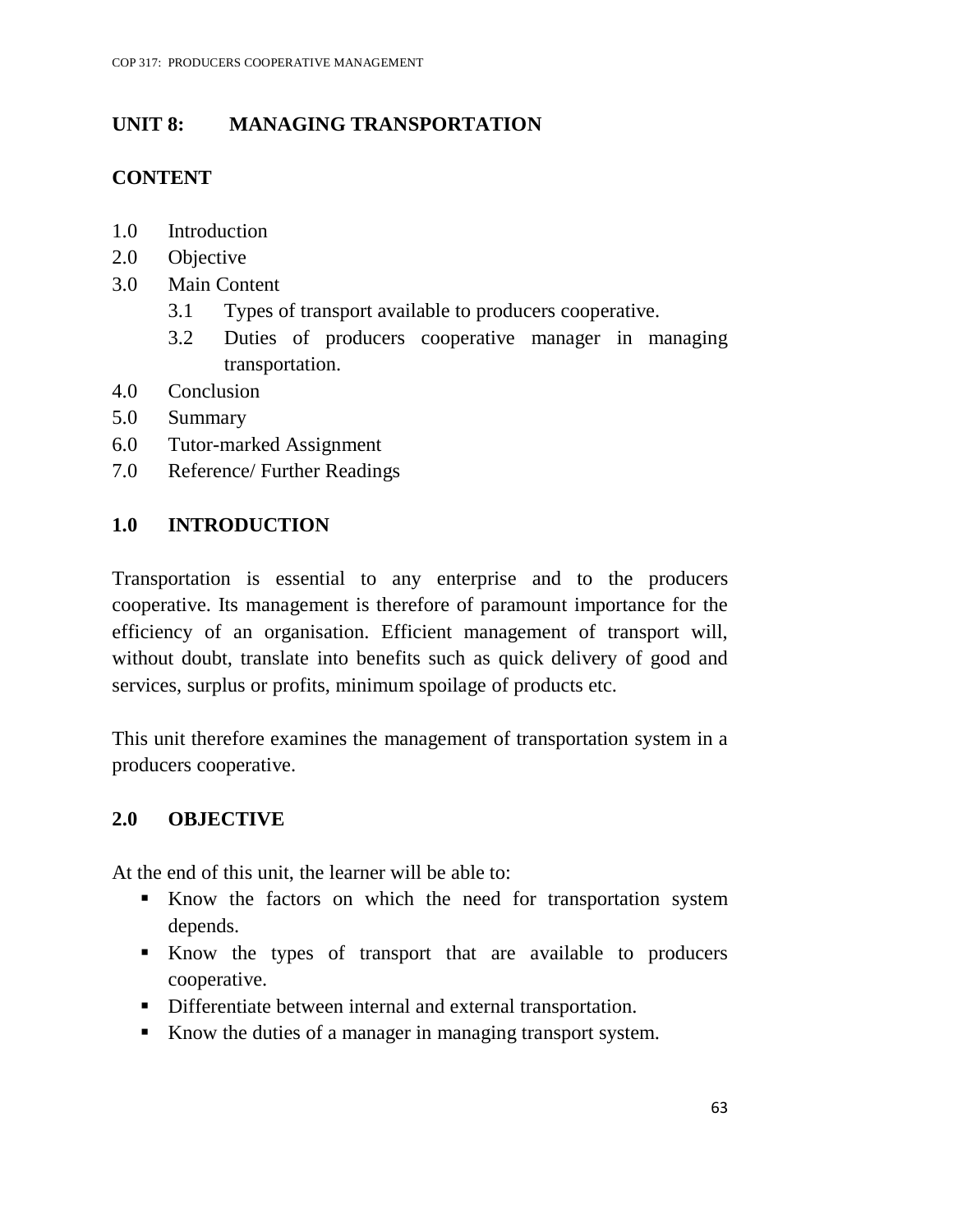# **UNIT 8: MANAGING TRANSPORTATION**

# **CONTENT**

- 1.0 Introduction
- 2.0 Objective
- 3.0 Main Content
	- 3.1 Types of transport available to producers cooperative.
	- 3.2 Duties of producers cooperative manager in managing transportation.
- 4.0 Conclusion
- 5.0 Summary
- 6.0 Tutor-marked Assignment
- 7.0 Reference/ Further Readings

## **1.0 INTRODUCTION**

Transportation is essential to any enterprise and to the producers cooperative. Its management is therefore of paramount importance for the efficiency of an organisation. Efficient management of transport will, without doubt, translate into benefits such as quick delivery of good and services, surplus or profits, minimum spoilage of products etc.

This unit therefore examines the management of transportation system in a producers cooperative.

## **2.0 OBJECTIVE**

At the end of this unit, the learner will be able to:

- Know the factors on which the need for transportation system depends.
- Know the types of transport that are available to producers cooperative.
- Differentiate between internal and external transportation.
- Know the duties of a manager in managing transport system.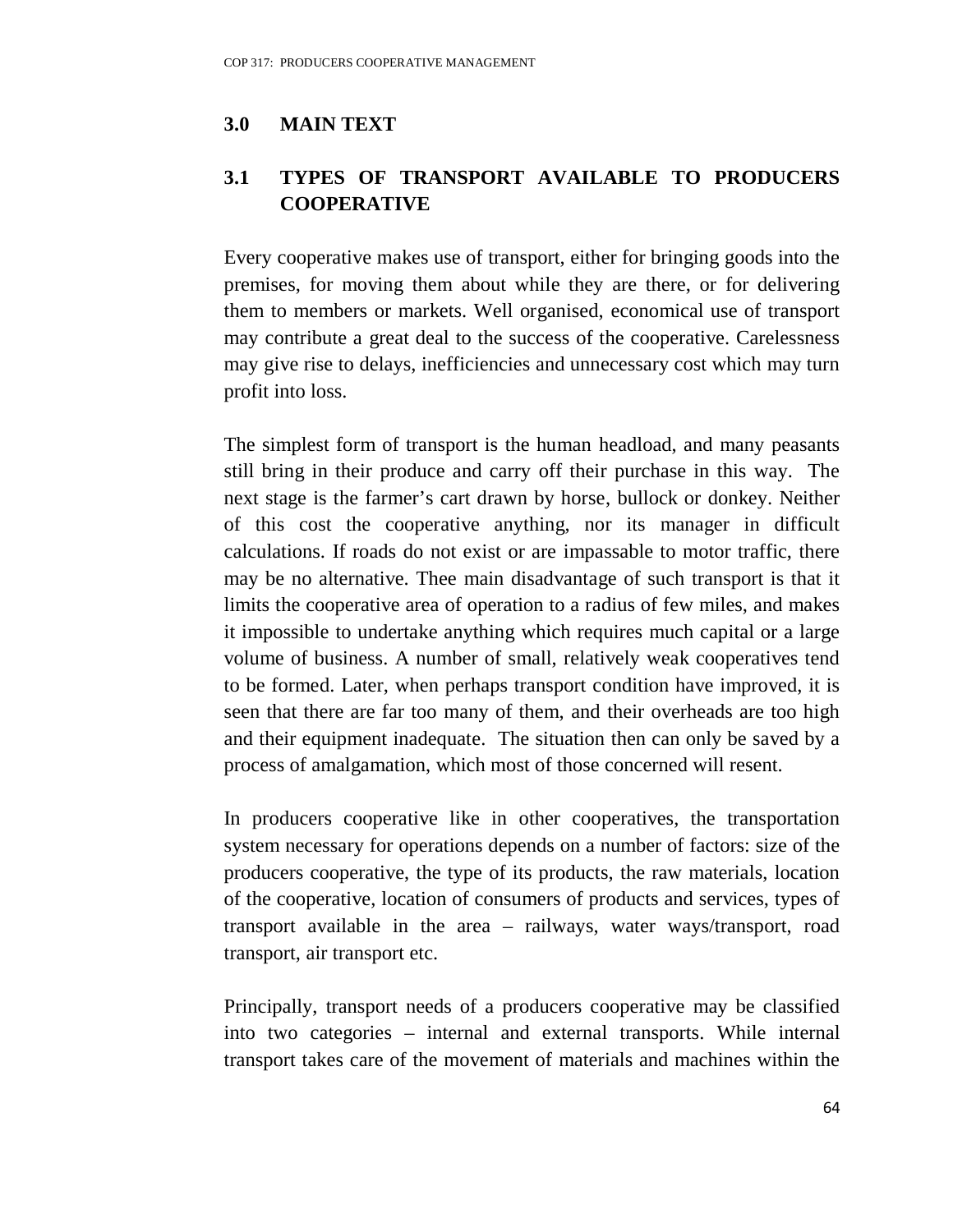## **3.0 MAIN TEXT**

# **3.1 TYPES OF TRANSPORT AVAILABLE TO PRODUCERS COOPERATIVE**

Every cooperative makes use of transport, either for bringing goods into the premises, for moving them about while they are there, or for delivering them to members or markets. Well organised, economical use of transport may contribute a great deal to the success of the cooperative. Carelessness may give rise to delays, inefficiencies and unnecessary cost which may turn profit into loss.

The simplest form of transport is the human headload, and many peasants still bring in their produce and carry off their purchase in this way. The next stage is the farmer's cart drawn by horse, bullock or donkey. Neither of this cost the cooperative anything, nor its manager in difficult calculations. If roads do not exist or are impassable to motor traffic, there may be no alternative. Thee main disadvantage of such transport is that it limits the cooperative area of operation to a radius of few miles, and makes it impossible to undertake anything which requires much capital or a large volume of business. A number of small, relatively weak cooperatives tend to be formed. Later, when perhaps transport condition have improved, it is seen that there are far too many of them, and their overheads are too high and their equipment inadequate. The situation then can only be saved by a process of amalgamation, which most of those concerned will resent.

In producers cooperative like in other cooperatives, the transportation system necessary for operations depends on a number of factors: size of the producers cooperative, the type of its products, the raw materials, location of the cooperative, location of consumers of products and services, types of transport available in the area – railways, water ways/transport, road transport, air transport etc.

Principally, transport needs of a producers cooperative may be classified into two categories – internal and external transports. While internal transport takes care of the movement of materials and machines within the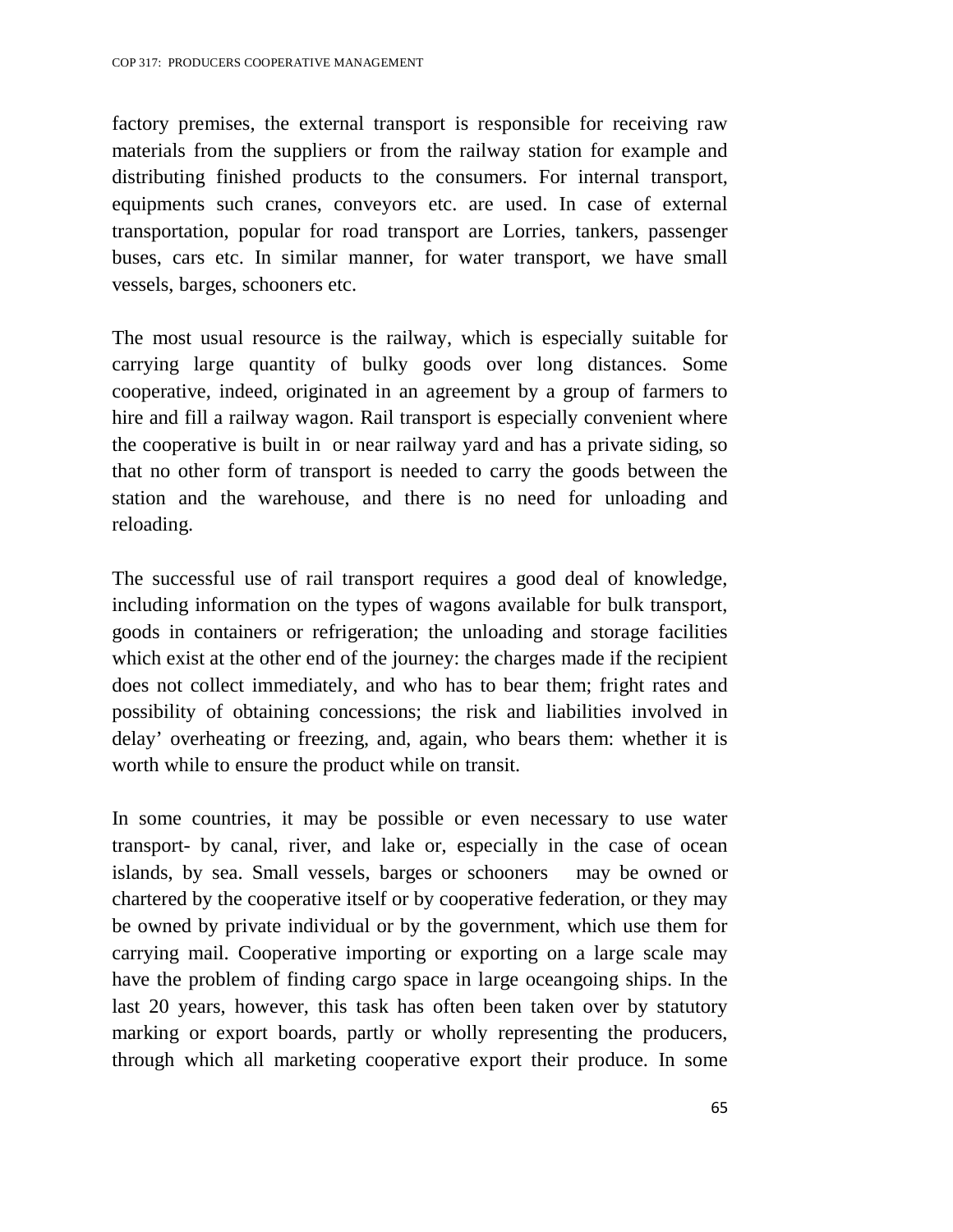factory premises, the external transport is responsible for receiving raw materials from the suppliers or from the railway station for example and distributing finished products to the consumers. For internal transport, equipments such cranes, conveyors etc. are used. In case of external transportation, popular for road transport are Lorries, tankers, passenger buses, cars etc. In similar manner, for water transport, we have small vessels, barges, schooners etc.

The most usual resource is the railway, which is especially suitable for carrying large quantity of bulky goods over long distances. Some cooperative, indeed, originated in an agreement by a group of farmers to hire and fill a railway wagon. Rail transport is especially convenient where the cooperative is built in or near railway yard and has a private siding, so that no other form of transport is needed to carry the goods between the station and the warehouse, and there is no need for unloading and reloading.

The successful use of rail transport requires a good deal of knowledge, including information on the types of wagons available for bulk transport, goods in containers or refrigeration; the unloading and storage facilities which exist at the other end of the journey: the charges made if the recipient does not collect immediately, and who has to bear them; fright rates and possibility of obtaining concessions; the risk and liabilities involved in delay' overheating or freezing, and, again, who bears them: whether it is worth while to ensure the product while on transit.

In some countries, it may be possible or even necessary to use water transport- by canal, river, and lake or, especially in the case of ocean islands, by sea. Small vessels, barges or schooners may be owned or chartered by the cooperative itself or by cooperative federation, or they may be owned by private individual or by the government, which use them for carrying mail. Cooperative importing or exporting on a large scale may have the problem of finding cargo space in large oceangoing ships. In the last 20 years, however, this task has often been taken over by statutory marking or export boards, partly or wholly representing the producers, through which all marketing cooperative export their produce. In some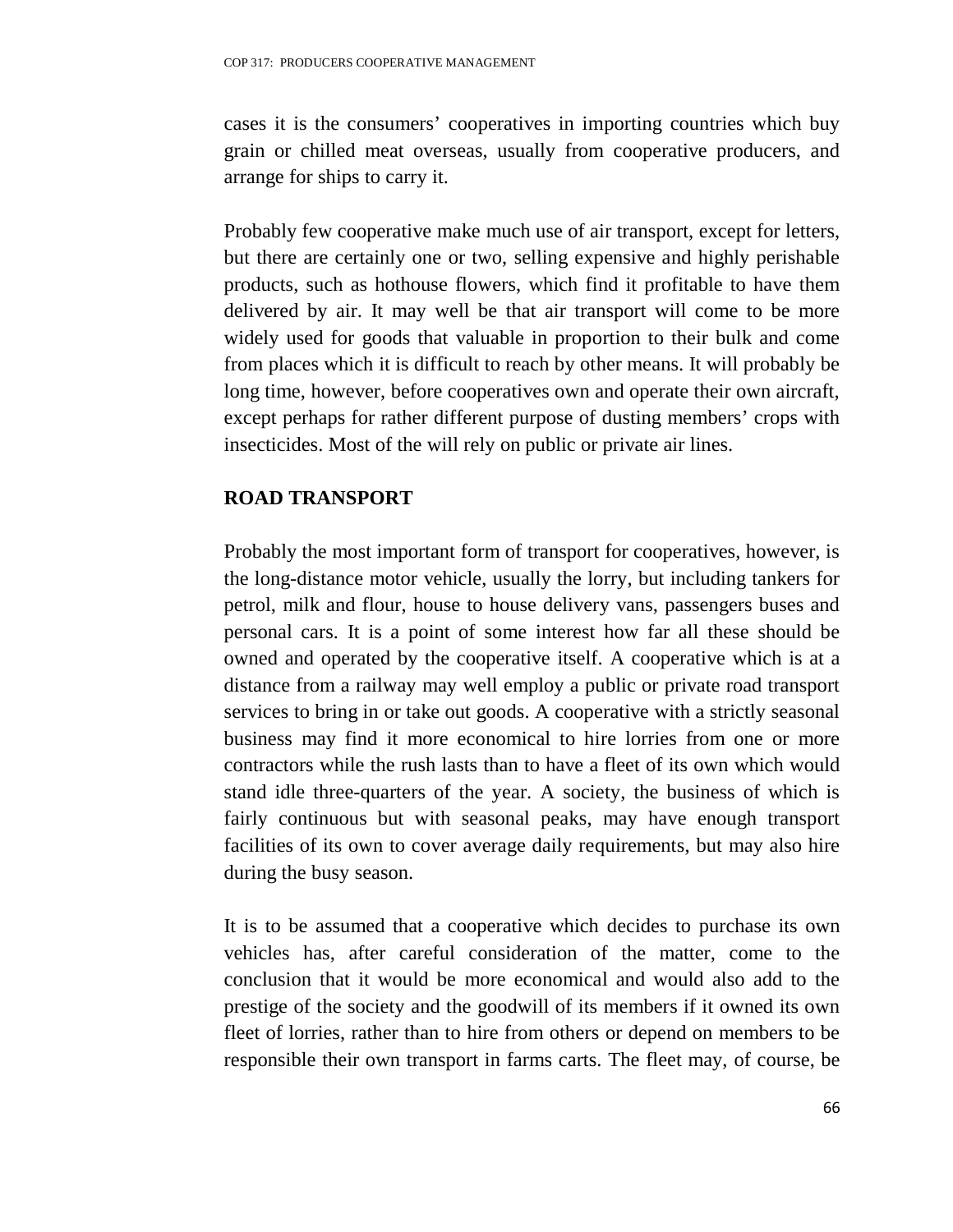cases it is the consumers' cooperatives in importing countries which buy grain or chilled meat overseas, usually from cooperative producers, and arrange for ships to carry it.

Probably few cooperative make much use of air transport, except for letters, but there are certainly one or two, selling expensive and highly perishable products, such as hothouse flowers, which find it profitable to have them delivered by air. It may well be that air transport will come to be more widely used for goods that valuable in proportion to their bulk and come from places which it is difficult to reach by other means. It will probably be long time, however, before cooperatives own and operate their own aircraft, except perhaps for rather different purpose of dusting members' crops with insecticides. Most of the will rely on public or private air lines.

#### **ROAD TRANSPORT**

Probably the most important form of transport for cooperatives, however, is the long-distance motor vehicle, usually the lorry, but including tankers for petrol, milk and flour, house to house delivery vans, passengers buses and personal cars. It is a point of some interest how far all these should be owned and operated by the cooperative itself. A cooperative which is at a distance from a railway may well employ a public or private road transport services to bring in or take out goods. A cooperative with a strictly seasonal business may find it more economical to hire lorries from one or more contractors while the rush lasts than to have a fleet of its own which would stand idle three-quarters of the year. A society, the business of which is fairly continuous but with seasonal peaks, may have enough transport facilities of its own to cover average daily requirements, but may also hire during the busy season.

It is to be assumed that a cooperative which decides to purchase its own vehicles has, after careful consideration of the matter, come to the conclusion that it would be more economical and would also add to the prestige of the society and the goodwill of its members if it owned its own fleet of lorries, rather than to hire from others or depend on members to be responsible their own transport in farms carts. The fleet may, of course, be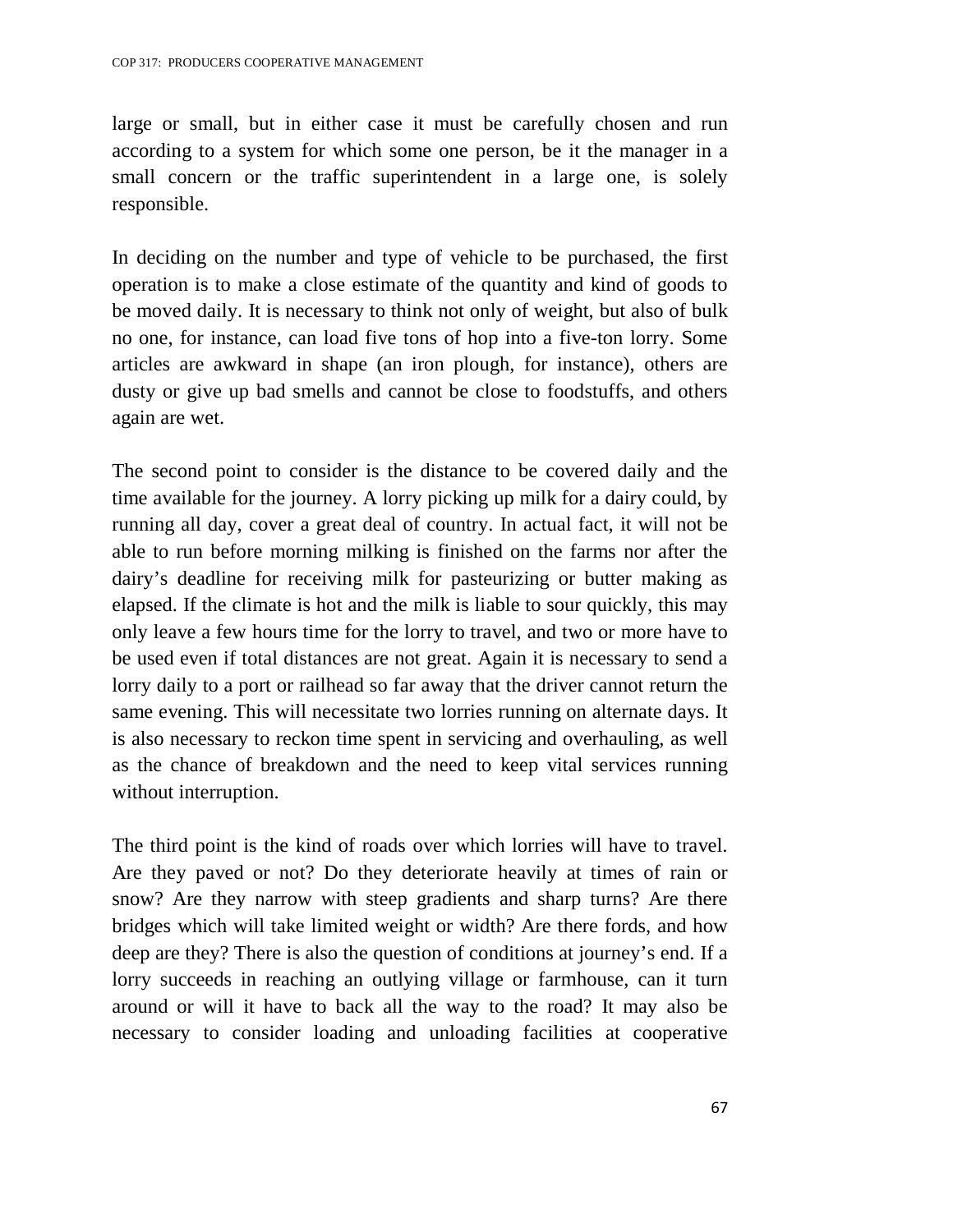large or small, but in either case it must be carefully chosen and run according to a system for which some one person, be it the manager in a small concern or the traffic superintendent in a large one, is solely responsible.

In deciding on the number and type of vehicle to be purchased, the first operation is to make a close estimate of the quantity and kind of goods to be moved daily. It is necessary to think not only of weight, but also of bulk no one, for instance, can load five tons of hop into a five-ton lorry. Some articles are awkward in shape (an iron plough, for instance), others are dusty or give up bad smells and cannot be close to foodstuffs, and others again are wet.

The second point to consider is the distance to be covered daily and the time available for the journey. A lorry picking up milk for a dairy could, by running all day, cover a great deal of country. In actual fact, it will not be able to run before morning milking is finished on the farms nor after the dairy's deadline for receiving milk for pasteurizing or butter making as elapsed. If the climate is hot and the milk is liable to sour quickly, this may only leave a few hours time for the lorry to travel, and two or more have to be used even if total distances are not great. Again it is necessary to send a lorry daily to a port or railhead so far away that the driver cannot return the same evening. This will necessitate two lorries running on alternate days. It is also necessary to reckon time spent in servicing and overhauling, as well as the chance of breakdown and the need to keep vital services running without interruption.

The third point is the kind of roads over which lorries will have to travel. Are they paved or not? Do they deteriorate heavily at times of rain or snow? Are they narrow with steep gradients and sharp turns? Are there bridges which will take limited weight or width? Are there fords, and how deep are they? There is also the question of conditions at journey's end. If a lorry succeeds in reaching an outlying village or farmhouse, can it turn around or will it have to back all the way to the road? It may also be necessary to consider loading and unloading facilities at cooperative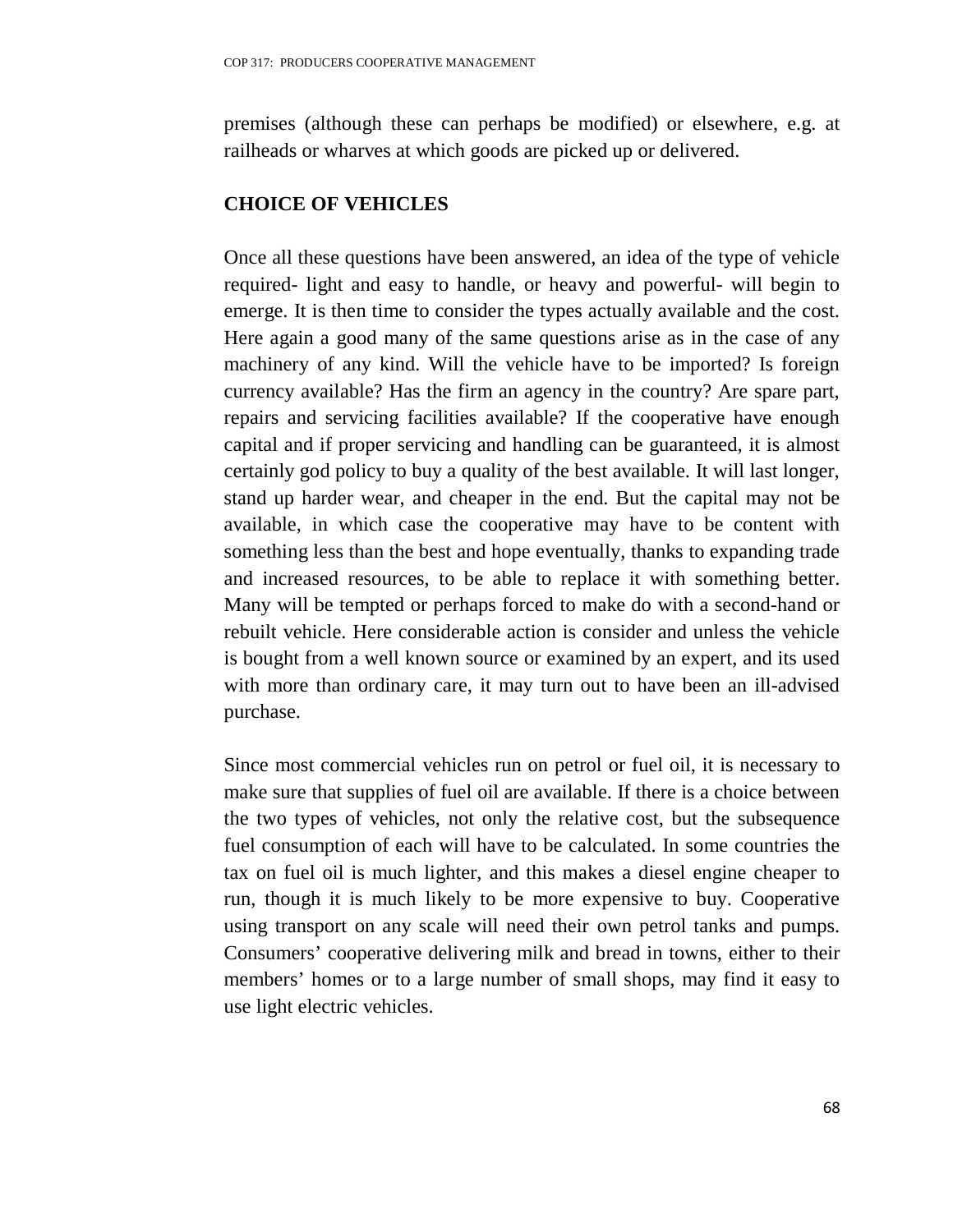premises (although these can perhaps be modified) or elsewhere, e.g. at railheads or wharves at which goods are picked up or delivered.

#### **CHOICE OF VEHICLES**

Once all these questions have been answered, an idea of the type of vehicle required- light and easy to handle, or heavy and powerful- will begin to emerge. It is then time to consider the types actually available and the cost. Here again a good many of the same questions arise as in the case of any machinery of any kind. Will the vehicle have to be imported? Is foreign currency available? Has the firm an agency in the country? Are spare part, repairs and servicing facilities available? If the cooperative have enough capital and if proper servicing and handling can be guaranteed, it is almost certainly god policy to buy a quality of the best available. It will last longer, stand up harder wear, and cheaper in the end. But the capital may not be available, in which case the cooperative may have to be content with something less than the best and hope eventually, thanks to expanding trade and increased resources, to be able to replace it with something better. Many will be tempted or perhaps forced to make do with a second-hand or rebuilt vehicle. Here considerable action is consider and unless the vehicle is bought from a well known source or examined by an expert, and its used with more than ordinary care, it may turn out to have been an ill-advised purchase.

Since most commercial vehicles run on petrol or fuel oil, it is necessary to make sure that supplies of fuel oil are available. If there is a choice between the two types of vehicles, not only the relative cost, but the subsequence fuel consumption of each will have to be calculated. In some countries the tax on fuel oil is much lighter, and this makes a diesel engine cheaper to run, though it is much likely to be more expensive to buy. Cooperative using transport on any scale will need their own petrol tanks and pumps. Consumers' cooperative delivering milk and bread in towns, either to their members' homes or to a large number of small shops, may find it easy to use light electric vehicles.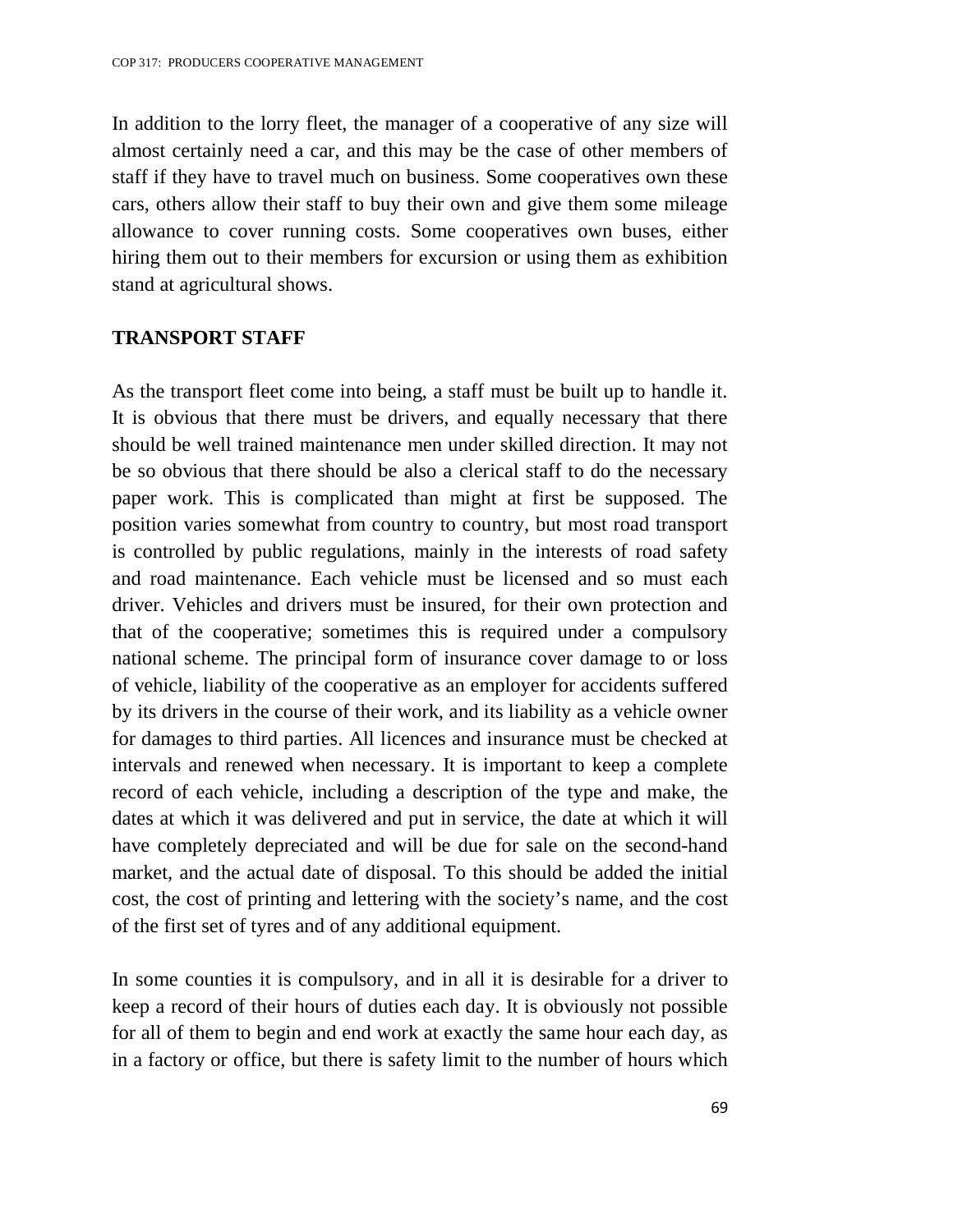In addition to the lorry fleet, the manager of a cooperative of any size will almost certainly need a car, and this may be the case of other members of staff if they have to travel much on business. Some cooperatives own these cars, others allow their staff to buy their own and give them some mileage allowance to cover running costs. Some cooperatives own buses, either hiring them out to their members for excursion or using them as exhibition stand at agricultural shows.

#### **TRANSPORT STAFF**

As the transport fleet come into being, a staff must be built up to handle it. It is obvious that there must be drivers, and equally necessary that there should be well trained maintenance men under skilled direction. It may not be so obvious that there should be also a clerical staff to do the necessary paper work. This is complicated than might at first be supposed. The position varies somewhat from country to country, but most road transport is controlled by public regulations, mainly in the interests of road safety and road maintenance. Each vehicle must be licensed and so must each driver. Vehicles and drivers must be insured, for their own protection and that of the cooperative; sometimes this is required under a compulsory national scheme. The principal form of insurance cover damage to or loss of vehicle, liability of the cooperative as an employer for accidents suffered by its drivers in the course of their work, and its liability as a vehicle owner for damages to third parties. All licences and insurance must be checked at intervals and renewed when necessary. It is important to keep a complete record of each vehicle, including a description of the type and make, the dates at which it was delivered and put in service, the date at which it will have completely depreciated and will be due for sale on the second-hand market, and the actual date of disposal. To this should be added the initial cost, the cost of printing and lettering with the society's name, and the cost of the first set of tyres and of any additional equipment.

In some counties it is compulsory, and in all it is desirable for a driver to keep a record of their hours of duties each day. It is obviously not possible for all of them to begin and end work at exactly the same hour each day, as in a factory or office, but there is safety limit to the number of hours which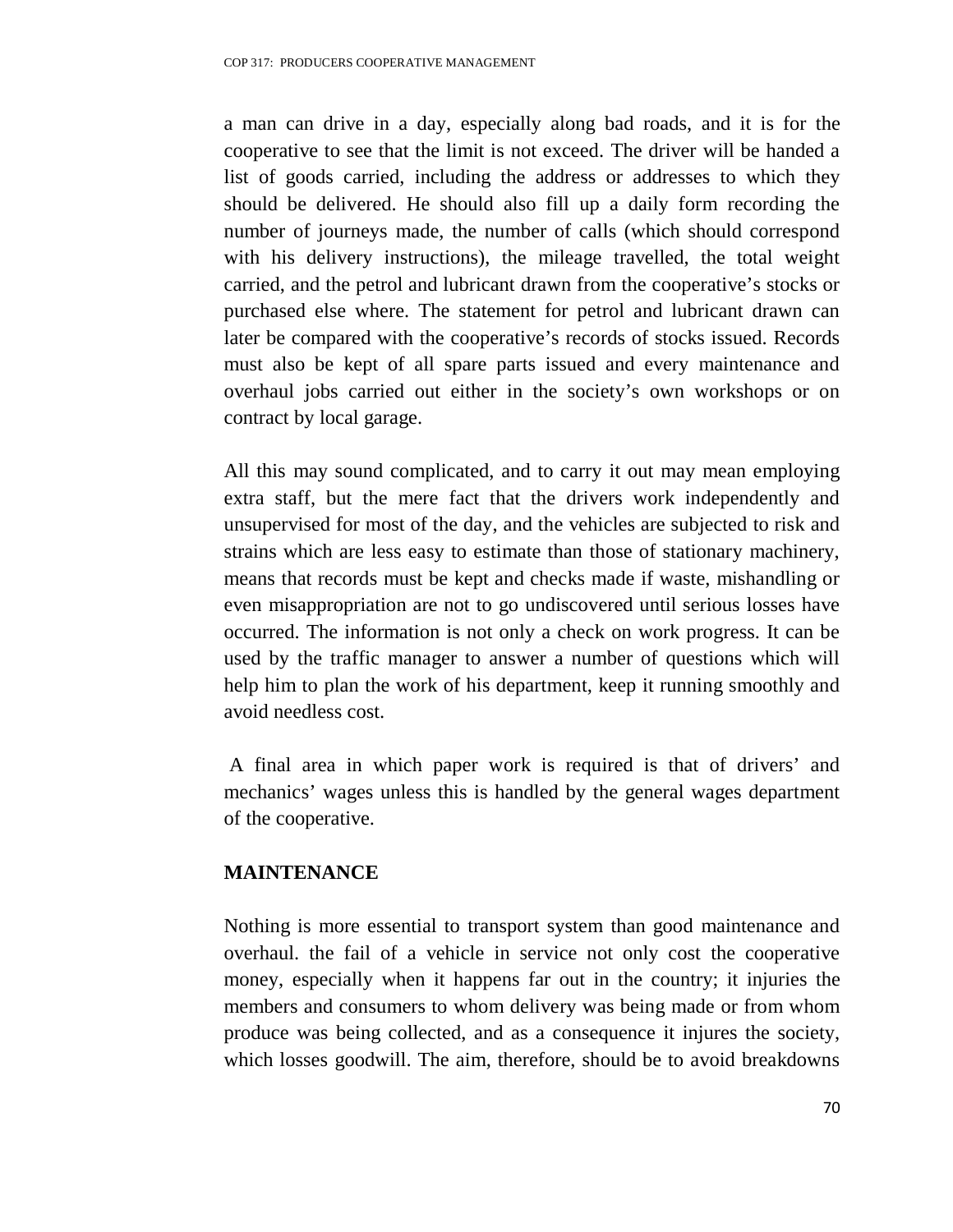a man can drive in a day, especially along bad roads, and it is for the cooperative to see that the limit is not exceed. The driver will be handed a list of goods carried, including the address or addresses to which they should be delivered. He should also fill up a daily form recording the number of journeys made, the number of calls (which should correspond with his delivery instructions), the mileage travelled, the total weight carried, and the petrol and lubricant drawn from the cooperative's stocks or purchased else where. The statement for petrol and lubricant drawn can later be compared with the cooperative's records of stocks issued. Records must also be kept of all spare parts issued and every maintenance and overhaul jobs carried out either in the society's own workshops or on contract by local garage.

All this may sound complicated, and to carry it out may mean employing extra staff, but the mere fact that the drivers work independently and unsupervised for most of the day, and the vehicles are subjected to risk and strains which are less easy to estimate than those of stationary machinery, means that records must be kept and checks made if waste, mishandling or even misappropriation are not to go undiscovered until serious losses have occurred. The information is not only a check on work progress. It can be used by the traffic manager to answer a number of questions which will help him to plan the work of his department, keep it running smoothly and avoid needless cost.

A final area in which paper work is required is that of drivers' and mechanics' wages unless this is handled by the general wages department of the cooperative.

#### **MAINTENANCE**

Nothing is more essential to transport system than good maintenance and overhaul. the fail of a vehicle in service not only cost the cooperative money, especially when it happens far out in the country; it injuries the members and consumers to whom delivery was being made or from whom produce was being collected, and as a consequence it injures the society, which losses goodwill. The aim, therefore, should be to avoid breakdowns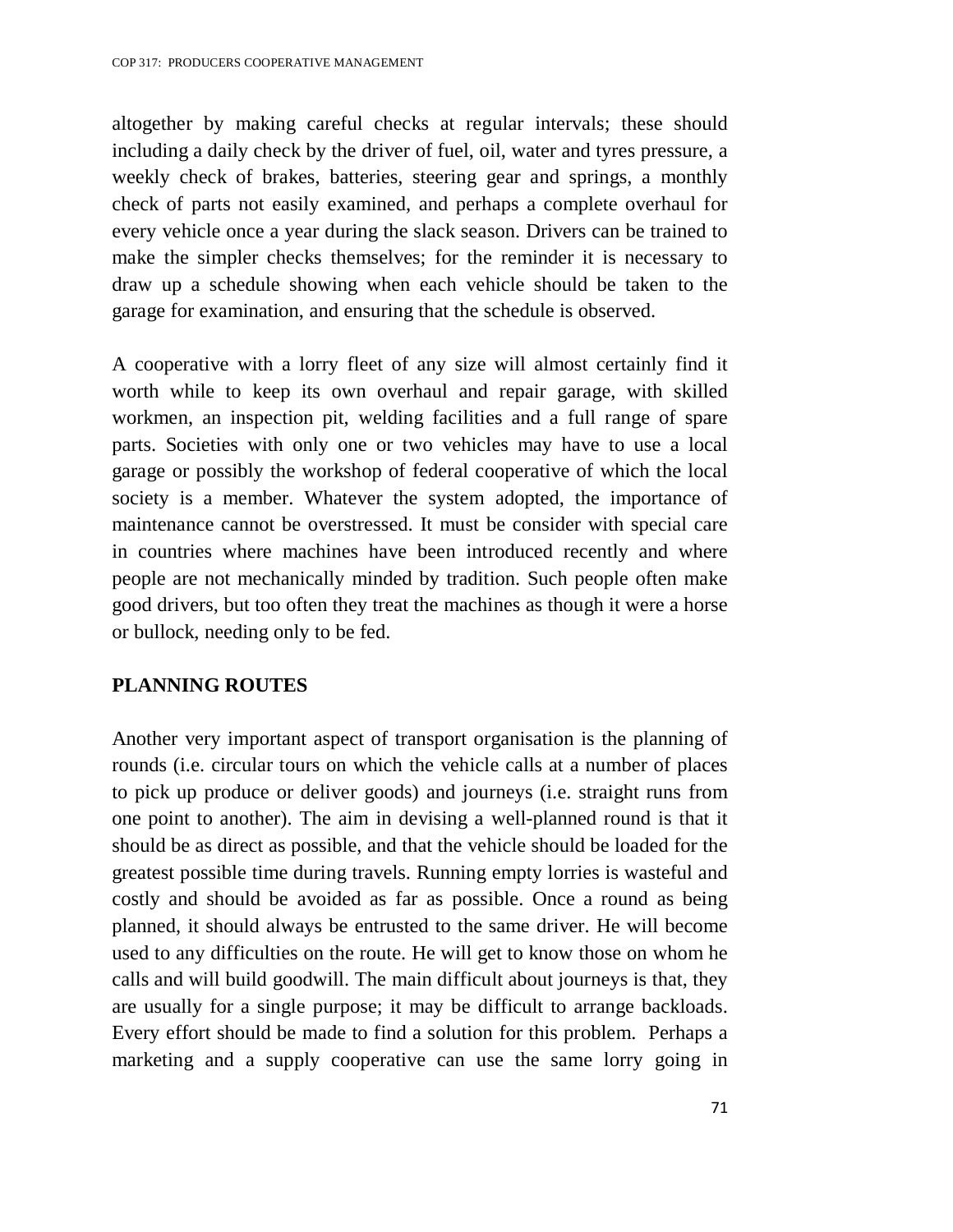altogether by making careful checks at regular intervals; these should including a daily check by the driver of fuel, oil, water and tyres pressure, a weekly check of brakes, batteries, steering gear and springs, a monthly check of parts not easily examined, and perhaps a complete overhaul for every vehicle once a year during the slack season. Drivers can be trained to make the simpler checks themselves; for the reminder it is necessary to draw up a schedule showing when each vehicle should be taken to the garage for examination, and ensuring that the schedule is observed.

A cooperative with a lorry fleet of any size will almost certainly find it worth while to keep its own overhaul and repair garage, with skilled workmen, an inspection pit, welding facilities and a full range of spare parts. Societies with only one or two vehicles may have to use a local garage or possibly the workshop of federal cooperative of which the local society is a member. Whatever the system adopted, the importance of maintenance cannot be overstressed. It must be consider with special care in countries where machines have been introduced recently and where people are not mechanically minded by tradition. Such people often make good drivers, but too often they treat the machines as though it were a horse or bullock, needing only to be fed.

#### **PLANNING ROUTES**

Another very important aspect of transport organisation is the planning of rounds (i.e. circular tours on which the vehicle calls at a number of places to pick up produce or deliver goods) and journeys (i.e. straight runs from one point to another). The aim in devising a well-planned round is that it should be as direct as possible, and that the vehicle should be loaded for the greatest possible time during travels. Running empty lorries is wasteful and costly and should be avoided as far as possible. Once a round as being planned, it should always be entrusted to the same driver. He will become used to any difficulties on the route. He will get to know those on whom he calls and will build goodwill. The main difficult about journeys is that, they are usually for a single purpose; it may be difficult to arrange backloads. Every effort should be made to find a solution for this problem. Perhaps a marketing and a supply cooperative can use the same lorry going in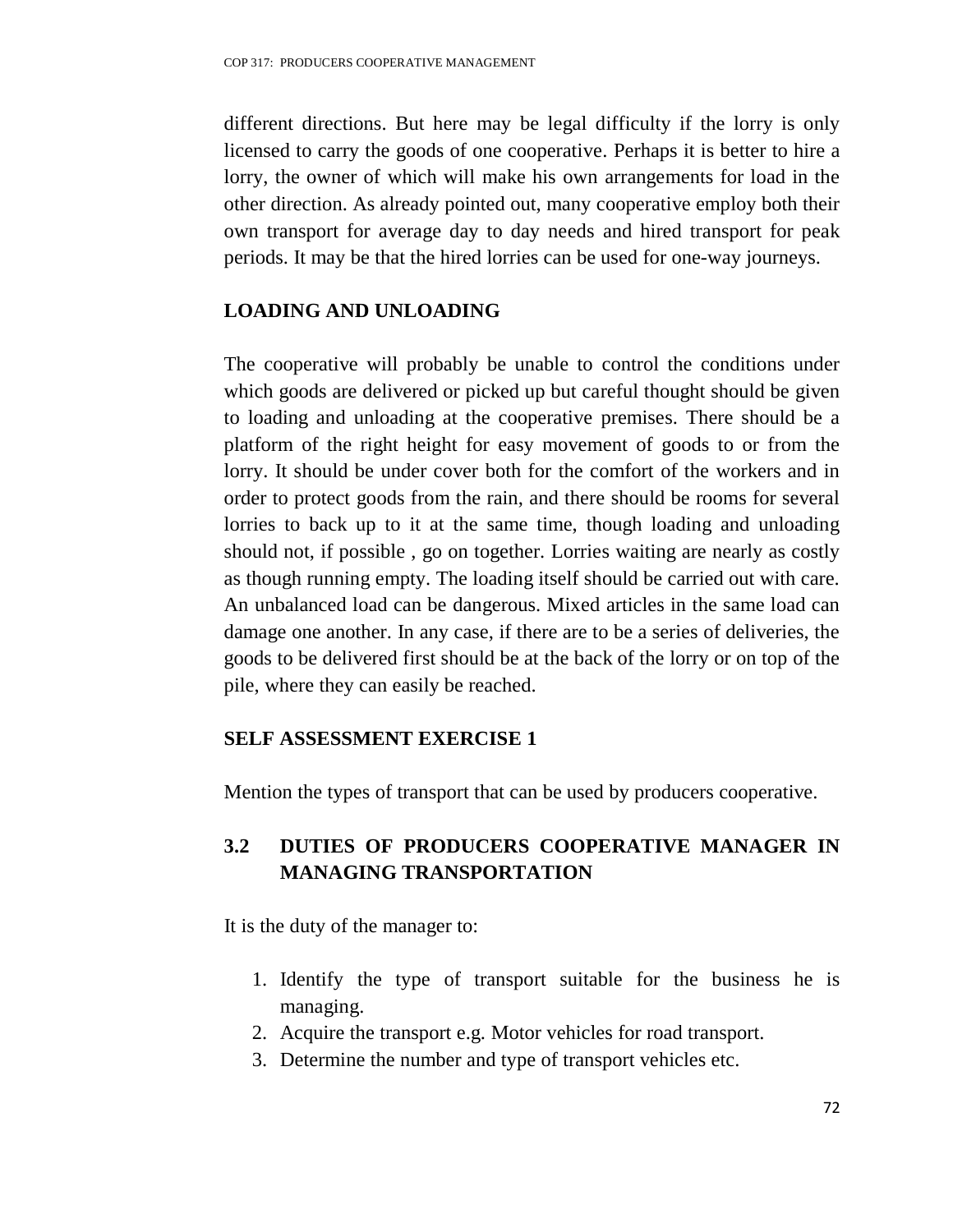different directions. But here may be legal difficulty if the lorry is only licensed to carry the goods of one cooperative. Perhaps it is better to hire a lorry, the owner of which will make his own arrangements for load in the other direction. As already pointed out, many cooperative employ both their own transport for average day to day needs and hired transport for peak periods. It may be that the hired lorries can be used for one-way journeys.

#### **LOADING AND UNLOADING**

The cooperative will probably be unable to control the conditions under which goods are delivered or picked up but careful thought should be given to loading and unloading at the cooperative premises. There should be a platform of the right height for easy movement of goods to or from the lorry. It should be under cover both for the comfort of the workers and in order to protect goods from the rain, and there should be rooms for several lorries to back up to it at the same time, though loading and unloading should not, if possible , go on together. Lorries waiting are nearly as costly as though running empty. The loading itself should be carried out with care. An unbalanced load can be dangerous. Mixed articles in the same load can damage one another. In any case, if there are to be a series of deliveries, the goods to be delivered first should be at the back of the lorry or on top of the pile, where they can easily be reached.

#### **SELF ASSESSMENT EXERCISE 1**

Mention the types of transport that can be used by producers cooperative.

# **3.2 DUTIES OF PRODUCERS COOPERATIVE MANAGER IN MANAGING TRANSPORTATION**

It is the duty of the manager to:

- 1. Identify the type of transport suitable for the business he is managing.
- 2. Acquire the transport e.g. Motor vehicles for road transport.
- 3. Determine the number and type of transport vehicles etc.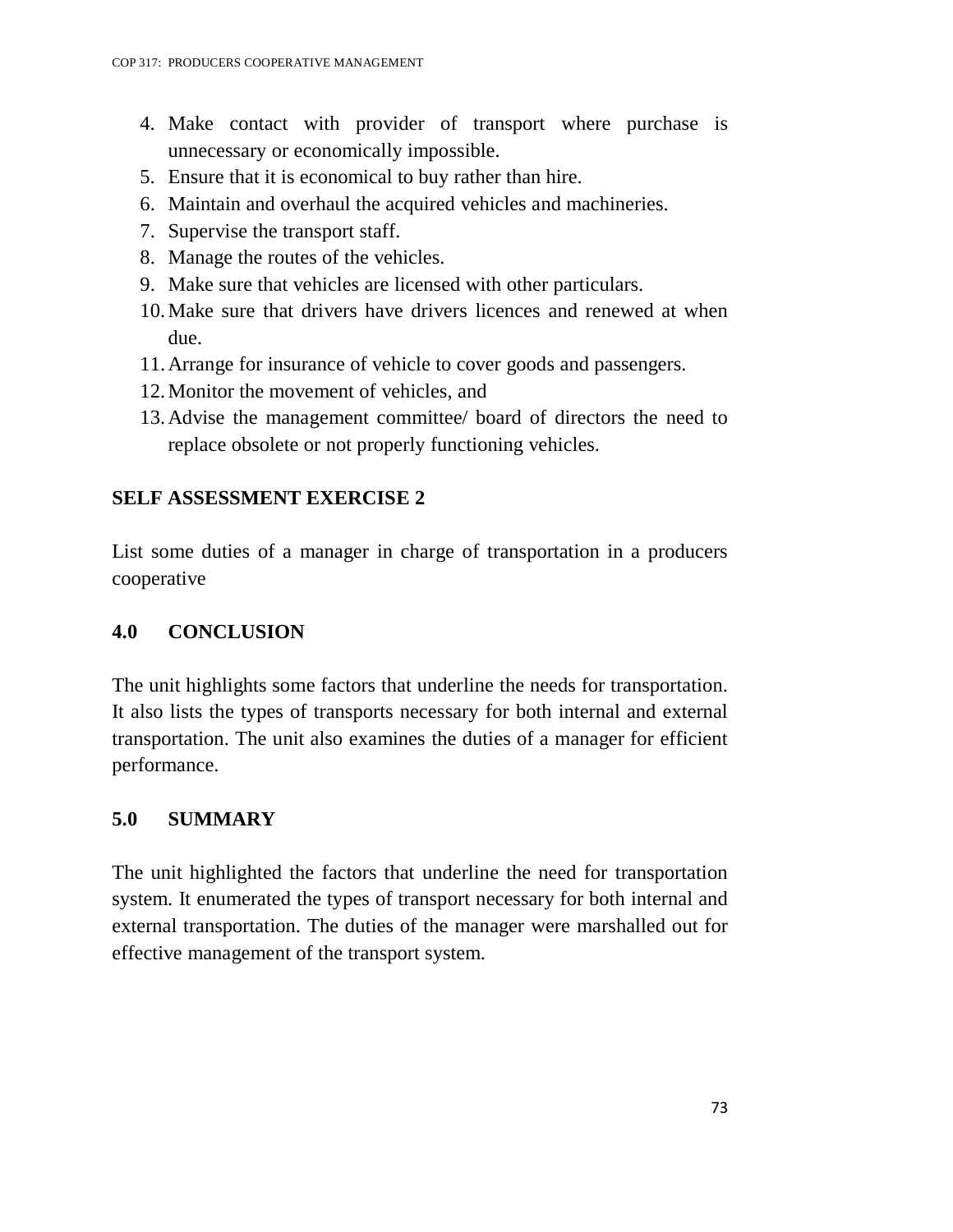- 4. Make contact with provider of transport where purchase is unnecessary or economically impossible.
- 5. Ensure that it is economical to buy rather than hire.
- 6. Maintain and overhaul the acquired vehicles and machineries.
- 7. Supervise the transport staff.
- 8. Manage the routes of the vehicles.
- 9. Make sure that vehicles are licensed with other particulars.
- 10.Make sure that drivers have drivers licences and renewed at when due.
- 11.Arrange for insurance of vehicle to cover goods and passengers.
- 12.Monitor the movement of vehicles, and
- 13.Advise the management committee/ board of directors the need to replace obsolete or not properly functioning vehicles.

# **SELF ASSESSMENT EXERCISE 2**

List some duties of a manager in charge of transportation in a producers cooperative

# **4.0 CONCLUSION**

The unit highlights some factors that underline the needs for transportation. It also lists the types of transports necessary for both internal and external transportation. The unit also examines the duties of a manager for efficient performance.

# **5.0 SUMMARY**

The unit highlighted the factors that underline the need for transportation system. It enumerated the types of transport necessary for both internal and external transportation. The duties of the manager were marshalled out for effective management of the transport system.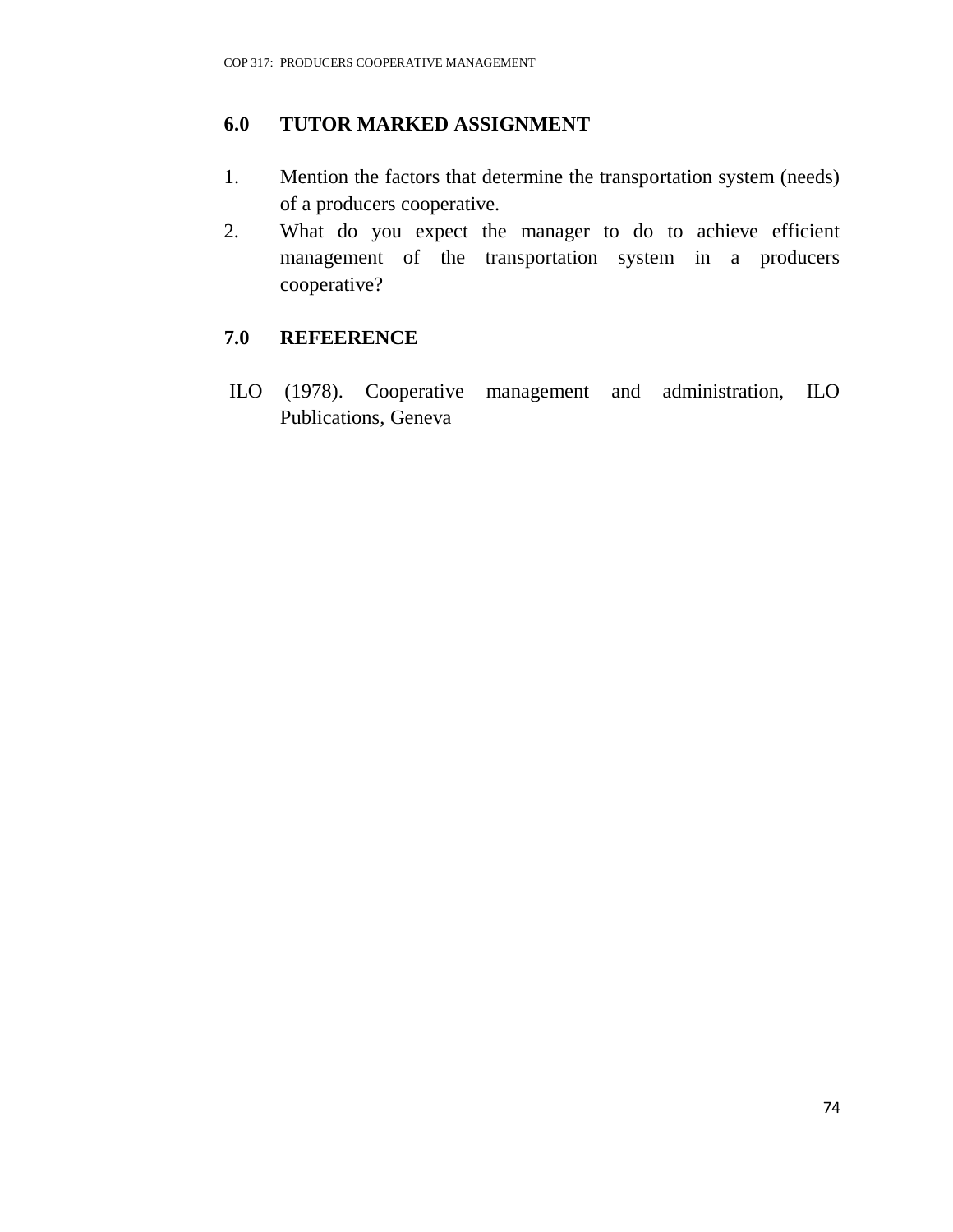# **6.0 TUTOR MARKED ASSIGNMENT**

- 1. Mention the factors that determine the transportation system (needs) of a producers cooperative.
- 2. What do you expect the manager to do to achieve efficient management of the transportation system in a producers cooperative?

# **7.0 REFEERENCE**

ILO (1978). Cooperative management and administration, ILO Publications, Geneva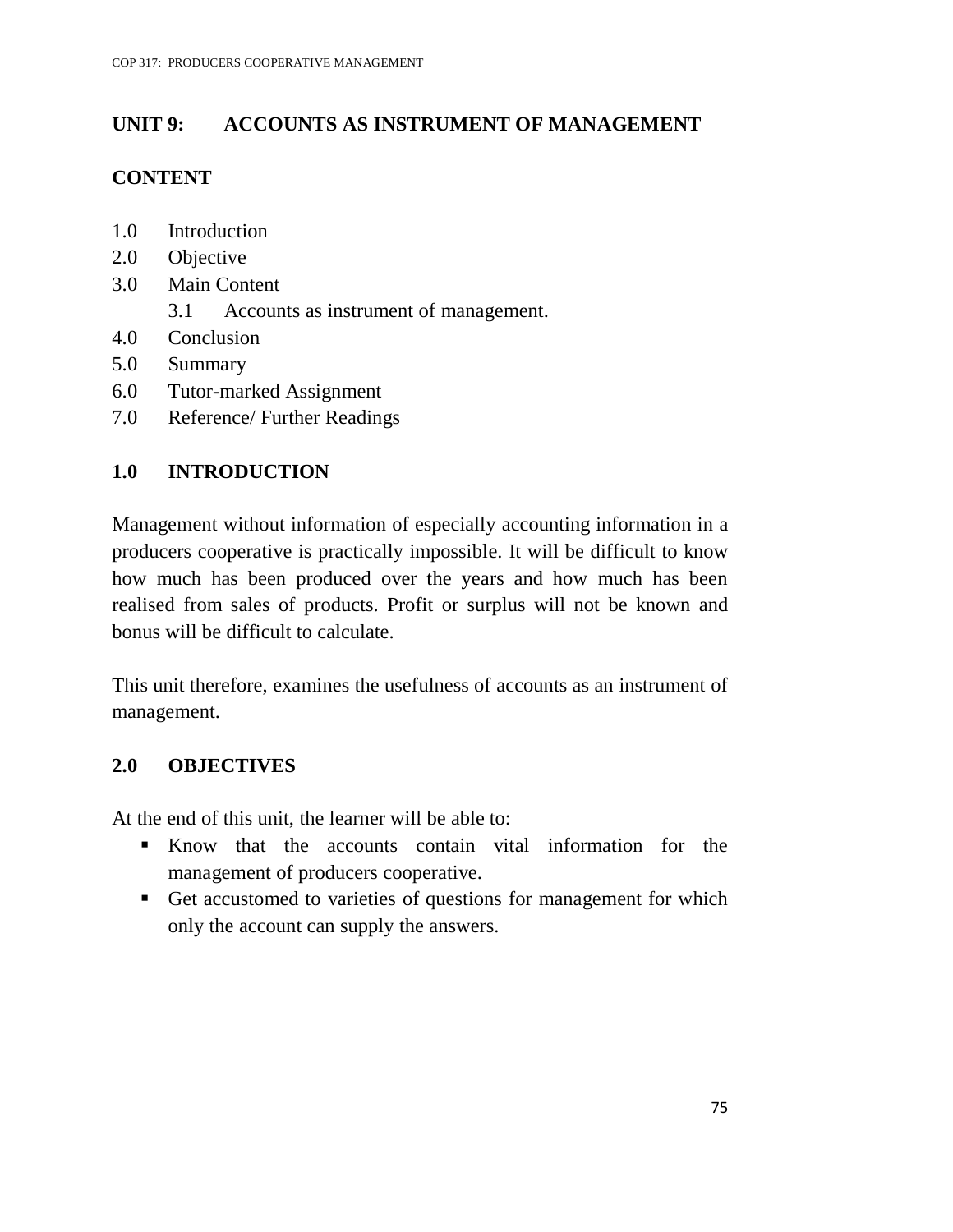# **UNIT 9: ACCOUNTS AS INSTRUMENT OF MANAGEMENT**

# **CONTENT**

- 1.0 Introduction
- 2.0 Objective
- 3.0 Main Content
	- 3.1 Accounts as instrument of management.
- 4.0 Conclusion
- 5.0 Summary
- 6.0 Tutor-marked Assignment
- 7.0 Reference/ Further Readings

# **1.0 INTRODUCTION**

Management without information of especially accounting information in a producers cooperative is practically impossible. It will be difficult to know how much has been produced over the years and how much has been realised from sales of products. Profit or surplus will not be known and bonus will be difficult to calculate.

This unit therefore, examines the usefulness of accounts as an instrument of management.

# **2.0 OBJECTIVES**

At the end of this unit, the learner will be able to:

- Know that the accounts contain vital information for the management of producers cooperative.
- Get accustomed to varieties of questions for management for which only the account can supply the answers.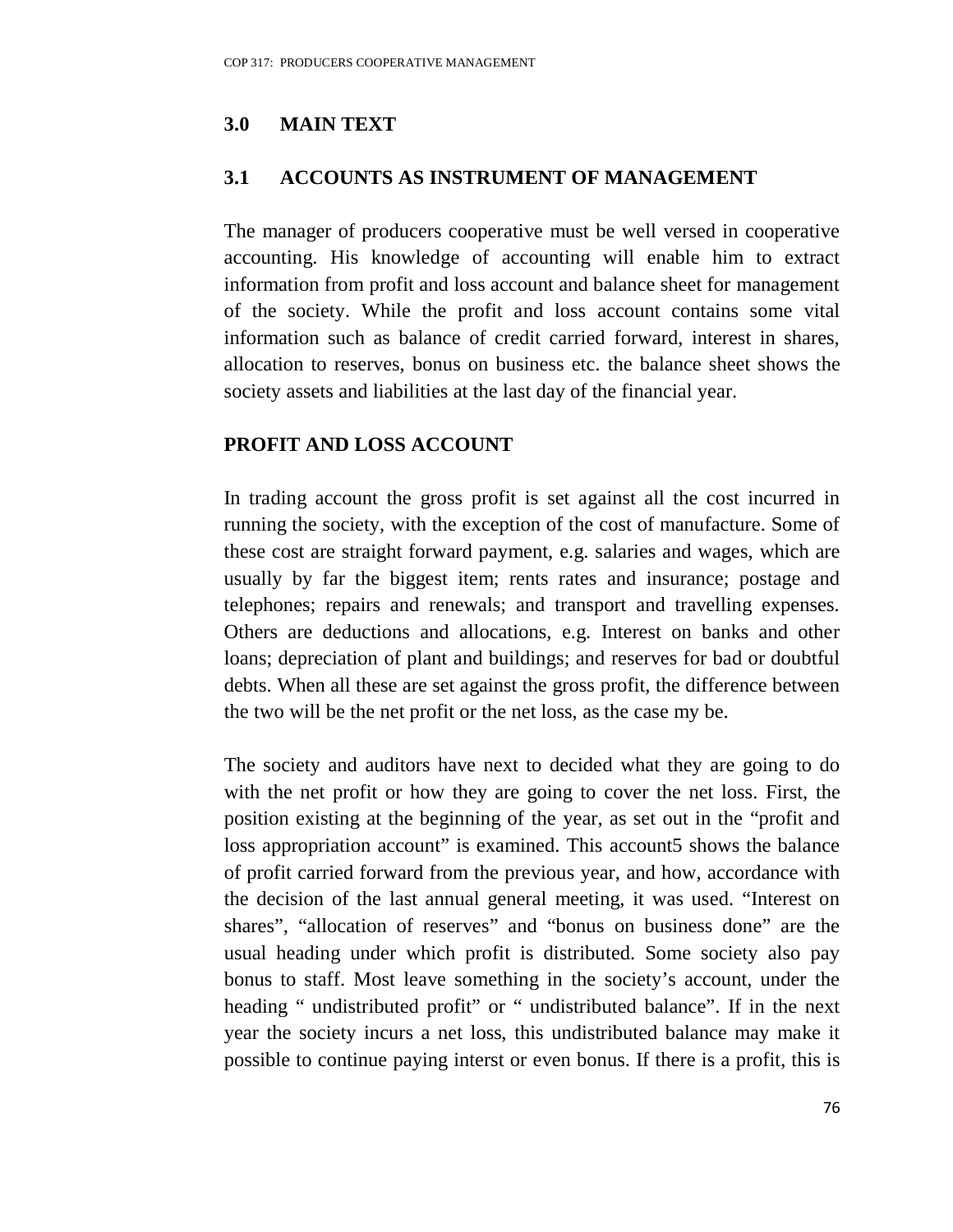## **3.0 MAIN TEXT**

## **3.1 ACCOUNTS AS INSTRUMENT OF MANAGEMENT**

The manager of producers cooperative must be well versed in cooperative accounting. His knowledge of accounting will enable him to extract information from profit and loss account and balance sheet for management of the society. While the profit and loss account contains some vital information such as balance of credit carried forward, interest in shares, allocation to reserves, bonus on business etc. the balance sheet shows the society assets and liabilities at the last day of the financial year.

### **PROFIT AND LOSS ACCOUNT**

In trading account the gross profit is set against all the cost incurred in running the society, with the exception of the cost of manufacture. Some of these cost are straight forward payment, e.g. salaries and wages, which are usually by far the biggest item; rents rates and insurance; postage and telephones; repairs and renewals; and transport and travelling expenses. Others are deductions and allocations, e.g. Interest on banks and other loans; depreciation of plant and buildings; and reserves for bad or doubtful debts. When all these are set against the gross profit, the difference between the two will be the net profit or the net loss, as the case my be.

The society and auditors have next to decided what they are going to do with the net profit or how they are going to cover the net loss. First, the position existing at the beginning of the year, as set out in the "profit and loss appropriation account" is examined. This account 5 shows the balance of profit carried forward from the previous year, and how, accordance with the decision of the last annual general meeting, it was used. "Interest on shares", "allocation of reserves" and "bonus on business done" are the usual heading under which profit is distributed. Some society also pay bonus to staff. Most leave something in the society's account, under the heading " undistributed profit" or " undistributed balance". If in the next year the society incurs a net loss, this undistributed balance may make it possible to continue paying interst or even bonus. If there is a profit, this is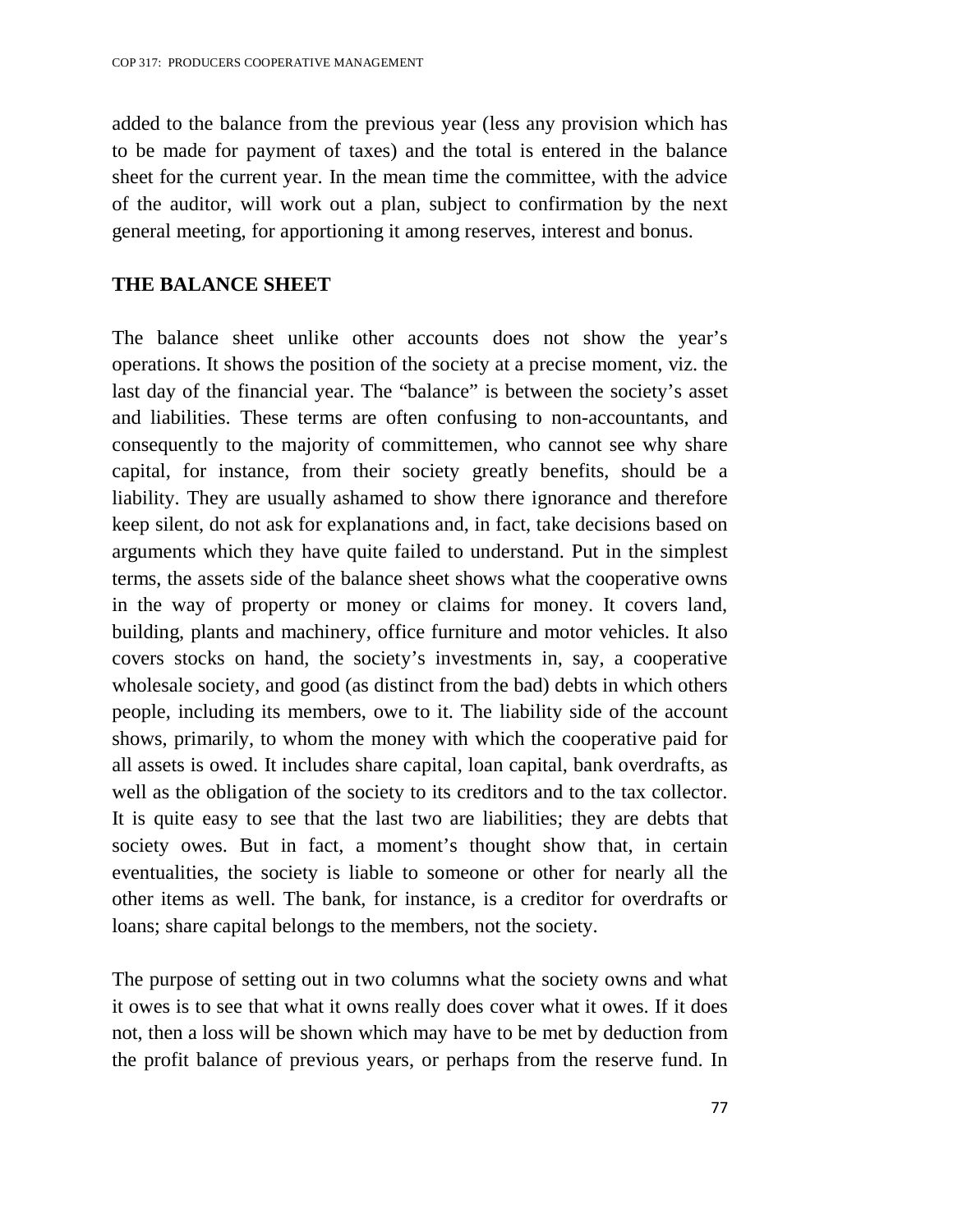added to the balance from the previous year (less any provision which has to be made for payment of taxes) and the total is entered in the balance sheet for the current year. In the mean time the committee, with the advice of the auditor, will work out a plan, subject to confirmation by the next general meeting, for apportioning it among reserves, interest and bonus.

#### **THE BALANCE SHEET**

The balance sheet unlike other accounts does not show the year's operations. It shows the position of the society at a precise moment, viz. the last day of the financial year. The "balance" is between the society's asset and liabilities. These terms are often confusing to non-accountants, and consequently to the majority of committemen, who cannot see why share capital, for instance, from their society greatly benefits, should be a liability. They are usually ashamed to show there ignorance and therefore keep silent, do not ask for explanations and, in fact, take decisions based on arguments which they have quite failed to understand. Put in the simplest terms, the assets side of the balance sheet shows what the cooperative owns in the way of property or money or claims for money. It covers land, building, plants and machinery, office furniture and motor vehicles. It also covers stocks on hand, the society's investments in, say, a cooperative wholesale society, and good (as distinct from the bad) debts in which others people, including its members, owe to it. The liability side of the account shows, primarily, to whom the money with which the cooperative paid for all assets is owed. It includes share capital, loan capital, bank overdrafts, as well as the obligation of the society to its creditors and to the tax collector. It is quite easy to see that the last two are liabilities; they are debts that society owes. But in fact, a moment's thought show that, in certain eventualities, the society is liable to someone or other for nearly all the other items as well. The bank, for instance, is a creditor for overdrafts or loans; share capital belongs to the members, not the society.

The purpose of setting out in two columns what the society owns and what it owes is to see that what it owns really does cover what it owes. If it does not, then a loss will be shown which may have to be met by deduction from the profit balance of previous years, or perhaps from the reserve fund. In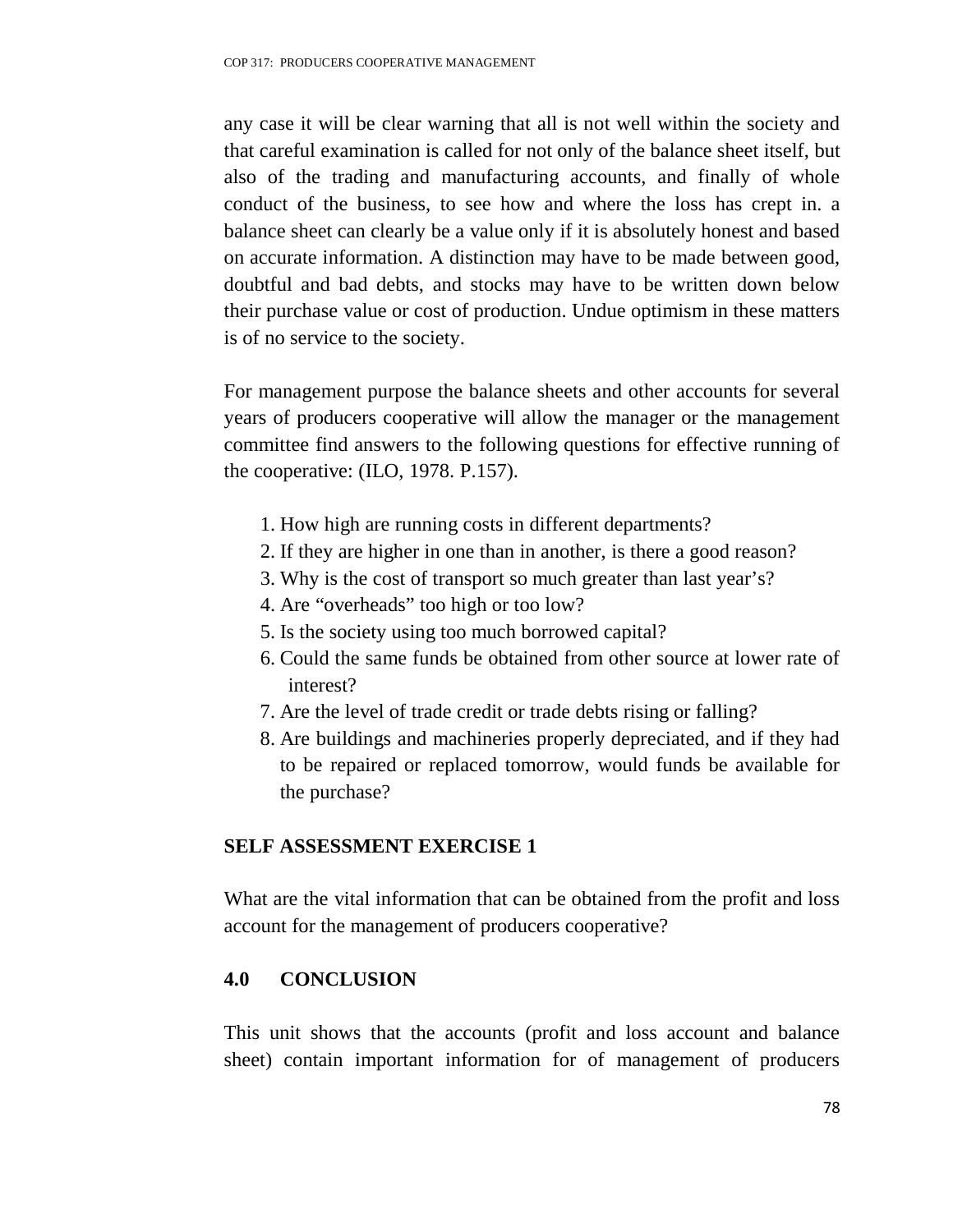any case it will be clear warning that all is not well within the society and that careful examination is called for not only of the balance sheet itself, but also of the trading and manufacturing accounts, and finally of whole conduct of the business, to see how and where the loss has crept in. a balance sheet can clearly be a value only if it is absolutely honest and based on accurate information. A distinction may have to be made between good, doubtful and bad debts, and stocks may have to be written down below their purchase value or cost of production. Undue optimism in these matters is of no service to the society.

For management purpose the balance sheets and other accounts for several years of producers cooperative will allow the manager or the management committee find answers to the following questions for effective running of the cooperative: (ILO, 1978. P.157).

- 1. How high are running costs in different departments?
- 2. If they are higher in one than in another, is there a good reason?
- 3. Why is the cost of transport so much greater than last year's?
- 4. Are "overheads" too high or too low?
- 5. Is the society using too much borrowed capital?
- 6. Could the same funds be obtained from other source at lower rate of interest?
- 7. Are the level of trade credit or trade debts rising or falling?
- 8. Are buildings and machineries properly depreciated, and if they had to be repaired or replaced tomorrow, would funds be available for the purchase?

#### **SELF ASSESSMENT EXERCISE 1**

What are the vital information that can be obtained from the profit and loss account for the management of producers cooperative?

#### **4.0 CONCLUSION**

This unit shows that the accounts (profit and loss account and balance sheet) contain important information for of management of producers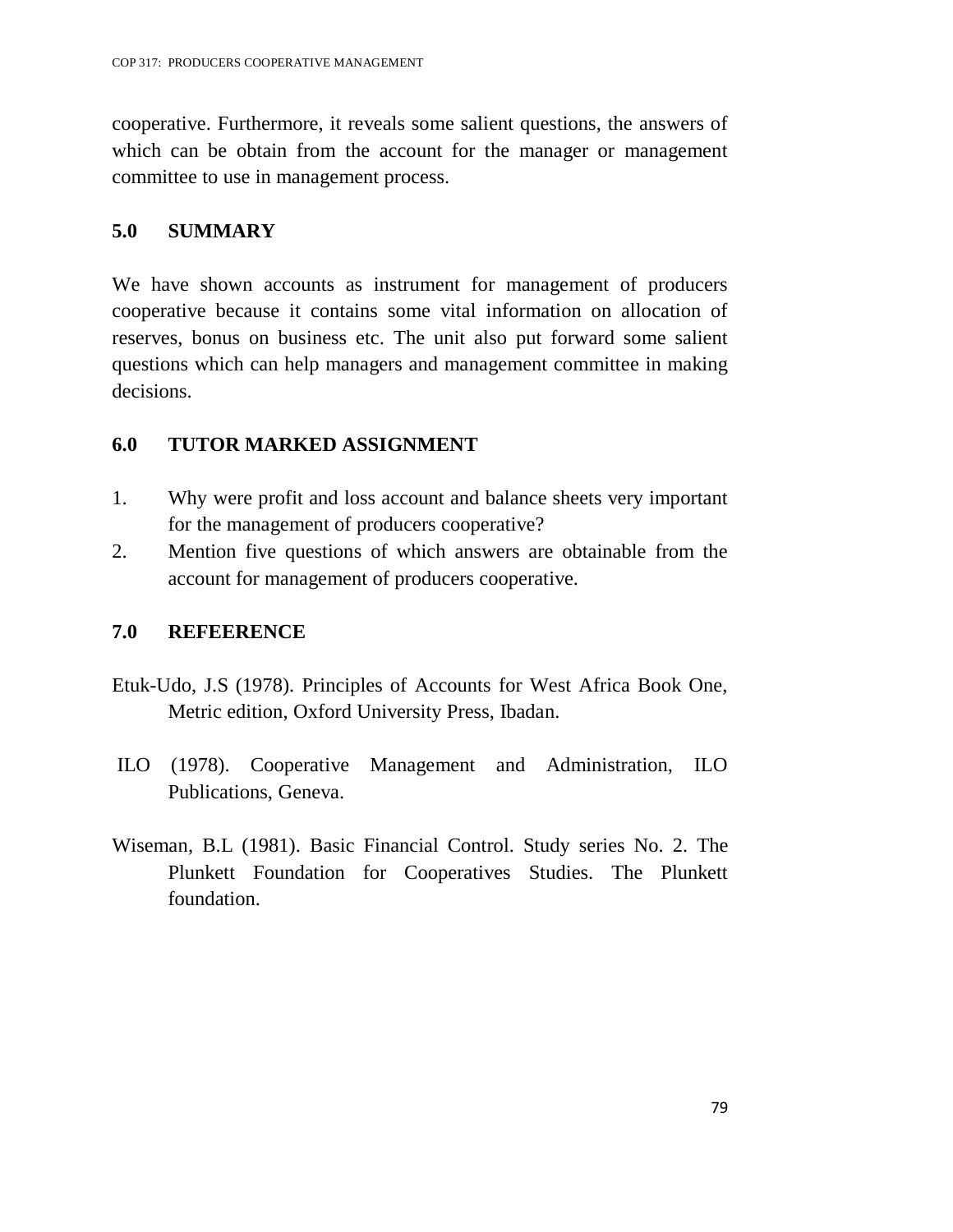cooperative. Furthermore, it reveals some salient questions, the answers of which can be obtain from the account for the manager or management committee to use in management process.

### **5.0 SUMMARY**

We have shown accounts as instrument for management of producers cooperative because it contains some vital information on allocation of reserves, bonus on business etc. The unit also put forward some salient questions which can help managers and management committee in making decisions.

# **6.0 TUTOR MARKED ASSIGNMENT**

- 1. Why were profit and loss account and balance sheets very important for the management of producers cooperative?
- 2. Mention five questions of which answers are obtainable from the account for management of producers cooperative.

### **7.0 REFEERENCE**

- Etuk-Udo, J.S (1978). Principles of Accounts for West Africa Book One, Metric edition, Oxford University Press, Ibadan.
- ILO (1978). Cooperative Management and Administration, ILO Publications, Geneva.
- Wiseman, B.L (1981). Basic Financial Control. Study series No. 2. The Plunkett Foundation for Cooperatives Studies. The Plunkett foundation.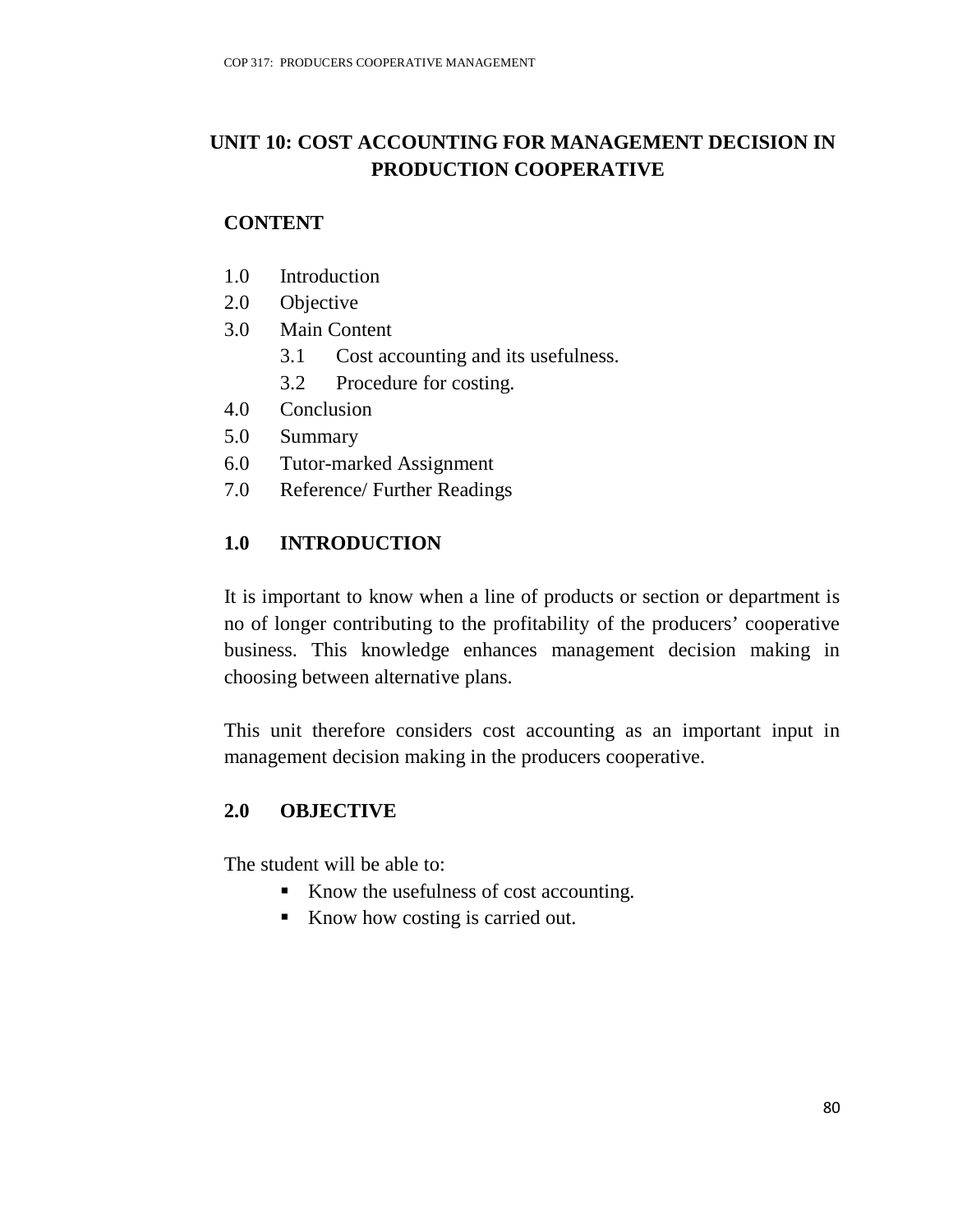# **UNIT 10: COST ACCOUNTING FOR MANAGEMENT DECISION IN PRODUCTION COOPERATIVE**

#### **CONTENT**

- 1.0 Introduction
- 2.0 Objective
- 3.0 Main Content
	- 3.1 Cost accounting and its usefulness.
	- 3.2 Procedure for costing.
- 4.0 Conclusion
- 5.0 Summary
- 6.0 Tutor-marked Assignment
- 7.0 Reference/ Further Readings

### **1.0 INTRODUCTION**

It is important to know when a line of products or section or department is no of longer contributing to the profitability of the producers' cooperative business. This knowledge enhances management decision making in choosing between alternative plans.

This unit therefore considers cost accounting as an important input in management decision making in the producers cooperative.

### **2.0 OBJECTIVE**

The student will be able to:

- Know the usefulness of cost accounting.
- Know how costing is carried out.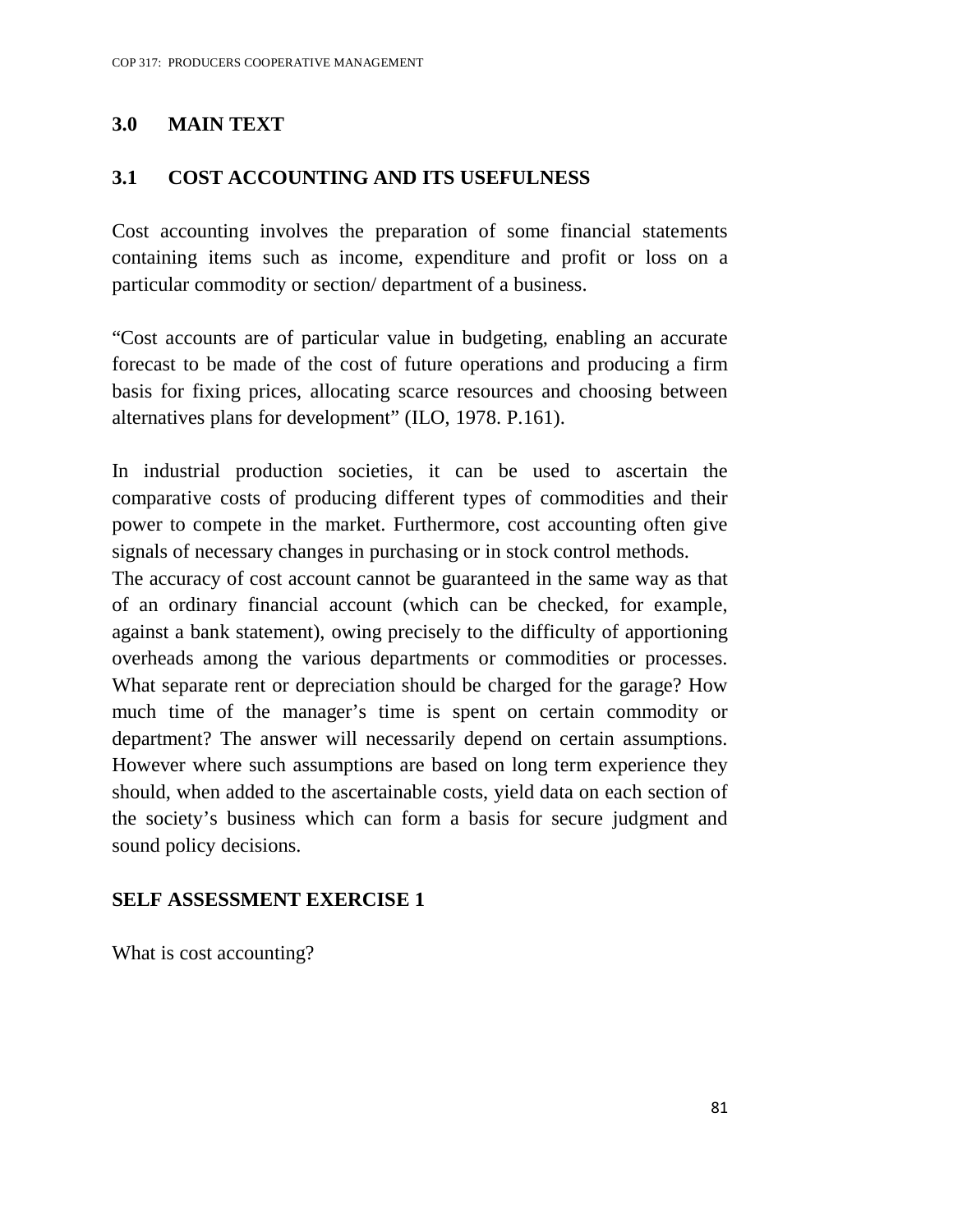### **3.0 MAIN TEXT**

### **3.1 COST ACCOUNTING AND ITS USEFULNESS**

Cost accounting involves the preparation of some financial statements containing items such as income, expenditure and profit or loss on a particular commodity or section/ department of a business.

"Cost accounts are of particular value in budgeting, enabling an accurate forecast to be made of the cost of future operations and producing a firm basis for fixing prices, allocating scarce resources and choosing between alternatives plans for development" (ILO, 1978. P.161).

In industrial production societies, it can be used to ascertain the comparative costs of producing different types of commodities and their power to compete in the market. Furthermore, cost accounting often give signals of necessary changes in purchasing or in stock control methods.

The accuracy of cost account cannot be guaranteed in the same way as that of an ordinary financial account (which can be checked, for example, against a bank statement), owing precisely to the difficulty of apportioning overheads among the various departments or commodities or processes. What separate rent or depreciation should be charged for the garage? How much time of the manager's time is spent on certain commodity or department? The answer will necessarily depend on certain assumptions. However where such assumptions are based on long term experience they should, when added to the ascertainable costs, yield data on each section of the society's business which can form a basis for secure judgment and sound policy decisions.

#### **SELF ASSESSMENT EXERCISE 1**

What is cost accounting?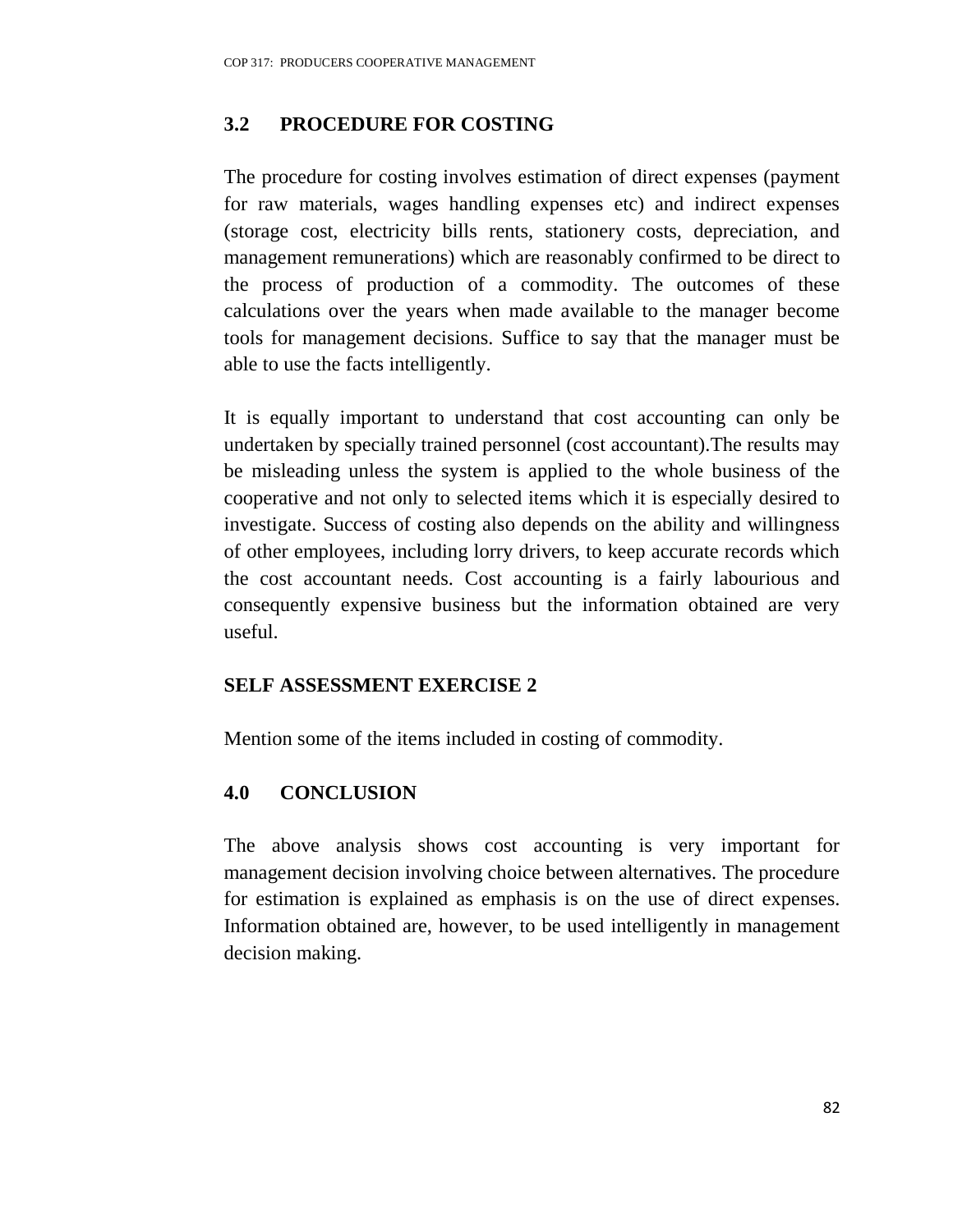### **3.2 PROCEDURE FOR COSTING**

The procedure for costing involves estimation of direct expenses (payment for raw materials, wages handling expenses etc) and indirect expenses (storage cost, electricity bills rents, stationery costs, depreciation, and management remunerations) which are reasonably confirmed to be direct to the process of production of a commodity. The outcomes of these calculations over the years when made available to the manager become tools for management decisions. Suffice to say that the manager must be able to use the facts intelligently.

It is equally important to understand that cost accounting can only be undertaken by specially trained personnel (cost accountant).The results may be misleading unless the system is applied to the whole business of the cooperative and not only to selected items which it is especially desired to investigate. Success of costing also depends on the ability and willingness of other employees, including lorry drivers, to keep accurate records which the cost accountant needs. Cost accounting is a fairly labourious and consequently expensive business but the information obtained are very useful.

#### **SELF ASSESSMENT EXERCISE 2**

Mention some of the items included in costing of commodity.

### **4.0 CONCLUSION**

The above analysis shows cost accounting is very important for management decision involving choice between alternatives. The procedure for estimation is explained as emphasis is on the use of direct expenses. Information obtained are, however, to be used intelligently in management decision making.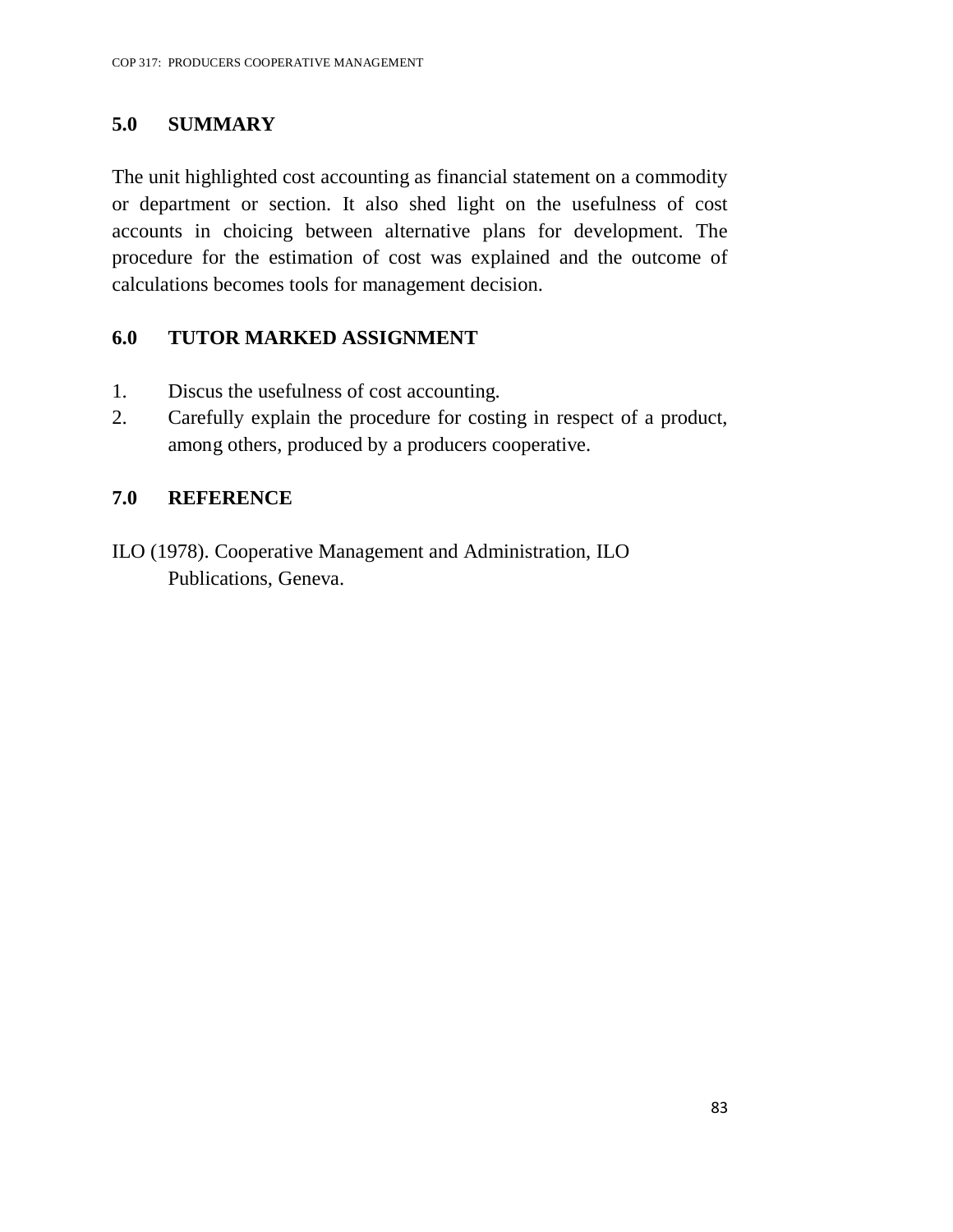## **5.0 SUMMARY**

The unit highlighted cost accounting as financial statement on a commodity or department or section. It also shed light on the usefulness of cost accounts in choicing between alternative plans for development. The procedure for the estimation of cost was explained and the outcome of calculations becomes tools for management decision.

### **6.0 TUTOR MARKED ASSIGNMENT**

- 1. Discus the usefulness of cost accounting.
- 2. Carefully explain the procedure for costing in respect of a product, among others, produced by a producers cooperative.

### **7.0 REFERENCE**

ILO (1978). Cooperative Management and Administration, ILO Publications, Geneva.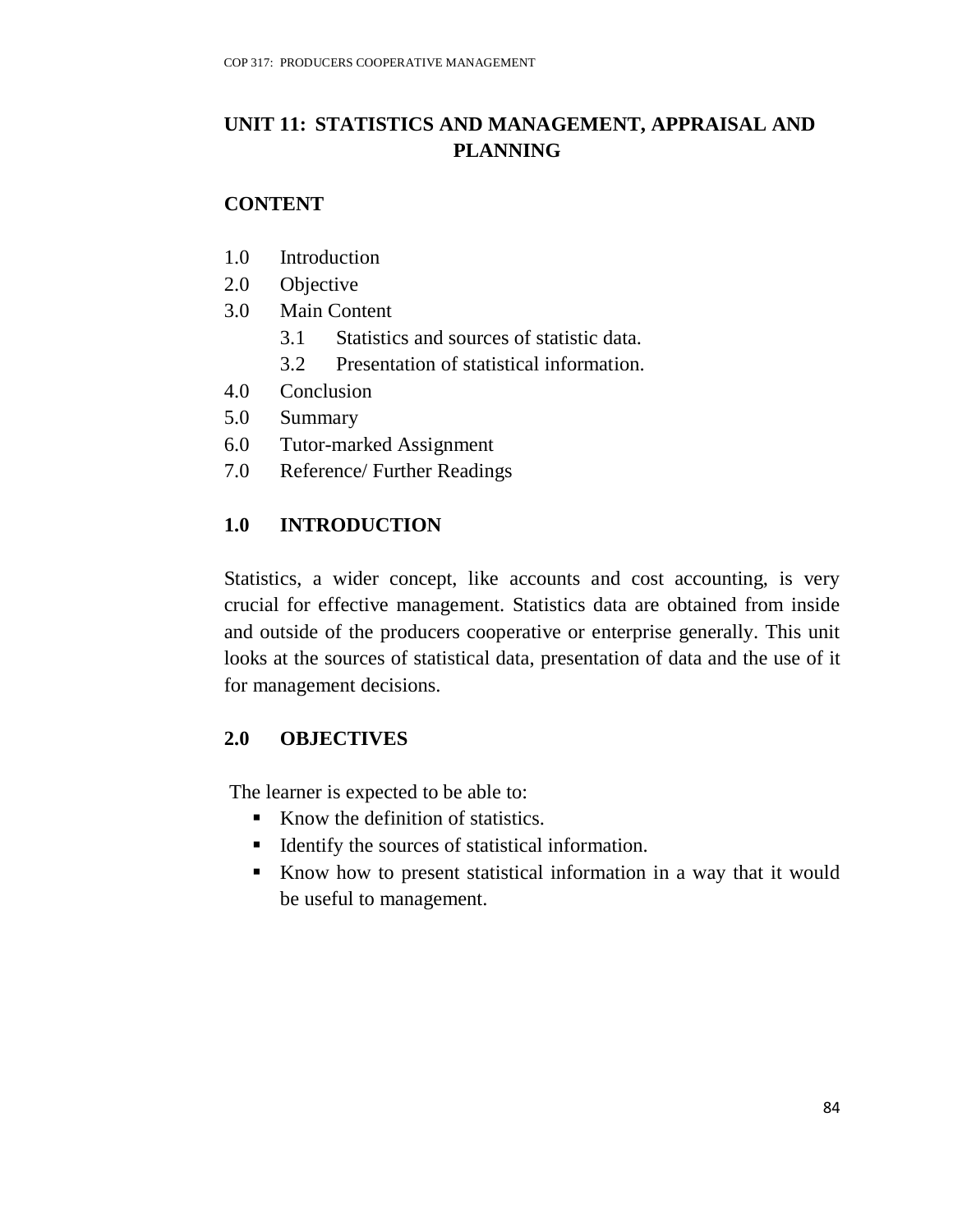# **UNIT 11: STATISTICS AND MANAGEMENT, APPRAISAL AND PLANNING**

### **CONTENT**

- 1.0 Introduction
- 2.0 Objective
- 3.0 Main Content
	- 3.1 Statistics and sources of statistic data.
	- 3.2 Presentation of statistical information.
- 4.0 Conclusion
- 5.0 Summary
- 6.0 Tutor-marked Assignment
- 7.0 Reference/ Further Readings

# **1.0 INTRODUCTION**

Statistics, a wider concept, like accounts and cost accounting, is very crucial for effective management. Statistics data are obtained from inside and outside of the producers cooperative or enterprise generally. This unit looks at the sources of statistical data, presentation of data and the use of it for management decisions.

# **2.0 OBJECTIVES**

The learner is expected to be able to:

- Know the definition of statistics.
- Identify the sources of statistical information.
- Know how to present statistical information in a way that it would be useful to management.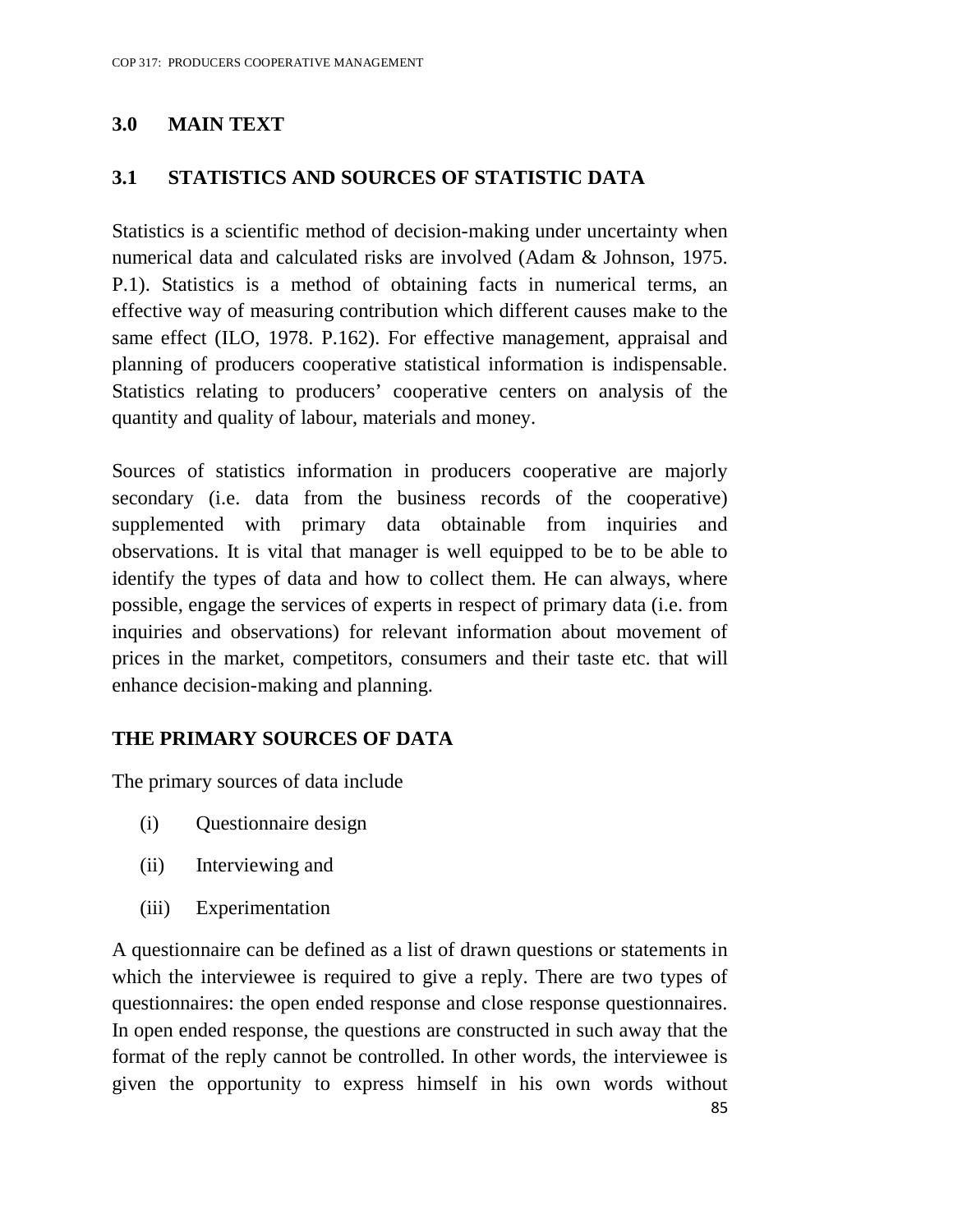# **3.0 MAIN TEXT**

### **3.1 STATISTICS AND SOURCES OF STATISTIC DATA**

Statistics is a scientific method of decision-making under uncertainty when numerical data and calculated risks are involved (Adam & Johnson, 1975. P.1). Statistics is a method of obtaining facts in numerical terms, an effective way of measuring contribution which different causes make to the same effect (ILO, 1978. P.162). For effective management, appraisal and planning of producers cooperative statistical information is indispensable. Statistics relating to producers' cooperative centers on analysis of the quantity and quality of labour, materials and money.

Sources of statistics information in producers cooperative are majorly secondary (i.e. data from the business records of the cooperative) supplemented with primary data obtainable from inquiries and observations. It is vital that manager is well equipped to be to be able to identify the types of data and how to collect them. He can always, where possible, engage the services of experts in respect of primary data (i.e. from inquiries and observations) for relevant information about movement of prices in the market, competitors, consumers and their taste etc. that will enhance decision-making and planning.

#### **THE PRIMARY SOURCES OF DATA**

The primary sources of data include

- (i) Questionnaire design
- (ii) Interviewing and
- (iii) Experimentation

A questionnaire can be defined as a list of drawn questions or statements in which the interviewee is required to give a reply. There are two types of questionnaires: the open ended response and close response questionnaires. In open ended response, the questions are constructed in such away that the format of the reply cannot be controlled. In other words, the interviewee is given the opportunity to express himself in his own words without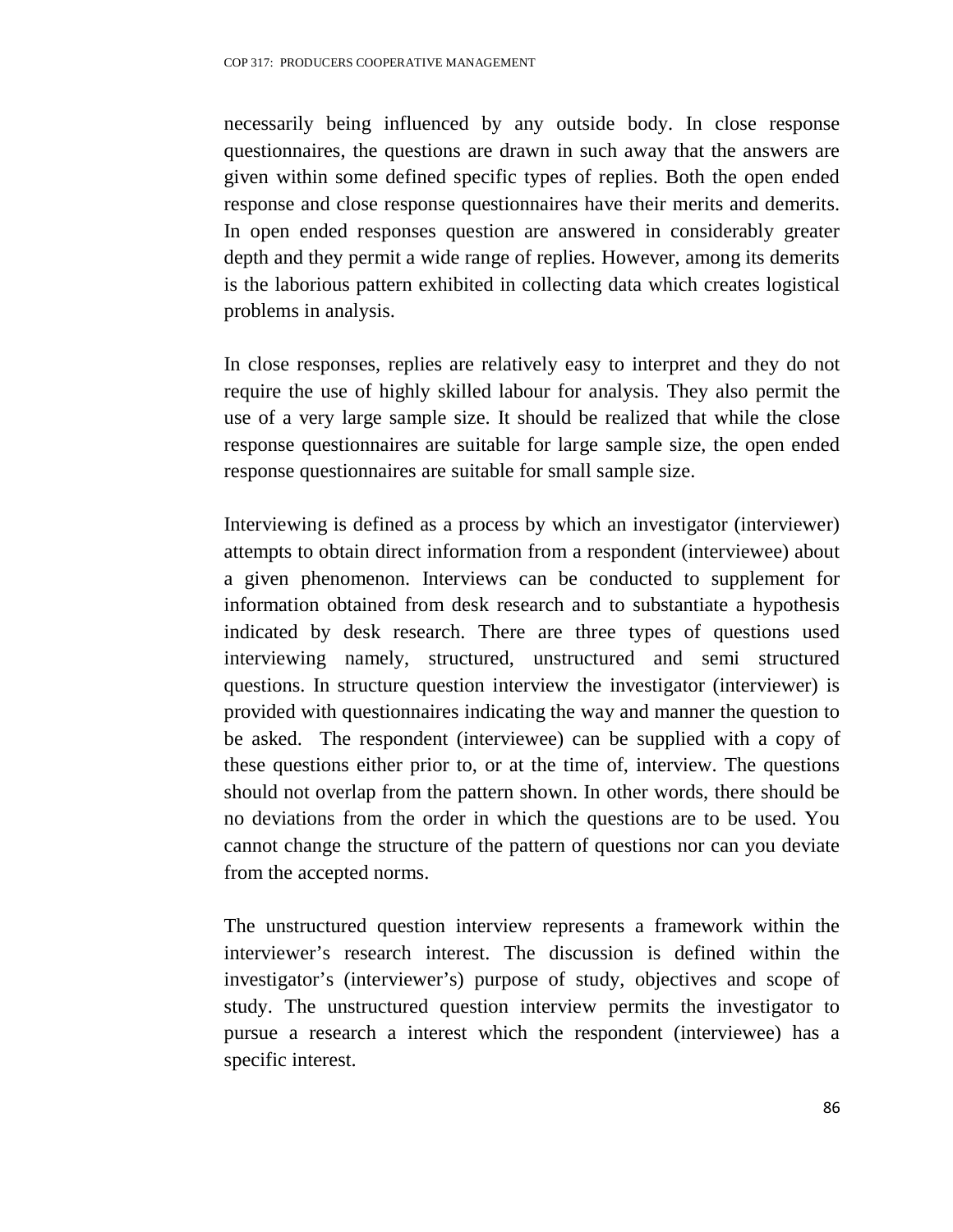necessarily being influenced by any outside body. In close response questionnaires, the questions are drawn in such away that the answers are given within some defined specific types of replies. Both the open ended response and close response questionnaires have their merits and demerits. In open ended responses question are answered in considerably greater depth and they permit a wide range of replies. However, among its demerits is the laborious pattern exhibited in collecting data which creates logistical problems in analysis.

In close responses, replies are relatively easy to interpret and they do not require the use of highly skilled labour for analysis. They also permit the use of a very large sample size. It should be realized that while the close response questionnaires are suitable for large sample size, the open ended response questionnaires are suitable for small sample size.

Interviewing is defined as a process by which an investigator (interviewer) attempts to obtain direct information from a respondent (interviewee) about a given phenomenon. Interviews can be conducted to supplement for information obtained from desk research and to substantiate a hypothesis indicated by desk research. There are three types of questions used interviewing namely, structured, unstructured and semi structured questions. In structure question interview the investigator (interviewer) is provided with questionnaires indicating the way and manner the question to be asked. The respondent (interviewee) can be supplied with a copy of these questions either prior to, or at the time of, interview. The questions should not overlap from the pattern shown. In other words, there should be no deviations from the order in which the questions are to be used. You cannot change the structure of the pattern of questions nor can you deviate from the accepted norms.

The unstructured question interview represents a framework within the interviewer's research interest. The discussion is defined within the investigator's (interviewer's) purpose of study, objectives and scope of study. The unstructured question interview permits the investigator to pursue a research a interest which the respondent (interviewee) has a specific interest.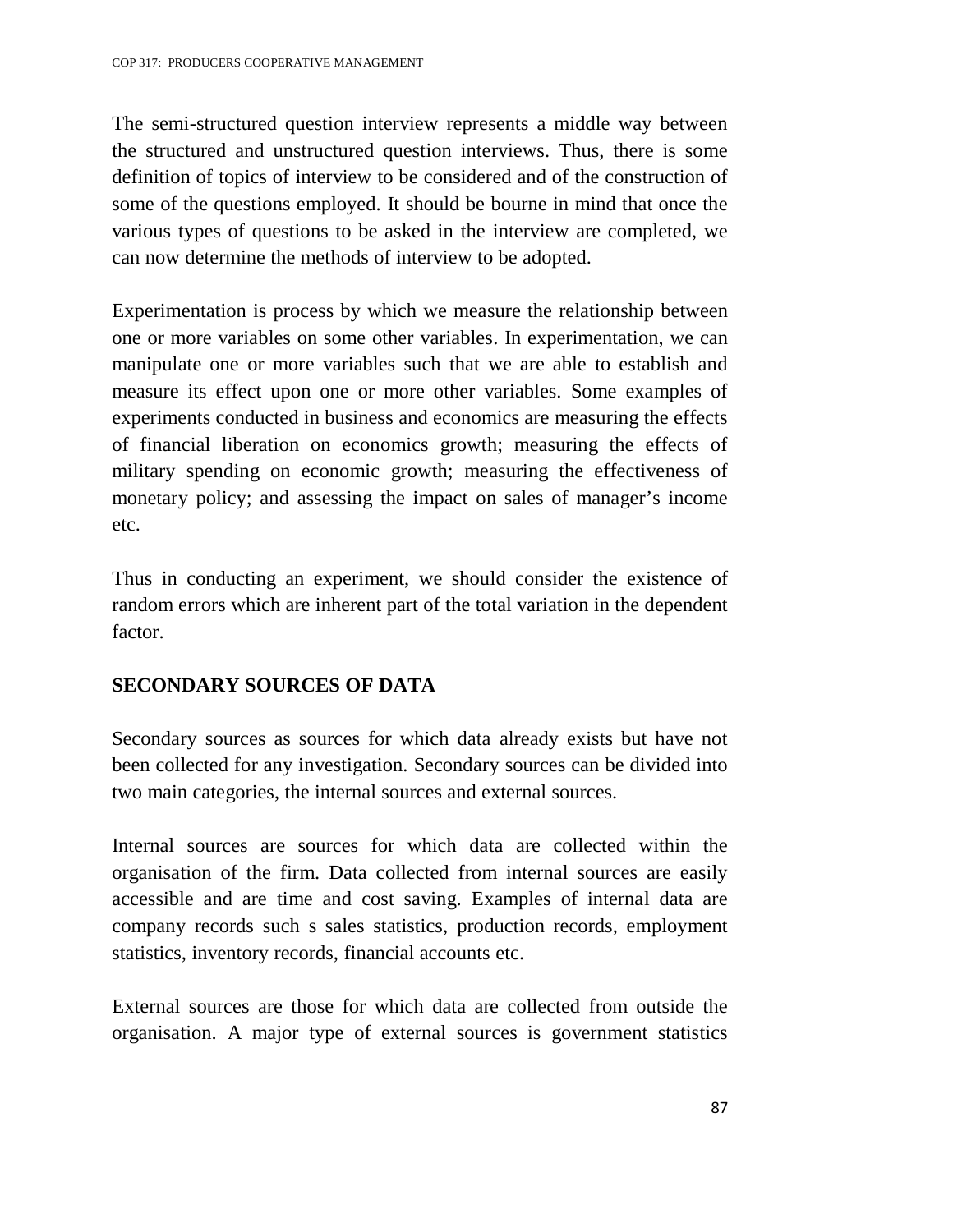The semi-structured question interview represents a middle way between the structured and unstructured question interviews. Thus, there is some definition of topics of interview to be considered and of the construction of some of the questions employed. It should be bourne in mind that once the various types of questions to be asked in the interview are completed, we can now determine the methods of interview to be adopted.

Experimentation is process by which we measure the relationship between one or more variables on some other variables. In experimentation, we can manipulate one or more variables such that we are able to establish and measure its effect upon one or more other variables. Some examples of experiments conducted in business and economics are measuring the effects of financial liberation on economics growth; measuring the effects of military spending on economic growth; measuring the effectiveness of monetary policy; and assessing the impact on sales of manager's income etc.

Thus in conducting an experiment, we should consider the existence of random errors which are inherent part of the total variation in the dependent factor.

# **SECONDARY SOURCES OF DATA**

Secondary sources as sources for which data already exists but have not been collected for any investigation. Secondary sources can be divided into two main categories, the internal sources and external sources.

Internal sources are sources for which data are collected within the organisation of the firm. Data collected from internal sources are easily accessible and are time and cost saving. Examples of internal data are company records such s sales statistics, production records, employment statistics, inventory records, financial accounts etc.

External sources are those for which data are collected from outside the organisation. A major type of external sources is government statistics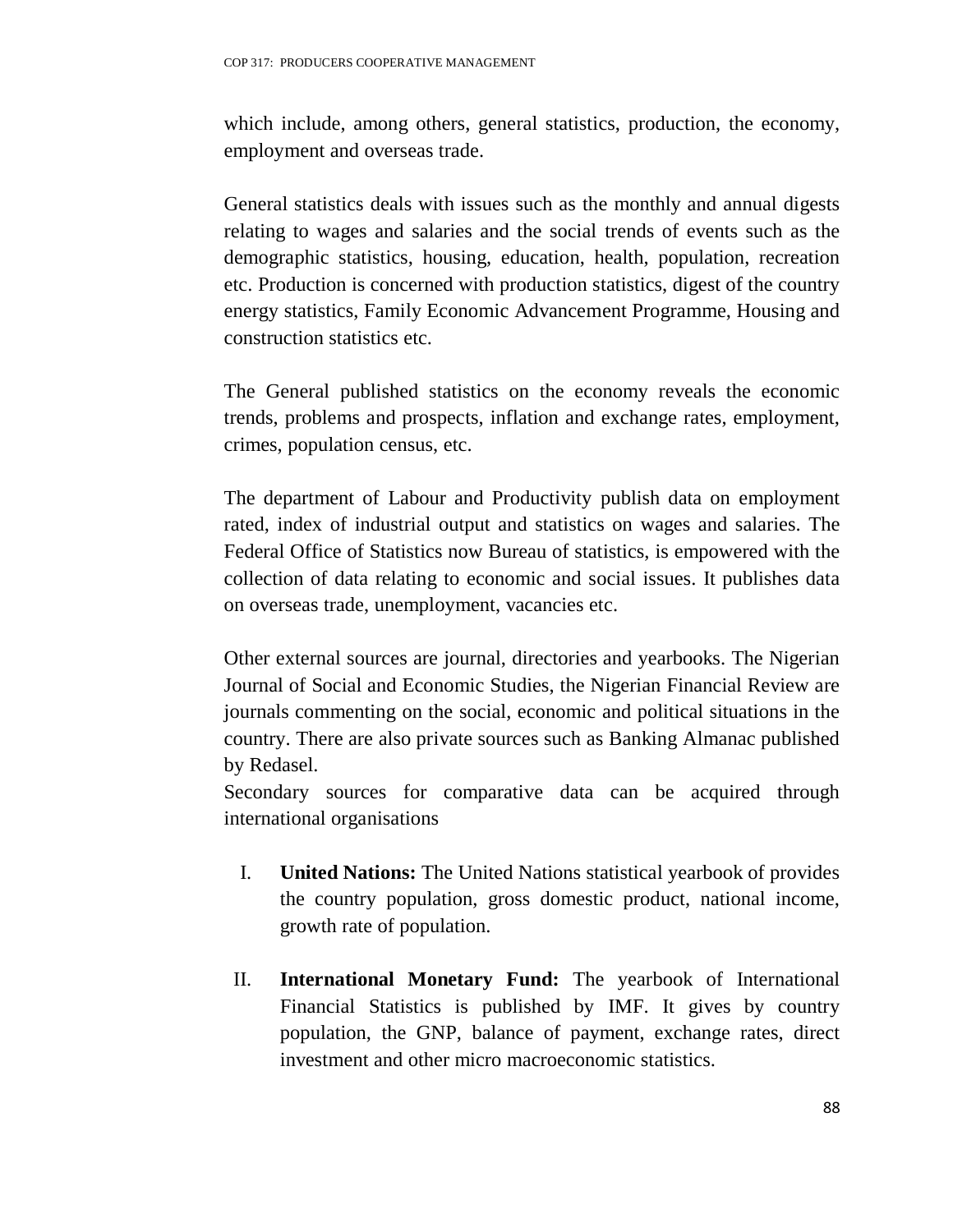which include, among others, general statistics, production, the economy, employment and overseas trade.

General statistics deals with issues such as the monthly and annual digests relating to wages and salaries and the social trends of events such as the demographic statistics, housing, education, health, population, recreation etc. Production is concerned with production statistics, digest of the country energy statistics, Family Economic Advancement Programme, Housing and construction statistics etc.

The General published statistics on the economy reveals the economic trends, problems and prospects, inflation and exchange rates, employment, crimes, population census, etc.

The department of Labour and Productivity publish data on employment rated, index of industrial output and statistics on wages and salaries. The Federal Office of Statistics now Bureau of statistics, is empowered with the collection of data relating to economic and social issues. It publishes data on overseas trade, unemployment, vacancies etc.

Other external sources are journal, directories and yearbooks. The Nigerian Journal of Social and Economic Studies, the Nigerian Financial Review are journals commenting on the social, economic and political situations in the country. There are also private sources such as Banking Almanac published by Redasel.

Secondary sources for comparative data can be acquired through international organisations

- I. **United Nations:** The United Nations statistical yearbook of provides the country population, gross domestic product, national income, growth rate of population.
- II. **International Monetary Fund:** The yearbook of International Financial Statistics is published by IMF. It gives by country population, the GNP, balance of payment, exchange rates, direct investment and other micro macroeconomic statistics.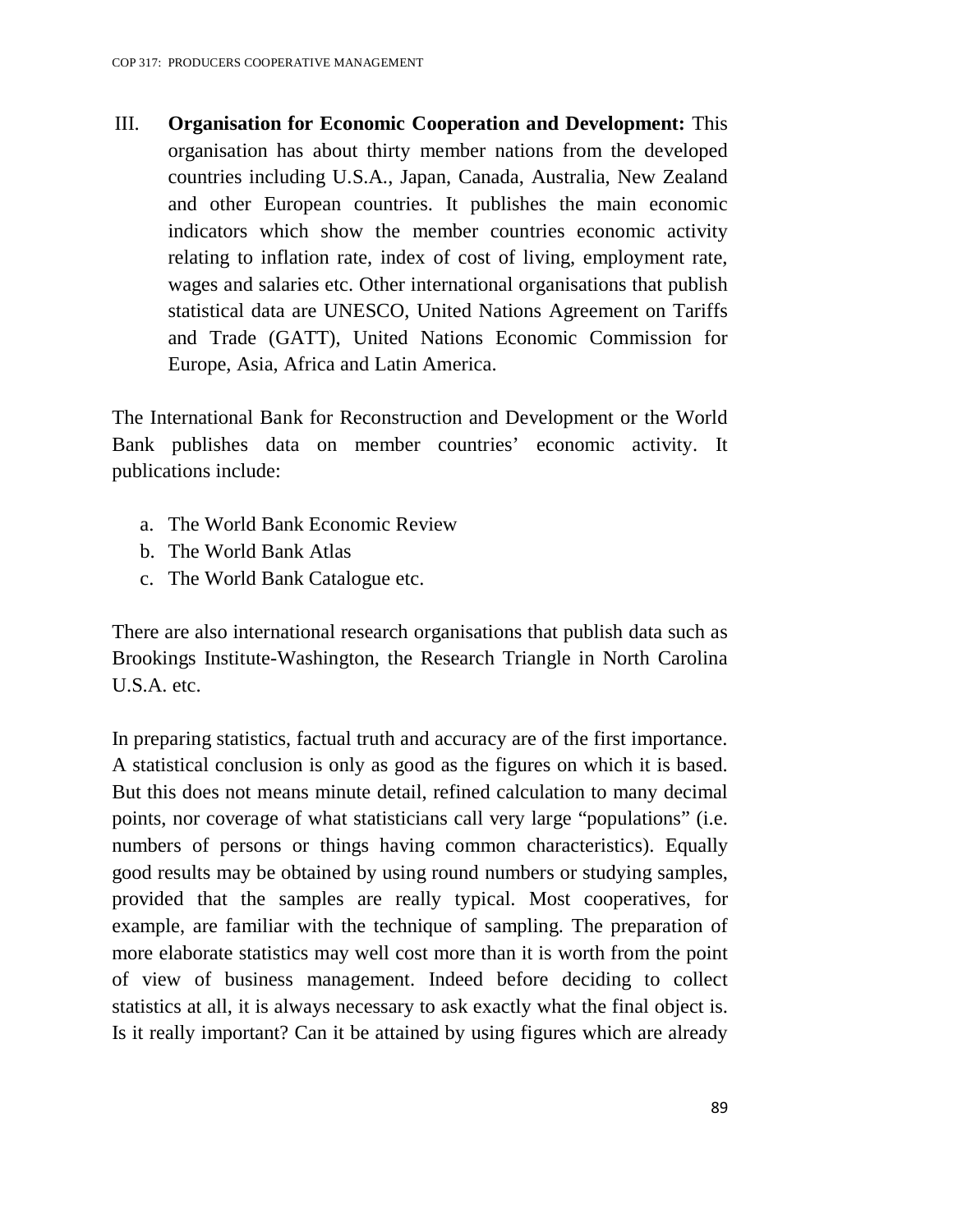III. **Organisation for Economic Cooperation and Development:** This organisation has about thirty member nations from the developed countries including U.S.A., Japan, Canada, Australia, New Zealand and other European countries. It publishes the main economic indicators which show the member countries economic activity relating to inflation rate, index of cost of living, employment rate, wages and salaries etc. Other international organisations that publish statistical data are UNESCO, United Nations Agreement on Tariffs and Trade (GATT), United Nations Economic Commission for Europe, Asia, Africa and Latin America.

The International Bank for Reconstruction and Development or the World Bank publishes data on member countries' economic activity. It publications include:

- a. The World Bank Economic Review
- b. The World Bank Atlas
- c. The World Bank Catalogue etc.

There are also international research organisations that publish data such as Brookings Institute-Washington, the Research Triangle in North Carolina U.S.A. etc.

In preparing statistics, factual truth and accuracy are of the first importance. A statistical conclusion is only as good as the figures on which it is based. But this does not means minute detail, refined calculation to many decimal points, nor coverage of what statisticians call very large "populations" (i.e. numbers of persons or things having common characteristics). Equally good results may be obtained by using round numbers or studying samples, provided that the samples are really typical. Most cooperatives, for example, are familiar with the technique of sampling. The preparation of more elaborate statistics may well cost more than it is worth from the point of view of business management. Indeed before deciding to collect statistics at all, it is always necessary to ask exactly what the final object is. Is it really important? Can it be attained by using figures which are already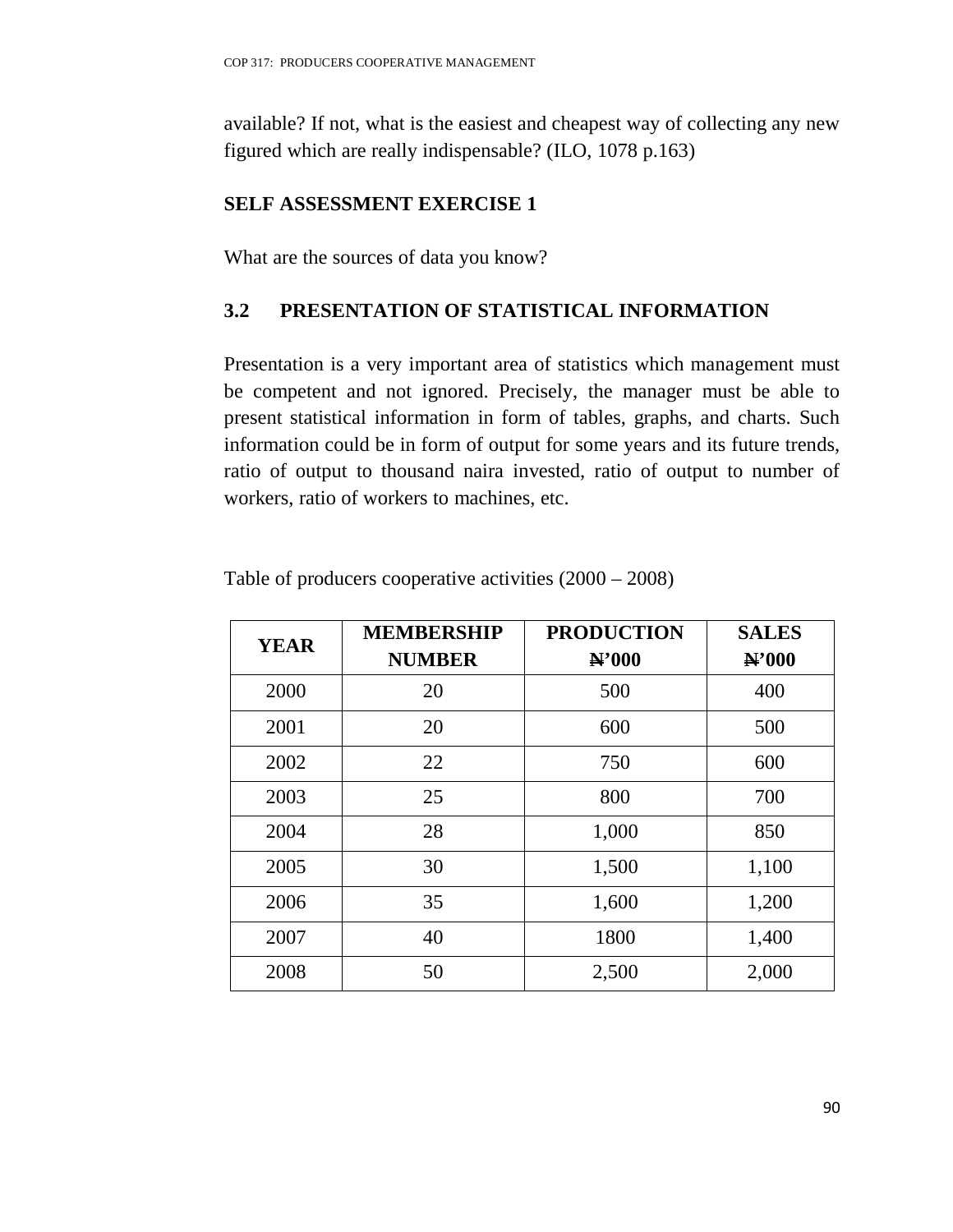available? If not, what is the easiest and cheapest way of collecting any new figured which are really indispensable? (ILO, 1078 p.163)

### **SELF ASSESSMENT EXERCISE 1**

What are the sources of data you know?

## **3.2 PRESENTATION OF STATISTICAL INFORMATION**

Presentation is a very important area of statistics which management must be competent and not ignored. Precisely, the manager must be able to present statistical information in form of tables, graphs, and charts. Such information could be in form of output for some years and its future trends, ratio of output to thousand naira invested, ratio of output to number of workers, ratio of workers to machines, etc.

| <b>YEAR</b> | <b>MEMBERSHIP</b><br><b>NUMBER</b> | <b>PRODUCTION</b><br>N'000 | <b>SALES</b><br>N'000 |
|-------------|------------------------------------|----------------------------|-----------------------|
| 2000        | 20                                 | 500                        | 400                   |
| 2001        | 20                                 | 600                        | 500                   |
| 2002        | 22                                 | 750                        | 600                   |
| 2003        | 25                                 | 800                        | 700                   |
| 2004        | 28                                 | 1,000                      | 850                   |
| 2005        | 30                                 | 1,500                      | 1,100                 |
| 2006        | 35                                 | 1,600                      | 1,200                 |
| 2007        | 40                                 | 1800                       | 1,400                 |
| 2008        | 50                                 | 2,500                      | 2,000                 |

Table of producers cooperative activities (2000 – 2008)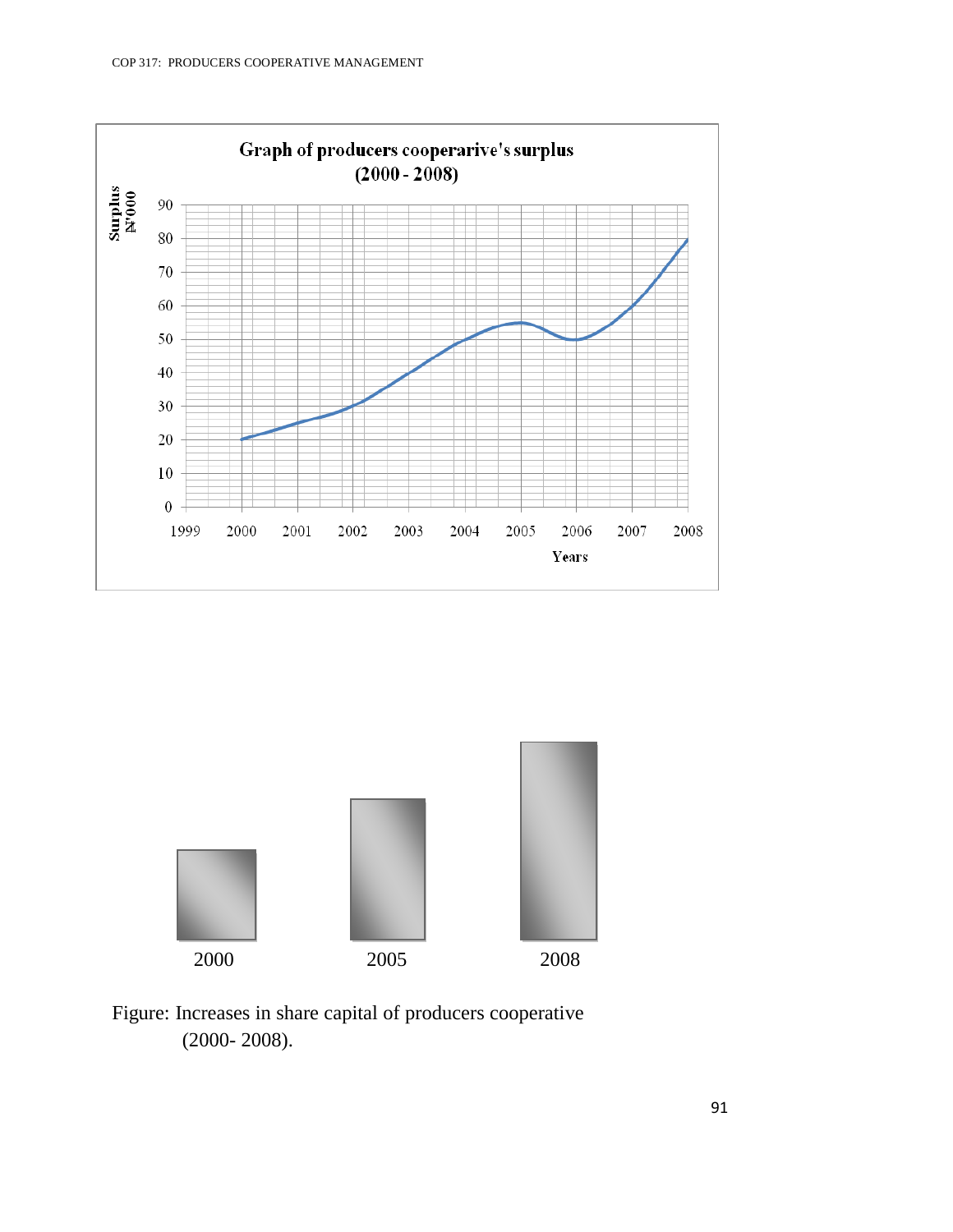



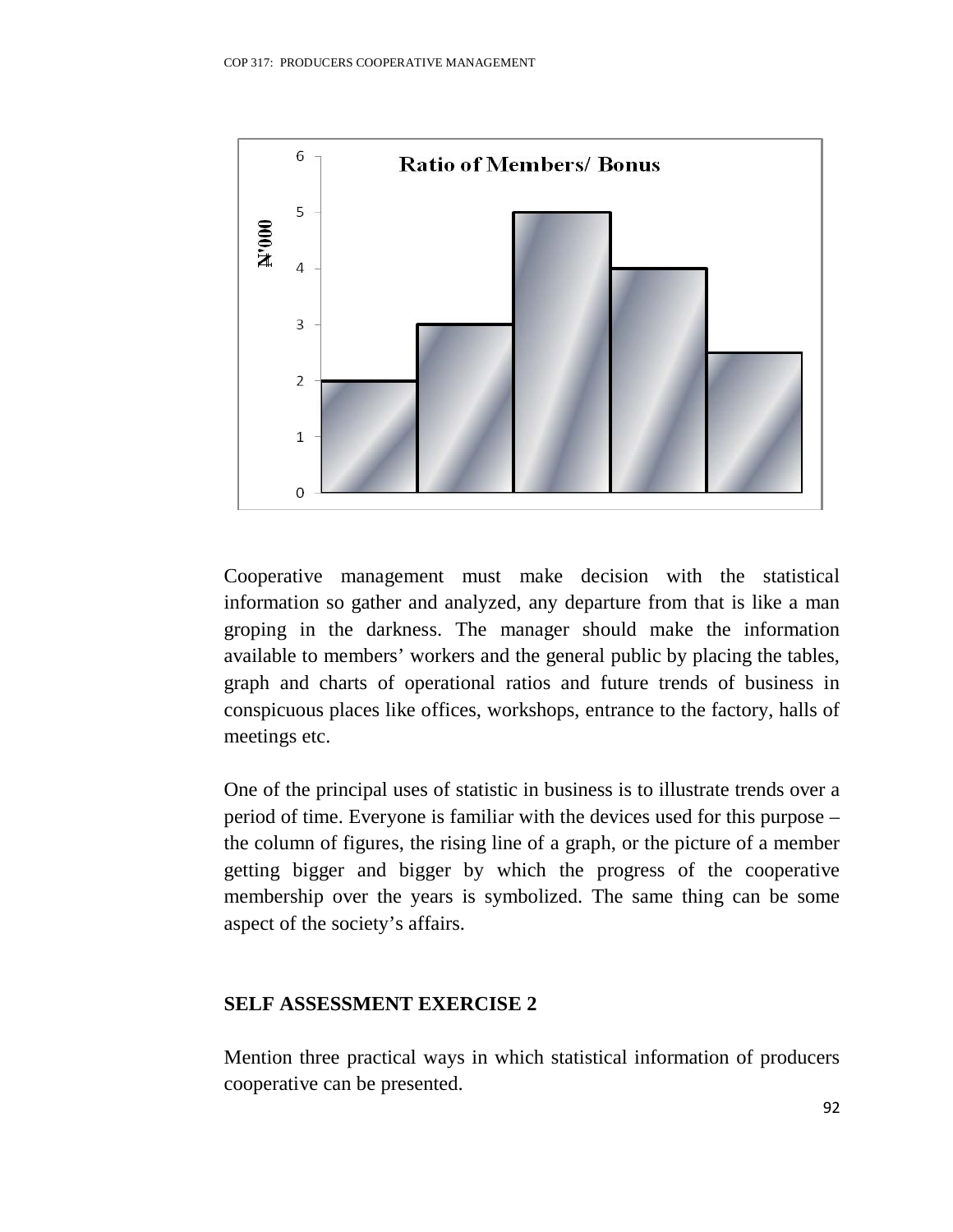

Cooperative management must make decision with the statistical information so gather and analyzed, any departure from that is like a man groping in the darkness. The manager should make the information available to members' workers and the general public by placing the tables, graph and charts of operational ratios and future trends of business in conspicuous places like offices, workshops, entrance to the factory, halls of meetings etc.

One of the principal uses of statistic in business is to illustrate trends over a period of time. Everyone is familiar with the devices used for this purpose – the column of figures, the rising line of a graph, or the picture of a member getting bigger and bigger by which the progress of the cooperative membership over the years is symbolized. The same thing can be some aspect of the society's affairs.

#### **SELF ASSESSMENT EXERCISE 2**

Mention three practical ways in which statistical information of producers cooperative can be presented.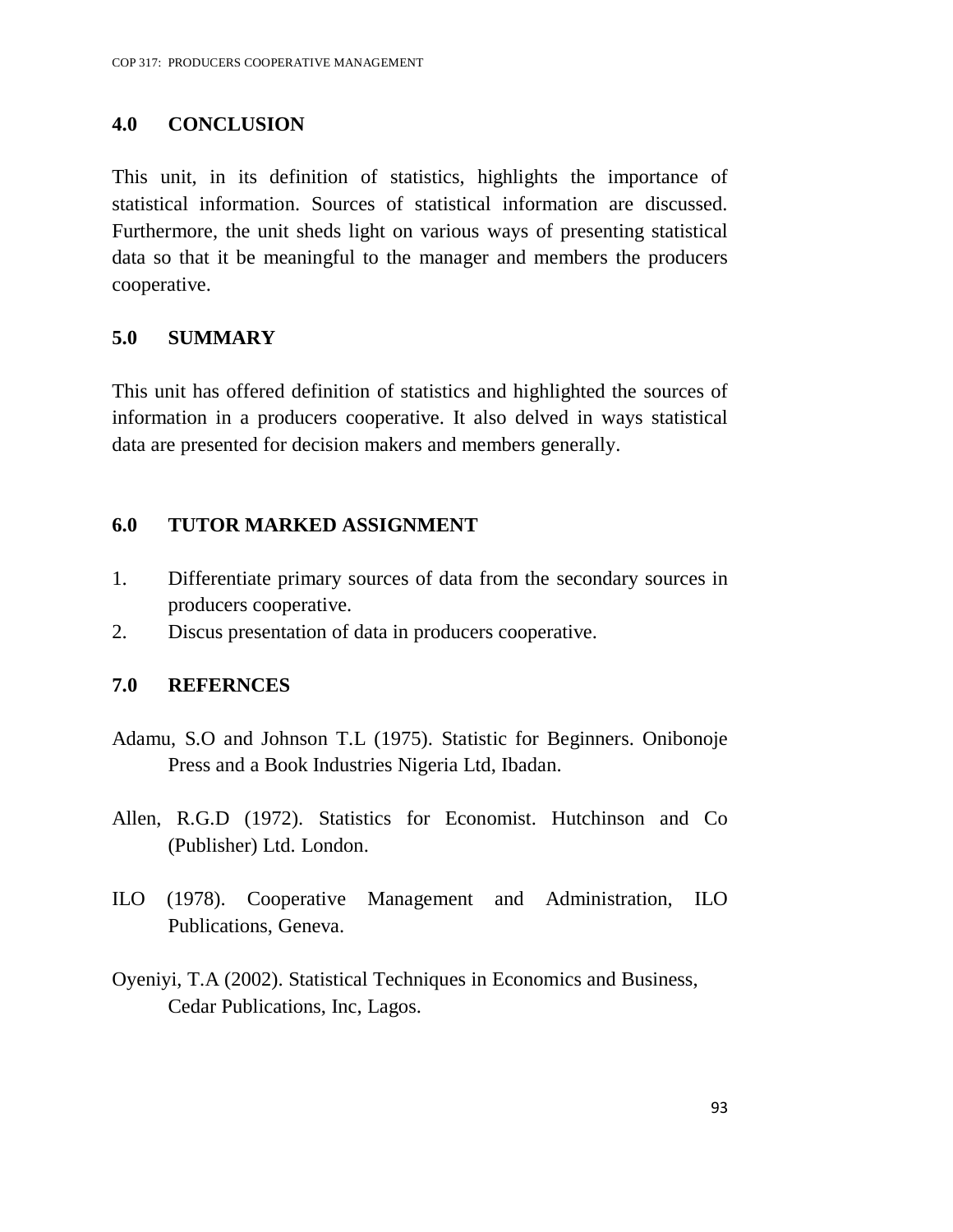### **4.0 CONCLUSION**

This unit, in its definition of statistics, highlights the importance of statistical information. Sources of statistical information are discussed. Furthermore, the unit sheds light on various ways of presenting statistical data so that it be meaningful to the manager and members the producers cooperative.

#### **5.0 SUMMARY**

This unit has offered definition of statistics and highlighted the sources of information in a producers cooperative. It also delved in ways statistical data are presented for decision makers and members generally.

### **6.0 TUTOR MARKED ASSIGNMENT**

- 1. Differentiate primary sources of data from the secondary sources in producers cooperative.
- 2. Discus presentation of data in producers cooperative.

### **7.0 REFERNCES**

- Adamu, S.O and Johnson T.L (1975). Statistic for Beginners. Onibonoje Press and a Book Industries Nigeria Ltd, Ibadan.
- Allen, R.G.D (1972). Statistics for Economist. Hutchinson and Co (Publisher) Ltd. London.
- ILO (1978). Cooperative Management and Administration, ILO Publications, Geneva.
- Oyeniyi, T.A (2002). Statistical Techniques in Economics and Business, Cedar Publications, Inc, Lagos.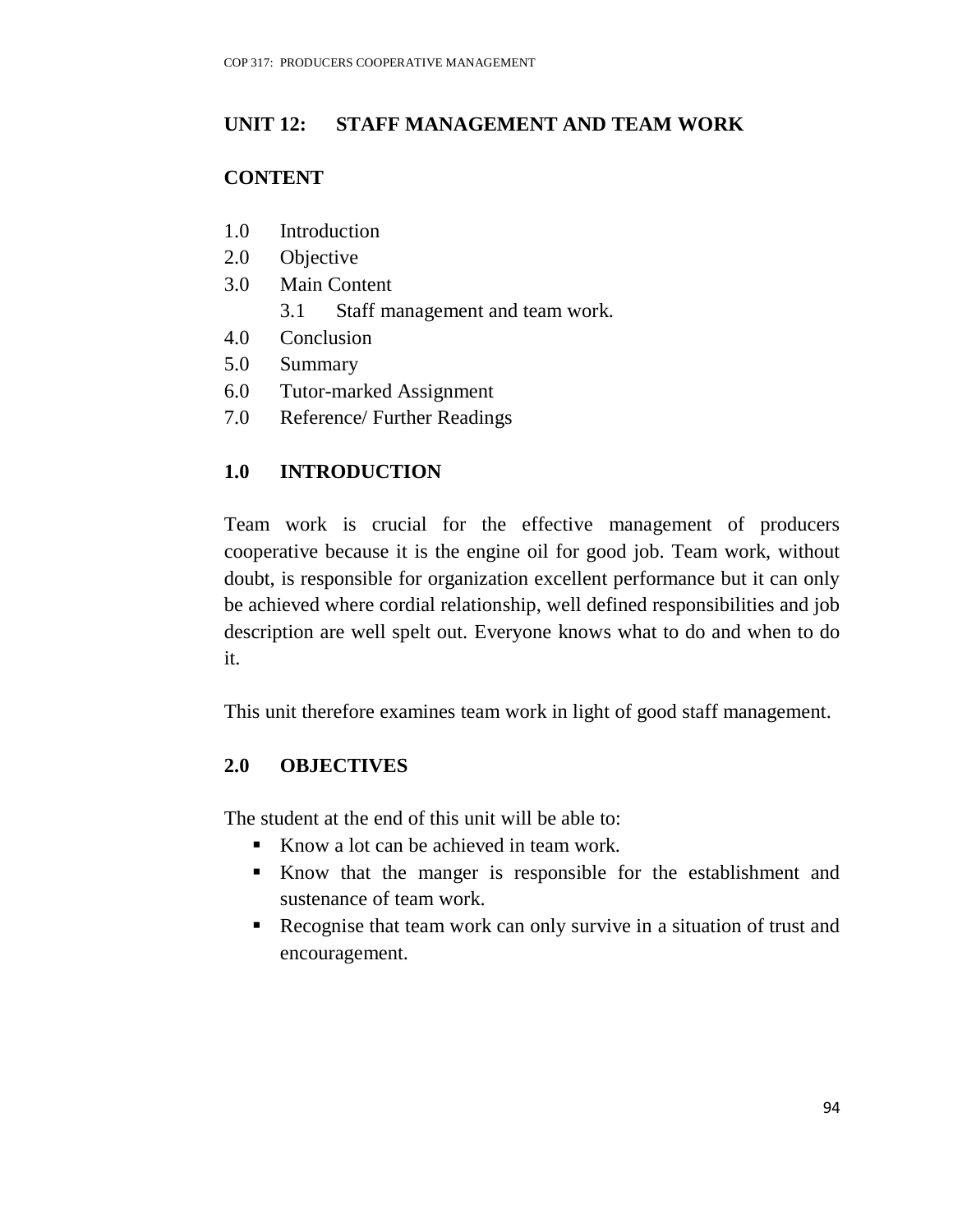# **UNIT 12: STAFF MANAGEMENT AND TEAM WORK**

# **CONTENT**

- 1.0 Introduction
- 2.0 Objective
- 3.0 Main Content
	- 3.1 Staff management and team work.
- 4.0 Conclusion
- 5.0 Summary
- 6.0 Tutor-marked Assignment
- 7.0 Reference/ Further Readings

# **1.0 INTRODUCTION**

Team work is crucial for the effective management of producers cooperative because it is the engine oil for good job. Team work, without doubt, is responsible for organization excellent performance but it can only be achieved where cordial relationship, well defined responsibilities and job description are well spelt out. Everyone knows what to do and when to do it.

This unit therefore examines team work in light of good staff management.

# **2.0 OBJECTIVES**

The student at the end of this unit will be able to:

- Know a lot can be achieved in team work.
- Know that the manger is responsible for the establishment and sustenance of team work.
- Recognise that team work can only survive in a situation of trust and encouragement.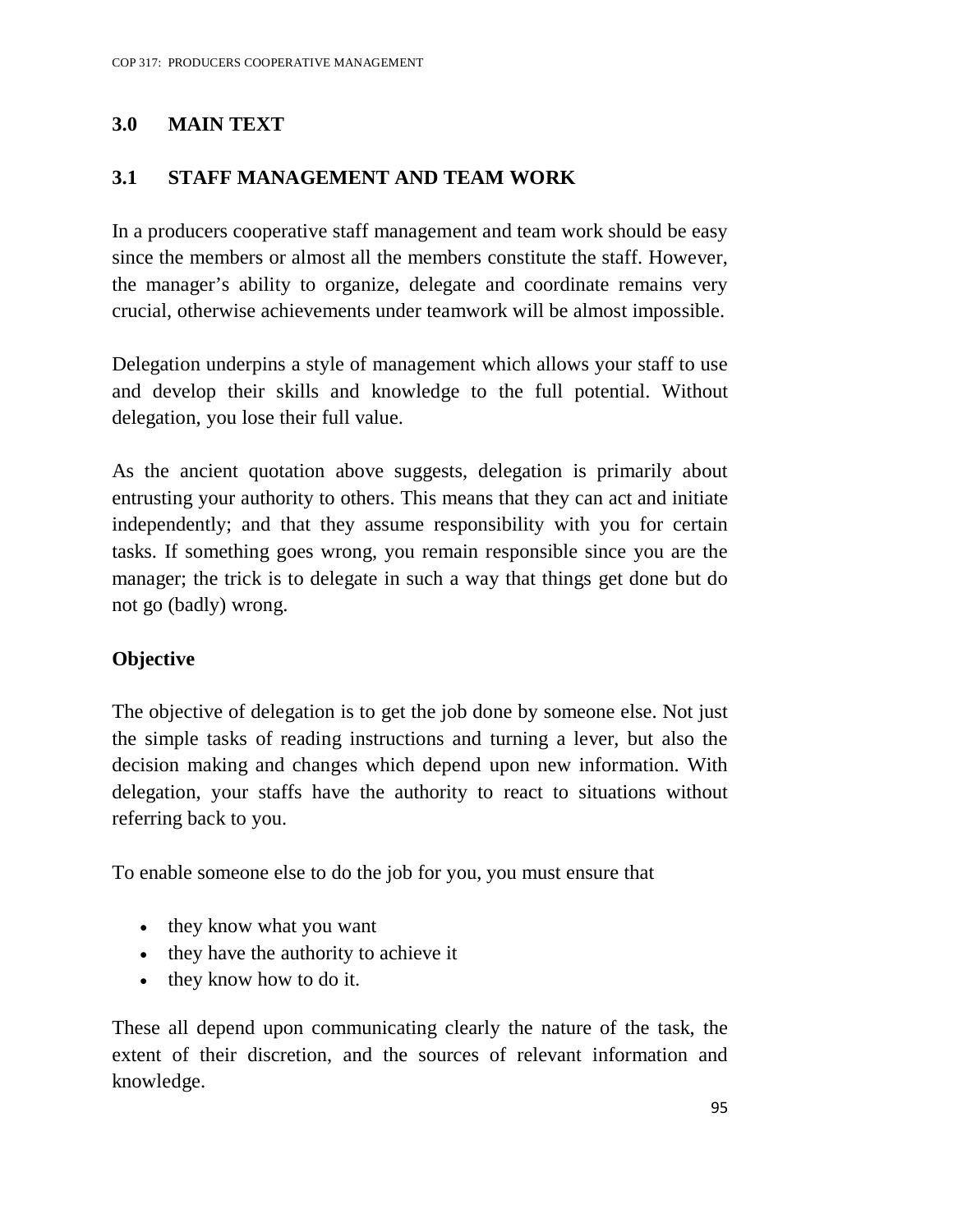# **3.0 MAIN TEXT**

## **3.1 STAFF MANAGEMENT AND TEAM WORK**

In a producers cooperative staff management and team work should be easy since the members or almost all the members constitute the staff. However, the manager's ability to organize, delegate and coordinate remains very crucial, otherwise achievements under teamwork will be almost impossible.

Delegation underpins a style of management which allows your staff to use and develop their skills and knowledge to the full potential. Without delegation, you lose their full value.

As the ancient quotation above suggests, delegation is primarily about entrusting your authority to others. This means that they can act and initiate independently; and that they assume responsibility with you for certain tasks. If something goes wrong, you remain responsible since you are the manager; the trick is to delegate in such a way that things get done but do not go (badly) wrong.

### **Objective**

The objective of delegation is to get the job done by someone else. Not just the simple tasks of reading instructions and turning a lever, but also the decision making and changes which depend upon new information. With delegation, your staffs have the authority to react to situations without referring back to you.

To enable someone else to do the job for you, you must ensure that

- they know what you want
- they have the authority to achieve it
- they know how to do it.

These all depend upon communicating clearly the nature of the task, the extent of their discretion, and the sources of relevant information and knowledge.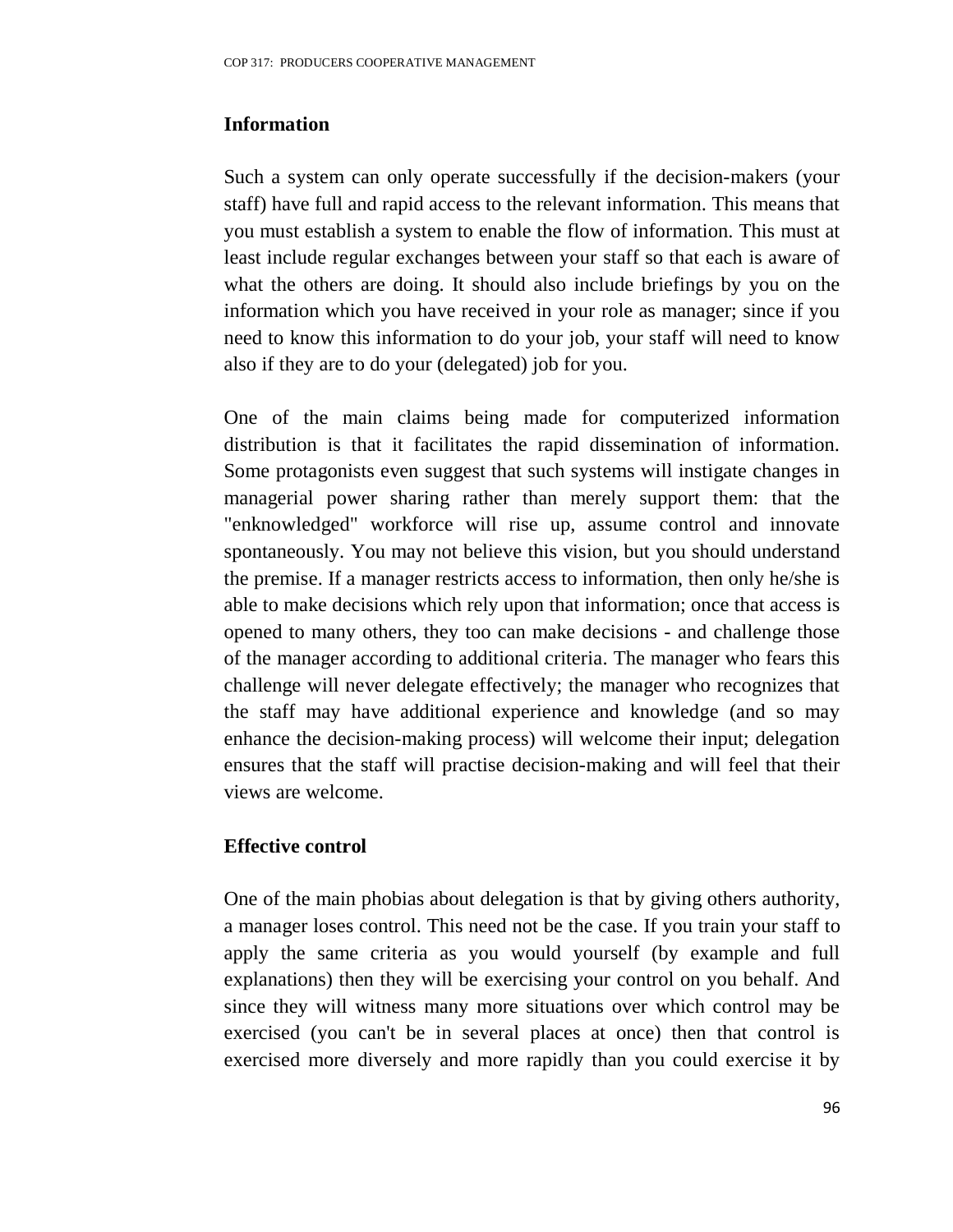### **Information**

Such a system can only operate successfully if the decision-makers (your staff) have full and rapid access to the relevant information. This means that you must establish a system to enable the flow of information. This must at least include regular exchanges between your staff so that each is aware of what the others are doing. It should also include briefings by you on the information which you have received in your role as manager; since if you need to know this information to do your job, your staff will need to know also if they are to do your (delegated) job for you.

One of the main claims being made for computerized information distribution is that it facilitates the rapid dissemination of information. Some protagonists even suggest that such systems will instigate changes in managerial power sharing rather than merely support them: that the "enknowledged" workforce will rise up, assume control and innovate spontaneously. You may not believe this vision, but you should understand the premise. If a manager restricts access to information, then only he/she is able to make decisions which rely upon that information; once that access is opened to many others, they too can make decisions - and challenge those of the manager according to additional criteria. The manager who fears this challenge will never delegate effectively; the manager who recognizes that the staff may have additional experience and knowledge (and so may enhance the decision-making process) will welcome their input; delegation ensures that the staff will practise decision-making and will feel that their views are welcome.

# **Effective control**

One of the main phobias about delegation is that by giving others authority, a manager loses control. This need not be the case. If you train your staff to apply the same criteria as you would yourself (by example and full explanations) then they will be exercising your control on you behalf. And since they will witness many more situations over which control may be exercised (you can't be in several places at once) then that control is exercised more diversely and more rapidly than you could exercise it by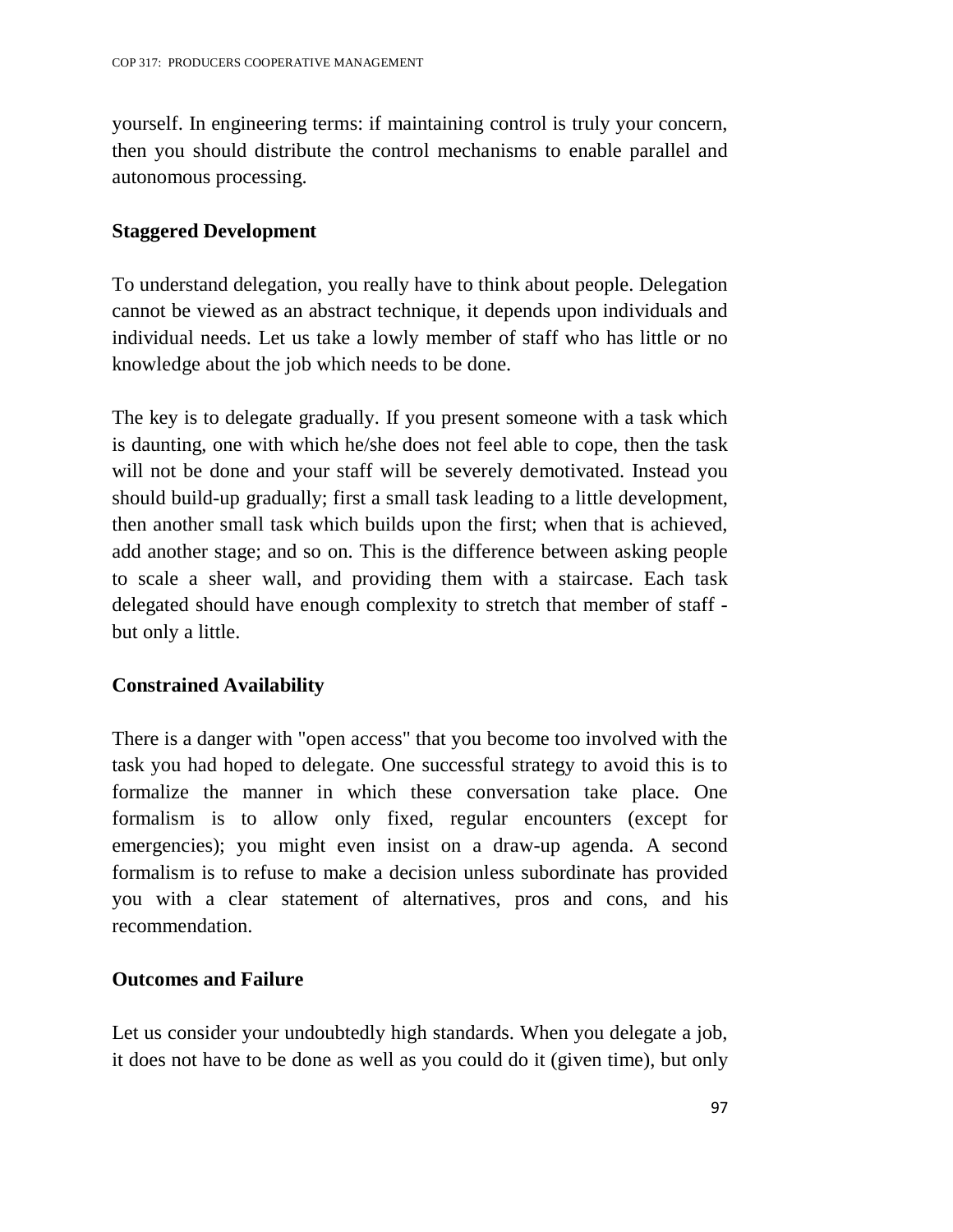yourself. In engineering terms: if maintaining control is truly your concern, then you should distribute the control mechanisms to enable parallel and autonomous processing.

### **Staggered Development**

To understand delegation, you really have to think about people. Delegation cannot be viewed as an abstract technique, it depends upon individuals and individual needs. Let us take a lowly member of staff who has little or no knowledge about the job which needs to be done.

The key is to delegate gradually. If you present someone with a task which is daunting, one with which he/she does not feel able to cope, then the task will not be done and your staff will be severely demotivated. Instead you should build-up gradually; first a small task leading to a little development, then another small task which builds upon the first; when that is achieved, add another stage; and so on. This is the difference between asking people to scale a sheer wall, and providing them with a staircase. Each task delegated should have enough complexity to stretch that member of staff but only a little.

### **Constrained Availability**

There is a danger with "open access" that you become too involved with the task you had hoped to delegate. One successful strategy to avoid this is to formalize the manner in which these conversation take place. One formalism is to allow only fixed, regular encounters (except for emergencies); you might even insist on a draw-up agenda. A second formalism is to refuse to make a decision unless subordinate has provided you with a clear statement of alternatives, pros and cons, and his recommendation.

### **Outcomes and Failure**

Let us consider your undoubtedly high standards. When you delegate a job, it does not have to be done as well as you could do it (given time), but only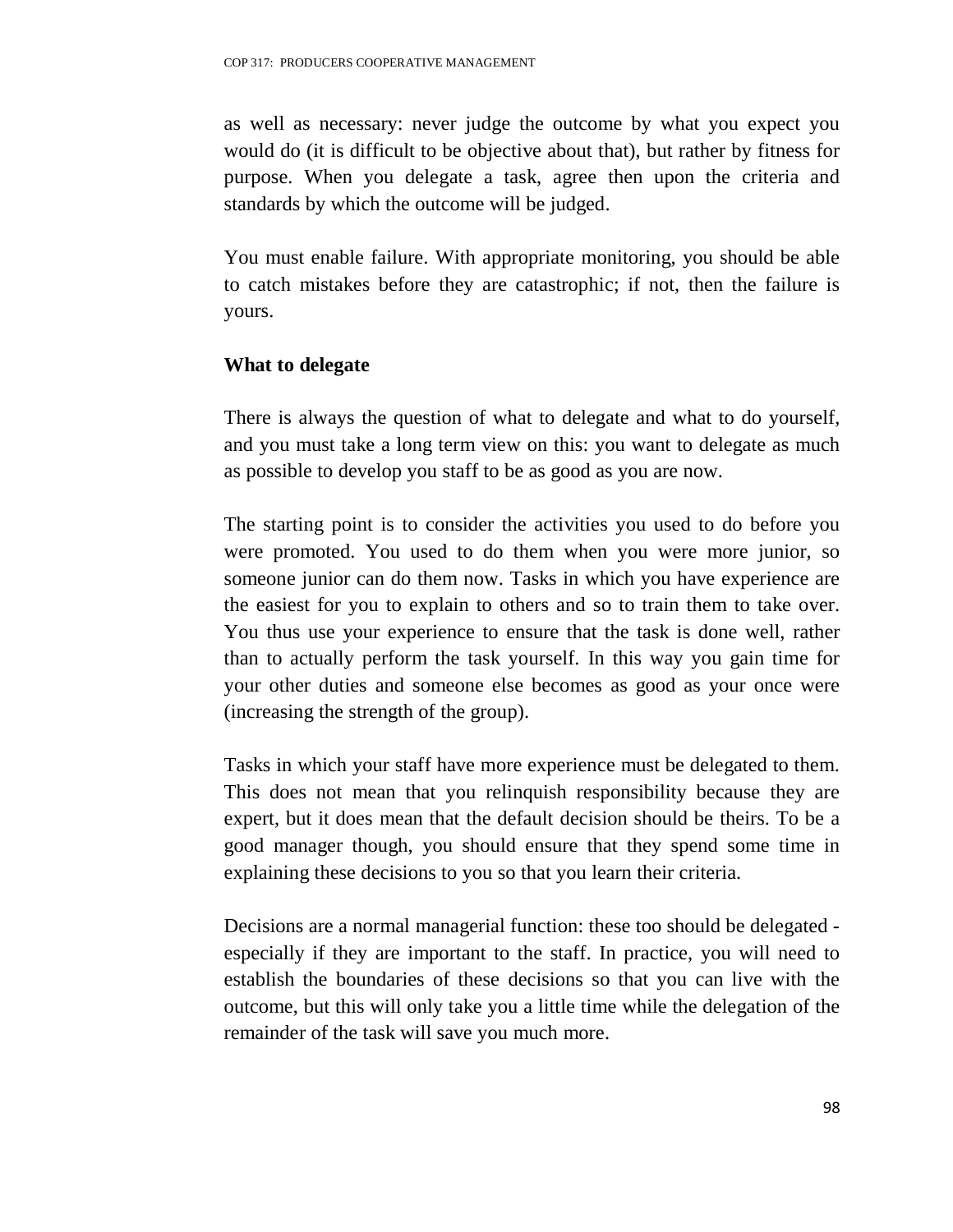as well as necessary: never judge the outcome by what you expect you would do (it is difficult to be objective about that), but rather by fitness for purpose. When you delegate a task, agree then upon the criteria and standards by which the outcome will be judged.

You must enable failure. With appropriate monitoring, you should be able to catch mistakes before they are catastrophic; if not, then the failure is yours.

### **What to delegate**

There is always the question of what to delegate and what to do yourself, and you must take a long term view on this: you want to delegate as much as possible to develop you staff to be as good as you are now.

The starting point is to consider the activities you used to do before you were promoted. You used to do them when you were more junior, so someone junior can do them now. Tasks in which you have experience are the easiest for you to explain to others and so to train them to take over. You thus use your experience to ensure that the task is done well, rather than to actually perform the task yourself. In this way you gain time for your other duties and someone else becomes as good as your once were (increasing the strength of the group).

Tasks in which your staff have more experience must be delegated to them. This does not mean that you relinquish responsibility because they are expert, but it does mean that the default decision should be theirs. To be a good manager though, you should ensure that they spend some time in explaining these decisions to you so that you learn their criteria.

Decisions are a normal managerial function: these too should be delegated especially if they are important to the staff. In practice, you will need to establish the boundaries of these decisions so that you can live with the outcome, but this will only take you a little time while the delegation of the remainder of the task will save you much more.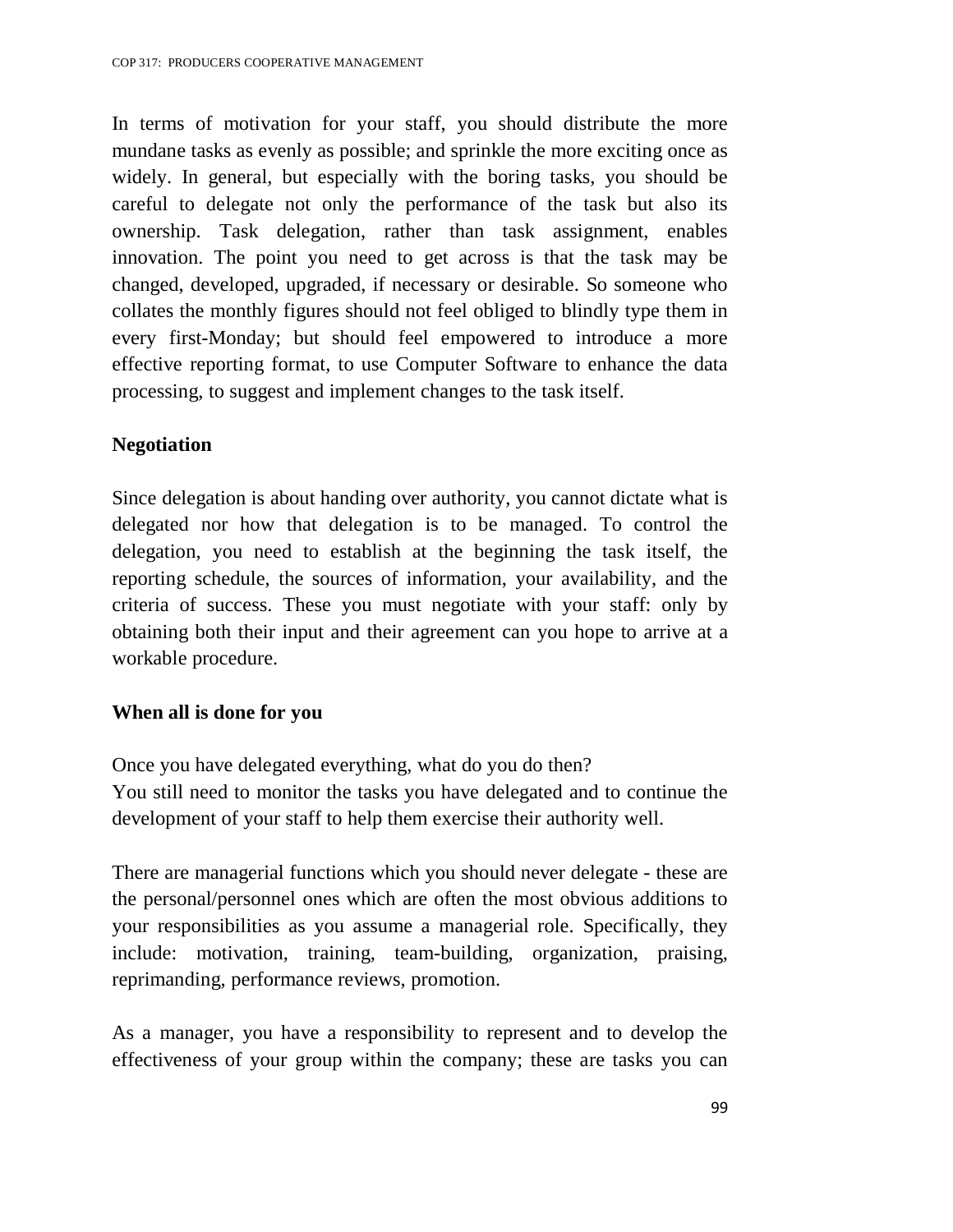In terms of motivation for your staff, you should distribute the more mundane tasks as evenly as possible; and sprinkle the more exciting once as widely. In general, but especially with the boring tasks, you should be careful to delegate not only the performance of the task but also its ownership. Task delegation, rather than task assignment, enables innovation. The point you need to get across is that the task may be changed, developed, upgraded, if necessary or desirable. So someone who collates the monthly figures should not feel obliged to blindly type them in every first-Monday; but should feel empowered to introduce a more effective reporting format, to use Computer Software to enhance the data processing, to suggest and implement changes to the task itself.

### **Negotiation**

Since delegation is about handing over authority, you cannot dictate what is delegated nor how that delegation is to be managed. To control the delegation, you need to establish at the beginning the task itself, the reporting schedule, the sources of information, your availability, and the criteria of success. These you must negotiate with your staff: only by obtaining both their input and their agreement can you hope to arrive at a workable procedure.

### **When all is done for you**

Once you have delegated everything, what do you do then? You still need to monitor the tasks you have delegated and to continue the development of your staff to help them exercise their authority well.

There are managerial functions which you should never delegate - these are the personal/personnel ones which are often the most obvious additions to your responsibilities as you assume a managerial role. Specifically, they include: motivation, training, team-building, organization, praising, reprimanding, performance reviews, promotion.

As a manager, you have a responsibility to represent and to develop the effectiveness of your group within the company; these are tasks you can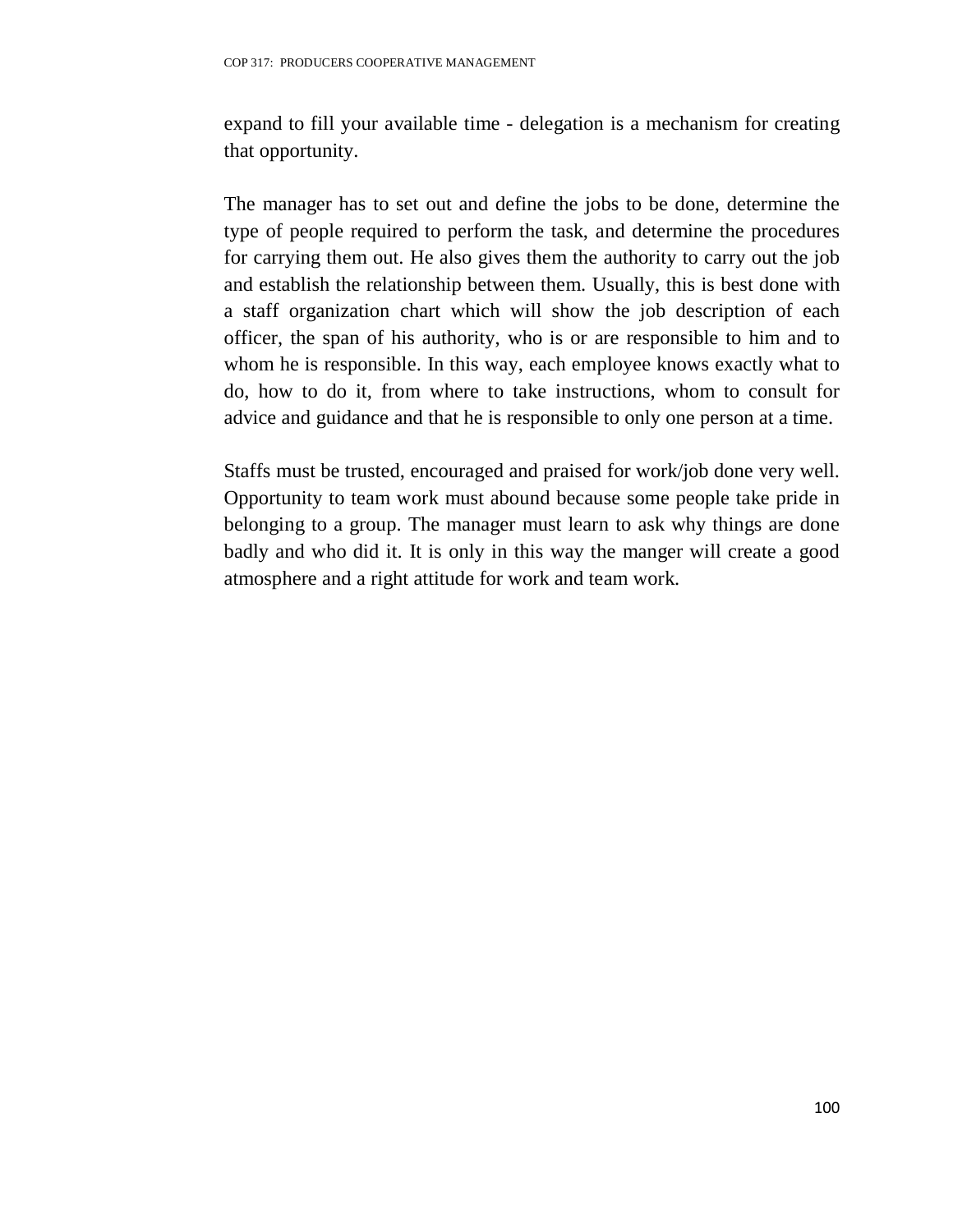expand to fill your available time - delegation is a mechanism for creating that opportunity.

The manager has to set out and define the jobs to be done, determine the type of people required to perform the task, and determine the procedures for carrying them out. He also gives them the authority to carry out the job and establish the relationship between them. Usually, this is best done with a staff organization chart which will show the job description of each officer, the span of his authority, who is or are responsible to him and to whom he is responsible. In this way, each employee knows exactly what to do, how to do it, from where to take instructions, whom to consult for advice and guidance and that he is responsible to only one person at a time.

Staffs must be trusted, encouraged and praised for work/job done very well. Opportunity to team work must abound because some people take pride in belonging to a group. The manager must learn to ask why things are done badly and who did it. It is only in this way the manger will create a good atmosphere and a right attitude for work and team work.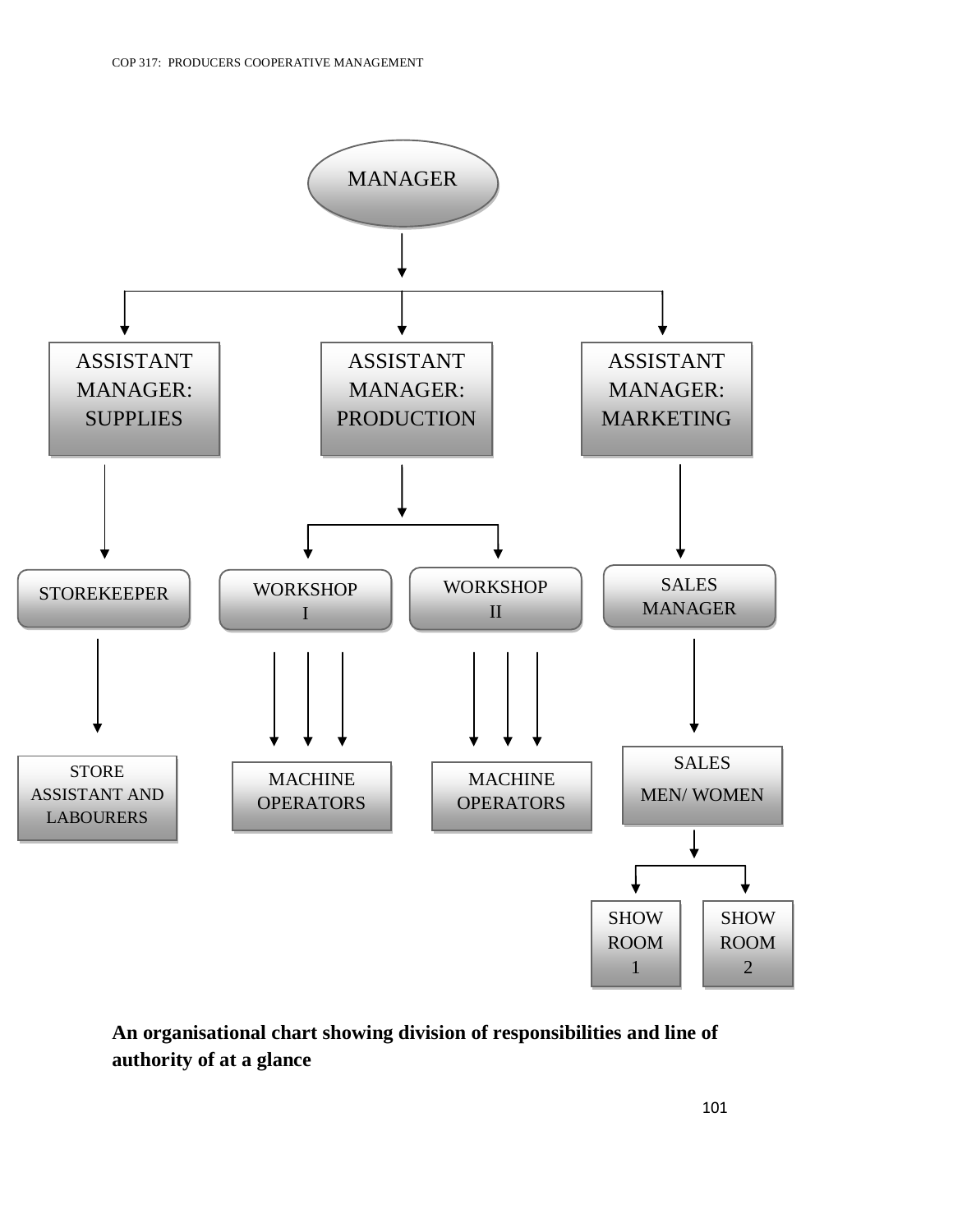

**An organisational chart showing division of responsibilities and line of authority of at a glance**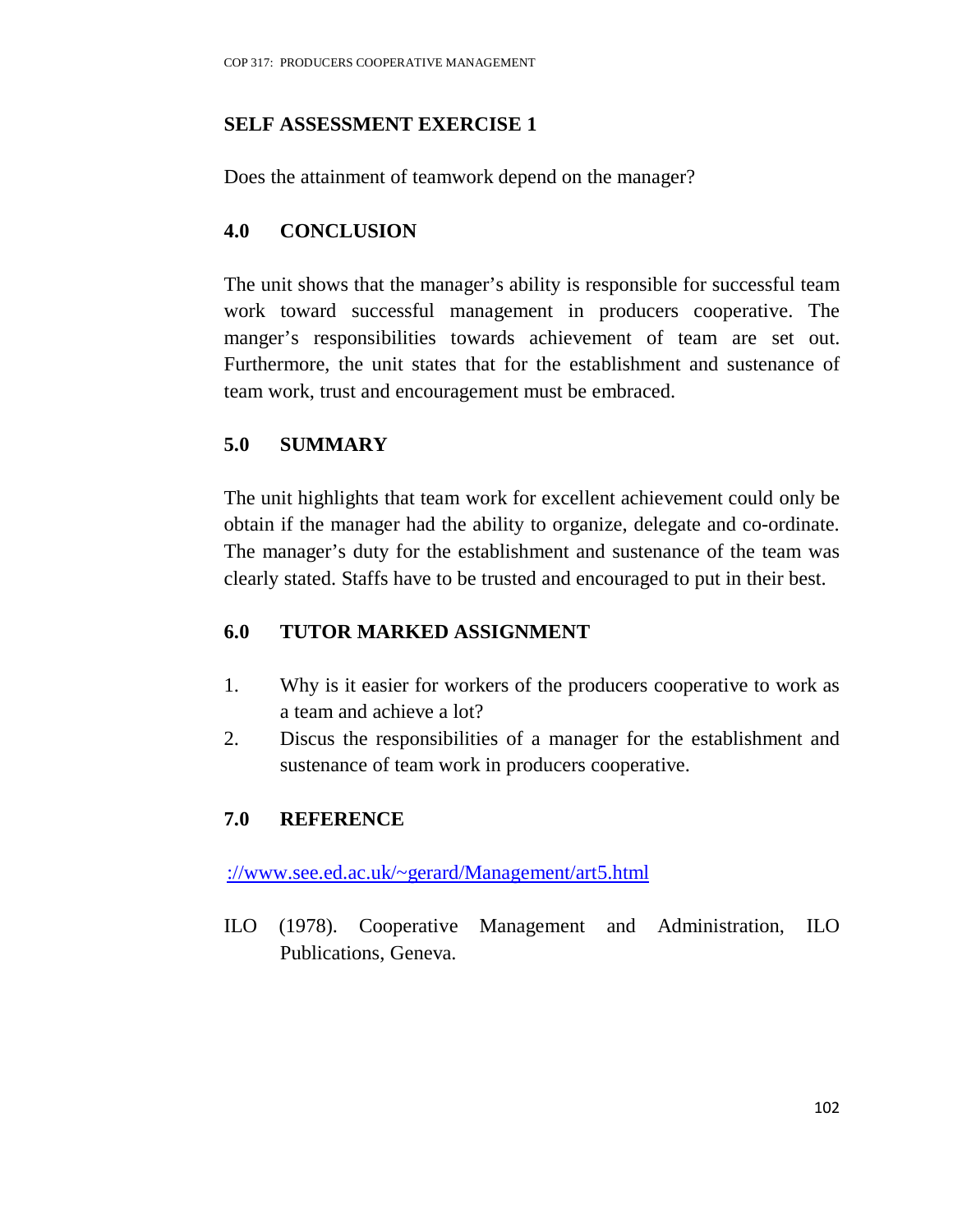### **SELF ASSESSMENT EXERCISE 1**

Does the attainment of teamwork depend on the manager?

## **4.0 CONCLUSION**

The unit shows that the manager's ability is responsible for successful team work toward successful management in producers cooperative. The manger's responsibilities towards achievement of team are set out. Furthermore, the unit states that for the establishment and sustenance of team work, trust and encouragement must be embraced.

# **5.0 SUMMARY**

The unit highlights that team work for excellent achievement could only be obtain if the manager had the ability to organize, delegate and co-ordinate. The manager's duty for the establishment and sustenance of the team was clearly stated. Staffs have to be trusted and encouraged to put in their best.

### **6.0 TUTOR MARKED ASSIGNMENT**

- 1. Why is it easier for workers of the producers cooperative to work as a team and achieve a lot?
- 2. Discus the responsibilities of a manager for the establishment and sustenance of team work in producers cooperative.

# **7.0 REFERENCE**

[://www.see.ed.ac.uk/~gerard/Management/art5.html](http://www.see.ed.ac.uk/~gerard/Management/art5.html)

ILO (1978). Cooperative Management and Administration, ILO Publications, Geneva.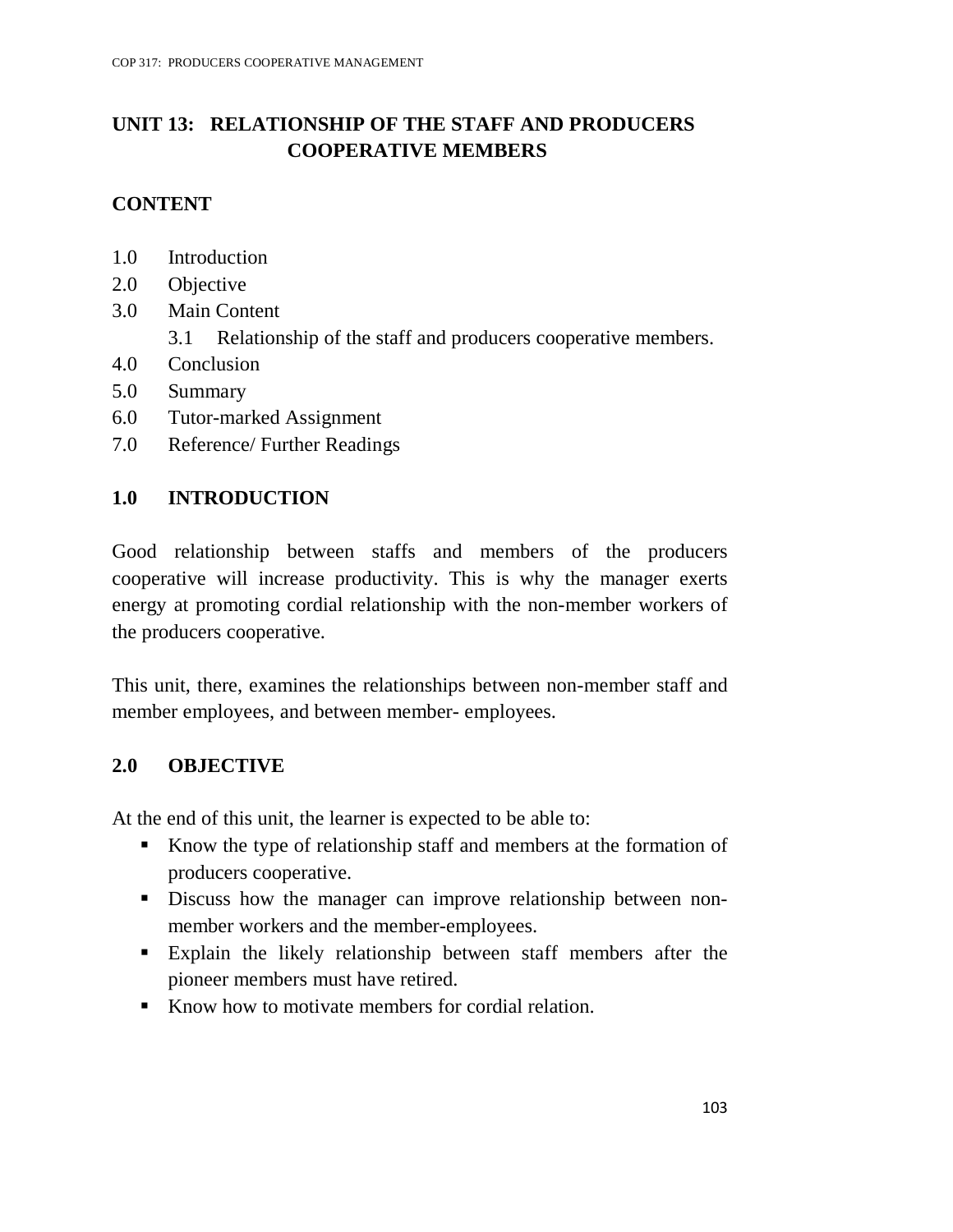# **UNIT 13: RELATIONSHIP OF THE STAFF AND PRODUCERS COOPERATIVE MEMBERS**

## **CONTENT**

- 1.0 Introduction
- 2.0 Objective
- 3.0 Main Content
	- 3.1 Relationship of the staff and producers cooperative members.
- 4.0 Conclusion
- 5.0 Summary
- 6.0 Tutor-marked Assignment
- 7.0 Reference/ Further Readings

# **1.0 INTRODUCTION**

Good relationship between staffs and members of the producers cooperative will increase productivity. This is why the manager exerts energy at promoting cordial relationship with the non-member workers of the producers cooperative.

This unit, there, examines the relationships between non-member staff and member employees, and between member- employees.

# **2.0 OBJECTIVE**

At the end of this unit, the learner is expected to be able to:

- Know the type of relationship staff and members at the formation of producers cooperative.
- Discuss how the manager can improve relationship between nonmember workers and the member-employees.
- Explain the likely relationship between staff members after the pioneer members must have retired.
- Know how to motivate members for cordial relation.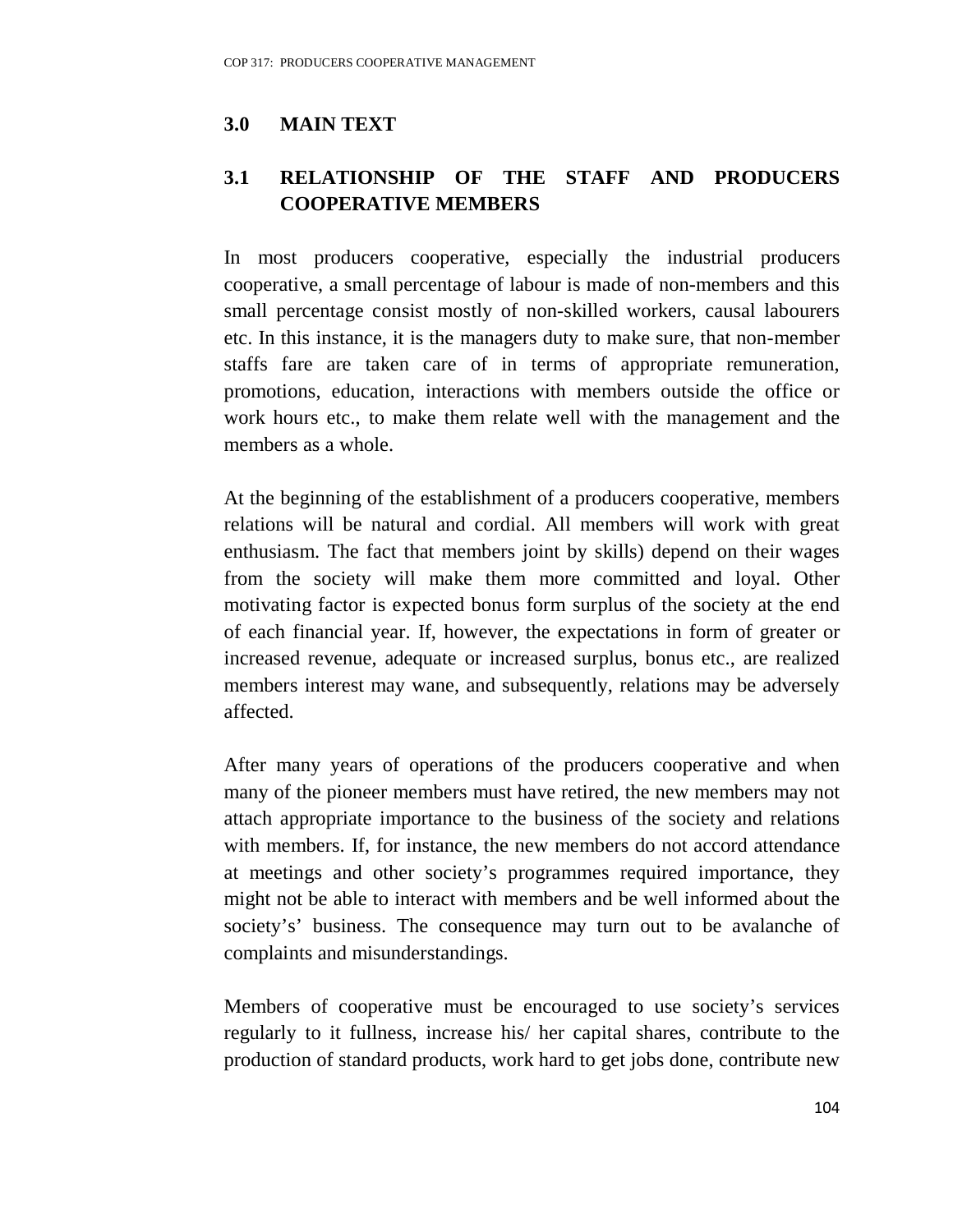## **3.0 MAIN TEXT**

# **3.1 RELATIONSHIP OF THE STAFF AND PRODUCERS COOPERATIVE MEMBERS**

In most producers cooperative, especially the industrial producers cooperative, a small percentage of labour is made of non-members and this small percentage consist mostly of non-skilled workers, causal labourers etc. In this instance, it is the managers duty to make sure, that non-member staffs fare are taken care of in terms of appropriate remuneration, promotions, education, interactions with members outside the office or work hours etc., to make them relate well with the management and the members as a whole.

At the beginning of the establishment of a producers cooperative, members relations will be natural and cordial. All members will work with great enthusiasm. The fact that members joint by skills) depend on their wages from the society will make them more committed and loyal. Other motivating factor is expected bonus form surplus of the society at the end of each financial year. If, however, the expectations in form of greater or increased revenue, adequate or increased surplus, bonus etc., are realized members interest may wane, and subsequently, relations may be adversely affected.

After many years of operations of the producers cooperative and when many of the pioneer members must have retired, the new members may not attach appropriate importance to the business of the society and relations with members. If, for instance, the new members do not accord attendance at meetings and other society's programmes required importance, they might not be able to interact with members and be well informed about the society's' business. The consequence may turn out to be avalanche of complaints and misunderstandings.

Members of cooperative must be encouraged to use society's services regularly to it fullness, increase his/ her capital shares, contribute to the production of standard products, work hard to get jobs done, contribute new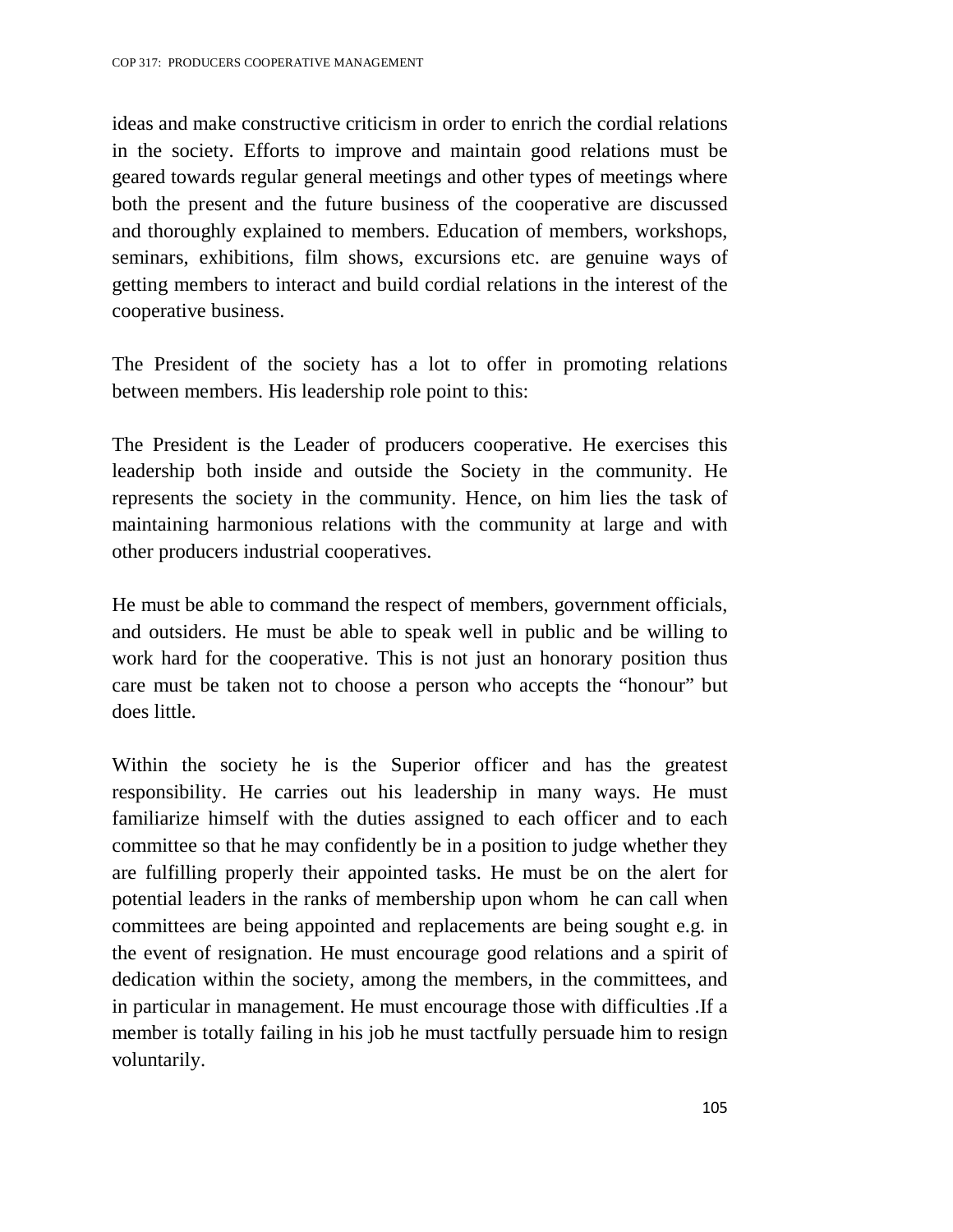ideas and make constructive criticism in order to enrich the cordial relations in the society. Efforts to improve and maintain good relations must be geared towards regular general meetings and other types of meetings where both the present and the future business of the cooperative are discussed and thoroughly explained to members. Education of members, workshops, seminars, exhibitions, film shows, excursions etc. are genuine ways of getting members to interact and build cordial relations in the interest of the cooperative business.

The President of the society has a lot to offer in promoting relations between members. His leadership role point to this:

The President is the Leader of producers cooperative. He exercises this leadership both inside and outside the Society in the community. He represents the society in the community. Hence, on him lies the task of maintaining harmonious relations with the community at large and with other producers industrial cooperatives.

He must be able to command the respect of members, government officials, and outsiders. He must be able to speak well in public and be willing to work hard for the cooperative. This is not just an honorary position thus care must be taken not to choose a person who accepts the "honour" but does little.

Within the society he is the Superior officer and has the greatest responsibility. He carries out his leadership in many ways. He must familiarize himself with the duties assigned to each officer and to each committee so that he may confidently be in a position to judge whether they are fulfilling properly their appointed tasks. He must be on the alert for potential leaders in the ranks of membership upon whom he can call when committees are being appointed and replacements are being sought e.g. in the event of resignation. He must encourage good relations and a spirit of dedication within the society, among the members, in the committees, and in particular in management. He must encourage those with difficulties .If a member is totally failing in his job he must tactfully persuade him to resign voluntarily.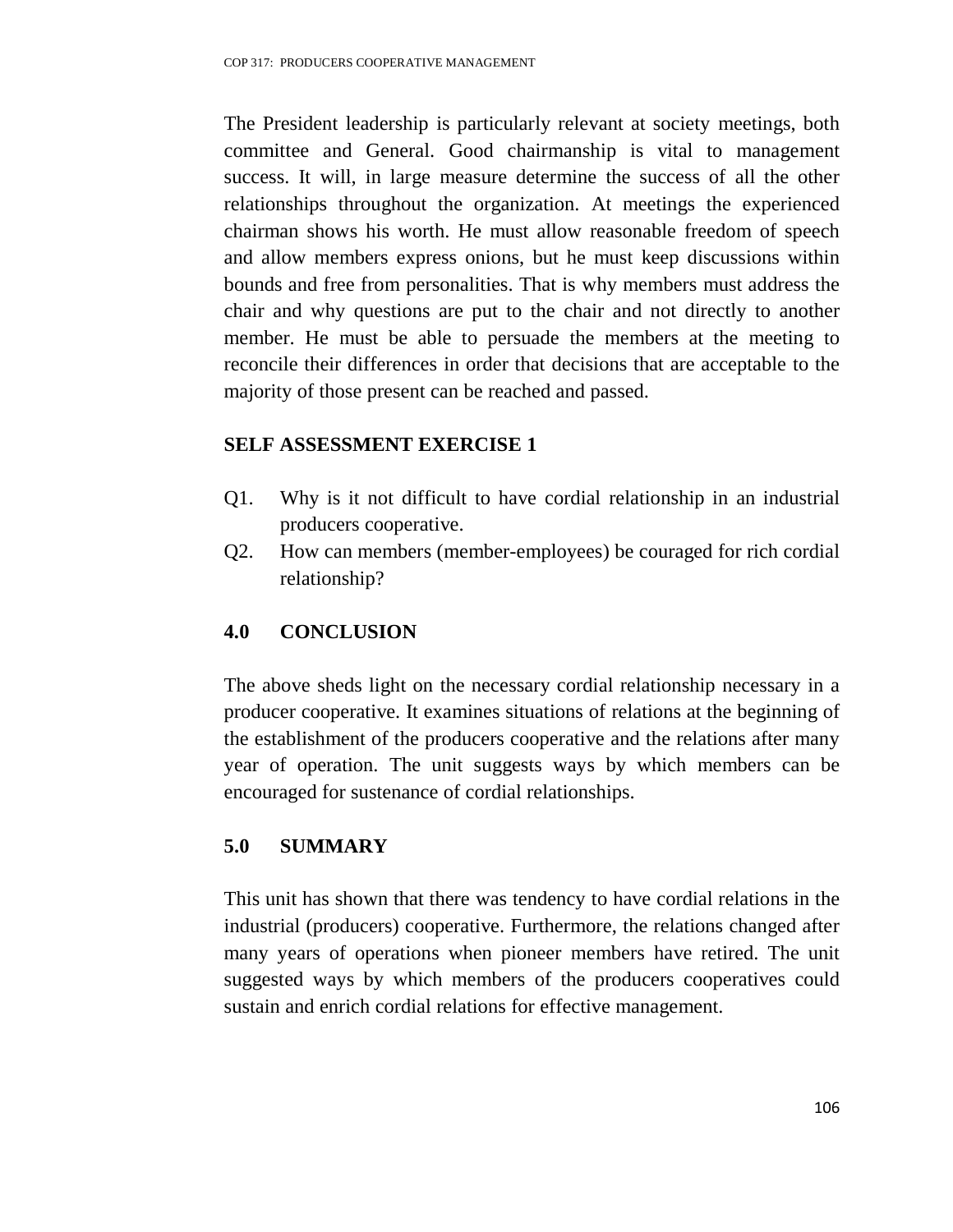The President leadership is particularly relevant at society meetings, both committee and General. Good chairmanship is vital to management success. It will, in large measure determine the success of all the other relationships throughout the organization. At meetings the experienced chairman shows his worth. He must allow reasonable freedom of speech and allow members express onions, but he must keep discussions within bounds and free from personalities. That is why members must address the chair and why questions are put to the chair and not directly to another member. He must be able to persuade the members at the meeting to reconcile their differences in order that decisions that are acceptable to the majority of those present can be reached and passed.

#### **SELF ASSESSMENT EXERCISE 1**

- Q1. Why is it not difficult to have cordial relationship in an industrial producers cooperative.
- Q2. How can members (member-employees) be couraged for rich cordial relationship?

### **4.0 CONCLUSION**

The above sheds light on the necessary cordial relationship necessary in a producer cooperative. It examines situations of relations at the beginning of the establishment of the producers cooperative and the relations after many year of operation. The unit suggests ways by which members can be encouraged for sustenance of cordial relationships.

# **5.0 SUMMARY**

This unit has shown that there was tendency to have cordial relations in the industrial (producers) cooperative. Furthermore, the relations changed after many years of operations when pioneer members have retired. The unit suggested ways by which members of the producers cooperatives could sustain and enrich cordial relations for effective management.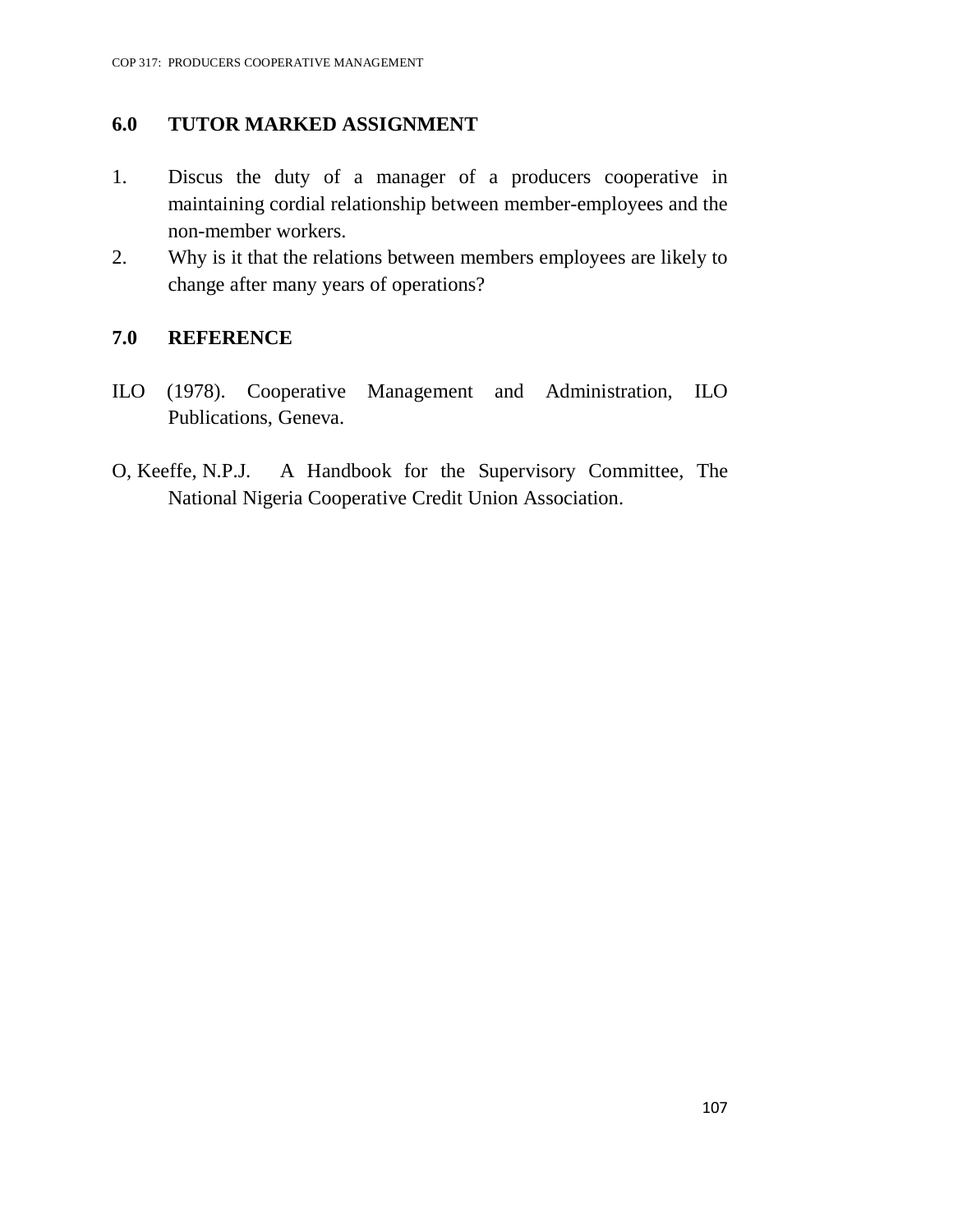## **6.0 TUTOR MARKED ASSIGNMENT**

- 1. Discus the duty of a manager of a producers cooperative in maintaining cordial relationship between member-employees and the non-member workers.
- 2. Why is it that the relations between members employees are likely to change after many years of operations?

# **7.0 REFERENCE**

- ILO (1978). Cooperative Management and Administration, ILO Publications, Geneva.
- O, Keeffe, N.P.J. A Handbook for the Supervisory Committee, The National Nigeria Cooperative Credit Union Association.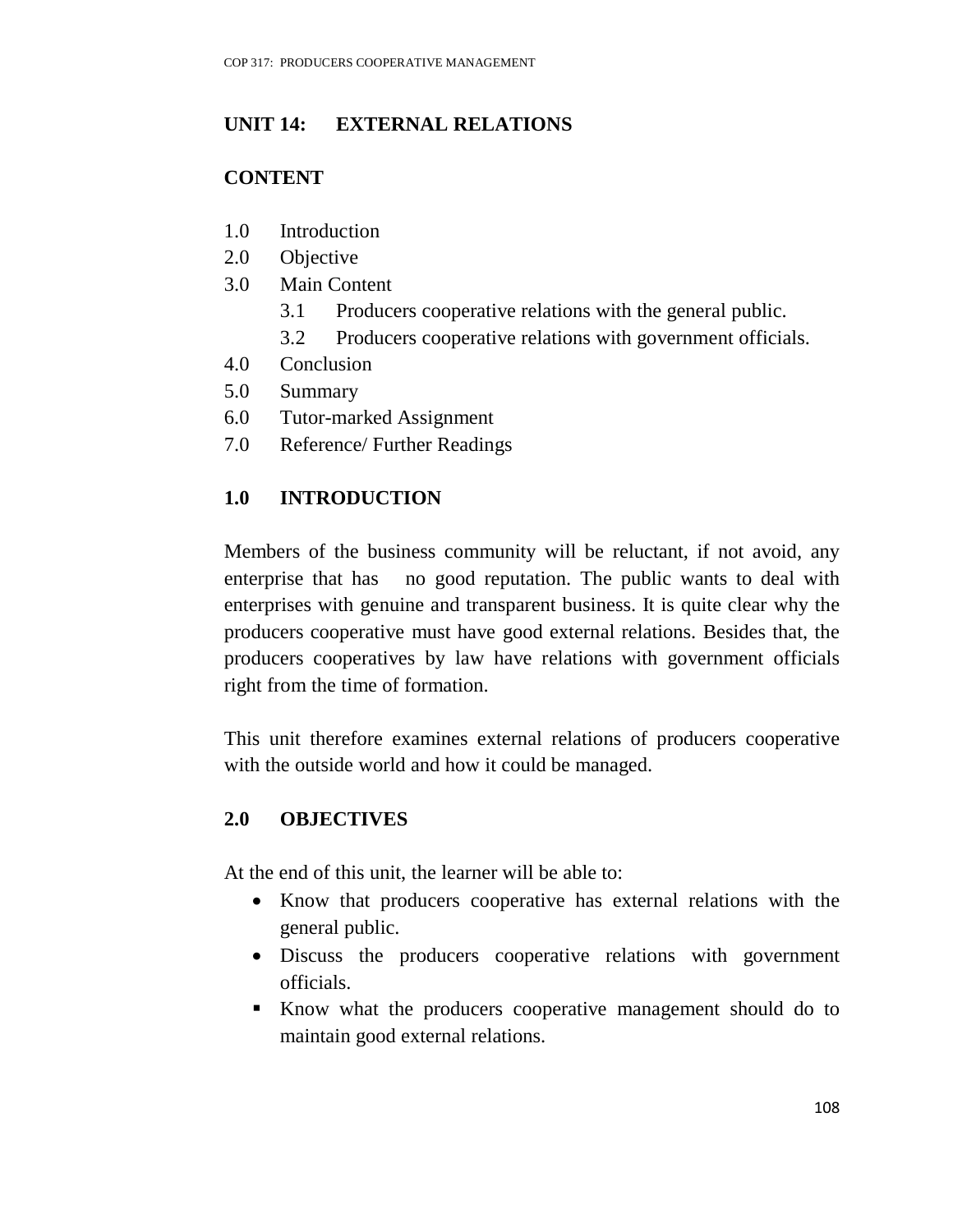# **UNIT 14: EXTERNAL RELATIONS**

# **CONTENT**

- 1.0 Introduction
- 2.0 Objective
- 3.0 Main Content
	- 3.1 Producers cooperative relations with the general public.
	- 3.2 Producers cooperative relations with government officials.
- 4.0 Conclusion
- 5.0 Summary
- 6.0 Tutor-marked Assignment
- 7.0 Reference/ Further Readings

# **1.0 INTRODUCTION**

Members of the business community will be reluctant, if not avoid, any enterprise that has no good reputation. The public wants to deal with enterprises with genuine and transparent business. It is quite clear why the producers cooperative must have good external relations. Besides that, the producers cooperatives by law have relations with government officials right from the time of formation.

This unit therefore examines external relations of producers cooperative with the outside world and how it could be managed.

# **2.0 OBJECTIVES**

At the end of this unit, the learner will be able to:

- Know that producers cooperative has external relations with the general public.
- Discuss the producers cooperative relations with government officials.
- Know what the producers cooperative management should do to maintain good external relations.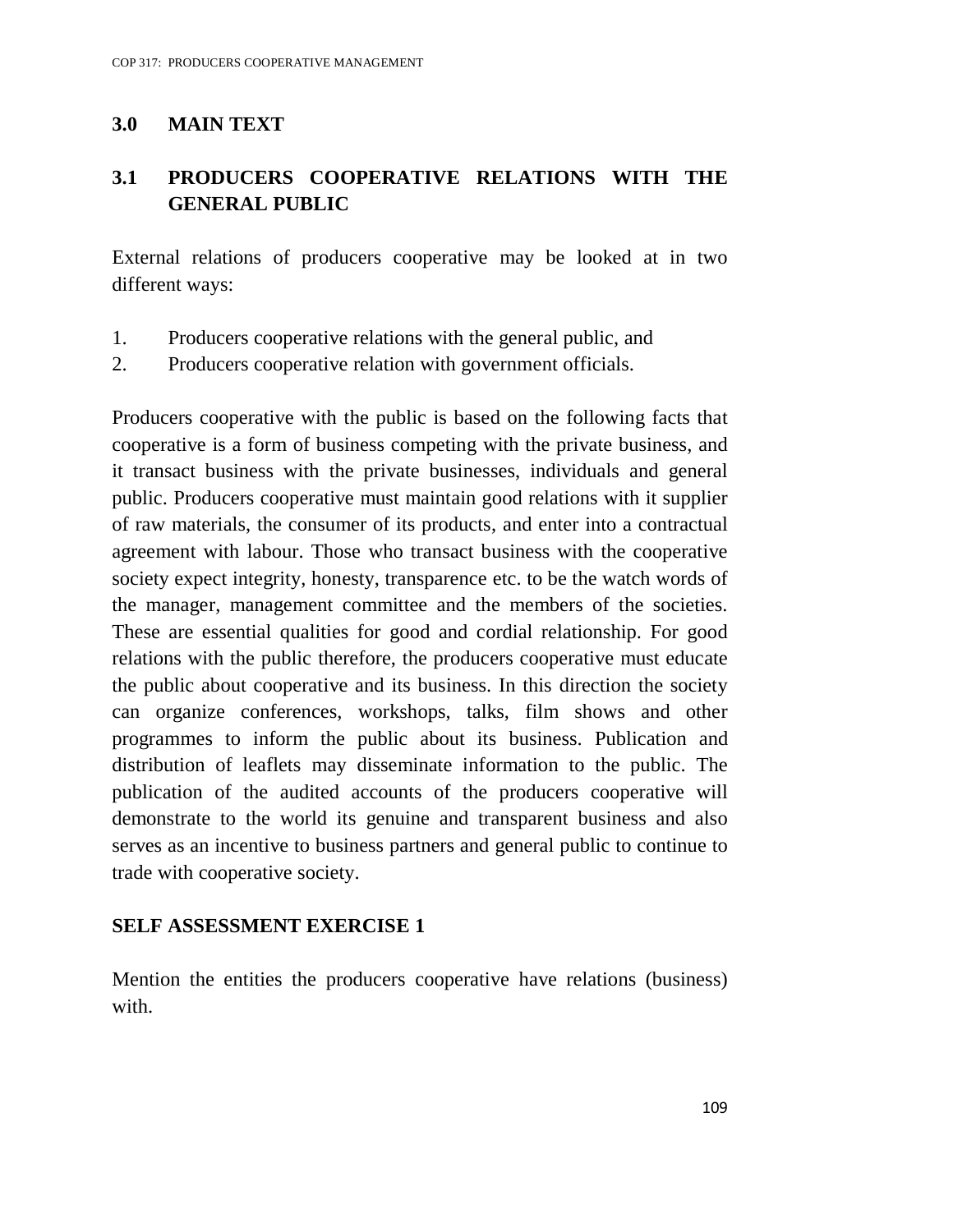### **3.0 MAIN TEXT**

# **3.1 PRODUCERS COOPERATIVE RELATIONS WITH THE GENERAL PUBLIC**

External relations of producers cooperative may be looked at in two different ways:

- 1. Producers cooperative relations with the general public, and
- 2. Producers cooperative relation with government officials.

Producers cooperative with the public is based on the following facts that cooperative is a form of business competing with the private business, and it transact business with the private businesses, individuals and general public. Producers cooperative must maintain good relations with it supplier of raw materials, the consumer of its products, and enter into a contractual agreement with labour. Those who transact business with the cooperative society expect integrity, honesty, transparence etc. to be the watch words of the manager, management committee and the members of the societies. These are essential qualities for good and cordial relationship. For good relations with the public therefore, the producers cooperative must educate the public about cooperative and its business. In this direction the society can organize conferences, workshops, talks, film shows and other programmes to inform the public about its business. Publication and distribution of leaflets may disseminate information to the public. The publication of the audited accounts of the producers cooperative will demonstrate to the world its genuine and transparent business and also serves as an incentive to business partners and general public to continue to trade with cooperative society.

#### **SELF ASSESSMENT EXERCISE 1**

Mention the entities the producers cooperative have relations (business) with.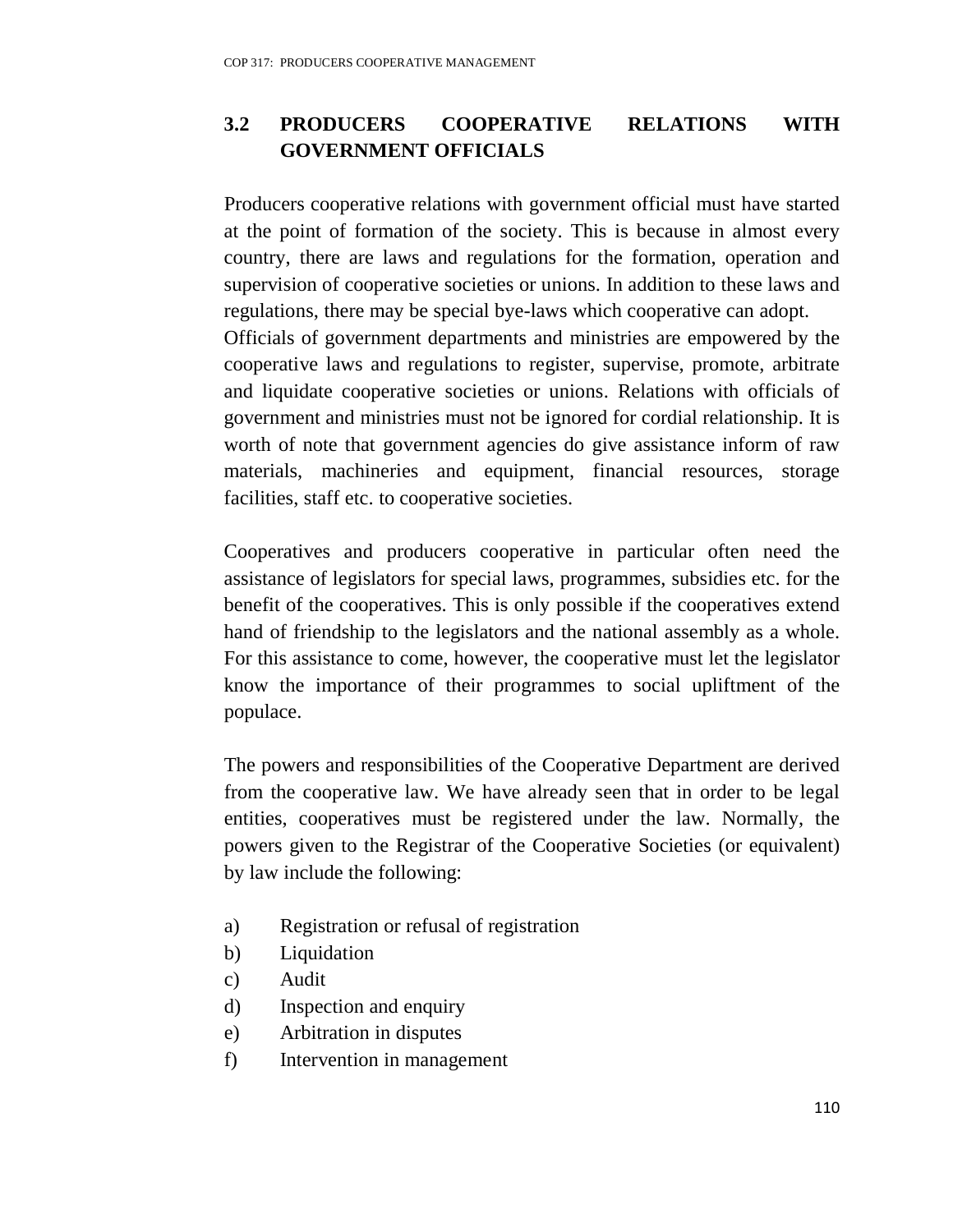# **3.2 PRODUCERS COOPERATIVE RELATIONS WITH GOVERNMENT OFFICIALS**

Producers cooperative relations with government official must have started at the point of formation of the society. This is because in almost every country, there are laws and regulations for the formation, operation and supervision of cooperative societies or unions. In addition to these laws and regulations, there may be special bye-laws which cooperative can adopt. Officials of government departments and ministries are empowered by the cooperative laws and regulations to register, supervise, promote, arbitrate and liquidate cooperative societies or unions. Relations with officials of government and ministries must not be ignored for cordial relationship. It is worth of note that government agencies do give assistance inform of raw materials, machineries and equipment, financial resources, storage facilities, staff etc. to cooperative societies.

Cooperatives and producers cooperative in particular often need the assistance of legislators for special laws, programmes, subsidies etc. for the benefit of the cooperatives. This is only possible if the cooperatives extend hand of friendship to the legislators and the national assembly as a whole. For this assistance to come, however, the cooperative must let the legislator know the importance of their programmes to social upliftment of the populace.

The powers and responsibilities of the Cooperative Department are derived from the cooperative law. We have already seen that in order to be legal entities, cooperatives must be registered under the law. Normally, the powers given to the Registrar of the Cooperative Societies (or equivalent) by law include the following:

- a) Registration or refusal of registration
- b) Liquidation
- c) Audit
- d) Inspection and enquiry
- e) Arbitration in disputes
- f) Intervention in management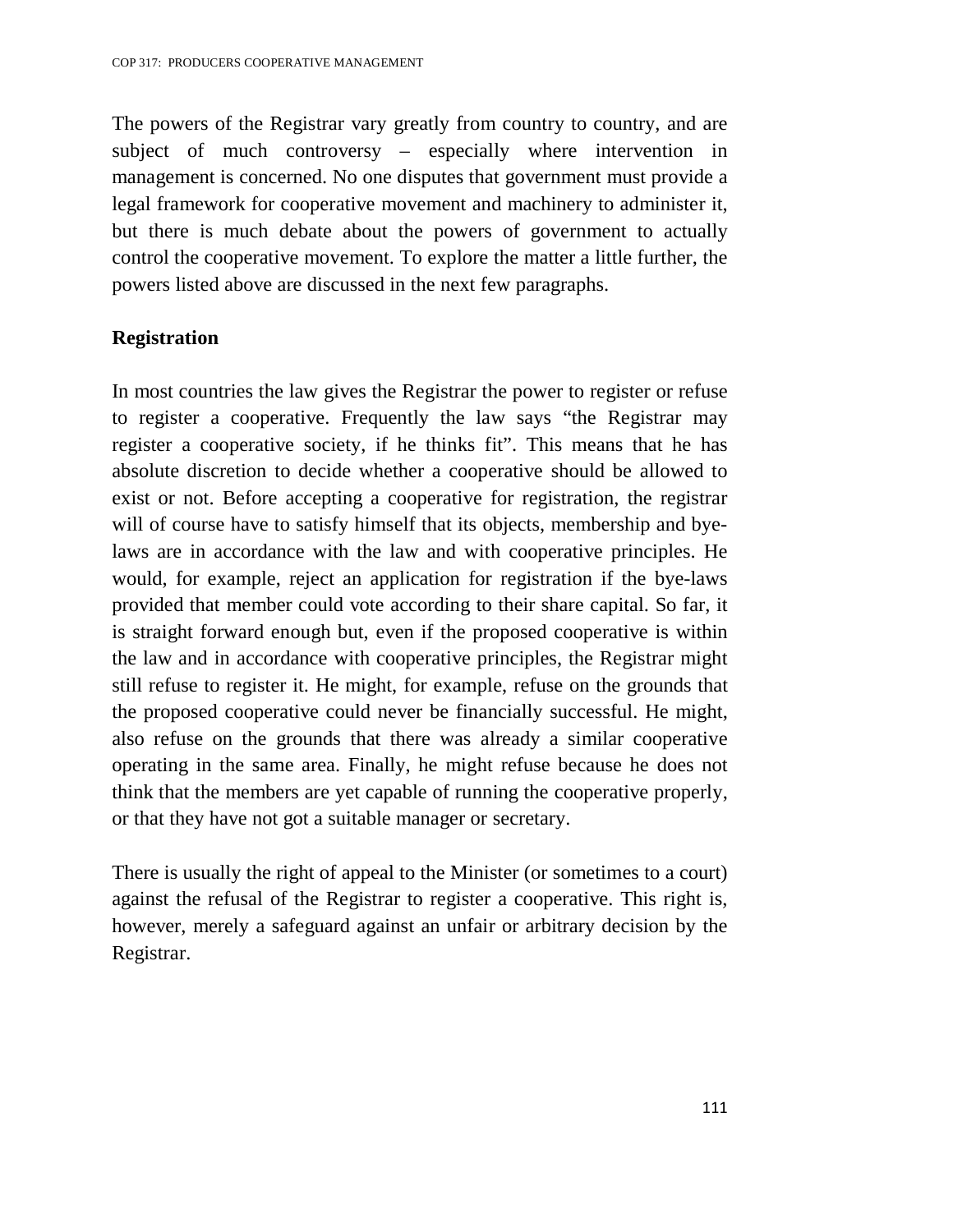The powers of the Registrar vary greatly from country to country, and are subject of much controversy – especially where intervention in management is concerned. No one disputes that government must provide a legal framework for cooperative movement and machinery to administer it, but there is much debate about the powers of government to actually control the cooperative movement. To explore the matter a little further, the powers listed above are discussed in the next few paragraphs.

#### **Registration**

In most countries the law gives the Registrar the power to register or refuse to register a cooperative. Frequently the law says "the Registrar may register a cooperative society, if he thinks fit". This means that he has absolute discretion to decide whether a cooperative should be allowed to exist or not. Before accepting a cooperative for registration, the registrar will of course have to satisfy himself that its objects, membership and byelaws are in accordance with the law and with cooperative principles. He would, for example, reject an application for registration if the bye-laws provided that member could vote according to their share capital. So far, it is straight forward enough but, even if the proposed cooperative is within the law and in accordance with cooperative principles, the Registrar might still refuse to register it. He might, for example, refuse on the grounds that the proposed cooperative could never be financially successful. He might, also refuse on the grounds that there was already a similar cooperative operating in the same area. Finally, he might refuse because he does not think that the members are yet capable of running the cooperative properly, or that they have not got a suitable manager or secretary.

There is usually the right of appeal to the Minister (or sometimes to a court) against the refusal of the Registrar to register a cooperative. This right is, however, merely a safeguard against an unfair or arbitrary decision by the Registrar.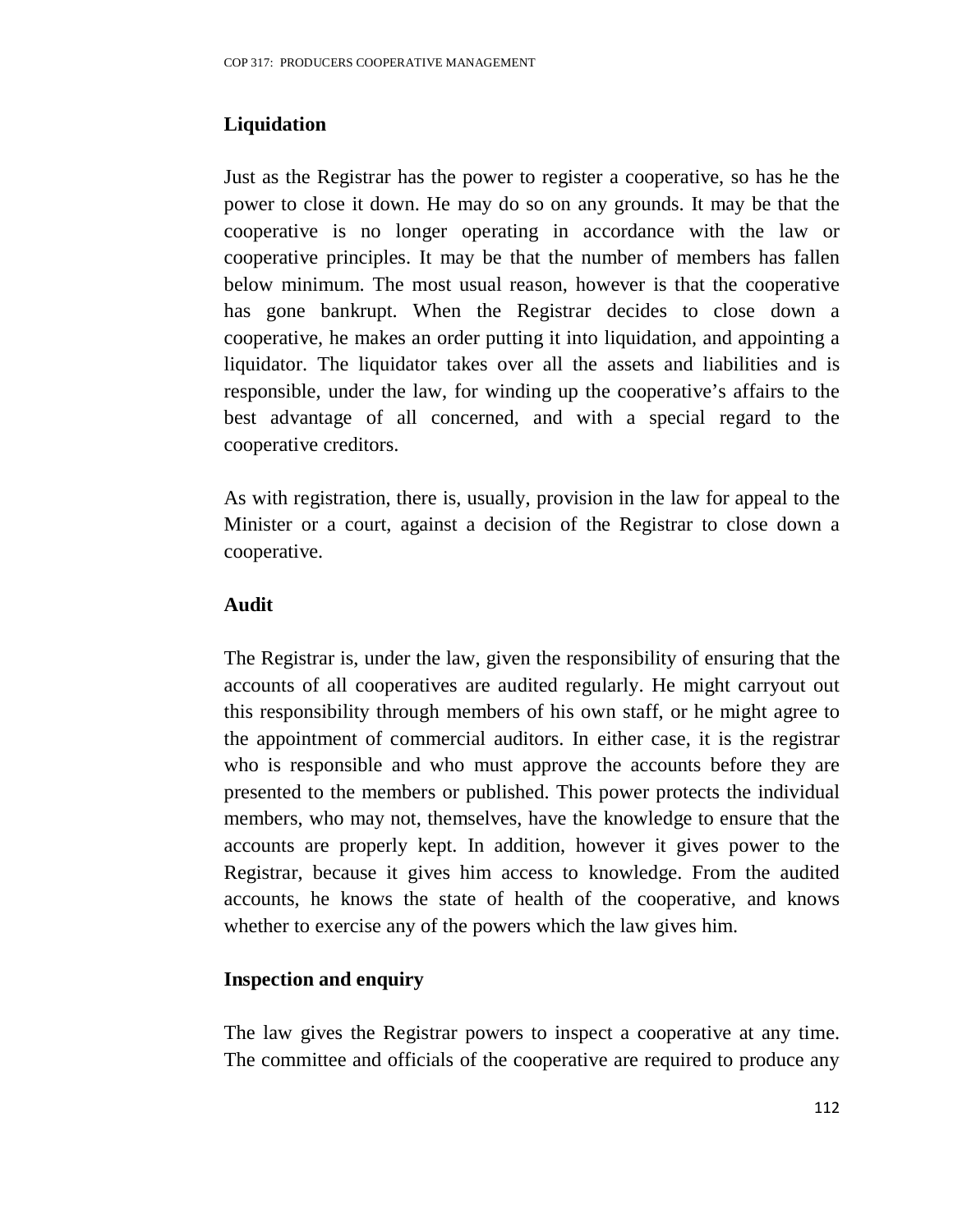# **Liquidation**

Just as the Registrar has the power to register a cooperative, so has he the power to close it down. He may do so on any grounds. It may be that the cooperative is no longer operating in accordance with the law or cooperative principles. It may be that the number of members has fallen below minimum. The most usual reason, however is that the cooperative has gone bankrupt. When the Registrar decides to close down a cooperative, he makes an order putting it into liquidation, and appointing a liquidator. The liquidator takes over all the assets and liabilities and is responsible, under the law, for winding up the cooperative's affairs to the best advantage of all concerned, and with a special regard to the cooperative creditors.

As with registration, there is, usually, provision in the law for appeal to the Minister or a court, against a decision of the Registrar to close down a cooperative.

## **Audit**

The Registrar is, under the law, given the responsibility of ensuring that the accounts of all cooperatives are audited regularly. He might carryout out this responsibility through members of his own staff, or he might agree to the appointment of commercial auditors. In either case, it is the registrar who is responsible and who must approve the accounts before they are presented to the members or published. This power protects the individual members, who may not, themselves, have the knowledge to ensure that the accounts are properly kept. In addition, however it gives power to the Registrar, because it gives him access to knowledge. From the audited accounts, he knows the state of health of the cooperative, and knows whether to exercise any of the powers which the law gives him.

# **Inspection and enquiry**

The law gives the Registrar powers to inspect a cooperative at any time. The committee and officials of the cooperative are required to produce any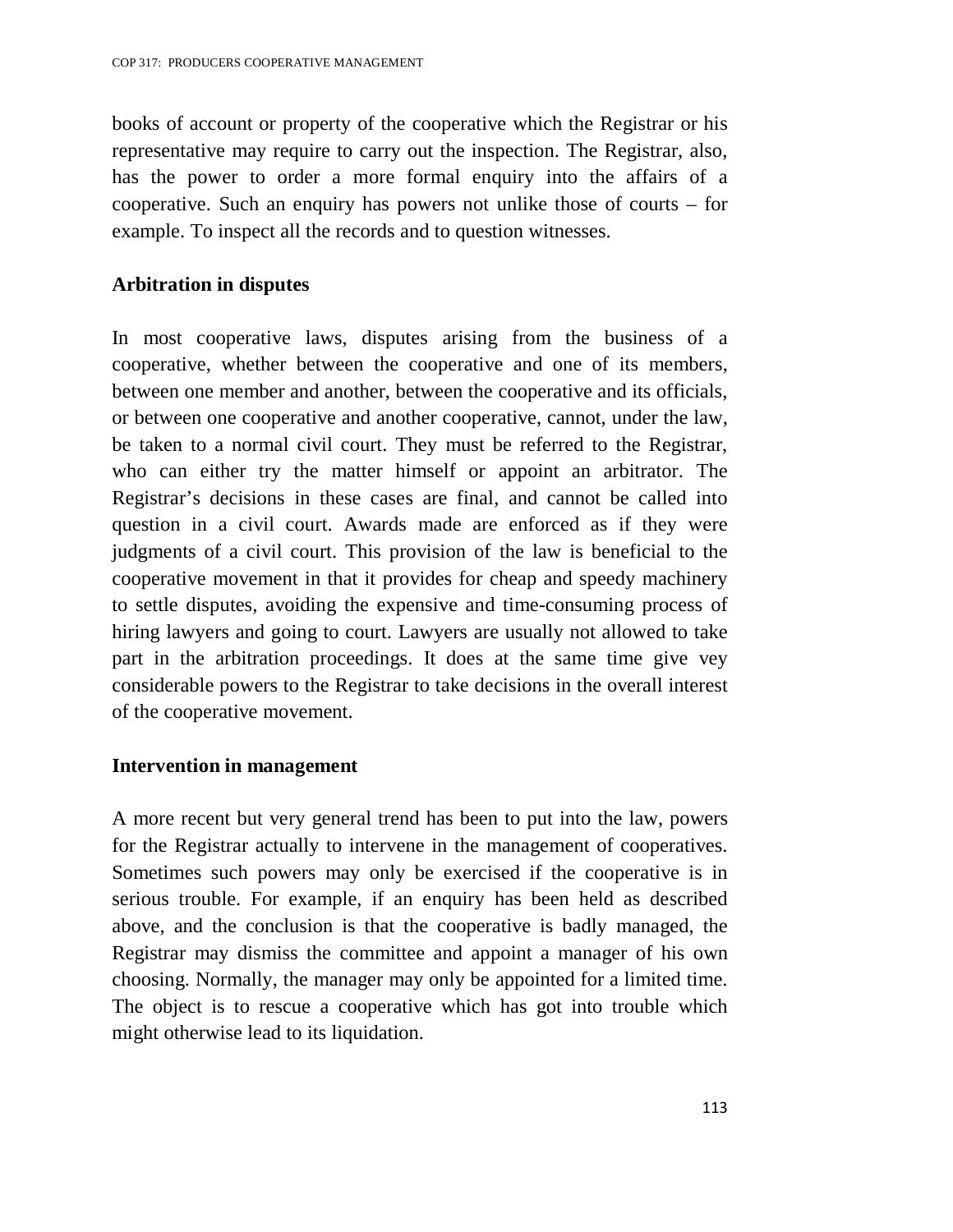books of account or property of the cooperative which the Registrar or his representative may require to carry out the inspection. The Registrar, also, has the power to order a more formal enquiry into the affairs of a cooperative. Such an enquiry has powers not unlike those of courts – for example. To inspect all the records and to question witnesses.

#### **Arbitration in disputes**

In most cooperative laws, disputes arising from the business of a cooperative, whether between the cooperative and one of its members, between one member and another, between the cooperative and its officials, or between one cooperative and another cooperative, cannot, under the law, be taken to a normal civil court. They must be referred to the Registrar, who can either try the matter himself or appoint an arbitrator. The Registrar's decisions in these cases are final, and cannot be called into question in a civil court. Awards made are enforced as if they were judgments of a civil court. This provision of the law is beneficial to the cooperative movement in that it provides for cheap and speedy machinery to settle disputes, avoiding the expensive and time-consuming process of hiring lawyers and going to court. Lawyers are usually not allowed to take part in the arbitration proceedings. It does at the same time give vey considerable powers to the Registrar to take decisions in the overall interest of the cooperative movement.

#### **Intervention in management**

A more recent but very general trend has been to put into the law, powers for the Registrar actually to intervene in the management of cooperatives. Sometimes such powers may only be exercised if the cooperative is in serious trouble. For example, if an enquiry has been held as described above, and the conclusion is that the cooperative is badly managed, the Registrar may dismiss the committee and appoint a manager of his own choosing. Normally, the manager may only be appointed for a limited time. The object is to rescue a cooperative which has got into trouble which might otherwise lead to its liquidation.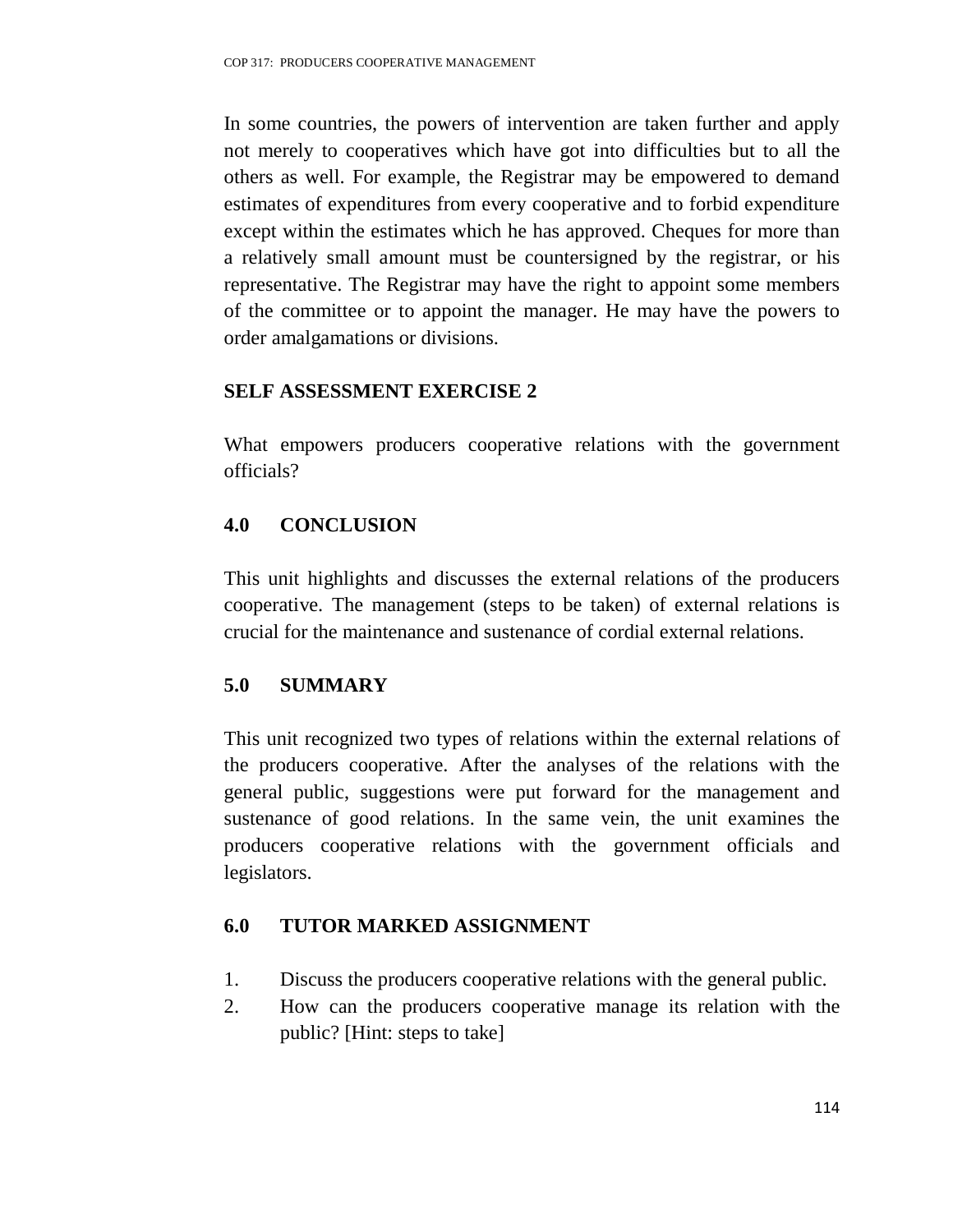In some countries, the powers of intervention are taken further and apply not merely to cooperatives which have got into difficulties but to all the others as well. For example, the Registrar may be empowered to demand estimates of expenditures from every cooperative and to forbid expenditure except within the estimates which he has approved. Cheques for more than a relatively small amount must be countersigned by the registrar, or his representative. The Registrar may have the right to appoint some members of the committee or to appoint the manager. He may have the powers to order amalgamations or divisions.

### **SELF ASSESSMENT EXERCISE 2**

What empowers producers cooperative relations with the government officials?

### **4.0 CONCLUSION**

This unit highlights and discusses the external relations of the producers cooperative. The management (steps to be taken) of external relations is crucial for the maintenance and sustenance of cordial external relations.

### **5.0 SUMMARY**

This unit recognized two types of relations within the external relations of the producers cooperative. After the analyses of the relations with the general public, suggestions were put forward for the management and sustenance of good relations. In the same vein, the unit examines the producers cooperative relations with the government officials and legislators.

### **6.0 TUTOR MARKED ASSIGNMENT**

- 1. Discuss the producers cooperative relations with the general public.
- 2. How can the producers cooperative manage its relation with the public? [Hint: steps to take]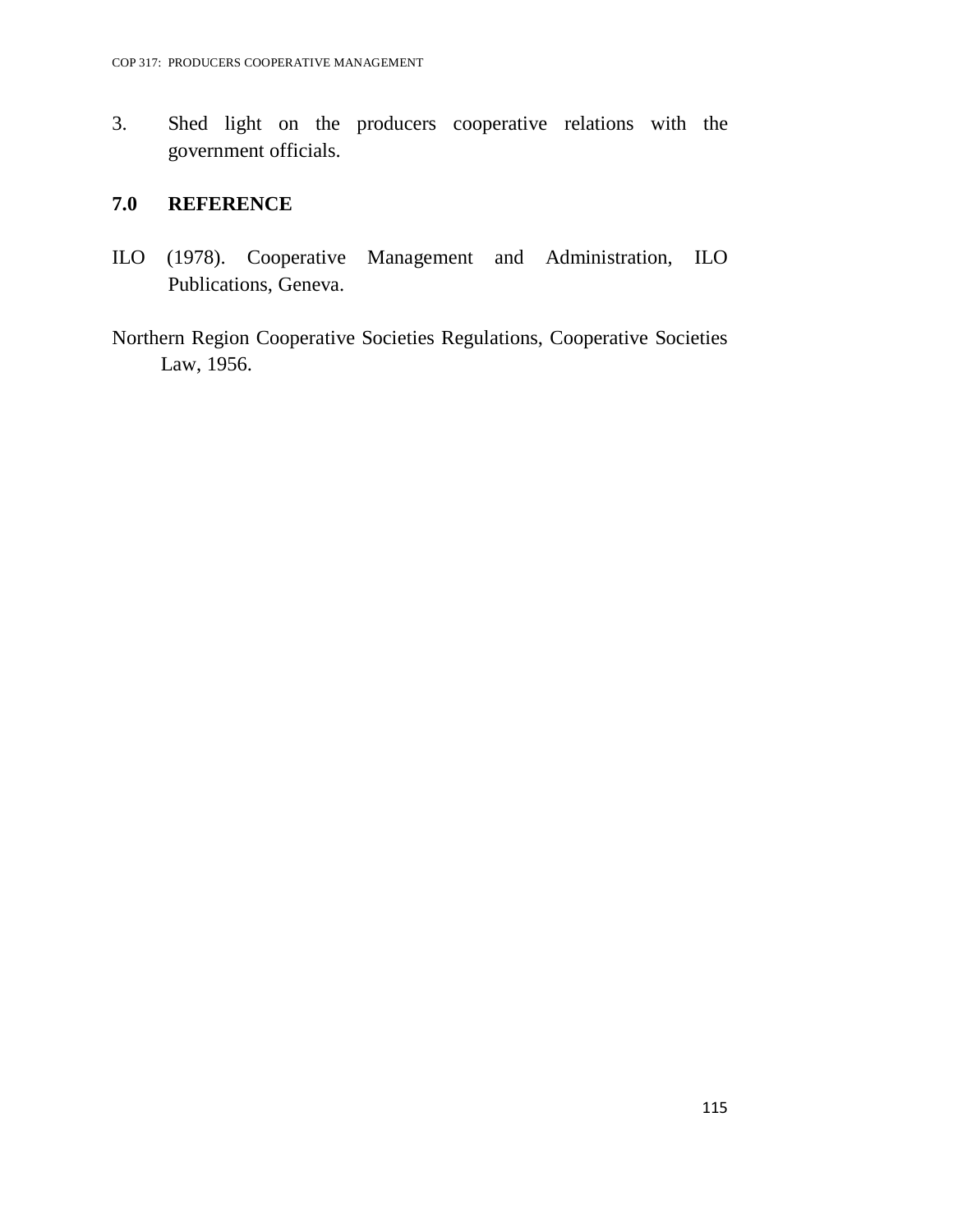3. Shed light on the producers cooperative relations with the government officials.

### **7.0 REFERENCE**

- ILO (1978). Cooperative Management and Administration, ILO Publications, Geneva.
- Northern Region Cooperative Societies Regulations, Cooperative Societies Law, 1956.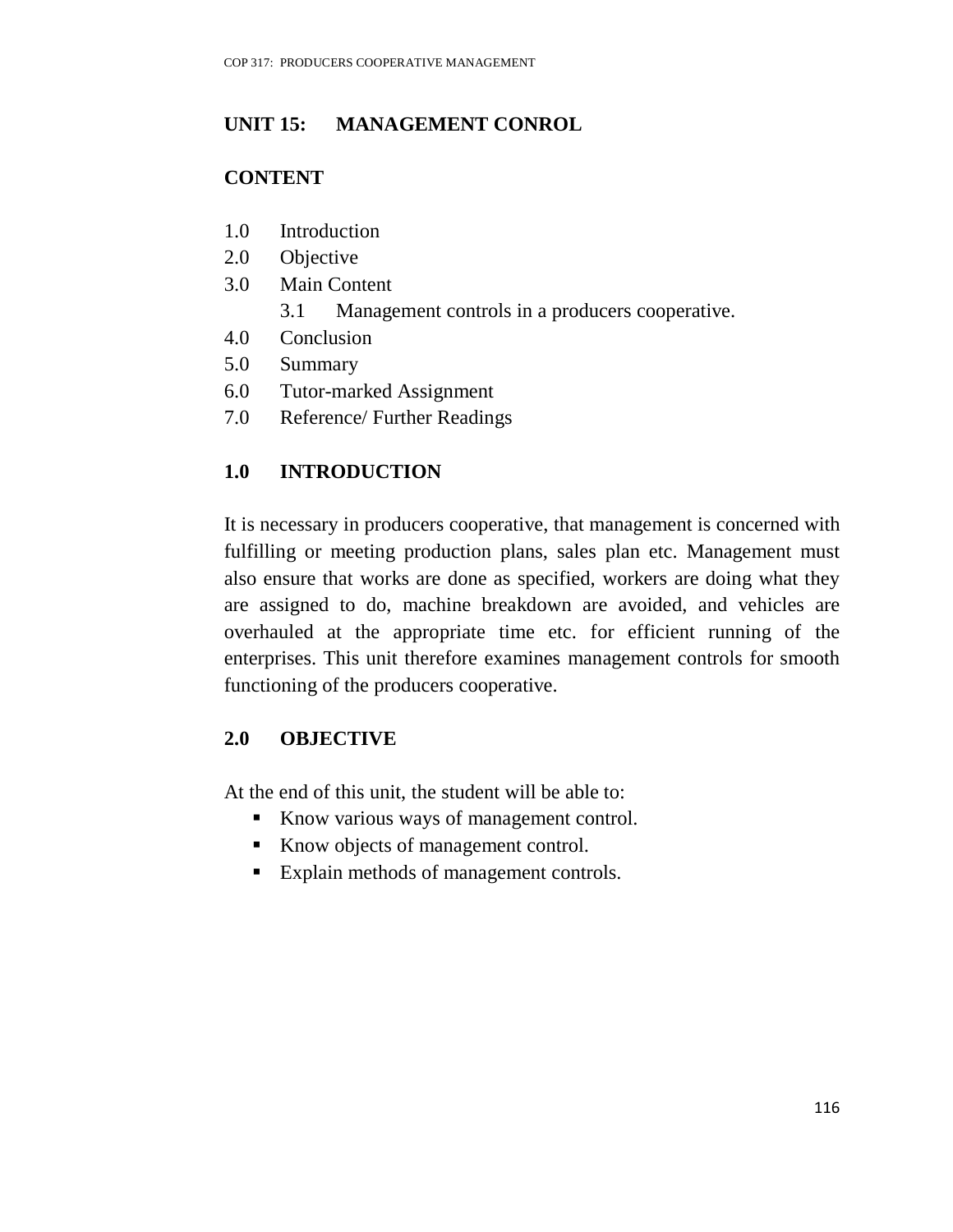# **UNIT 15: MANAGEMENT CONROL**

# **CONTENT**

- 1.0 Introduction
- 2.0 Objective
- 3.0 Main Content
	- 3.1 Management controls in a producers cooperative.
- 4.0 Conclusion
- 5.0 Summary
- 6.0 Tutor-marked Assignment
- 7.0 Reference/ Further Readings

# **1.0 INTRODUCTION**

It is necessary in producers cooperative, that management is concerned with fulfilling or meeting production plans, sales plan etc. Management must also ensure that works are done as specified, workers are doing what they are assigned to do, machine breakdown are avoided, and vehicles are overhauled at the appropriate time etc. for efficient running of the enterprises. This unit therefore examines management controls for smooth functioning of the producers cooperative.

# **2.0 OBJECTIVE**

At the end of this unit, the student will be able to:

- Know various ways of management control.
- Know objects of management control.
- Explain methods of management controls.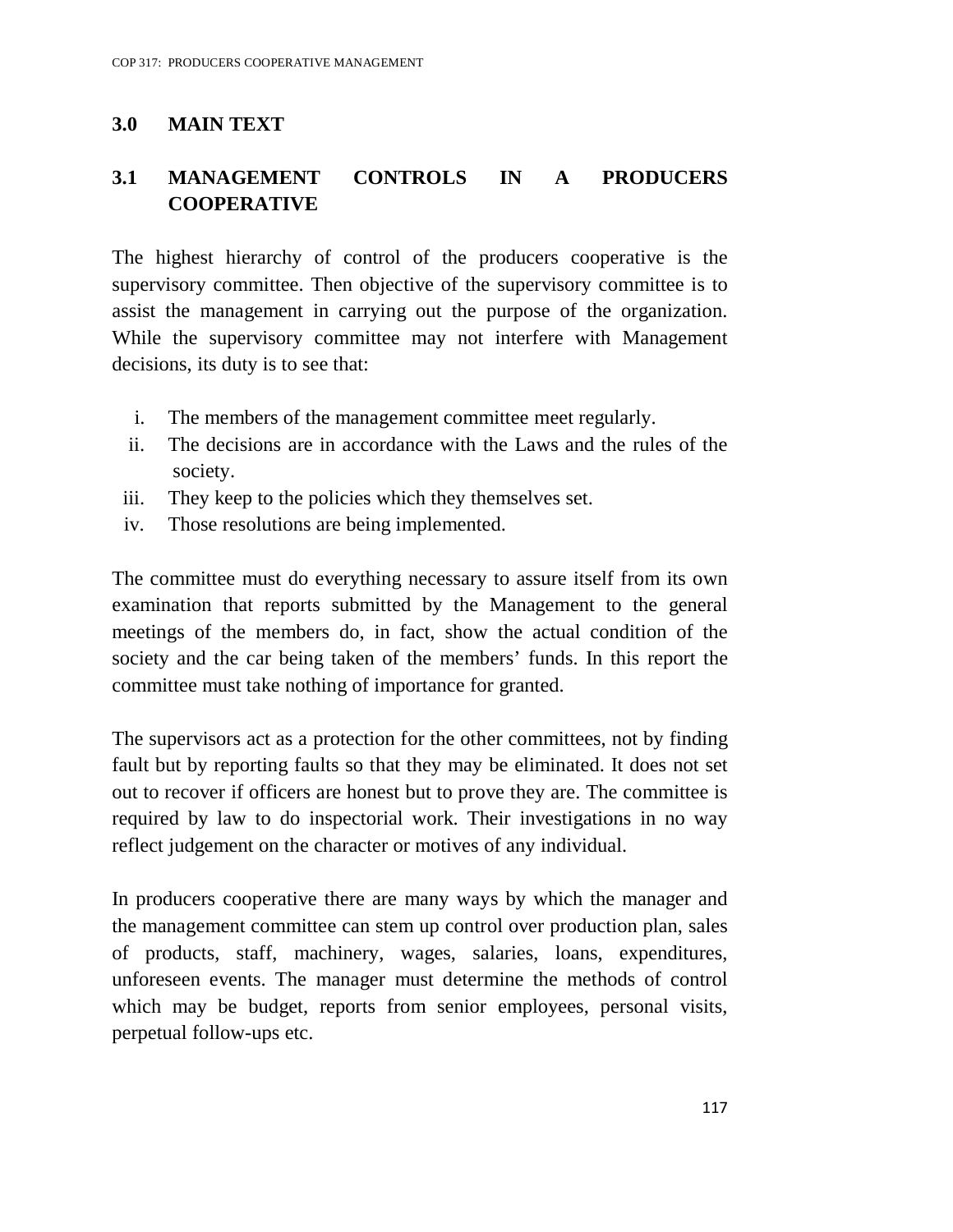### **3.0 MAIN TEXT**

# **3.1 MANAGEMENT CONTROLS IN A PRODUCERS COOPERATIVE**

The highest hierarchy of control of the producers cooperative is the supervisory committee. Then objective of the supervisory committee is to assist the management in carrying out the purpose of the organization. While the supervisory committee may not interfere with Management decisions, its duty is to see that:

- i. The members of the management committee meet regularly.
- ii. The decisions are in accordance with the Laws and the rules of the society.
- iii. They keep to the policies which they themselves set.
- iv. Those resolutions are being implemented.

The committee must do everything necessary to assure itself from its own examination that reports submitted by the Management to the general meetings of the members do, in fact, show the actual condition of the society and the car being taken of the members' funds. In this report the committee must take nothing of importance for granted.

The supervisors act as a protection for the other committees, not by finding fault but by reporting faults so that they may be eliminated. It does not set out to recover if officers are honest but to prove they are. The committee is required by law to do inspectorial work. Their investigations in no way reflect judgement on the character or motives of any individual.

In producers cooperative there are many ways by which the manager and the management committee can stem up control over production plan, sales of products, staff, machinery, wages, salaries, loans, expenditures, unforeseen events. The manager must determine the methods of control which may be budget, reports from senior employees, personal visits, perpetual follow-ups etc.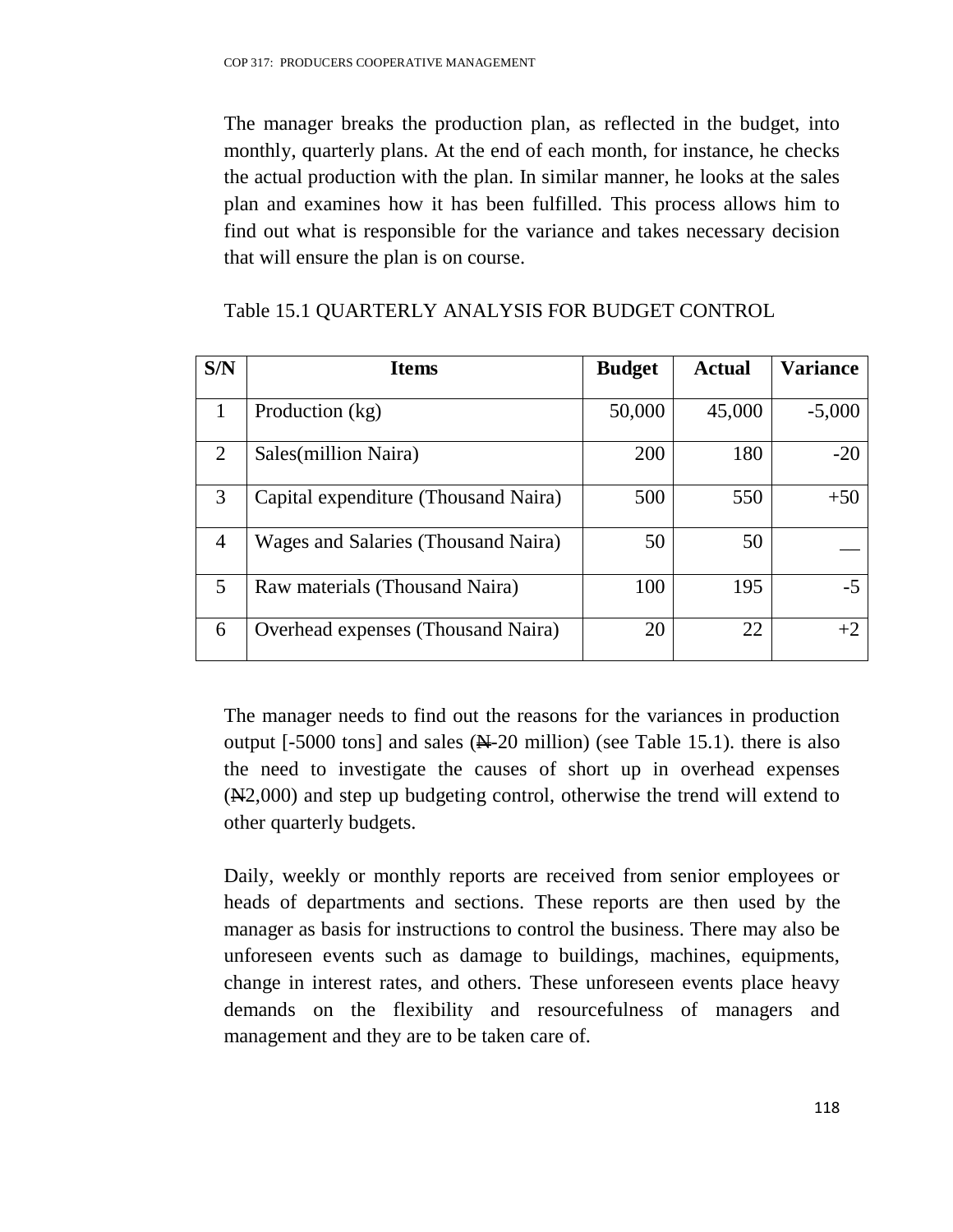The manager breaks the production plan, as reflected in the budget, into monthly, quarterly plans. At the end of each month, for instance, he checks the actual production with the plan. In similar manner, he looks at the sales plan and examines how it has been fulfilled. This process allows him to find out what is responsible for the variance and takes necessary decision that will ensure the plan is on course.

| S/N            | <b>Items</b>                               | <b>Budget</b> | <b>Actual</b> | <b>Variance</b> |
|----------------|--------------------------------------------|---------------|---------------|-----------------|
|                | Production (kg)                            | 50,000        | 45,000        | $-5,000$        |
| $\overline{2}$ | Sales(million Naira)                       | 200           | 180           | $-20$           |
| 3              | Capital expenditure (Thousand Naira)       | 500           | 550           | $+50$           |
| $\overline{4}$ | <b>Wages and Salaries (Thousand Naira)</b> | 50            | 50            |                 |
| 5              | Raw materials (Thousand Naira)             | 100           | 195           | $-5$            |
| 6              | Overhead expenses (Thousand Naira)         | 20            | 22            | $+2$            |

#### Table 15.1 QUARTERLY ANALYSIS FOR BUDGET CONTROL

The manager needs to find out the reasons for the variances in production output [ $-5000$  tons] and sales ( $\cancel{\text{N}}$ -20 million) (see Table 15.1). there is also the need to investigate the causes of short up in overhead expenses (N2,000) and step up budgeting control, otherwise the trend will extend to other quarterly budgets.

Daily, weekly or monthly reports are received from senior employees or heads of departments and sections. These reports are then used by the manager as basis for instructions to control the business. There may also be unforeseen events such as damage to buildings, machines, equipments, change in interest rates, and others. These unforeseen events place heavy demands on the flexibility and resourcefulness of managers and management and they are to be taken care of.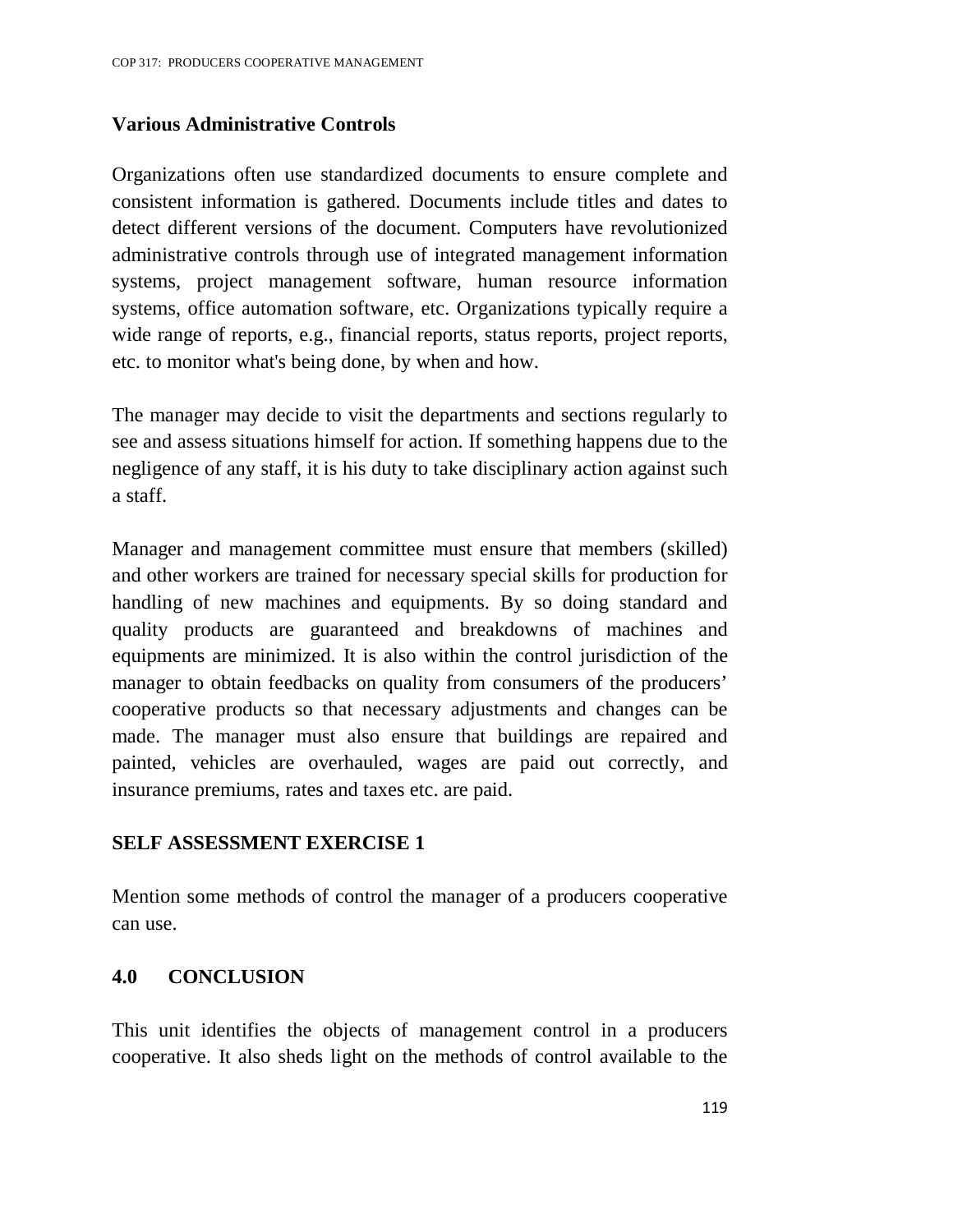#### **Various Administrative Controls**

Organizations often use standardized documents to ensure complete and consistent information is gathered. Documents include titles and dates to detect different versions of the document. Computers have revolutionized administrative controls through use of integrated management information systems, project management software, human resource information systems, office automation software, etc. Organizations typically require a wide range of reports, e.g., financial reports, status reports, project reports, etc. to monitor what's being done, by when and how.

The manager may decide to visit the departments and sections regularly to see and assess situations himself for action. If something happens due to the negligence of any staff, it is his duty to take disciplinary action against such a staff.

Manager and management committee must ensure that members (skilled) and other workers are trained for necessary special skills for production for handling of new machines and equipments. By so doing standard and quality products are guaranteed and breakdowns of machines and equipments are minimized. It is also within the control jurisdiction of the manager to obtain feedbacks on quality from consumers of the producers' cooperative products so that necessary adjustments and changes can be made. The manager must also ensure that buildings are repaired and painted, vehicles are overhauled, wages are paid out correctly, and insurance premiums, rates and taxes etc. are paid.

#### **SELF ASSESSMENT EXERCISE 1**

Mention some methods of control the manager of a producers cooperative can use.

#### **4.0 CONCLUSION**

This unit identifies the objects of management control in a producers cooperative. It also sheds light on the methods of control available to the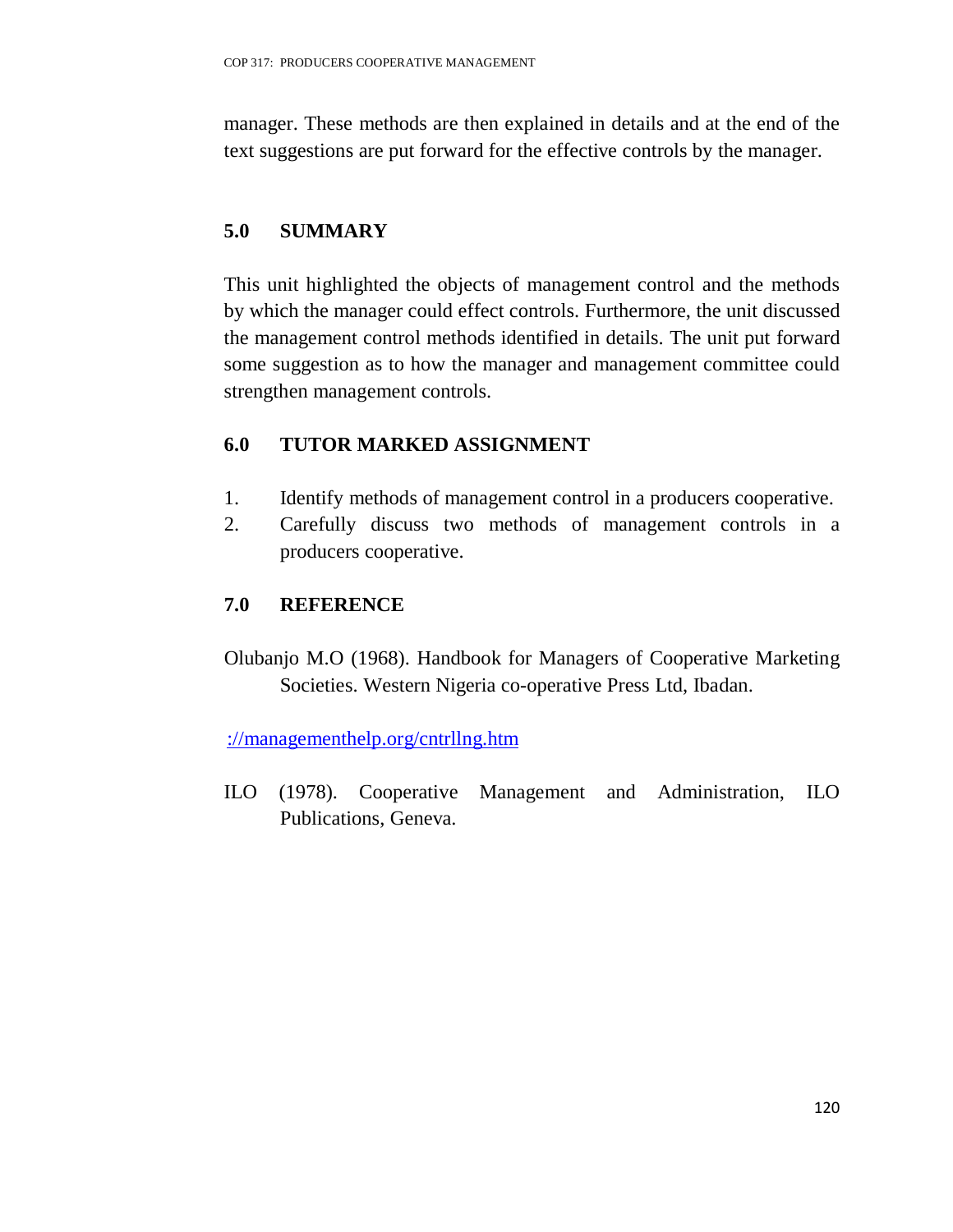manager. These methods are then explained in details and at the end of the text suggestions are put forward for the effective controls by the manager.

### **5.0 SUMMARY**

This unit highlighted the objects of management control and the methods by which the manager could effect controls. Furthermore, the unit discussed the management control methods identified in details. The unit put forward some suggestion as to how the manager and management committee could strengthen management controls.

### **6.0 TUTOR MARKED ASSIGNMENT**

- 1. Identify methods of management control in a producers cooperative.
- 2. Carefully discuss two methods of management controls in a producers cooperative.

## **7.0 REFERENCE**

Olubanjo M.O (1968). Handbook for Managers of Cooperative Marketing Societies. Western Nigeria co-operative Press Ltd, Ibadan.

### [://managementhelp.org/cntrllng.htm](http://managementhelp.org/cntrllng.htm)

ILO (1978). Cooperative Management and Administration, ILO Publications, Geneva.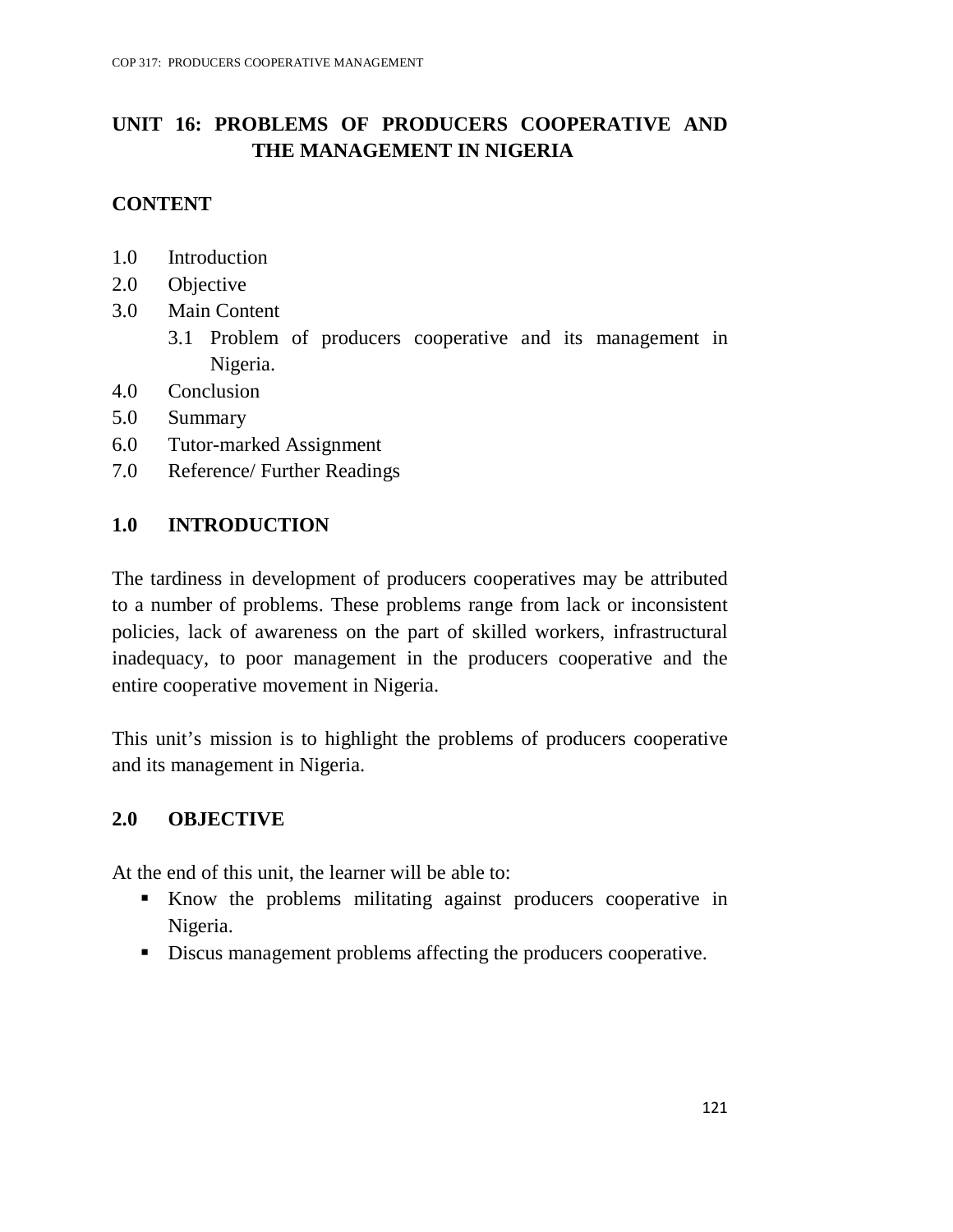# **UNIT 16: PROBLEMS OF PRODUCERS COOPERATIVE AND THE MANAGEMENT IN NIGERIA**

## **CONTENT**

- 1.0 Introduction
- 2.0 Objective
- 3.0 Main Content
	- 3.1 Problem of producers cooperative and its management in Nigeria.
- 4.0 Conclusion
- 5.0 Summary
- 6.0 Tutor-marked Assignment
- 7.0 Reference/ Further Readings

## **1.0 INTRODUCTION**

The tardiness in development of producers cooperatives may be attributed to a number of problems. These problems range from lack or inconsistent policies, lack of awareness on the part of skilled workers, infrastructural inadequacy, to poor management in the producers cooperative and the entire cooperative movement in Nigeria.

This unit's mission is to highlight the problems of producers cooperative and its management in Nigeria.

### **2.0 OBJECTIVE**

At the end of this unit, the learner will be able to:

- Know the problems militating against producers cooperative in Nigeria.
- Discus management problems affecting the producers cooperative.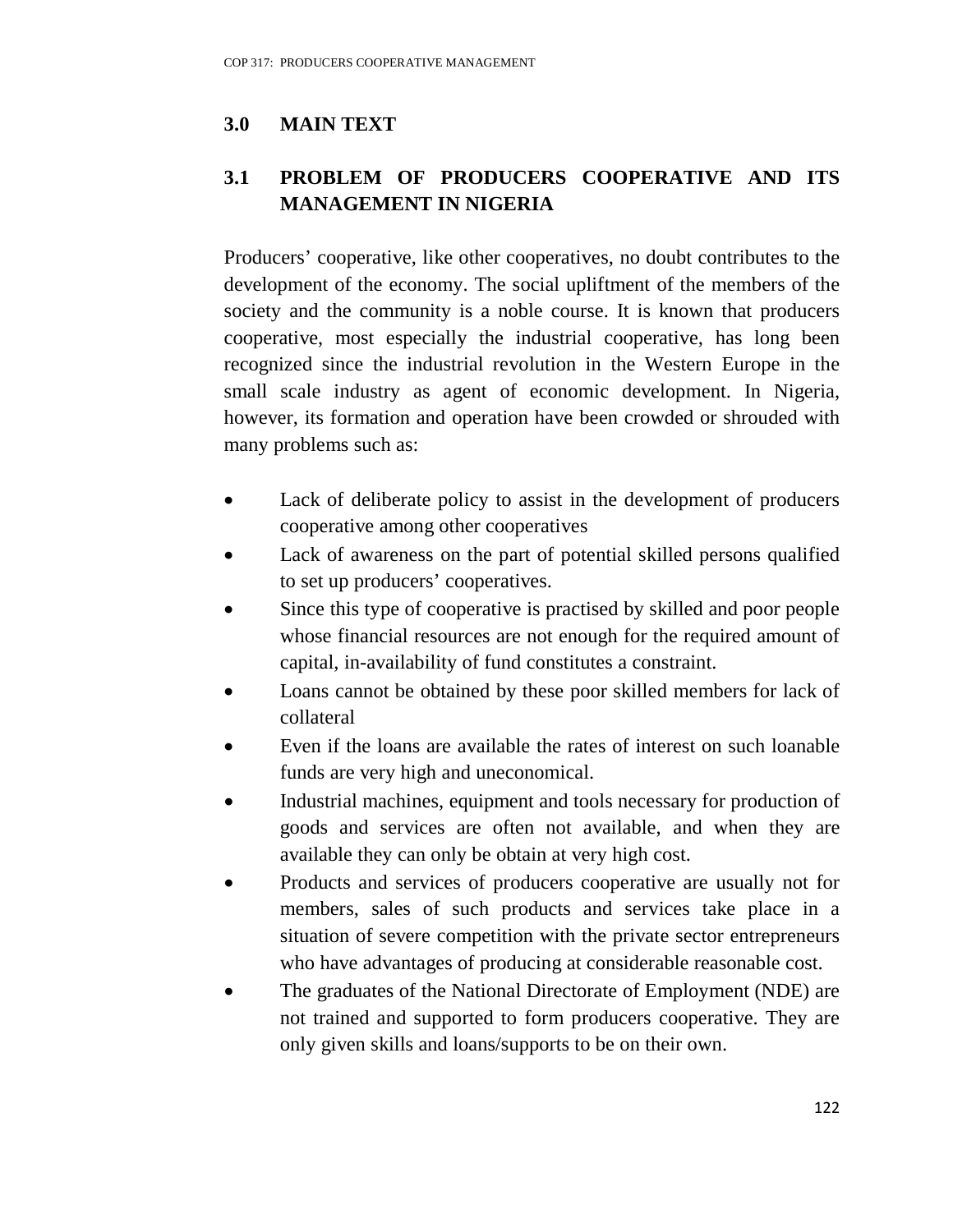# **3.0 MAIN TEXT**

# **3.1 PROBLEM OF PRODUCERS COOPERATIVE AND ITS MANAGEMENT IN NIGERIA**

Producers' cooperative, like other cooperatives, no doubt contributes to the development of the economy. The social upliftment of the members of the society and the community is a noble course. It is known that producers cooperative, most especially the industrial cooperative, has long been recognized since the industrial revolution in the Western Europe in the small scale industry as agent of economic development. In Nigeria, however, its formation and operation have been crowded or shrouded with many problems such as:

- Lack of deliberate policy to assist in the development of producers cooperative among other cooperatives
- Lack of awareness on the part of potential skilled persons qualified to set up producers' cooperatives.
- Since this type of cooperative is practised by skilled and poor people whose financial resources are not enough for the required amount of capital, in-availability of fund constitutes a constraint.
- Loans cannot be obtained by these poor skilled members for lack of collateral
- Even if the loans are available the rates of interest on such loanable funds are very high and uneconomical.
- Industrial machines, equipment and tools necessary for production of goods and services are often not available, and when they are available they can only be obtain at very high cost.
- Products and services of producers cooperative are usually not for members, sales of such products and services take place in a situation of severe competition with the private sector entrepreneurs who have advantages of producing at considerable reasonable cost.
- The graduates of the National Directorate of Employment (NDE) are not trained and supported to form producers cooperative. They are only given skills and loans/supports to be on their own.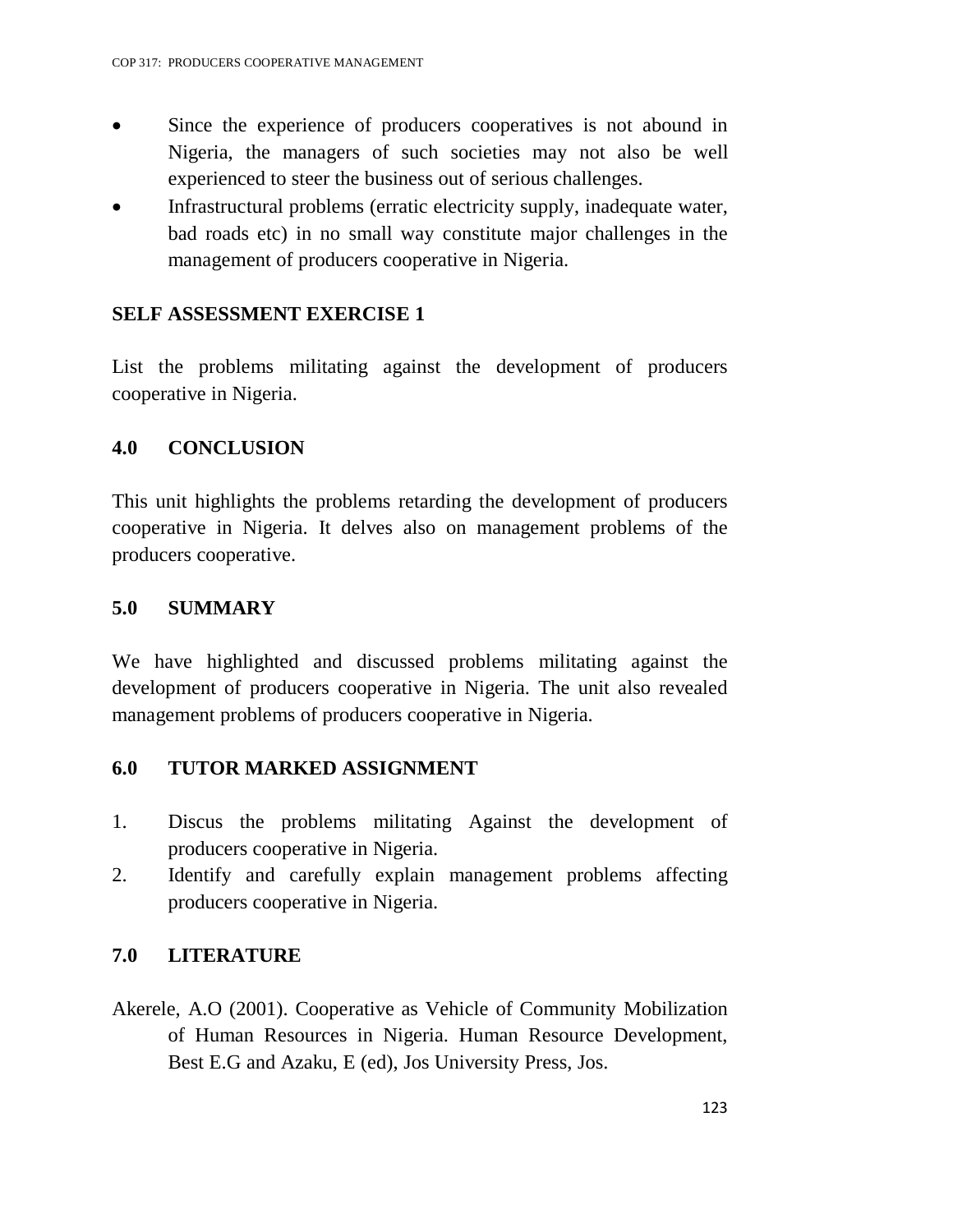- Since the experience of producers cooperatives is not abound in Nigeria, the managers of such societies may not also be well experienced to steer the business out of serious challenges.
- Infrastructural problems (erratic electricity supply, inadequate water, bad roads etc) in no small way constitute major challenges in the management of producers cooperative in Nigeria.

### **SELF ASSESSMENT EXERCISE 1**

List the problems militating against the development of producers cooperative in Nigeria.

### **4.0 CONCLUSION**

This unit highlights the problems retarding the development of producers cooperative in Nigeria. It delves also on management problems of the producers cooperative.

### **5.0 SUMMARY**

We have highlighted and discussed problems militating against the development of producers cooperative in Nigeria. The unit also revealed management problems of producers cooperative in Nigeria.

### **6.0 TUTOR MARKED ASSIGNMENT**

- 1. Discus the problems militating Against the development of producers cooperative in Nigeria.
- 2. Identify and carefully explain management problems affecting producers cooperative in Nigeria.

### **7.0 LITERATURE**

Akerele, A.O (2001). Cooperative as Vehicle of Community Mobilization of Human Resources in Nigeria. Human Resource Development, Best E.G and Azaku, E (ed), Jos University Press, Jos.